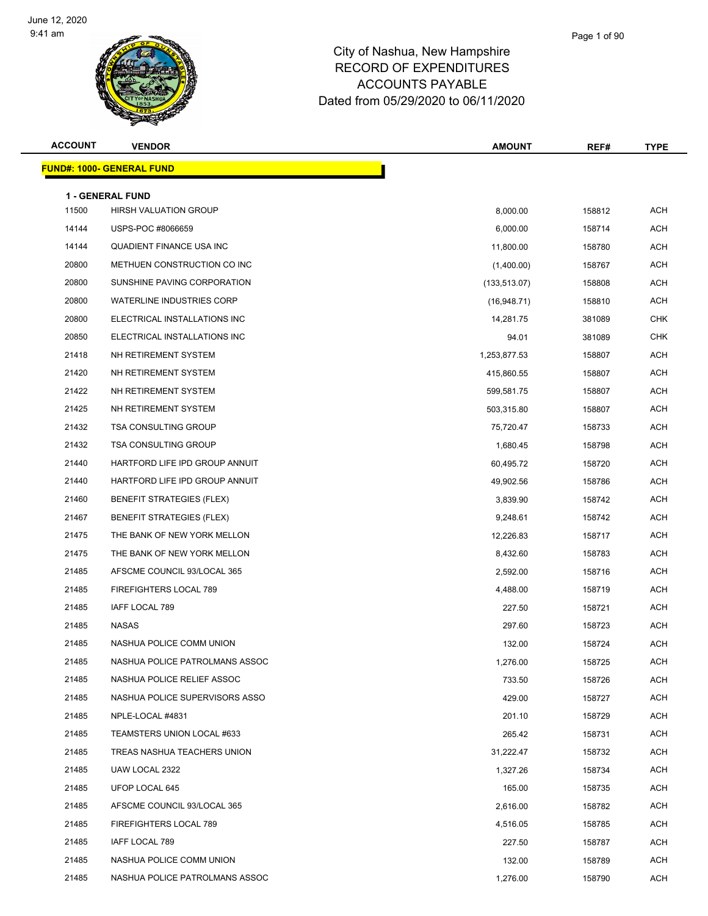

| <b>ACCOUNT</b> | <b>VENDOR</b>                    | <b>AMOUNT</b> | REF#   | <b>TYPE</b> |
|----------------|----------------------------------|---------------|--------|-------------|
|                | FUND#: 1000- GENERAL FUND        |               |        |             |
|                | <b>1 - GENERAL FUND</b>          |               |        |             |
| 11500          | <b>HIRSH VALUATION GROUP</b>     | 8,000.00      | 158812 | <b>ACH</b>  |
| 14144          | USPS-POC #8066659                | 6,000.00      | 158714 | <b>ACH</b>  |
| 14144          | QUADIENT FINANCE USA INC         | 11,800.00     | 158780 | <b>ACH</b>  |
| 20800          | METHUEN CONSTRUCTION CO INC      | (1,400.00)    | 158767 | <b>ACH</b>  |
| 20800          | SUNSHINE PAVING CORPORATION      | (133, 513.07) | 158808 | <b>ACH</b>  |
| 20800          | <b>WATERLINE INDUSTRIES CORP</b> | (16,948.71)   | 158810 | <b>ACH</b>  |
| 20800          | ELECTRICAL INSTALLATIONS INC     | 14,281.75     | 381089 | <b>CHK</b>  |
| 20850          | ELECTRICAL INSTALLATIONS INC     | 94.01         | 381089 | <b>CHK</b>  |
| 21418          | NH RETIREMENT SYSTEM             | 1,253,877.53  | 158807 | <b>ACH</b>  |
| 21420          | NH RETIREMENT SYSTEM             | 415,860.55    | 158807 | <b>ACH</b>  |
| 21422          | NH RETIREMENT SYSTEM             | 599,581.75    | 158807 | <b>ACH</b>  |
| 21425          | NH RETIREMENT SYSTEM             | 503,315.80    | 158807 | <b>ACH</b>  |
| 21432          | <b>TSA CONSULTING GROUP</b>      | 75,720.47     | 158733 | <b>ACH</b>  |
| 21432          | <b>TSA CONSULTING GROUP</b>      | 1,680.45      | 158798 | <b>ACH</b>  |
| 21440          | HARTFORD LIFE IPD GROUP ANNUIT   | 60,495.72     | 158720 | <b>ACH</b>  |
| 21440          | HARTFORD LIFE IPD GROUP ANNUIT   | 49,902.56     | 158786 | <b>ACH</b>  |
| 21460          | <b>BENEFIT STRATEGIES (FLEX)</b> | 3,839.90      | 158742 | <b>ACH</b>  |
| 21467          | <b>BENEFIT STRATEGIES (FLEX)</b> | 9,248.61      | 158742 | <b>ACH</b>  |
| 21475          | THE BANK OF NEW YORK MELLON      | 12,226.83     | 158717 | <b>ACH</b>  |
| 21475          | THE BANK OF NEW YORK MELLON      | 8,432.60      | 158783 | <b>ACH</b>  |
| 21485          | AFSCME COUNCIL 93/LOCAL 365      | 2,592.00      | 158716 | <b>ACH</b>  |
| 21485          | FIREFIGHTERS LOCAL 789           | 4,488.00      | 158719 | <b>ACH</b>  |
| 21485          | IAFF LOCAL 789                   | 227.50        | 158721 | <b>ACH</b>  |
| 21485          | <b>NASAS</b>                     | 297.60        | 158723 | <b>ACH</b>  |
| 21485          | NASHUA POLICE COMM UNION         | 132.00        | 158724 | <b>ACH</b>  |
| 21485          | NASHUA POLICE PATROLMANS ASSOC   | 1,276.00      | 158725 | <b>ACH</b>  |
| 21485          | NASHUA POLICE RELIEF ASSOC       | 733.50        | 158726 | ACH         |
| 21485          | NASHUA POLICE SUPERVISORS ASSO   | 429.00        | 158727 | ACH         |
| 21485          | NPLE-LOCAL #4831                 | 201.10        | 158729 | ACH         |
| 21485          | TEAMSTERS UNION LOCAL #633       | 265.42        | 158731 | ACH         |
| 21485          | TREAS NASHUA TEACHERS UNION      | 31,222.47     | 158732 | ACH         |
| 21485          | UAW LOCAL 2322                   | 1,327.26      | 158734 | ACH         |
| 21485          | UFOP LOCAL 645                   | 165.00        | 158735 | ACH         |
| 21485          | AFSCME COUNCIL 93/LOCAL 365      | 2,616.00      | 158782 | <b>ACH</b>  |
| 21485          | FIREFIGHTERS LOCAL 789           | 4,516.05      | 158785 | ACH         |
| 21485          | IAFF LOCAL 789                   | 227.50        | 158787 | ACH         |
| 21485          | NASHUA POLICE COMM UNION         | 132.00        | 158789 | ACH         |
| 21485          | NASHUA POLICE PATROLMANS ASSOC   | 1,276.00      | 158790 | ACH         |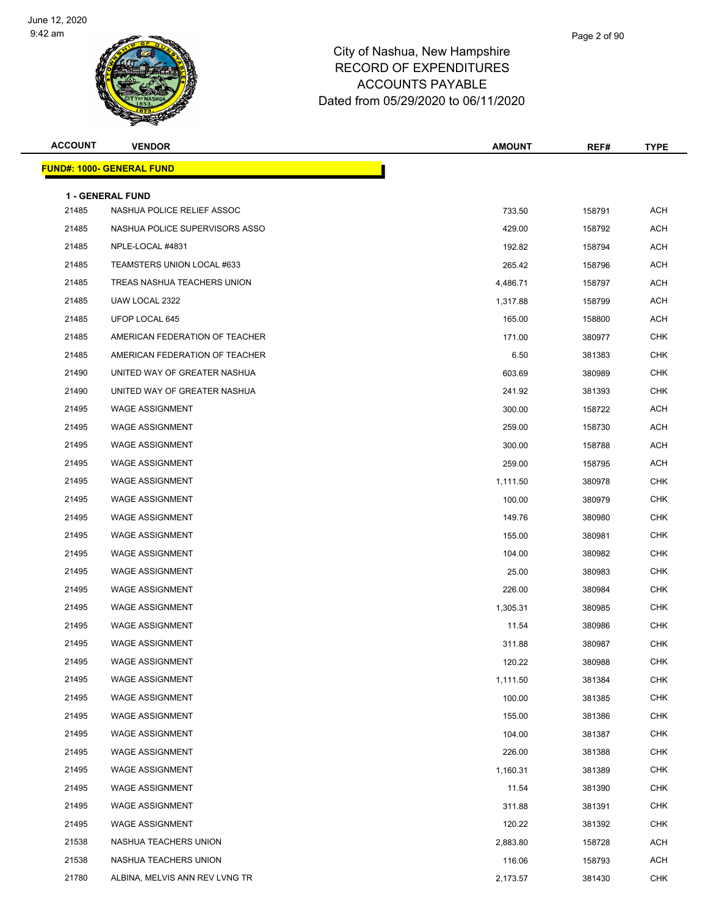

| <b>ACCOUNT</b> | <b>VENDOR</b>                     | <b>AMOUNT</b> | REF#   | <b>TYPE</b> |
|----------------|-----------------------------------|---------------|--------|-------------|
|                | <u> FUND#: 1000- GENERAL FUND</u> |               |        |             |
|                | 1 - GENERAL FUND                  |               |        |             |
| 21485          | NASHUA POLICE RELIEF ASSOC        | 733.50        | 158791 | <b>ACH</b>  |
| 21485          | NASHUA POLICE SUPERVISORS ASSO    | 429.00        | 158792 | <b>ACH</b>  |
| 21485          | NPLE-LOCAL #4831                  | 192.82        | 158794 | <b>ACH</b>  |
| 21485          | TEAMSTERS UNION LOCAL #633        | 265.42        | 158796 | ACH         |
| 21485          | TREAS NASHUA TEACHERS UNION       | 4,486.71      | 158797 | <b>ACH</b>  |
| 21485          | UAW LOCAL 2322                    | 1,317.88      | 158799 | <b>ACH</b>  |
| 21485          | UFOP LOCAL 645                    | 165.00        | 158800 | <b>ACH</b>  |
| 21485          | AMERICAN FEDERATION OF TEACHER    | 171.00        | 380977 | <b>CHK</b>  |
| 21485          | AMERICAN FEDERATION OF TEACHER    | 6.50          | 381383 | <b>CHK</b>  |
| 21490          | UNITED WAY OF GREATER NASHUA      | 603.69        | 380989 | <b>CHK</b>  |
| 21490          | UNITED WAY OF GREATER NASHUA      | 241.92        | 381393 | <b>CHK</b>  |
| 21495          | <b>WAGE ASSIGNMENT</b>            | 300.00        | 158722 | <b>ACH</b>  |
| 21495          | <b>WAGE ASSIGNMENT</b>            | 259.00        | 158730 | <b>ACH</b>  |
| 21495          | <b>WAGE ASSIGNMENT</b>            | 300.00        | 158788 | ACH         |
| 21495          | <b>WAGE ASSIGNMENT</b>            | 259.00        | 158795 | ACH         |
| 21495          | <b>WAGE ASSIGNMENT</b>            | 1,111.50      | 380978 | <b>CHK</b>  |
| 21495          | <b>WAGE ASSIGNMENT</b>            | 100.00        | 380979 | <b>CHK</b>  |
| 21495          | <b>WAGE ASSIGNMENT</b>            | 149.76        | 380980 | <b>CHK</b>  |
| 21495          | <b>WAGE ASSIGNMENT</b>            | 155.00        | 380981 | <b>CHK</b>  |
| 21495          | <b>WAGE ASSIGNMENT</b>            | 104.00        | 380982 | <b>CHK</b>  |
| 21495          | <b>WAGE ASSIGNMENT</b>            | 25.00         | 380983 | <b>CHK</b>  |
| 21495          | <b>WAGE ASSIGNMENT</b>            | 226.00        | 380984 | <b>CHK</b>  |
| 21495          | <b>WAGE ASSIGNMENT</b>            | 1,305.31      | 380985 | CHK         |
| 21495          | <b>WAGE ASSIGNMENT</b>            | 11.54         | 380986 | <b>CHK</b>  |
| 21495          | <b>WAGE ASSIGNMENT</b>            | 311.88        | 380987 | <b>CHK</b>  |
| 21495          | WAGE ASSIGNMENT                   | 120.22        | 380988 | <b>CHK</b>  |
| 21495          | <b>WAGE ASSIGNMENT</b>            | 1,111.50      | 381384 | <b>CHK</b>  |
| 21495          | <b>WAGE ASSIGNMENT</b>            | 100.00        | 381385 | <b>CHK</b>  |
| 21495          | <b>WAGE ASSIGNMENT</b>            | 155.00        | 381386 | <b>CHK</b>  |
| 21495          | <b>WAGE ASSIGNMENT</b>            | 104.00        | 381387 | <b>CHK</b>  |
| 21495          | <b>WAGE ASSIGNMENT</b>            | 226.00        | 381388 | <b>CHK</b>  |
| 21495          | <b>WAGE ASSIGNMENT</b>            | 1,160.31      | 381389 | <b>CHK</b>  |
| 21495          | <b>WAGE ASSIGNMENT</b>            | 11.54         | 381390 | <b>CHK</b>  |
| 21495          | <b>WAGE ASSIGNMENT</b>            | 311.88        | 381391 | <b>CHK</b>  |
| 21495          | <b>WAGE ASSIGNMENT</b>            | 120.22        | 381392 | <b>CHK</b>  |
| 21538          | NASHUA TEACHERS UNION             | 2,883.80      | 158728 | <b>ACH</b>  |
| 21538          | NASHUA TEACHERS UNION             | 116.06        | 158793 | <b>ACH</b>  |
| 21780          | ALBINA, MELVIS ANN REV LVNG TR    | 2,173.57      | 381430 | <b>CHK</b>  |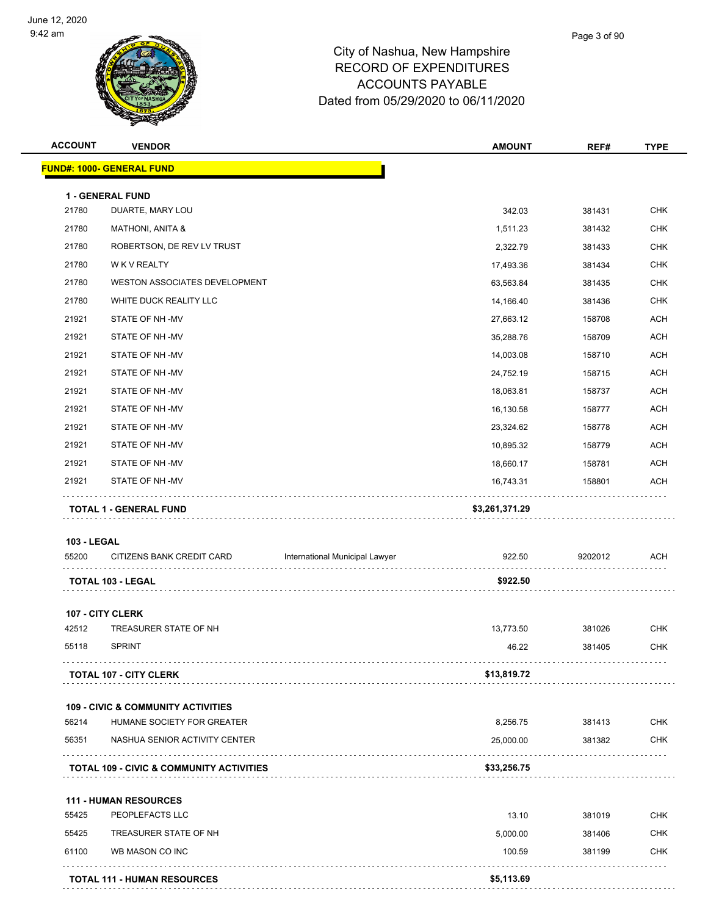

| <b>ACCOUNT</b>     | <b>VENDOR</b>                                       |                                | <b>AMOUNT</b>  | REF#         | <b>TYPE</b> |
|--------------------|-----------------------------------------------------|--------------------------------|----------------|--------------|-------------|
|                    | <u> FUND#: 1000- GENERAL FUND</u>                   |                                |                |              |             |
|                    | 1 - GENERAL FUND                                    |                                |                |              |             |
| 21780              | DUARTE, MARY LOU                                    |                                | 342.03         | 381431       | <b>CHK</b>  |
| 21780              | <b>MATHONI, ANITA &amp;</b>                         |                                | 1,511.23       | 381432       | <b>CHK</b>  |
| 21780              | ROBERTSON, DE REV LV TRUST                          |                                | 2,322.79       | 381433       | <b>CHK</b>  |
| 21780              | <b>WK V REALTY</b>                                  |                                | 17,493.36      | 381434       | <b>CHK</b>  |
| 21780              | WESTON ASSOCIATES DEVELOPMENT                       |                                | 63,563.84      | 381435       | <b>CHK</b>  |
| 21780              | WHITE DUCK REALITY LLC                              |                                | 14,166.40      | 381436       | <b>CHK</b>  |
| 21921              | STATE OF NH-MV                                      |                                | 27,663.12      | 158708       | ACH         |
| 21921              | STATE OF NH-MV                                      |                                | 35,288.76      | 158709       | <b>ACH</b>  |
| 21921              | STATE OF NH-MV                                      |                                | 14,003.08      | 158710       | <b>ACH</b>  |
| 21921              | STATE OF NH-MV                                      |                                | 24,752.19      | 158715       | <b>ACH</b>  |
| 21921              | STATE OF NH-MV                                      |                                | 18,063.81      | 158737       | <b>ACH</b>  |
| 21921              | STATE OF NH-MV                                      |                                | 16,130.58      | 158777       | <b>ACH</b>  |
| 21921              | STATE OF NH-MV                                      |                                | 23,324.62      | 158778       | <b>ACH</b>  |
| 21921              | STATE OF NH-MV                                      |                                | 10,895.32      | 158779       | <b>ACH</b>  |
| 21921              | STATE OF NH-MV                                      |                                | 18,660.17      | 158781       | <b>ACH</b>  |
| 21921              | STATE OF NH-MV                                      |                                | 16,743.31      | 158801       | <b>ACH</b>  |
|                    | TOTAL 1 - GENERAL FUND                              |                                | \$3,261,371.29 | .            |             |
| <b>103 - LEGAL</b> |                                                     |                                |                |              |             |
| 55200              | CITIZENS BANK CREDIT CARD                           | International Municipal Lawyer | 922.50         | 9202012<br>. | <b>ACH</b>  |
|                    | TOTAL 103 - LEGAL                                   |                                | \$922.50       |              |             |
|                    | 107 - CITY CLERK                                    |                                |                |              |             |
| 42512              | TREASURER STATE OF NH                               |                                | 13,773.50      | 381026       | <b>CHK</b>  |
| 55118              | <b>SPRINT</b>                                       |                                | 46.22          | 381405       | <b>CHK</b>  |
|                    | <b>TOTAL 107 - CITY CLERK</b>                       |                                | \$13,819.72    |              |             |
|                    |                                                     |                                |                |              |             |
|                    | <b>109 - CIVIC &amp; COMMUNITY ACTIVITIES</b>       |                                |                |              |             |
| 56214              | HUMANE SOCIETY FOR GREATER                          |                                | 8,256.75       | 381413       | <b>CHK</b>  |
| 56351              | NASHUA SENIOR ACTIVITY CENTER                       |                                | 25,000.00      | 381382       | <b>CHK</b>  |
|                    | <b>TOTAL 109 - CIVIC &amp; COMMUNITY ACTIVITIES</b> |                                | \$33,256.75    |              |             |
|                    |                                                     |                                |                |              |             |
| 55425              | <b>111 - HUMAN RESOURCES</b><br>PEOPLEFACTS LLC     |                                | 13.10          | 381019       | <b>CHK</b>  |
| 55425              | TREASURER STATE OF NH                               |                                | 5,000.00       | 381406       | <b>CHK</b>  |
| 61100              | WB MASON CO INC                                     |                                | 100.59         | 381199       | <b>CHK</b>  |
|                    |                                                     |                                |                |              |             |
|                    | <b>TOTAL 111 - HUMAN RESOURCES</b>                  |                                | \$5,113.69     |              |             |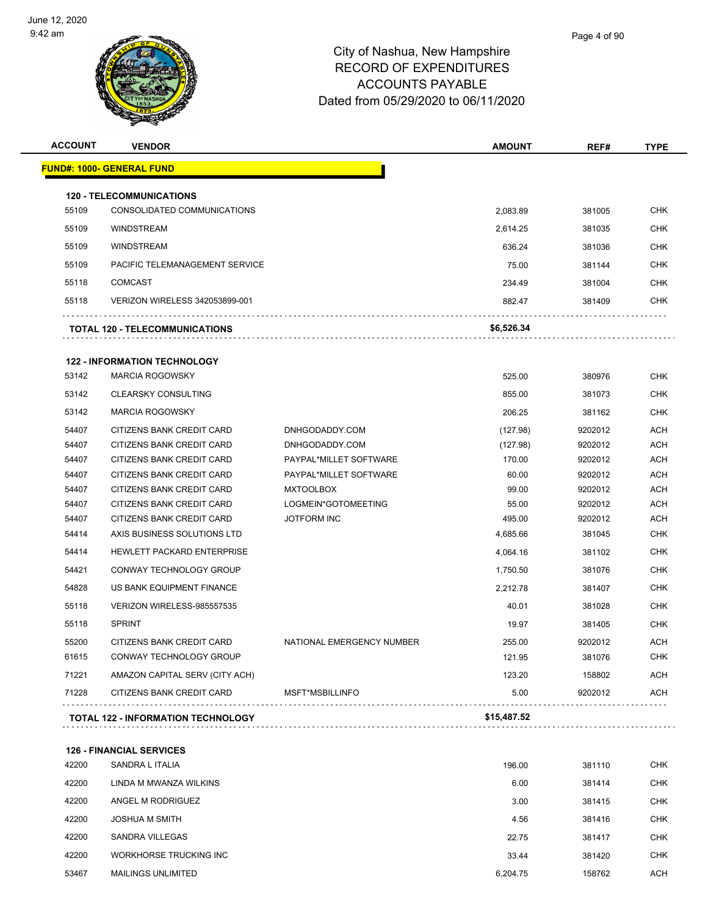

| <b>ACCOUNT</b> | <b>VENDOR</b>                             |                           | <b>AMOUNT</b> | REF#    | <b>TYPE</b> |
|----------------|-------------------------------------------|---------------------------|---------------|---------|-------------|
|                | <b>FUND#: 1000- GENERAL FUND</b>          |                           |               |         |             |
|                | <b>120 - TELECOMMUNICATIONS</b>           |                           |               |         |             |
| 55109          | CONSOLIDATED COMMUNICATIONS               |                           | 2,083.89      | 381005  | <b>CHK</b>  |
| 55109          | <b>WINDSTREAM</b>                         |                           | 2,614.25      | 381035  | CHK         |
| 55109          | <b>WINDSTREAM</b>                         |                           | 636.24        | 381036  | <b>CHK</b>  |
| 55109          | PACIFIC TELEMANAGEMENT SERVICE            |                           | 75.00         | 381144  | <b>CHK</b>  |
| 55118          | <b>COMCAST</b>                            |                           | 234.49        | 381004  | <b>CHK</b>  |
|                |                                           |                           |               |         |             |
| 55118          | <b>VERIZON WIRELESS 342053899-001</b>     |                           | 882.47        | 381409  | CHK         |
|                | TOTAL 120 - TELECOMMUNICATIONS            |                           | \$6,526.34    |         |             |
|                | <b>122 - INFORMATION TECHNOLOGY</b>       |                           |               |         |             |
| 53142          | <b>MARCIA ROGOWSKY</b>                    |                           | 525.00        | 380976  | CHK         |
| 53142          | <b>CLEARSKY CONSULTING</b>                |                           | 855.00        | 381073  | <b>CHK</b>  |
| 53142          | <b>MARCIA ROGOWSKY</b>                    |                           | 206.25        | 381162  | CHK         |
| 54407          | CITIZENS BANK CREDIT CARD                 | DNHGODADDY.COM            | (127.98)      | 9202012 | <b>ACH</b>  |
| 54407          | <b>CITIZENS BANK CREDIT CARD</b>          | DNHGODADDY.COM            | (127.98)      | 9202012 | <b>ACH</b>  |
| 54407          | CITIZENS BANK CREDIT CARD                 | PAYPAL*MILLET SOFTWARE    | 170.00        | 9202012 | <b>ACH</b>  |
| 54407          | CITIZENS BANK CREDIT CARD                 | PAYPAL*MILLET SOFTWARE    | 60.00         | 9202012 | <b>ACH</b>  |
| 54407          | CITIZENS BANK CREDIT CARD                 | <b>MXTOOLBOX</b>          | 99.00         | 9202012 | <b>ACH</b>  |
| 54407          | CITIZENS BANK CREDIT CARD                 | LOGMEIN*GOTOMEETING       | 55.00         | 9202012 | <b>ACH</b>  |
| 54407          | CITIZENS BANK CREDIT CARD                 | <b>JOTFORM INC</b>        | 495.00        | 9202012 | <b>ACH</b>  |
| 54414          | AXIS BUSINESS SOLUTIONS LTD               |                           | 4,685.66      | 381045  | <b>CHK</b>  |
| 54414          | HEWLETT PACKARD ENTERPRISE                |                           | 4,064.16      | 381102  | <b>CHK</b>  |
| 54421          | CONWAY TECHNOLOGY GROUP                   |                           | 1,750.50      | 381076  | <b>CHK</b>  |
| 54828          | US BANK EQUIPMENT FINANCE                 |                           | 2,212.78      | 381407  | <b>CHK</b>  |
| 55118          | VERIZON WIRELESS-985557535                |                           | 40.01         | 381028  | <b>CHK</b>  |
| 55118          | <b>SPRINT</b>                             |                           | 19.97         | 381405  | CHK         |
| 55200          | CITIZENS BANK CREDIT CARD                 | NATIONAL EMERGENCY NUMBER | 255.00        | 9202012 | <b>ACH</b>  |
| 61615          | CONWAY TECHNOLOGY GROUP                   |                           | 121.95        | 381076  | <b>CHK</b>  |
| 71221          | AMAZON CAPITAL SERV (CITY ACH)            |                           | 123.20        | 158802  | ACH         |
| 71228          | CITIZENS BANK CREDIT CARD                 | MSFT*MSBILLINFO           | 5.00          | 9202012 | <b>ACH</b>  |
|                |                                           |                           |               |         |             |
|                | <b>TOTAL 122 - INFORMATION TECHNOLOGY</b> |                           | \$15,487.52   |         |             |

| 42200 | SANDRA L ITALIA           | 196.00   | 381110 | <b>CHK</b> |
|-------|---------------------------|----------|--------|------------|
| 42200 | LINDA M MWANZA WILKINS    | 6.00     | 381414 | <b>CHK</b> |
| 42200 | ANGEL M RODRIGUEZ         | 3.00     | 381415 | <b>CHK</b> |
| 42200 | <b>JOSHUA M SMITH</b>     | 4.56     | 381416 | <b>CHK</b> |
| 42200 | SANDRA VILLEGAS           | 22.75    | 381417 | <b>CHK</b> |
| 42200 | WORKHORSE TRUCKING INC    | 33.44    | 381420 | <b>CHK</b> |
| 53467 | <b>MAILINGS UNLIMITED</b> | 6.204.75 | 158762 | <b>ACH</b> |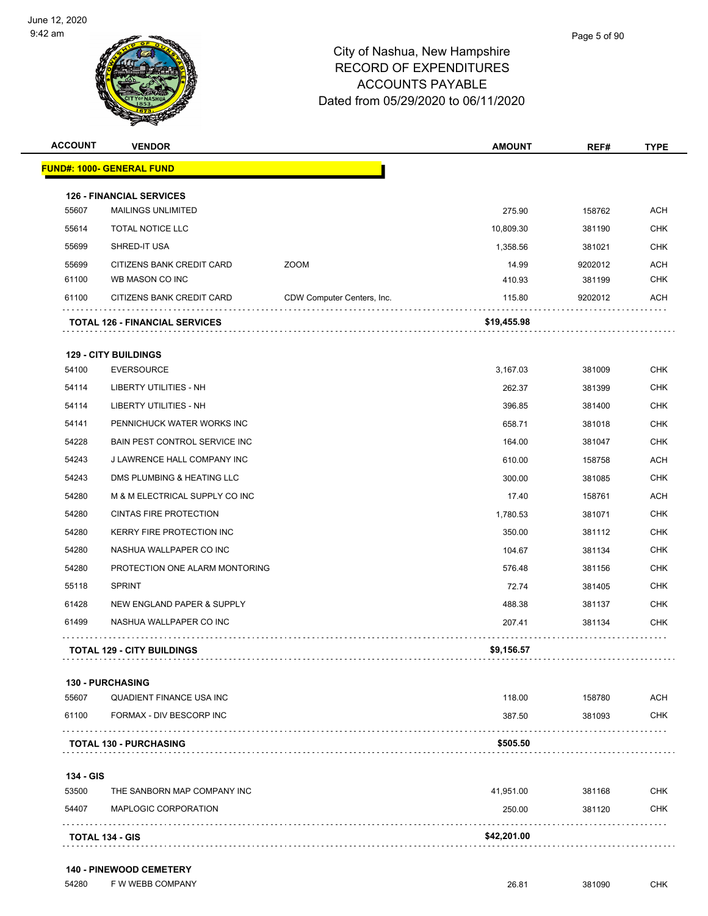

| <b>ACCOUNT</b> | <b>VENDOR</b>                         |                            | <b>AMOUNT</b> | REF#    | <b>TYPE</b> |
|----------------|---------------------------------------|----------------------------|---------------|---------|-------------|
|                | <u> FUND#: 1000- GENERAL FUND</u>     |                            |               |         |             |
|                | <b>126 - FINANCIAL SERVICES</b>       |                            |               |         |             |
| 55607          | <b>MAILINGS UNLIMITED</b>             |                            | 275.90        | 158762  | <b>ACH</b>  |
| 55614          | TOTAL NOTICE LLC                      |                            | 10,809.30     | 381190  | <b>CHK</b>  |
| 55699          | SHRED-IT USA                          |                            | 1,358.56      | 381021  | <b>CHK</b>  |
| 55699          | CITIZENS BANK CREDIT CARD             | <b>ZOOM</b>                | 14.99         | 9202012 | <b>ACH</b>  |
| 61100          | WB MASON CO INC                       |                            | 410.93        | 381199  | <b>CHK</b>  |
| 61100          | CITIZENS BANK CREDIT CARD             | CDW Computer Centers, Inc. | 115.80        | 9202012 | <b>ACH</b>  |
|                | <b>TOTAL 126 - FINANCIAL SERVICES</b> |                            | \$19,455.98   |         |             |
|                | <b>129 - CITY BUILDINGS</b>           |                            |               |         |             |
| 54100          | <b>EVERSOURCE</b>                     |                            | 3,167.03      | 381009  | <b>CHK</b>  |
| 54114          | <b>LIBERTY UTILITIES - NH</b>         |                            | 262.37        | 381399  | <b>CHK</b>  |
| 54114          | <b>LIBERTY UTILITIES - NH</b>         |                            | 396.85        | 381400  | <b>CHK</b>  |
| 54141          | PENNICHUCK WATER WORKS INC            |                            | 658.71        | 381018  | <b>CHK</b>  |
| 54228          | BAIN PEST CONTROL SERVICE INC         |                            | 164.00        | 381047  | <b>CHK</b>  |
| 54243          | J LAWRENCE HALL COMPANY INC           |                            | 610.00        | 158758  | <b>ACH</b>  |
| 54243          | DMS PLUMBING & HEATING LLC            |                            | 300.00        | 381085  | <b>CHK</b>  |
| 54280          | M & M ELECTRICAL SUPPLY CO INC        |                            | 17.40         | 158761  | <b>ACH</b>  |
| 54280          | CINTAS FIRE PROTECTION                |                            | 1,780.53      | 381071  | <b>CHK</b>  |
| 54280          | KERRY FIRE PROTECTION INC             |                            | 350.00        | 381112  | <b>CHK</b>  |
| 54280          | NASHUA WALLPAPER CO INC               |                            | 104.67        | 381134  | <b>CHK</b>  |
| 54280          | PROTECTION ONE ALARM MONTORING        |                            | 576.48        | 381156  | <b>CHK</b>  |
| 55118          | <b>SPRINT</b>                         |                            | 72.74         | 381405  | <b>CHK</b>  |
| 61428          | NEW ENGLAND PAPER & SUPPLY            |                            | 488.38        | 381137  | <b>CHK</b>  |
| 61499          | NASHUA WALLPAPER CO INC               |                            | 207.41        | 381134  | <b>CHK</b>  |
|                | <b>TOTAL 129 - CITY BUILDINGS</b>     |                            | \$9,156.57    |         |             |
|                | <b>130 - PURCHASING</b>               |                            |               |         |             |
| 55607          | QUADIENT FINANCE USA INC              |                            | 118.00        | 158780  | ACH         |
| 61100          | <b>FORMAX - DIV BESCORP INC</b>       |                            | 387.50        | 381093  | <b>CHK</b>  |
|                | <b>TOTAL 130 - PURCHASING</b>         |                            | \$505.50      |         |             |
| 134 - GIS      |                                       |                            |               |         |             |
| 53500          | THE SANBORN MAP COMPANY INC           |                            | 41,951.00     | 381168  | <b>CHK</b>  |
| 54407          | MAPLOGIC CORPORATION                  |                            | 250.00        | 381120  | CHK         |
|                | TOTAL 134 - GIS                       |                            | \$42,201.00   |         |             |

54280 F W WEBB COMPANY 26.81 381090 CHK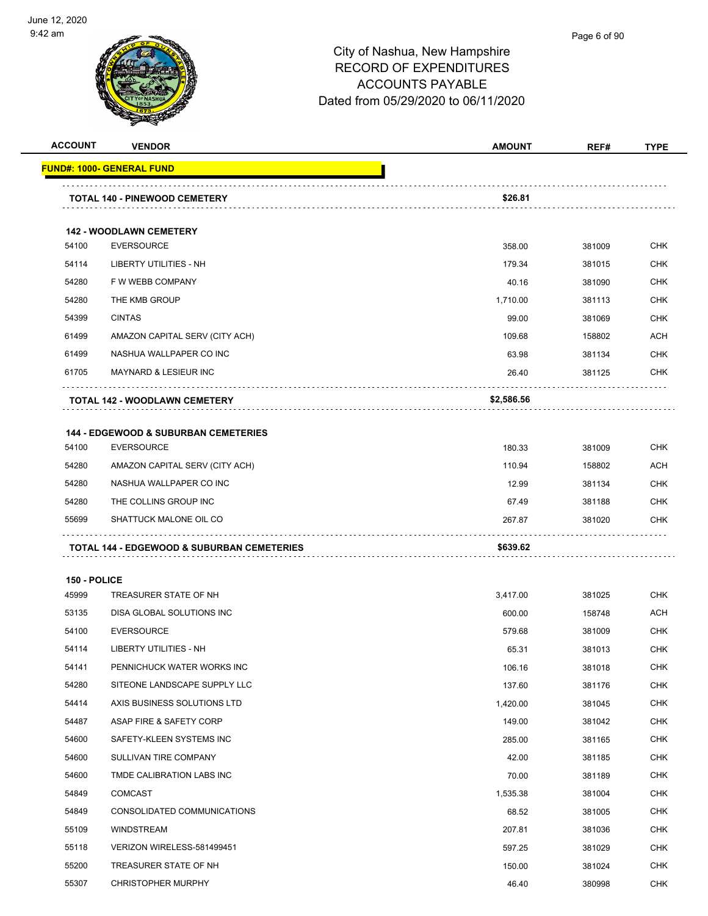

| <b>ACCOUNT</b> | <b>VENDOR</b>                                               | <b>AMOUNT</b>    | REF#             | <b>TYPE</b>              |
|----------------|-------------------------------------------------------------|------------------|------------------|--------------------------|
|                | <u> FUND#: 1000- GENERAL FUND</u>                           |                  |                  |                          |
|                |                                                             |                  |                  |                          |
|                | <b>TOTAL 140 - PINEWOOD CEMETERY</b>                        | \$26.81          |                  |                          |
|                | <b>142 - WOODLAWN CEMETERY</b>                              |                  |                  |                          |
| 54100          | <b>EVERSOURCE</b>                                           | 358.00           | 381009           | <b>CHK</b>               |
| 54114          | LIBERTY UTILITIES - NH                                      | 179.34           | 381015           | <b>CHK</b>               |
| 54280          | F W WEBB COMPANY                                            | 40.16            | 381090           | CHK                      |
| 54280          | THE KMB GROUP                                               | 1.710.00         | 381113           | <b>CHK</b>               |
| 54399          | <b>CINTAS</b>                                               | 99.00            | 381069           | <b>CHK</b>               |
| 61499          | AMAZON CAPITAL SERV (CITY ACH)                              | 109.68           | 158802           | <b>ACH</b>               |
| 61499          | NASHUA WALLPAPER CO INC                                     | 63.98            | 381134           | <b>CHK</b>               |
| 61705          | <b>MAYNARD &amp; LESIEUR INC</b>                            | 26.40            | 381125           | CHK                      |
|                | TOTAL 142 - WOODLAWN CEMETERY                               | \$2,586.56       |                  |                          |
|                | <b>144 - EDGEWOOD &amp; SUBURBAN CEMETERIES</b>             |                  |                  |                          |
| 54100          | <b>EVERSOURCE</b>                                           | 180.33           | 381009           | <b>CHK</b>               |
| 54280          | AMAZON CAPITAL SERV (CITY ACH)                              | 110.94           | 158802           | ACH                      |
| 54280          | NASHUA WALLPAPER CO INC                                     | 12.99            | 381134           | <b>CHK</b>               |
| 54280          | THE COLLINS GROUP INC                                       | 67.49            | 381188           | <b>CHK</b>               |
| 55699          | SHATTUCK MALONE OIL CO                                      | 267.87           | 381020           | CHK                      |
|                | TOTAL 144 - EDGEWOOD & SUBURBAN CEMETERIES                  | \$639.62         |                  |                          |
|                |                                                             |                  |                  |                          |
| 150 - POLICE   |                                                             |                  |                  |                          |
| 45999          | TREASURER STATE OF NH                                       | 3,417.00         | 381025           | <b>CHK</b>               |
| 53135          | DISA GLOBAL SOLUTIONS INC                                   | 600.00           | 158748           | <b>ACH</b>               |
| 54100          | <b>EVERSOURCE</b>                                           | 579.68           | 381009           | <b>CHK</b>               |
| 54114          | <b>LIBERTY UTILITIES - NH</b>                               | 65.31            | 381013           | <b>CHK</b>               |
| 54141          | PENNICHUCK WATER WORKS INC                                  | 106.16           | 381018           | <b>CHK</b>               |
| 54280          | SITEONE LANDSCAPE SUPPLY LLC<br>AXIS BUSINESS SOLUTIONS LTD | 137.60           | 381176           | <b>CHK</b>               |
| 54414          |                                                             | 1,420.00         | 381045           | <b>CHK</b><br><b>CHK</b> |
| 54487<br>54600 | ASAP FIRE & SAFETY CORP<br>SAFETY-KLEEN SYSTEMS INC         | 149.00<br>285.00 | 381042<br>381165 | <b>CHK</b>               |
| 54600          | SULLIVAN TIRE COMPANY                                       | 42.00            | 381185           | <b>CHK</b>               |
| 54600          | TMDE CALIBRATION LABS INC                                   | 70.00            |                  | <b>CHK</b>               |
| 54849          | COMCAST                                                     | 1,535.38         | 381189<br>381004 | <b>CHK</b>               |
| 54849          | CONSOLIDATED COMMUNICATIONS                                 | 68.52            | 381005           | <b>CHK</b>               |
| 55109          | WINDSTREAM                                                  | 207.81           | 381036           | <b>CHK</b>               |
| 55118          | VERIZON WIRELESS-581499451                                  | 597.25           | 381029           | <b>CHK</b>               |
| 55200          | TREASURER STATE OF NH                                       | 150.00           | 381024           | <b>CHK</b>               |
| 55307          | <b>CHRISTOPHER MURPHY</b>                                   | 46.40            | 380998           | <b>CHK</b>               |
|                |                                                             |                  |                  |                          |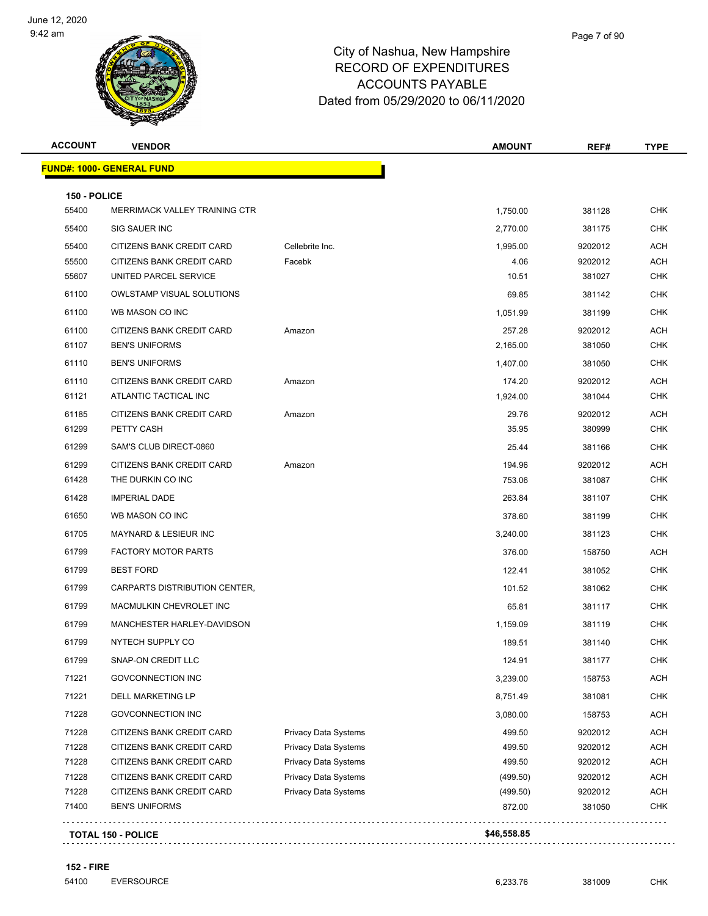

| 150 - POLICE | <b>FUND#: 1000- GENERAL FUND</b> |                             |          |         |            |
|--------------|----------------------------------|-----------------------------|----------|---------|------------|
|              |                                  |                             |          |         |            |
|              |                                  |                             |          |         |            |
| 55400        | MERRIMACK VALLEY TRAINING CTR    |                             | 1,750.00 | 381128  | <b>CHK</b> |
| 55400        | <b>SIG SAUER INC</b>             |                             | 2,770.00 | 381175  | <b>CHK</b> |
| 55400        | CITIZENS BANK CREDIT CARD        | Cellebrite Inc.             | 1,995.00 | 9202012 | ACH        |
| 55500        | CITIZENS BANK CREDIT CARD        | Facebk                      | 4.06     | 9202012 | <b>ACH</b> |
| 55607        | UNITED PARCEL SERVICE            |                             | 10.51    | 381027  | CHK        |
| 61100        | OWLSTAMP VISUAL SOLUTIONS        |                             | 69.85    | 381142  | <b>CHK</b> |
| 61100        | WB MASON CO INC                  |                             | 1,051.99 | 381199  | CHK        |
| 61100        | CITIZENS BANK CREDIT CARD        | Amazon                      | 257.28   | 9202012 | <b>ACH</b> |
| 61107        | <b>BEN'S UNIFORMS</b>            |                             | 2,165.00 | 381050  | CHK        |
| 61110        | <b>BEN'S UNIFORMS</b>            |                             | 1,407.00 | 381050  | CHK        |
| 61110        | CITIZENS BANK CREDIT CARD        | Amazon                      | 174.20   | 9202012 | <b>ACH</b> |
| 61121        | ATLANTIC TACTICAL INC            |                             | 1,924.00 | 381044  | CHK        |
| 61185        | CITIZENS BANK CREDIT CARD        | Amazon                      | 29.76    | 9202012 | <b>ACH</b> |
| 61299        | PETTY CASH                       |                             | 35.95    | 380999  | CHK        |
| 61299        | SAM'S CLUB DIRECT-0860           |                             | 25.44    | 381166  | <b>CHK</b> |
| 61299        | CITIZENS BANK CREDIT CARD        | Amazon                      | 194.96   | 9202012 | ACH        |
| 61428        | THE DURKIN CO INC                |                             | 753.06   | 381087  | <b>CHK</b> |
| 61428        | <b>IMPERIAL DADE</b>             |                             | 263.84   | 381107  | <b>CHK</b> |
| 61650        | WB MASON CO INC                  |                             | 378.60   | 381199  | <b>CHK</b> |
| 61705        | <b>MAYNARD &amp; LESIEUR INC</b> |                             | 3,240.00 | 381123  | <b>CHK</b> |
| 61799        | <b>FACTORY MOTOR PARTS</b>       |                             | 376.00   | 158750  | ACH        |
| 61799        | <b>BEST FORD</b>                 |                             | 122.41   | 381052  | <b>CHK</b> |
| 61799        | CARPARTS DISTRIBUTION CENTER.    |                             | 101.52   | 381062  | CHK        |
| 61799        | MACMULKIN CHEVROLET INC          |                             | 65.81    | 381117  | <b>CHK</b> |
| 61799        | MANCHESTER HARLEY-DAVIDSON       |                             | 1,159.09 | 381119  | <b>CHK</b> |
| 61799        | NYTECH SUPPLY CO                 |                             | 189.51   | 381140  | <b>CHK</b> |
| 61799        | SNAP-ON CREDIT LLC               |                             | 124.91   | 381177  | <b>CHK</b> |
| 71221        | <b>GOVCONNECTION INC</b>         |                             | 3,239.00 | 158753  | <b>ACH</b> |
| 71221        | DELL MARKETING LP                |                             | 8,751.49 | 381081  | <b>CHK</b> |
| 71228        | <b>GOVCONNECTION INC</b>         |                             | 3,080.00 | 158753  | <b>ACH</b> |
| 71228        | CITIZENS BANK CREDIT CARD        | Privacy Data Systems        | 499.50   | 9202012 | <b>ACH</b> |
| 71228        | CITIZENS BANK CREDIT CARD        | Privacy Data Systems        | 499.50   | 9202012 | <b>ACH</b> |
| 71228        | CITIZENS BANK CREDIT CARD        | <b>Privacy Data Systems</b> | 499.50   | 9202012 | <b>ACH</b> |
| 71228        | CITIZENS BANK CREDIT CARD        | Privacy Data Systems        | (499.50) | 9202012 | <b>ACH</b> |
| 71228        | CITIZENS BANK CREDIT CARD        | Privacy Data Systems        | (499.50) | 9202012 | <b>ACH</b> |
| 71400        | <b>BEN'S UNIFORMS</b>            |                             | 872.00   | 381050  | <b>CHK</b> |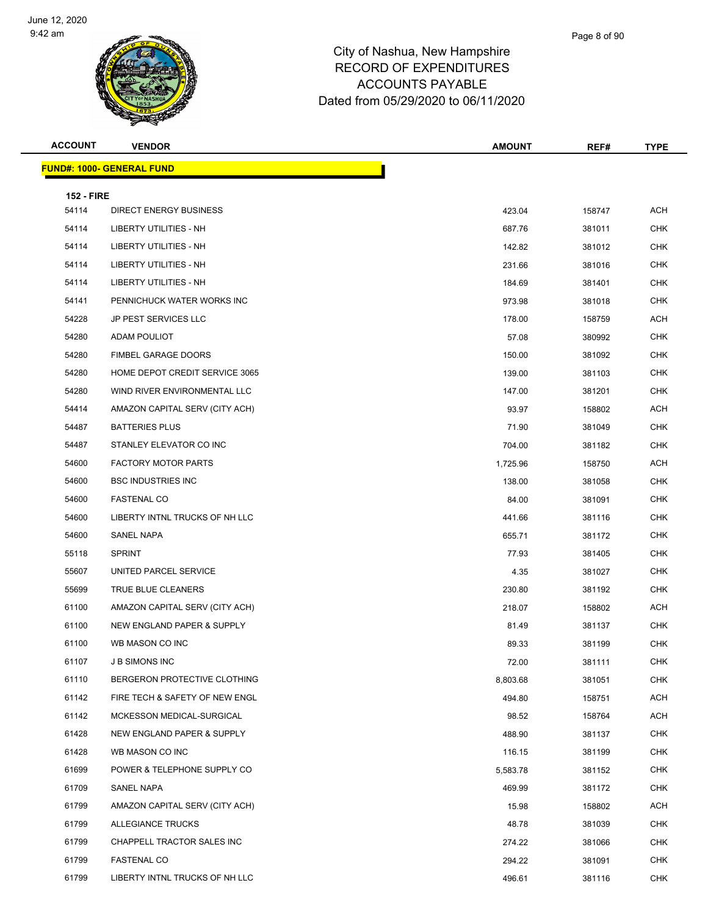

| <b>ACCOUNT</b>    | <b>VENDOR</b>                    | <b>AMOUNT</b> | REF#   | <b>TYPE</b> |
|-------------------|----------------------------------|---------------|--------|-------------|
|                   | <b>FUND#: 1000- GENERAL FUND</b> |               |        |             |
| <b>152 - FIRE</b> |                                  |               |        |             |
| 54114             | <b>DIRECT ENERGY BUSINESS</b>    | 423.04        | 158747 | <b>ACH</b>  |
| 54114             | LIBERTY UTILITIES - NH           | 687.76        | 381011 | <b>CHK</b>  |
| 54114             | LIBERTY UTILITIES - NH           | 142.82        | 381012 | <b>CHK</b>  |
| 54114             | LIBERTY UTILITIES - NH           | 231.66        | 381016 | <b>CHK</b>  |
| 54114             | <b>LIBERTY UTILITIES - NH</b>    | 184.69        | 381401 | <b>CHK</b>  |
| 54141             | PENNICHUCK WATER WORKS INC       | 973.98        | 381018 | <b>CHK</b>  |
| 54228             | <b>JP PEST SERVICES LLC</b>      | 178.00        | 158759 | <b>ACH</b>  |
| 54280             | ADAM POULIOT                     | 57.08         | 380992 | <b>CHK</b>  |
| 54280             | <b>FIMBEL GARAGE DOORS</b>       | 150.00        | 381092 | <b>CHK</b>  |
| 54280             | HOME DEPOT CREDIT SERVICE 3065   | 139.00        | 381103 | <b>CHK</b>  |
| 54280             | WIND RIVER ENVIRONMENTAL LLC     | 147.00        | 381201 | <b>CHK</b>  |
| 54414             | AMAZON CAPITAL SERV (CITY ACH)   | 93.97         | 158802 | <b>ACH</b>  |
| 54487             | <b>BATTERIES PLUS</b>            | 71.90         | 381049 | <b>CHK</b>  |
| 54487             | STANLEY ELEVATOR CO INC          | 704.00        | 381182 | <b>CHK</b>  |
| 54600             | <b>FACTORY MOTOR PARTS</b>       | 1,725.96      | 158750 | <b>ACH</b>  |
| 54600             | <b>BSC INDUSTRIES INC</b>        | 138.00        | 381058 | <b>CHK</b>  |
| 54600             | <b>FASTENAL CO</b>               | 84.00         | 381091 | <b>CHK</b>  |
| 54600             | LIBERTY INTNL TRUCKS OF NH LLC   | 441.66        | 381116 | <b>CHK</b>  |
| 54600             | SANEL NAPA                       | 655.71        | 381172 | <b>CHK</b>  |
| 55118             | <b>SPRINT</b>                    | 77.93         | 381405 | <b>CHK</b>  |
| 55607             | UNITED PARCEL SERVICE            | 4.35          | 381027 | <b>CHK</b>  |
| 55699             | TRUE BLUE CLEANERS               | 230.80        | 381192 | <b>CHK</b>  |
| 61100             | AMAZON CAPITAL SERV (CITY ACH)   | 218.07        | 158802 | <b>ACH</b>  |
| 61100             | NEW ENGLAND PAPER & SUPPLY       | 81.49         | 381137 | <b>CHK</b>  |
| 61100             | WB MASON CO INC                  | 89.33         | 381199 | <b>CHK</b>  |
| 61107             | J B SIMONS INC                   | 72.00         | 381111 | <b>CHK</b>  |
| 61110             | BERGERON PROTECTIVE CLOTHING     | 8.803.68      | 381051 | <b>CHK</b>  |
| 61142             | FIRE TECH & SAFETY OF NEW ENGL   | 494.80        | 158751 | <b>ACH</b>  |
| 61142             | MCKESSON MEDICAL-SURGICAL        | 98.52         | 158764 | ACH         |
| 61428             | NEW ENGLAND PAPER & SUPPLY       | 488.90        | 381137 | <b>CHK</b>  |
| 61428             | WB MASON CO INC                  | 116.15        | 381199 | <b>CHK</b>  |
| 61699             | POWER & TELEPHONE SUPPLY CO      | 5,583.78      | 381152 | CHK         |
| 61709             | <b>SANEL NAPA</b>                | 469.99        | 381172 | <b>CHK</b>  |
| 61799             | AMAZON CAPITAL SERV (CITY ACH)   | 15.98         | 158802 | ACH         |
| 61799             | ALLEGIANCE TRUCKS                | 48.78         | 381039 | <b>CHK</b>  |
| 61799             | CHAPPELL TRACTOR SALES INC       | 274.22        | 381066 | <b>CHK</b>  |
| 61799             | <b>FASTENAL CO</b>               | 294.22        | 381091 | <b>CHK</b>  |
| 61799             | LIBERTY INTNL TRUCKS OF NH LLC   | 496.61        | 381116 | <b>CHK</b>  |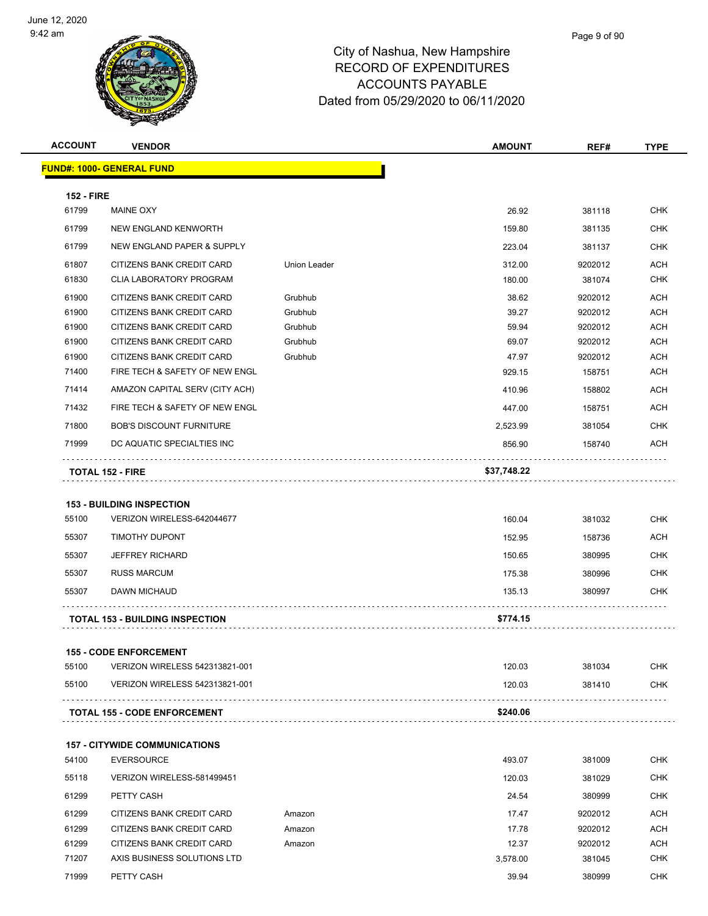

| <b>ACCOUNT</b>    | <b>VENDOR</b>                          |                     | <b>AMOUNT</b> | REF#    | <b>TYPE</b> |
|-------------------|----------------------------------------|---------------------|---------------|---------|-------------|
|                   | <b>FUND#: 1000- GENERAL FUND</b>       |                     |               |         |             |
| <b>152 - FIRE</b> |                                        |                     |               |         |             |
| 61799             | MAINE OXY                              |                     | 26.92         | 381118  | <b>CHK</b>  |
| 61799             | NEW ENGLAND KENWORTH                   |                     | 159.80        | 381135  | CHK         |
| 61799             | NEW ENGLAND PAPER & SUPPLY             |                     | 223.04        | 381137  | CHK         |
| 61807             | CITIZENS BANK CREDIT CARD              | <b>Union Leader</b> | 312.00        | 9202012 | <b>ACH</b>  |
| 61830             | <b>CLIA LABORATORY PROGRAM</b>         |                     | 180.00        | 381074  | <b>CHK</b>  |
| 61900             | CITIZENS BANK CREDIT CARD              | Grubhub             | 38.62         | 9202012 | <b>ACH</b>  |
| 61900             | CITIZENS BANK CREDIT CARD              | Grubhub             | 39.27         | 9202012 | <b>ACH</b>  |
| 61900             | CITIZENS BANK CREDIT CARD              | Grubhub             | 59.94         | 9202012 | <b>ACH</b>  |
| 61900             | CITIZENS BANK CREDIT CARD              | Grubhub             | 69.07         | 9202012 | ACH         |
| 61900             | CITIZENS BANK CREDIT CARD              | Grubhub             | 47.97         | 9202012 | <b>ACH</b>  |
| 71400             | FIRE TECH & SAFETY OF NEW ENGL         |                     | 929.15        | 158751  | <b>ACH</b>  |
| 71414             | AMAZON CAPITAL SERV (CITY ACH)         |                     | 410.96        | 158802  | ACH         |
| 71432             | FIRE TECH & SAFETY OF NEW ENGL         |                     | 447.00        | 158751  | ACH         |
| 71800             | <b>BOB'S DISCOUNT FURNITURE</b>        |                     | 2,523.99      | 381054  | <b>CHK</b>  |
| 71999             | DC AQUATIC SPECIALTIES INC             |                     | 856.90        | 158740  | ACH         |
|                   | TOTAL 152 - FIRE                       |                     | \$37,748.22   |         |             |
|                   |                                        |                     |               |         |             |
|                   | <b>153 - BUILDING INSPECTION</b>       |                     |               |         |             |
| 55100             | VERIZON WIRELESS-642044677             |                     | 160.04        | 381032  | <b>CHK</b>  |
| 55307             | TIMOTHY DUPONT                         |                     | 152.95        | 158736  | ACH         |
| 55307             | <b>JEFFREY RICHARD</b>                 |                     | 150.65        | 380995  | CHK         |
| 55307             | <b>RUSS MARCUM</b>                     |                     | 175.38        | 380996  | CHK         |
| 55307             | <b>DAWN MICHAUD</b>                    |                     | 135.13        | 380997  | CHK         |
|                   | <b>TOTAL 153 - BUILDING INSPECTION</b> |                     | \$774.15      |         |             |
|                   |                                        |                     |               |         |             |
|                   | <b>155 - CODE ENFORCEMENT</b>          |                     |               |         |             |
| 55100             | VERIZON WIRELESS 542313821-001         |                     | 120.03        | 381034  | CHK         |
| 55100             | VERIZON WIRELESS 542313821-001         |                     | 120.03        | 381410  | CHK         |
|                   | <b>TOTAL 155 - CODE ENFORCEMENT</b>    |                     | \$240.06      |         |             |
|                   |                                        |                     |               |         |             |
|                   | <b>157 - CITYWIDE COMMUNICATIONS</b>   |                     |               |         |             |
| 54100             | <b>EVERSOURCE</b>                      |                     | 493.07        | 381009  | CHK         |
| 55118             | VERIZON WIRELESS-581499451             |                     | 120.03        | 381029  | <b>CHK</b>  |
| 61299             | PETTY CASH                             |                     | 24.54         | 380999  | CHK         |
| 61299             | CITIZENS BANK CREDIT CARD              | Amazon              | 17.47         | 9202012 | <b>ACH</b>  |
| 61299             | CITIZENS BANK CREDIT CARD              | Amazon              | 17.78         | 9202012 | ACH         |
| 61299             | CITIZENS BANK CREDIT CARD              | Amazon              | 12.37         | 9202012 | <b>ACH</b>  |
| 71207             | AXIS BUSINESS SOLUTIONS LTD            |                     | 3,578.00      | 381045  | CHK         |
| 71999             | PETTY CASH                             |                     | 39.94         | 380999  | <b>CHK</b>  |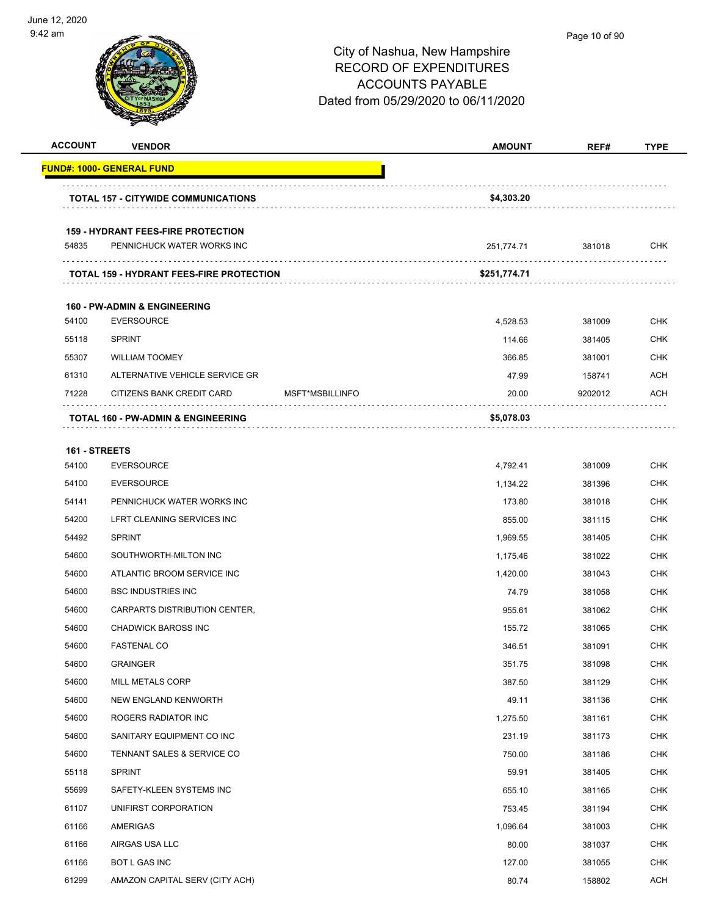

| <b>ACCOUNT</b> | <b>VENDOR</b>                                                           |                 | <b>AMOUNT</b> | REF#    | <b>TYPE</b> |
|----------------|-------------------------------------------------------------------------|-----------------|---------------|---------|-------------|
|                | <b>FUND#: 1000- GENERAL FUND</b>                                        |                 |               |         |             |
|                | <b>TOTAL 157 - CITYWIDE COMMUNICATIONS</b>                              |                 | \$4,303.20    |         |             |
|                |                                                                         |                 |               |         |             |
| 54835          | <b>159 - HYDRANT FEES-FIRE PROTECTION</b><br>PENNICHUCK WATER WORKS INC |                 | 251,774.71    | 381018  | CHK         |
|                |                                                                         |                 |               |         |             |
|                | <b>TOTAL 159 - HYDRANT FEES-FIRE PROTECTION</b>                         |                 | \$251,774.71  |         |             |
|                | <b>160 - PW-ADMIN &amp; ENGINEERING</b>                                 |                 |               |         |             |
| 54100          | <b>EVERSOURCE</b>                                                       |                 | 4,528.53      | 381009  | <b>CHK</b>  |
| 55118          | <b>SPRINT</b>                                                           |                 | 114.66        | 381405  | <b>CHK</b>  |
| 55307          | <b>WILLIAM TOOMEY</b>                                                   |                 | 366.85        | 381001  | <b>CHK</b>  |
| 61310          | ALTERNATIVE VEHICLE SERVICE GR                                          |                 | 47.99         | 158741  | ACH         |
| 71228          | CITIZENS BANK CREDIT CARD                                               | MSFT*MSBILLINFO | 20.00         | 9202012 | ACH         |
|                | TOTAL 160 - PW-ADMIN & ENGINEERING                                      |                 | \$5,078.03    |         |             |
| 161 - STREETS  |                                                                         |                 |               |         |             |
| 54100          | <b>EVERSOURCE</b>                                                       |                 | 4,792.41      | 381009  | <b>CHK</b>  |
| 54100          | <b>EVERSOURCE</b>                                                       |                 | 1,134.22      | 381396  | <b>CHK</b>  |
| 54141          | PENNICHUCK WATER WORKS INC                                              |                 | 173.80        | 381018  | <b>CHK</b>  |
| 54200          | LFRT CLEANING SERVICES INC                                              |                 | 855.00        | 381115  | <b>CHK</b>  |
| 54492          | <b>SPRINT</b>                                                           |                 | 1,969.55      | 381405  | <b>CHK</b>  |
| 54600          | SOUTHWORTH-MILTON INC                                                   |                 | 1,175.46      | 381022  | <b>CHK</b>  |
| 54600          | ATLANTIC BROOM SERVICE INC                                              |                 | 1,420.00      | 381043  | CHK         |
| 54600          | <b>BSC INDUSTRIES INC</b>                                               |                 | 74.79         | 381058  | <b>CHK</b>  |
| 54600          | CARPARTS DISTRIBUTION CENTER,                                           |                 | 955.61        | 381062  | <b>CHK</b>  |
| 54600          | <b>CHADWICK BAROSS INC</b>                                              |                 | 155.72        | 381065  | <b>CHK</b>  |
| 54600          | <b>FASTENAL CO</b>                                                      |                 | 346.51        | 381091  | <b>CHK</b>  |
| 54600          | <b>GRAINGER</b>                                                         |                 | 351.75        | 381098  | <b>CHK</b>  |
| 54600          | MILL METALS CORP                                                        |                 | 387.50        | 381129  | <b>CHK</b>  |
| 54600          | NEW ENGLAND KENWORTH                                                    |                 | 49.11         | 381136  | <b>CHK</b>  |
| 54600          | ROGERS RADIATOR INC                                                     |                 | 1,275.50      | 381161  | <b>CHK</b>  |
| 54600          | SANITARY EQUIPMENT CO INC                                               |                 | 231.19        | 381173  | <b>CHK</b>  |
| 54600          | TENNANT SALES & SERVICE CO                                              |                 | 750.00        | 381186  | <b>CHK</b>  |
| 55118          | <b>SPRINT</b>                                                           |                 | 59.91         | 381405  | <b>CHK</b>  |
| 55699          | SAFETY-KLEEN SYSTEMS INC                                                |                 | 655.10        | 381165  | <b>CHK</b>  |
| 61107          | UNIFIRST CORPORATION                                                    |                 | 753.45        | 381194  | <b>CHK</b>  |
| 61166          | AMERIGAS                                                                |                 | 1,096.64      | 381003  | <b>CHK</b>  |
| 61166          | AIRGAS USA LLC                                                          |                 | 80.00         | 381037  | <b>CHK</b>  |
| 61166          | BOT L GAS INC                                                           |                 | 127.00        | 381055  | <b>CHK</b>  |
| 61299          | AMAZON CAPITAL SERV (CITY ACH)                                          |                 | 80.74         | 158802  | ACH         |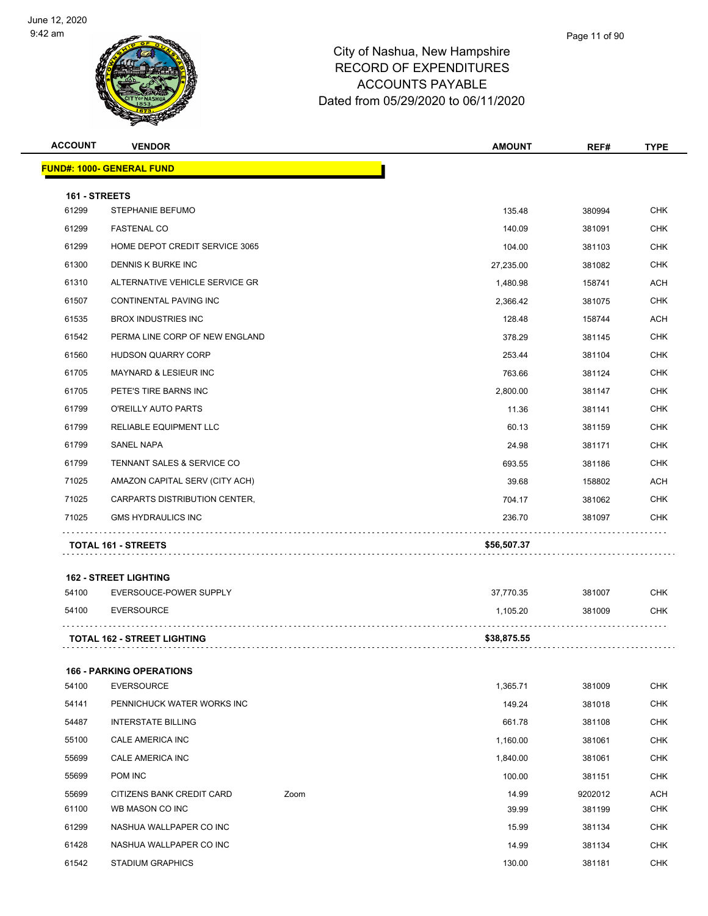

| <b>ACCOUNT</b>         | <b>VENDOR</b>                      |      | <b>AMOUNT</b> | REF#    | <b>TYPE</b> |
|------------------------|------------------------------------|------|---------------|---------|-------------|
|                        | <b>FUND#: 1000- GENERAL FUND</b>   |      |               |         |             |
|                        |                                    |      |               |         |             |
| 161 - STREETS<br>61299 | STEPHANIE BEFUMO                   |      | 135.48        | 380994  | <b>CHK</b>  |
| 61299                  | <b>FASTENAL CO</b>                 |      | 140.09        | 381091  | <b>CHK</b>  |
| 61299                  | HOME DEPOT CREDIT SERVICE 3065     |      | 104.00        | 381103  | <b>CHK</b>  |
| 61300                  | DENNIS K BURKE INC                 |      | 27,235.00     | 381082  | <b>CHK</b>  |
| 61310                  | ALTERNATIVE VEHICLE SERVICE GR     |      | 1,480.98      | 158741  | <b>ACH</b>  |
| 61507                  | CONTINENTAL PAVING INC             |      | 2,366.42      | 381075  | <b>CHK</b>  |
| 61535                  | <b>BROX INDUSTRIES INC</b>         |      | 128.48        | 158744  | <b>ACH</b>  |
| 61542                  | PERMA LINE CORP OF NEW ENGLAND     |      | 378.29        | 381145  | <b>CHK</b>  |
| 61560                  | HUDSON QUARRY CORP                 |      | 253.44        | 381104  | <b>CHK</b>  |
| 61705                  | <b>MAYNARD &amp; LESIEUR INC</b>   |      | 763.66        | 381124  | <b>CHK</b>  |
| 61705                  | PETE'S TIRE BARNS INC              |      | 2,800.00      | 381147  | <b>CHK</b>  |
| 61799                  | O'REILLY AUTO PARTS                |      | 11.36         | 381141  | <b>CHK</b>  |
| 61799                  | <b>RELIABLE EQUIPMENT LLC</b>      |      | 60.13         | 381159  | <b>CHK</b>  |
| 61799                  | SANEL NAPA                         |      | 24.98         | 381171  | <b>CHK</b>  |
| 61799                  | TENNANT SALES & SERVICE CO         |      | 693.55        | 381186  | <b>CHK</b>  |
| 71025                  | AMAZON CAPITAL SERV (CITY ACH)     |      | 39.68         | 158802  | ACH         |
| 71025                  | CARPARTS DISTRIBUTION CENTER,      |      | 704.17        | 381062  | <b>CHK</b>  |
| 71025                  | <b>GMS HYDRAULICS INC</b>          |      | 236.70        | 381097  | <b>CHK</b>  |
|                        |                                    |      |               |         |             |
|                        | <b>TOTAL 161 - STREETS</b>         |      | \$56,507.37   |         |             |
|                        | <b>162 - STREET LIGHTING</b>       |      |               |         |             |
| 54100                  | EVERSOUCE-POWER SUPPLY             |      | 37,770.35     | 381007  | <b>CHK</b>  |
| 54100                  | <b>EVERSOURCE</b>                  |      | 1,105.20      | 381009  | <b>CHK</b>  |
|                        |                                    |      |               |         |             |
|                        | <b>TOTAL 162 - STREET LIGHTING</b> |      | \$38,875.55   |         |             |
|                        | <b>166 - PARKING OPERATIONS</b>    |      |               |         |             |
| 54100                  | <b>EVERSOURCE</b>                  |      | 1,365.71      | 381009  | <b>CHK</b>  |
| 54141                  | PENNICHUCK WATER WORKS INC         |      | 149.24        | 381018  | CHK         |
| 54487                  | <b>INTERSTATE BILLING</b>          |      | 661.78        | 381108  | <b>CHK</b>  |
| 55100                  | CALE AMERICA INC                   |      | 1,160.00      | 381061  | CHK         |
| 55699                  | CALE AMERICA INC                   |      | 1,840.00      | 381061  | <b>CHK</b>  |
| 55699                  | POM INC                            |      | 100.00        | 381151  | CHK         |
| 55699                  | CITIZENS BANK CREDIT CARD          | Zoom | 14.99         | 9202012 | <b>ACH</b>  |
| 61100                  | WB MASON CO INC                    |      | 39.99         | 381199  | CHK         |
| 61299                  | NASHUA WALLPAPER CO INC            |      | 15.99         | 381134  | CHK         |
| 61428                  | NASHUA WALLPAPER CO INC            |      | 14.99         | 381134  | <b>CHK</b>  |
| 61542                  | <b>STADIUM GRAPHICS</b>            |      | 130.00        | 381181  | CHK         |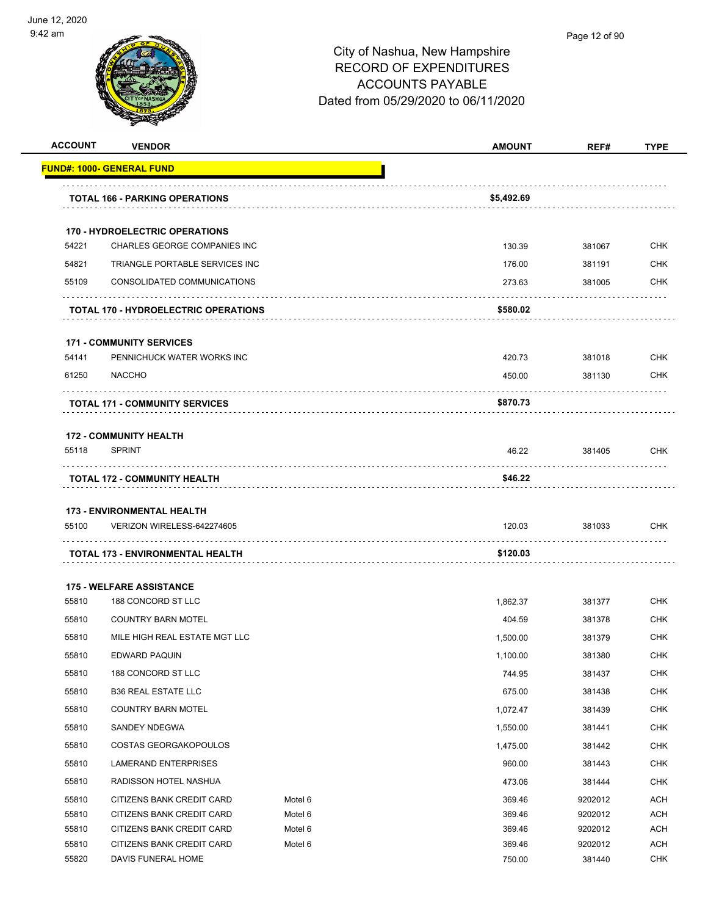

|                | <b>VENDOR</b>                                          |                    | <b>AMOUNT</b>    | REF#               | <b>TYPE</b>                                                                                                         |
|----------------|--------------------------------------------------------|--------------------|------------------|--------------------|---------------------------------------------------------------------------------------------------------------------|
|                | <u> FUND#: 1000- GENERAL FUND</u>                      |                    |                  |                    |                                                                                                                     |
|                | <b>TOTAL 166 - PARKING OPERATIONS</b>                  |                    | \$5,492.69       |                    |                                                                                                                     |
|                | <b>170 - HYDROELECTRIC OPERATIONS</b>                  |                    |                  |                    |                                                                                                                     |
| 54221          | CHARLES GEORGE COMPANIES INC                           |                    | 130.39           | 381067             | <b>CHK</b>                                                                                                          |
| 54821          | TRIANGLE PORTABLE SERVICES INC                         |                    | 176.00           | 381191             | <b>CHK</b>                                                                                                          |
| 55109          | CONSOLIDATED COMMUNICATIONS                            |                    | 273.63           | 381005             | <b>CHK</b>                                                                                                          |
|                | <b>TOTAL 170 - HYDROELECTRIC OPERATIONS</b>            |                    | \$580.02         |                    |                                                                                                                     |
|                | <b>171 - COMMUNITY SERVICES</b>                        |                    |                  |                    |                                                                                                                     |
| 54141          | PENNICHUCK WATER WORKS INC                             |                    | 420.73           | 381018             | <b>CHK</b>                                                                                                          |
| 61250          | <b>NACCHO</b>                                          |                    | 450.00           | 381130             | CHK                                                                                                                 |
|                | <b>TOTAL 171 - COMMUNITY SERVICES</b>                  |                    | \$870.73         |                    |                                                                                                                     |
|                | <b>172 - COMMUNITY HEALTH</b>                          |                    |                  |                    |                                                                                                                     |
| 55118          | <b>SPRINT</b>                                          |                    | 46.22            | 381405             | CHK                                                                                                                 |
|                | <b>TOTAL 172 - COMMUNITY HEALTH</b>                    |                    | \$46.22          |                    |                                                                                                                     |
|                |                                                        |                    |                  |                    |                                                                                                                     |
|                | <b>173 - ENVIRONMENTAL HEALTH</b>                      |                    |                  |                    |                                                                                                                     |
| 55100          | VERIZON WIRELESS-642274605                             |                    | 120.03           | 381033             | <b>CHK</b>                                                                                                          |
|                | TOTAL 173 - ENVIRONMENTAL HEALTH                       |                    | \$120.03         |                    |                                                                                                                     |
|                |                                                        |                    |                  |                    |                                                                                                                     |
|                | <b>175 - WELFARE ASSISTANCE</b>                        |                    |                  |                    |                                                                                                                     |
| 55810          | 188 CONCORD ST LLC                                     |                    | 1,862.37         | 381377             | <b>CHK</b>                                                                                                          |
| 55810          | <b>COUNTRY BARN MOTEL</b>                              |                    | 404.59           | 381378             | <b>CHK</b>                                                                                                          |
| 55810          | MILE HIGH REAL ESTATE MGT LLC                          |                    | 1,500.00         | 381379             |                                                                                                                     |
| 55810          | <b>EDWARD PAQUIN</b>                                   |                    | 1,100.00         | 381380             |                                                                                                                     |
| 55810          | 188 CONCORD ST LLC                                     |                    | 744.95           | 381437             |                                                                                                                     |
| 55810          | <b>B36 REAL ESTATE LLC</b>                             |                    | 675.00           | 381438             |                                                                                                                     |
| 55810          | <b>COUNTRY BARN MOTEL</b>                              |                    | 1,072.47         | 381439             |                                                                                                                     |
| 55810          | SANDEY NDEGWA                                          |                    |                  |                    |                                                                                                                     |
| 55810          | COSTAS GEORGAKOPOULOS                                  |                    | 1,550.00         | 381441             |                                                                                                                     |
|                |                                                        |                    | 1,475.00         | 381442             |                                                                                                                     |
| 55810<br>55810 | LAMERAND ENTERPRISES<br>RADISSON HOTEL NASHUA          |                    | 960.00<br>473.06 | 381443<br>381444   |                                                                                                                     |
|                |                                                        |                    |                  |                    |                                                                                                                     |
| 55810<br>55810 | CITIZENS BANK CREDIT CARD<br>CITIZENS BANK CREDIT CARD | Motel 6<br>Motel 6 | 369.46<br>369.46 | 9202012<br>9202012 | CHK<br>CHK<br><b>CHK</b><br><b>CHK</b><br><b>CHK</b><br><b>CHK</b><br>CHK<br><b>CHK</b><br><b>CHK</b><br>ACH<br>ACH |
| 55810          | CITIZENS BANK CREDIT CARD                              | Motel 6            | 369.46           | 9202012            | ACH                                                                                                                 |
| 55810          | CITIZENS BANK CREDIT CARD                              | Motel 6            | 369.46           | 9202012            | <b>ACH</b>                                                                                                          |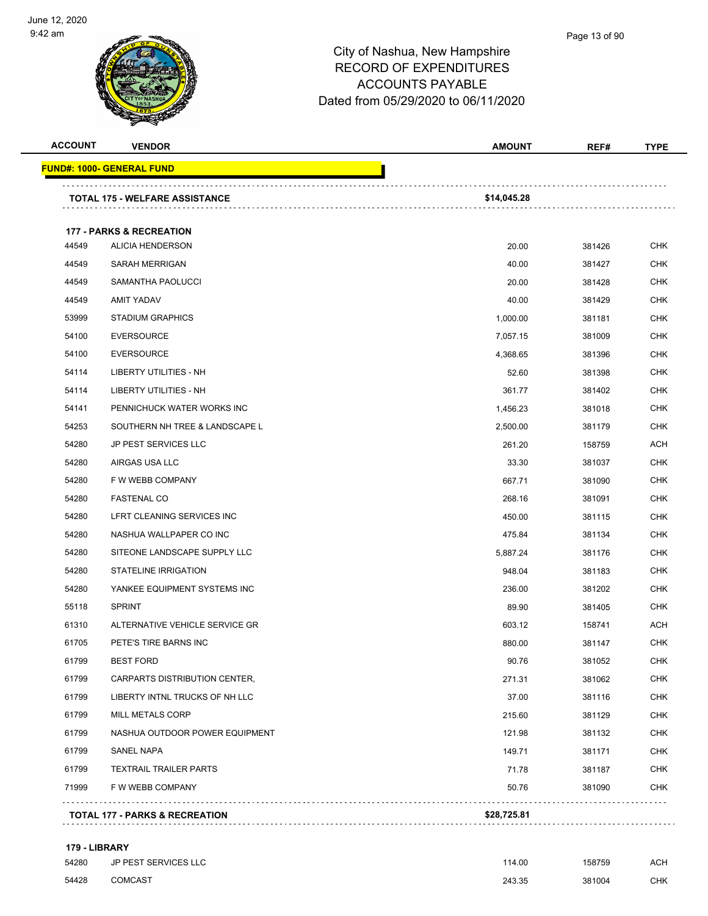

#### Page 13 of 90

## City of Nashua, New Hampshire RECORD OF EXPENDITURES ACCOUNTS PAYABLE Dated from 05/29/2020 to 06/11/2020

| <b>ACCOUNT</b> | <b>VENDOR</b>                         | <b>AMOUNT</b> | REF#   | <b>TYPE</b> |
|----------------|---------------------------------------|---------------|--------|-------------|
|                | <u> FUND#: 1000- GENERAL FUND</u>     |               |        |             |
|                | <b>TOTAL 175 - WELFARE ASSISTANCE</b> | \$14,045.28   |        |             |
|                |                                       |               |        |             |
|                | <b>177 - PARKS &amp; RECREATION</b>   |               |        |             |
| 44549          | <b>ALICIA HENDERSON</b>               | 20.00         | 381426 | <b>CHK</b>  |
| 44549          | <b>SARAH MERRIGAN</b>                 | 40.00         | 381427 | <b>CHK</b>  |
| 44549          | SAMANTHA PAOLUCCI                     | 20.00         | 381428 | <b>CHK</b>  |
| 44549          | AMIT YADAV                            | 40.00         | 381429 | <b>CHK</b>  |
| 53999          | <b>STADIUM GRAPHICS</b>               | 1,000.00      | 381181 | <b>CHK</b>  |
| 54100          | <b>EVERSOURCE</b>                     | 7,057.15      | 381009 | <b>CHK</b>  |
| 54100          | <b>EVERSOURCE</b>                     | 4,368.65      | 381396 | <b>CHK</b>  |
| 54114          | LIBERTY UTILITIES - NH                | 52.60         | 381398 | <b>CHK</b>  |
| 54114          | LIBERTY UTILITIES - NH                | 361.77        | 381402 | <b>CHK</b>  |
| 54141          | PENNICHUCK WATER WORKS INC            | 1,456.23      | 381018 | <b>CHK</b>  |
| 54253          | SOUTHERN NH TREE & LANDSCAPE L        | 2,500.00      | 381179 | <b>CHK</b>  |
| 54280          | <b>JP PEST SERVICES LLC</b>           | 261.20        | 158759 | ACH         |
| 54280          | AIRGAS USA LLC                        | 33.30         | 381037 | <b>CHK</b>  |
| 54280          | F W WEBB COMPANY                      | 667.71        | 381090 | <b>CHK</b>  |
| 54280          | <b>FASTENAL CO</b>                    | 268.16        | 381091 | <b>CHK</b>  |
| 54280          | LFRT CLEANING SERVICES INC            | 450.00        | 381115 | <b>CHK</b>  |
| 54280          | NASHUA WALLPAPER CO INC               | 475.84        | 381134 | <b>CHK</b>  |
| 54280          | SITEONE LANDSCAPE SUPPLY LLC          | 5,887.24      | 381176 | <b>CHK</b>  |
| 54280          | <b>STATELINE IRRIGATION</b>           | 948.04        | 381183 | <b>CHK</b>  |
| 54280          | YANKEE EQUIPMENT SYSTEMS INC          | 236.00        | 381202 | <b>CHK</b>  |
| 55118          | <b>SPRINT</b>                         | 89.90         | 381405 | <b>CHK</b>  |
| 61310          | ALTERNATIVE VEHICLE SERVICE GR        | 603.12        | 158741 | ACH         |
| 61705          | PETE'S TIRE BARNS INC                 | 880.00        | 381147 | <b>CHK</b>  |
| 61799          | <b>BEST FORD</b>                      | 90.76         | 381052 | <b>CHK</b>  |
| 61799          | CARPARTS DISTRIBUTION CENTER,         | 271.31        | 381062 | <b>CHK</b>  |
| 61799          | LIBERTY INTNL TRUCKS OF NH LLC        | 37.00         | 381116 | <b>CHK</b>  |
| 61799          | MILL METALS CORP                      | 215.60        | 381129 | <b>CHK</b>  |
| 61799          | NASHUA OUTDOOR POWER EQUIPMENT        | 121.98        | 381132 | <b>CHK</b>  |
| 61799          | SANEL NAPA                            | 149.71        | 381171 | <b>CHK</b>  |
| 61799          | <b>TEXTRAIL TRAILER PARTS</b>         | 71.78         | 381187 | <b>CHK</b>  |
| 71999          | F W WEBB COMPANY                      | 50.76         | 381090 | <b>CHK</b>  |

#### **179 - LIBRARY**

| 54280 | JP PEST SERVICES LLC | 114.00 | 158759 | <b>ACH</b> |
|-------|----------------------|--------|--------|------------|
| 54428 | COMCAST              | 243.35 | 381004 | CHK        |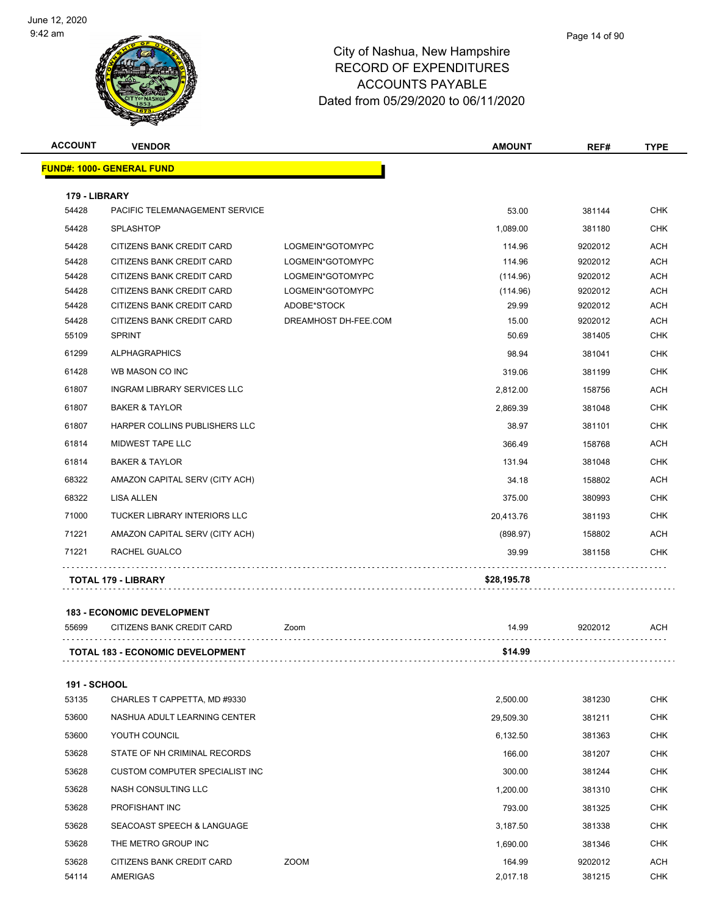

| <b>ACCOUNT</b> | <b>VENDOR</b>                      |                      | <b>AMOUNT</b> | REF#    | <b>TYPE</b> |
|----------------|------------------------------------|----------------------|---------------|---------|-------------|
|                | <b>FUND#: 1000- GENERAL FUND</b>   |                      |               |         |             |
| 179 - LIBRARY  |                                    |                      |               |         |             |
| 54428          | PACIFIC TELEMANAGEMENT SERVICE     |                      | 53.00         | 381144  | <b>CHK</b>  |
| 54428          | SPLASHTOP                          |                      | 1,089.00      | 381180  | <b>CHK</b>  |
| 54428          | CITIZENS BANK CREDIT CARD          | LOGMEIN*GOTOMYPC     | 114.96        | 9202012 | <b>ACH</b>  |
| 54428          | CITIZENS BANK CREDIT CARD          | LOGMEIN*GOTOMYPC     | 114.96        | 9202012 | <b>ACH</b>  |
| 54428          | CITIZENS BANK CREDIT CARD          | LOGMEIN*GOTOMYPC     | (114.96)      | 9202012 | <b>ACH</b>  |
| 54428          | CITIZENS BANK CREDIT CARD          | LOGMEIN*GOTOMYPC     | (114.96)      | 9202012 | <b>ACH</b>  |
| 54428          | CITIZENS BANK CREDIT CARD          | ADOBE*STOCK          | 29.99         | 9202012 | <b>ACH</b>  |
| 54428          | CITIZENS BANK CREDIT CARD          | DREAMHOST DH-FEE.COM | 15.00         | 9202012 | <b>ACH</b>  |
| 55109          | <b>SPRINT</b>                      |                      | 50.69         | 381405  | <b>CHK</b>  |
| 61299          | <b>ALPHAGRAPHICS</b>               |                      | 98.94         | 381041  | <b>CHK</b>  |
| 61428          | WB MASON CO INC                    |                      | 319.06        | 381199  | <b>CHK</b>  |
| 61807          | <b>INGRAM LIBRARY SERVICES LLC</b> |                      | 2,812.00      | 158756  | <b>ACH</b>  |
| 61807          | <b>BAKER &amp; TAYLOR</b>          |                      | 2,869.39      | 381048  | <b>CHK</b>  |
| 61807          | HARPER COLLINS PUBLISHERS LLC      |                      | 38.97         | 381101  | <b>CHK</b>  |
| 61814          | <b>MIDWEST TAPE LLC</b>            |                      | 366.49        | 158768  | <b>ACH</b>  |
| 61814          | <b>BAKER &amp; TAYLOR</b>          |                      | 131.94        | 381048  | <b>CHK</b>  |
| 68322          | AMAZON CAPITAL SERV (CITY ACH)     |                      | 34.18         | 158802  | <b>ACH</b>  |
| 68322          | <b>LISA ALLEN</b>                  |                      | 375.00        | 380993  | <b>CHK</b>  |
| 71000          | TUCKER LIBRARY INTERIORS LLC       |                      | 20,413.76     | 381193  | <b>CHK</b>  |
| 71221          | AMAZON CAPITAL SERV (CITY ACH)     |                      | (898.97)      | 158802  | ACH         |
| 71221          | RACHEL GUALCO                      |                      | 39.99         | 381158  | <b>CHK</b>  |
|                | <b>TOTAL 179 - LIBRARY</b>         |                      | \$28,195.78   |         |             |
|                |                                    |                      |               |         |             |

#### **183 - ECONOMIC DEVELOPMENT**

|       | <b>TOTAL 183 - ECONOMIC DEVELOPMENT</b> |      | \$14.99 |         |     |
|-------|-----------------------------------------|------|---------|---------|-----|
| 55699 | CITIZENS BANK CREDIT CARD               | Zoom | 14.99   | 9202012 | ACH |
|       |                                         |      |         |         |     |

#### **191 - SCHOOL**

| 53135 | CHARLES T CAPPETTA, MD #9330   |             | 2,500.00  | 381230  | <b>CHK</b> |
|-------|--------------------------------|-------------|-----------|---------|------------|
| 53600 | NASHUA ADULT LEARNING CENTER   |             | 29,509.30 | 381211  | <b>CHK</b> |
| 53600 | YOUTH COUNCIL                  |             | 6,132.50  | 381363  | <b>CHK</b> |
| 53628 | STATE OF NH CRIMINAL RECORDS   |             | 166.00    | 381207  | <b>CHK</b> |
| 53628 | CUSTOM COMPUTER SPECIALIST INC |             | 300.00    | 381244  | <b>CHK</b> |
| 53628 | NASH CONSULTING LLC            |             | 1,200.00  | 381310  | <b>CHK</b> |
| 53628 | <b>PROFISHANT INC</b>          |             | 793.00    | 381325  | <b>CHK</b> |
| 53628 | SEACOAST SPEECH & LANGUAGE     |             | 3,187.50  | 381338  | <b>CHK</b> |
| 53628 | THE METRO GROUP INC            |             | 1,690.00  | 381346  | <b>CHK</b> |
| 53628 | CITIZENS BANK CREDIT CARD      | <b>ZOOM</b> | 164.99    | 9202012 | <b>ACH</b> |
| 54114 | <b>AMERIGAS</b>                |             | 2,017.18  | 381215  | <b>CHK</b> |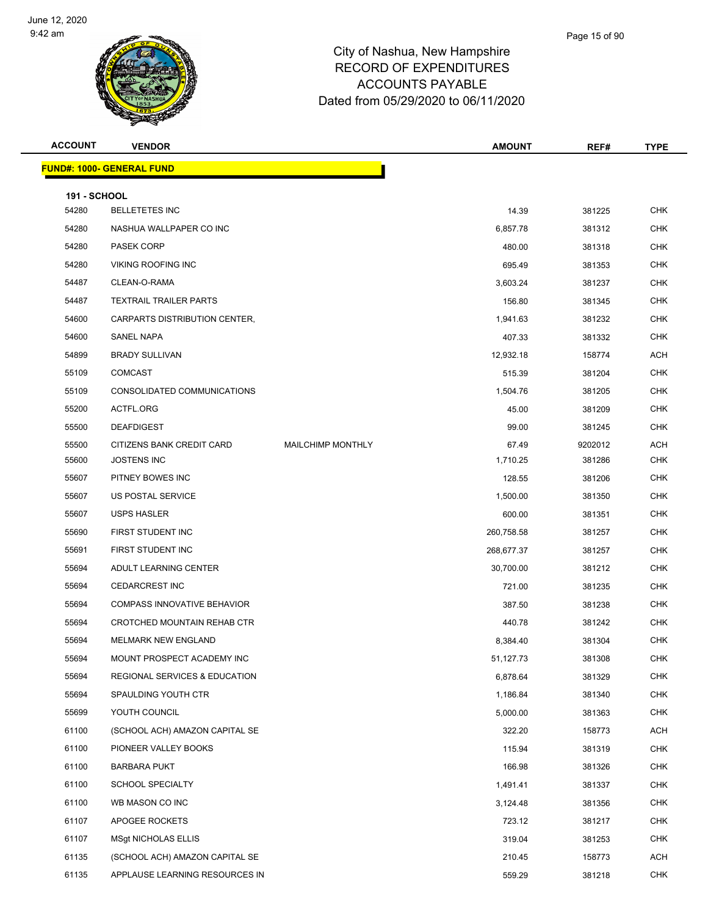

| <b>ACCOUNT</b>               | <b>VENDOR</b>                            |                          | <b>AMOUNT</b> | REF#    | <b>TYPE</b> |
|------------------------------|------------------------------------------|--------------------------|---------------|---------|-------------|
|                              | <b>FUND#: 1000- GENERAL FUND</b>         |                          |               |         |             |
|                              |                                          |                          |               |         |             |
| <b>191 - SCHOOL</b><br>54280 | <b>BELLETETES INC</b>                    |                          | 14.39         | 381225  | <b>CHK</b>  |
| 54280                        | NASHUA WALLPAPER CO INC                  |                          | 6,857.78      | 381312  | <b>CHK</b>  |
| 54280                        | <b>PASEK CORP</b>                        |                          | 480.00        | 381318  | <b>CHK</b>  |
| 54280                        | <b>VIKING ROOFING INC</b>                |                          | 695.49        | 381353  | <b>CHK</b>  |
| 54487                        | CLEAN-O-RAMA                             |                          | 3,603.24      | 381237  | <b>CHK</b>  |
| 54487                        | <b>TEXTRAIL TRAILER PARTS</b>            |                          | 156.80        | 381345  | <b>CHK</b>  |
| 54600                        | CARPARTS DISTRIBUTION CENTER,            |                          | 1,941.63      | 381232  | <b>CHK</b>  |
| 54600                        | SANEL NAPA                               |                          | 407.33        | 381332  | <b>CHK</b>  |
| 54899                        | <b>BRADY SULLIVAN</b>                    |                          | 12,932.18     | 158774  | <b>ACH</b>  |
| 55109                        | <b>COMCAST</b>                           |                          | 515.39        | 381204  | <b>CHK</b>  |
| 55109                        | CONSOLIDATED COMMUNICATIONS              |                          | 1,504.76      | 381205  | <b>CHK</b>  |
| 55200                        | ACTFL.ORG                                |                          | 45.00         | 381209  | <b>CHK</b>  |
| 55500                        | <b>DEAFDIGEST</b>                        |                          | 99.00         | 381245  | <b>CHK</b>  |
| 55500                        | CITIZENS BANK CREDIT CARD                | <b>MAILCHIMP MONTHLY</b> | 67.49         | 9202012 | <b>ACH</b>  |
| 55600                        | <b>JOSTENS INC</b>                       |                          | 1,710.25      | 381286  | <b>CHK</b>  |
| 55607                        | PITNEY BOWES INC                         |                          | 128.55        | 381206  | <b>CHK</b>  |
| 55607                        | US POSTAL SERVICE                        |                          | 1,500.00      | 381350  | <b>CHK</b>  |
| 55607                        | <b>USPS HASLER</b>                       |                          | 600.00        | 381351  | <b>CHK</b>  |
| 55690                        | FIRST STUDENT INC                        |                          | 260,758.58    | 381257  | <b>CHK</b>  |
| 55691                        | FIRST STUDENT INC                        |                          | 268,677.37    | 381257  | <b>CHK</b>  |
| 55694                        | ADULT LEARNING CENTER                    |                          | 30,700.00     | 381212  | <b>CHK</b>  |
| 55694                        | <b>CEDARCREST INC</b>                    |                          | 721.00        | 381235  | <b>CHK</b>  |
| 55694                        | <b>COMPASS INNOVATIVE BEHAVIOR</b>       |                          | 387.50        | 381238  | <b>CHK</b>  |
| 55694                        | <b>CROTCHED MOUNTAIN REHAB CTR</b>       |                          | 440.78        | 381242  | <b>CHK</b>  |
| 55694                        | <b>MELMARK NEW ENGLAND</b>               |                          | 8,384.40      | 381304  | <b>CHK</b>  |
| 55694                        | MOUNT PROSPECT ACADEMY INC               |                          | 51,127.73     | 381308  | CHK         |
| 55694                        | <b>REGIONAL SERVICES &amp; EDUCATION</b> |                          | 6,878.64      | 381329  | <b>CHK</b>  |
| 55694                        | SPAULDING YOUTH CTR                      |                          | 1,186.84      | 381340  | <b>CHK</b>  |
| 55699                        | YOUTH COUNCIL                            |                          | 5,000.00      | 381363  | <b>CHK</b>  |
| 61100                        | (SCHOOL ACH) AMAZON CAPITAL SE           |                          | 322.20        | 158773  | ACH         |
| 61100                        | PIONEER VALLEY BOOKS                     |                          | 115.94        | 381319  | <b>CHK</b>  |
| 61100                        | <b>BARBARA PUKT</b>                      |                          | 166.98        | 381326  | <b>CHK</b>  |
| 61100                        | <b>SCHOOL SPECIALTY</b>                  |                          | 1,491.41      | 381337  | <b>CHK</b>  |
| 61100                        | WB MASON CO INC                          |                          | 3,124.48      | 381356  | <b>CHK</b>  |
| 61107                        | APOGEE ROCKETS                           |                          | 723.12        | 381217  | <b>CHK</b>  |
| 61107                        | <b>MSgt NICHOLAS ELLIS</b>               |                          | 319.04        | 381253  | <b>CHK</b>  |
| 61135                        | (SCHOOL ACH) AMAZON CAPITAL SE           |                          | 210.45        | 158773  | ACH         |
| 61135                        | APPLAUSE LEARNING RESOURCES IN           |                          | 559.29        | 381218  | <b>CHK</b>  |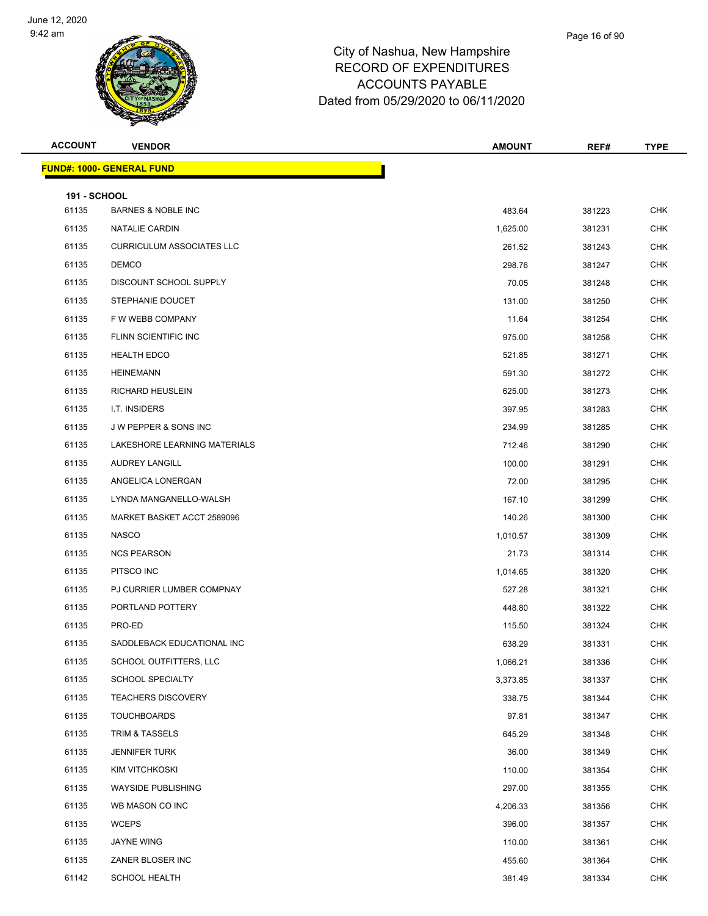

| <b>ACCOUNT</b>               | <b>VENDOR</b>                     | <b>AMOUNT</b> | REF#   | <b>TYPE</b> |
|------------------------------|-----------------------------------|---------------|--------|-------------|
|                              | <u> FUND#: 1000- GENERAL FUND</u> |               |        |             |
|                              |                                   |               |        |             |
| <b>191 - SCHOOL</b><br>61135 | <b>BARNES &amp; NOBLE INC</b>     | 483.64        | 381223 | <b>CHK</b>  |
| 61135                        | NATALIE CARDIN                    | 1,625.00      | 381231 | <b>CHK</b>  |
| 61135                        | <b>CURRICULUM ASSOCIATES LLC</b>  | 261.52        | 381243 | <b>CHK</b>  |
| 61135                        | <b>DEMCO</b>                      | 298.76        | 381247 | <b>CHK</b>  |
| 61135                        | <b>DISCOUNT SCHOOL SUPPLY</b>     | 70.05         | 381248 | <b>CHK</b>  |
| 61135                        | STEPHANIE DOUCET                  | 131.00        | 381250 | <b>CHK</b>  |
| 61135                        | F W WEBB COMPANY                  | 11.64         | 381254 | <b>CHK</b>  |
| 61135                        | FLINN SCIENTIFIC INC              | 975.00        | 381258 | <b>CHK</b>  |
| 61135                        | <b>HEALTH EDCO</b>                | 521.85        | 381271 | <b>CHK</b>  |
| 61135                        | <b>HEINEMANN</b>                  | 591.30        | 381272 | <b>CHK</b>  |
| 61135                        | <b>RICHARD HEUSLEIN</b>           | 625.00        | 381273 | <b>CHK</b>  |
| 61135                        | I.T. INSIDERS                     | 397.95        | 381283 | <b>CHK</b>  |
| 61135                        | J W PEPPER & SONS INC             | 234.99        | 381285 | <b>CHK</b>  |
| 61135                        | LAKESHORE LEARNING MATERIALS      | 712.46        | 381290 | <b>CHK</b>  |
| 61135                        | <b>AUDREY LANGILL</b>             | 100.00        | 381291 | <b>CHK</b>  |
| 61135                        | ANGELICA LONERGAN                 | 72.00         | 381295 | <b>CHK</b>  |
| 61135                        | LYNDA MANGANELLO-WALSH            | 167.10        | 381299 | <b>CHK</b>  |
| 61135                        | MARKET BASKET ACCT 2589096        | 140.26        | 381300 | <b>CHK</b>  |
| 61135                        | <b>NASCO</b>                      | 1,010.57      | 381309 | <b>CHK</b>  |
| 61135                        | <b>NCS PEARSON</b>                | 21.73         | 381314 | <b>CHK</b>  |
| 61135                        | PITSCO INC                        | 1,014.65      | 381320 | <b>CHK</b>  |
| 61135                        | PJ CURRIER LUMBER COMPNAY         | 527.28        | 381321 | <b>CHK</b>  |
| 61135                        | PORTLAND POTTERY                  | 448.80        | 381322 | <b>CHK</b>  |
| 61135                        | PRO-ED                            | 115.50        | 381324 | <b>CHK</b>  |
| 61135                        | SADDLEBACK EDUCATIONAL INC        | 638.29        | 381331 | <b>CHK</b>  |
| 61135                        | SCHOOL OUTFITTERS, LLC            | 1,066.21      | 381336 | <b>CHK</b>  |
| 61135                        | SCHOOL SPECIALTY                  | 3,373.85      | 381337 | <b>CHK</b>  |
| 61135                        | <b>TEACHERS DISCOVERY</b>         | 338.75        | 381344 | <b>CHK</b>  |
| 61135                        | <b>TOUCHBOARDS</b>                | 97.81         | 381347 | <b>CHK</b>  |
| 61135                        | TRIM & TASSELS                    | 645.29        | 381348 | <b>CHK</b>  |
| 61135                        | <b>JENNIFER TURK</b>              | 36.00         | 381349 | <b>CHK</b>  |
| 61135                        | <b>KIM VITCHKOSKI</b>             | 110.00        | 381354 | <b>CHK</b>  |
| 61135                        | <b>WAYSIDE PUBLISHING</b>         | 297.00        | 381355 | <b>CHK</b>  |
| 61135                        | WB MASON CO INC                   | 4,206.33      | 381356 | <b>CHK</b>  |
| 61135                        | <b>WCEPS</b>                      | 396.00        | 381357 | <b>CHK</b>  |
| 61135                        | JAYNE WING                        | 110.00        | 381361 | <b>CHK</b>  |
| 61135                        | ZANER BLOSER INC                  | 455.60        | 381364 | <b>CHK</b>  |
| 61142                        | <b>SCHOOL HEALTH</b>              | 381.49        | 381334 | <b>CHK</b>  |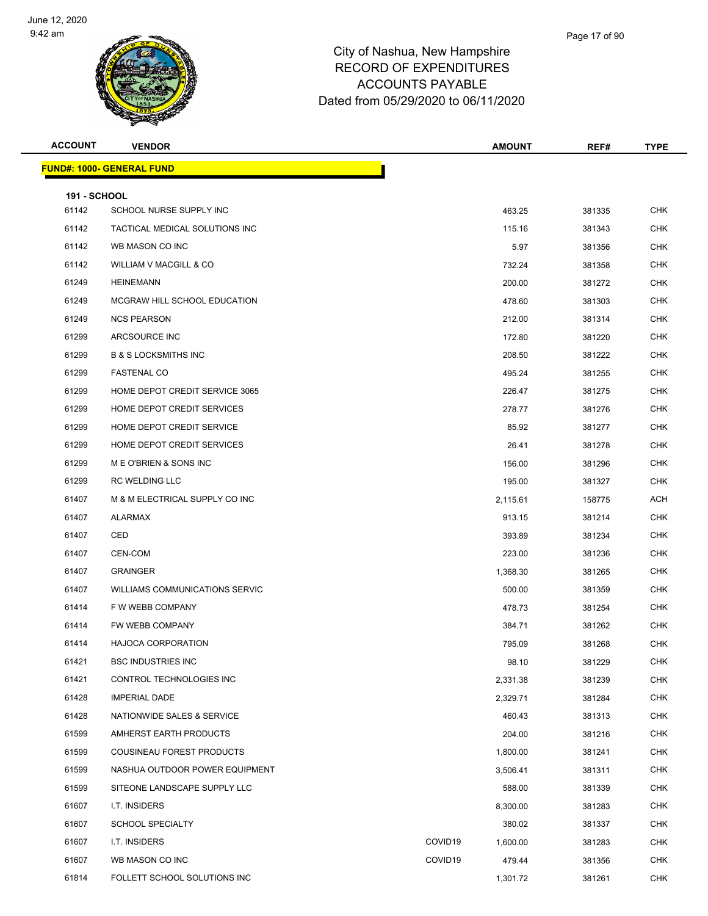

| <b>ACCOUNT</b>      | <b>VENDOR</b>                         | <b>AMOUNT</b>       | REF#             | <b>TYPE</b> |
|---------------------|---------------------------------------|---------------------|------------------|-------------|
|                     | <u> FUND#: 1000- GENERAL FUND</u>     |                     |                  |             |
| <b>191 - SCHOOL</b> |                                       |                     |                  |             |
| 61142               | SCHOOL NURSE SUPPLY INC               |                     | 463.25<br>381335 | <b>CHK</b>  |
| 61142               | TACTICAL MEDICAL SOLUTIONS INC        |                     | 115.16<br>381343 | <b>CHK</b>  |
| 61142               | WB MASON CO INC                       |                     | 5.97<br>381356   | <b>CHK</b>  |
| 61142               | WILLIAM V MACGILL & CO                |                     | 732.24<br>381358 | <b>CHK</b>  |
| 61249               | <b>HEINEMANN</b>                      |                     | 200.00<br>381272 | <b>CHK</b>  |
| 61249               | MCGRAW HILL SCHOOL EDUCATION          |                     | 478.60<br>381303 | CHK         |
| 61249               | <b>NCS PEARSON</b>                    |                     | 212.00<br>381314 | <b>CHK</b>  |
| 61299               | ARCSOURCE INC                         |                     | 172.80<br>381220 | <b>CHK</b>  |
| 61299               | <b>B &amp; S LOCKSMITHS INC</b>       |                     | 208.50<br>381222 | <b>CHK</b>  |
| 61299               | <b>FASTENAL CO</b>                    |                     | 495.24<br>381255 | <b>CHK</b>  |
| 61299               | HOME DEPOT CREDIT SERVICE 3065        |                     | 226.47<br>381275 | CHK         |
| 61299               | HOME DEPOT CREDIT SERVICES            |                     | 278.77<br>381276 | <b>CHK</b>  |
| 61299               | HOME DEPOT CREDIT SERVICE             |                     | 85.92<br>381277  | <b>CHK</b>  |
| 61299               | HOME DEPOT CREDIT SERVICES            |                     | 26.41<br>381278  | <b>CHK</b>  |
| 61299               | M E O'BRIEN & SONS INC                |                     | 156.00<br>381296 | <b>CHK</b>  |
| 61299               | <b>RC WELDING LLC</b>                 |                     | 195.00<br>381327 | CHK         |
| 61407               | M & M ELECTRICAL SUPPLY CO INC        | 2,115.61            | 158775           | <b>ACH</b>  |
| 61407               | ALARMAX                               |                     | 913.15<br>381214 | <b>CHK</b>  |
| 61407               | CED                                   |                     | 393.89<br>381234 | <b>CHK</b>  |
| 61407               | CEN-COM                               |                     | 223.00<br>381236 | <b>CHK</b>  |
| 61407               | <b>GRAINGER</b>                       | 1,368.30            | 381265           | CHK         |
| 61407               | <b>WILLIAMS COMMUNICATIONS SERVIC</b> |                     | 500.00<br>381359 | <b>CHK</b>  |
| 61414               | F W WEBB COMPANY                      |                     | 478.73<br>381254 | <b>CHK</b>  |
| 61414               | FW WEBB COMPANY                       |                     | 384.71<br>381262 | <b>CHK</b>  |
| 61414               | <b>HAJOCA CORPORATION</b>             |                     | 795.09<br>381268 | <b>CHK</b>  |
| 61421               | <b>BSC INDUSTRIES INC</b>             |                     | 381229<br>98.10  | <b>CHK</b>  |
| 61421               | CONTROL TECHNOLOGIES INC              | 2,331.38            | 381239           | <b>CHK</b>  |
| 61428               | <b>IMPERIAL DADE</b>                  | 2,329.71            | 381284           | <b>CHK</b>  |
| 61428               | NATIONWIDE SALES & SERVICE            |                     | 460.43<br>381313 | <b>CHK</b>  |
| 61599               | AMHERST EARTH PRODUCTS                |                     | 204.00<br>381216 | <b>CHK</b>  |
| 61599               | COUSINEAU FOREST PRODUCTS             | 1,800.00            | 381241           | <b>CHK</b>  |
| 61599               | NASHUA OUTDOOR POWER EQUIPMENT        | 3,506.41            | 381311           | <b>CHK</b>  |
| 61599               | SITEONE LANDSCAPE SUPPLY LLC          |                     | 588.00<br>381339 | <b>CHK</b>  |
| 61607               | I.T. INSIDERS                         | 8,300.00            | 381283           | <b>CHK</b>  |
| 61607               | <b>SCHOOL SPECIALTY</b>               |                     | 380.02<br>381337 | <b>CHK</b>  |
| 61607               | I.T. INSIDERS                         | COVID19<br>1,600.00 | 381283           | CHK         |
| 61607               | WB MASON CO INC                       | COVID19             | 479.44<br>381356 | <b>CHK</b>  |
| 61814               | FOLLETT SCHOOL SOLUTIONS INC          | 1,301.72            | 381261           | <b>CHK</b>  |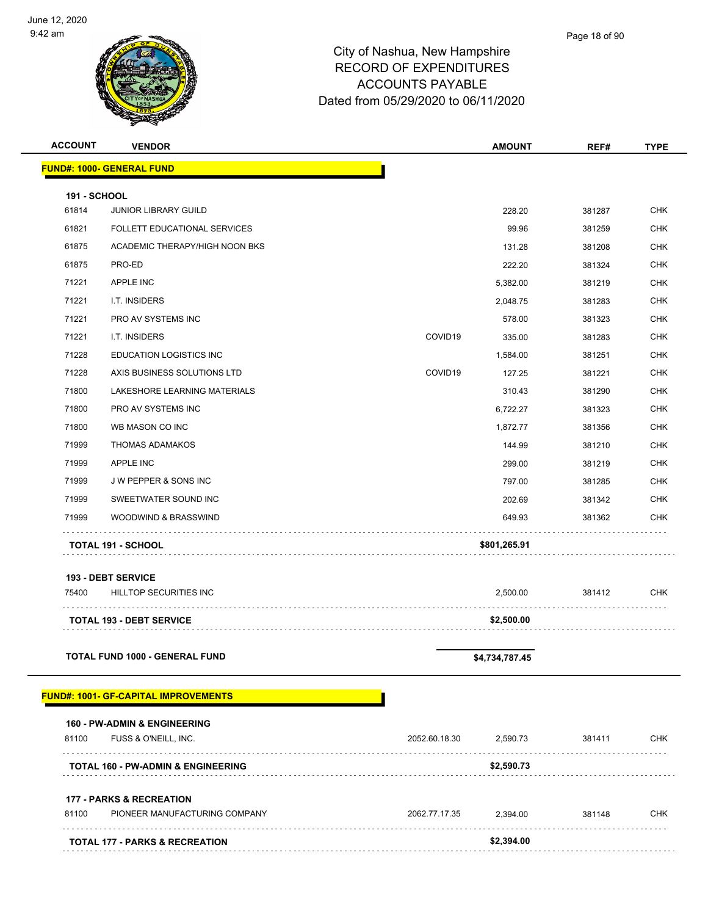

| <b>ACCOUNT</b>      | <b>VENDOR</b>                                 |                    | <b>AMOUNT</b>  | REF#        | <b>TYPE</b> |
|---------------------|-----------------------------------------------|--------------------|----------------|-------------|-------------|
|                     | <b>FUND#: 1000- GENERAL FUND</b>              |                    |                |             |             |
| <b>191 - SCHOOL</b> |                                               |                    |                |             |             |
| 61814               | <b>JUNIOR LIBRARY GUILD</b>                   |                    | 228.20         | 381287      | <b>CHK</b>  |
| 61821               | FOLLETT EDUCATIONAL SERVICES                  |                    | 99.96          | 381259      | CHK         |
| 61875               | ACADEMIC THERAPY/HIGH NOON BKS                |                    | 131.28         | 381208      | <b>CHK</b>  |
| 61875               | PRO-ED                                        |                    | 222.20         | 381324      | <b>CHK</b>  |
| 71221               | APPLE INC                                     |                    | 5,382.00       | 381219      | <b>CHK</b>  |
| 71221               | I.T. INSIDERS                                 |                    | 2,048.75       | 381283      | CHK         |
| 71221               | PRO AV SYSTEMS INC                            |                    | 578.00         | 381323      | <b>CHK</b>  |
| 71221               | I.T. INSIDERS                                 | COVID19            | 335.00         | 381283      | <b>CHK</b>  |
| 71228               | <b>EDUCATION LOGISTICS INC</b>                |                    | 1,584.00       | 381251      | <b>CHK</b>  |
| 71228               | AXIS BUSINESS SOLUTIONS LTD                   | COVID19            | 127.25         | 381221      | <b>CHK</b>  |
| 71800               | LAKESHORE LEARNING MATERIALS                  |                    | 310.43         | 381290      | <b>CHK</b>  |
| 71800               | PRO AV SYSTEMS INC                            |                    | 6,722.27       | 381323      | CHK         |
| 71800               | WB MASON CO INC                               |                    | 1,872.77       | 381356      | <b>CHK</b>  |
| 71999               | <b>THOMAS ADAMAKOS</b>                        |                    | 144.99         | 381210      | CHK         |
| 71999               | APPLE INC                                     |                    | 299.00         | 381219      | <b>CHK</b>  |
| 71999               | J W PEPPER & SONS INC                         |                    | 797.00         | 381285      | <b>CHK</b>  |
| 71999               | SWEETWATER SOUND INC                          |                    | 202.69         | 381342      | CHK         |
| 71999               | WOODWIND & BRASSWIND                          |                    | 649.93         | 381362      | <b>CHK</b>  |
|                     | <b>TOTAL 191 - SCHOOL</b>                     |                    | \$801,265.91   |             |             |
|                     | 193 - DEBT SERVICE                            |                    |                |             |             |
| 75400               | HILLTOP SECURITIES INC                        |                    | 2,500.00       | 381412      | <b>CHK</b>  |
|                     | <b>TOTAL 193 - DEBT SERVICE</b>               |                    | \$2,500.00     |             |             |
|                     | <b>TOTAL FUND 1000 - GENERAL FUND</b>         |                    | \$4,734,787.45 |             |             |
|                     | <b>FUND#: 1001- GF-CAPITAL IMPROVEMENTS</b>   |                    |                |             |             |
|                     | 160 - PW-ADMIN & ENGINEERING                  |                    |                |             |             |
| 81100               | FUSS & O'NEILL, INC.                          | 2052.60.18.30<br>. | 2,590.73       | 381411      | <b>CHK</b>  |
|                     | <b>TOTAL 160 - PW-ADMIN &amp; ENGINEERING</b> |                    | \$2,590.73     |             |             |
|                     | <b>177 - PARKS &amp; RECREATION</b>           |                    |                |             |             |
| 81100               | PIONEER MANUFACTURING COMPANY                 | 2062.77.17.35      | 2,394.00       | 381148<br>. | <b>CHK</b>  |
|                     | <b>TOTAL 177 - PARKS &amp; RECREATION</b>     |                    | \$2,394.00     |             |             |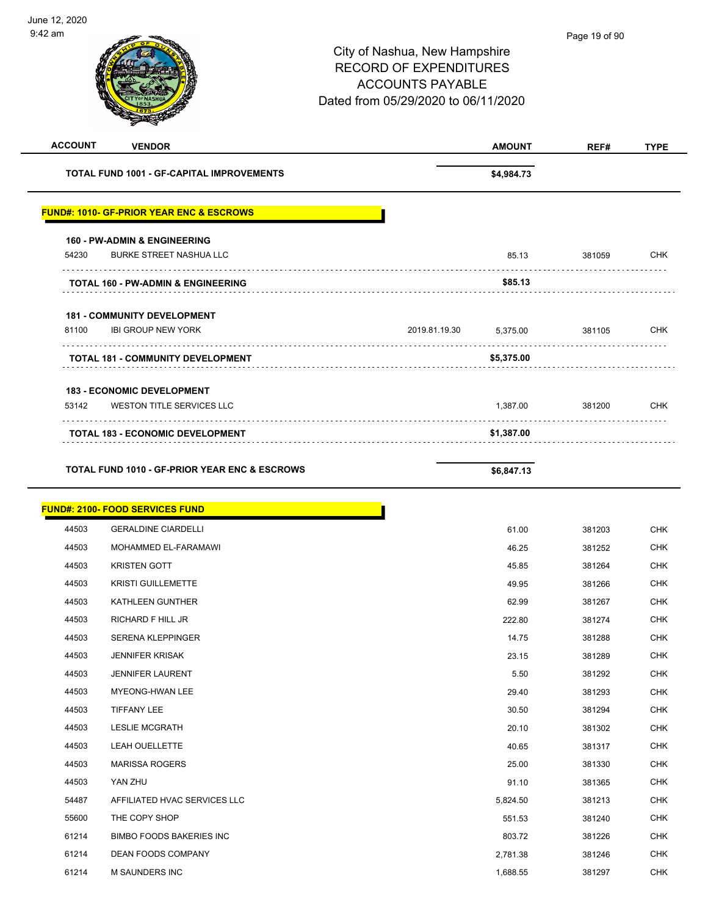| <b>ACCOUNT</b><br><b>VENDOR</b>                          |               | <b>AMOUNT</b> | REF#   | <b>TYPE</b> |
|----------------------------------------------------------|---------------|---------------|--------|-------------|
| <b>TOTAL FUND 1001 - GF-CAPITAL IMPROVEMENTS</b>         |               | \$4,984.73    |        |             |
| <b>FUND#: 1010- GF-PRIOR YEAR ENC &amp; ESCROWS</b>      |               |               |        |             |
| <b>160 - PW-ADMIN &amp; ENGINEERING</b>                  |               |               |        |             |
| <b>BURKE STREET NASHUA LLC</b><br>54230                  |               | 85.13         | 381059 | CHK         |
| <b>TOTAL 160 - PW-ADMIN &amp; ENGINEERING</b>            |               | \$85.13       |        |             |
| <b>181 - COMMUNITY DEVELOPMENT</b>                       |               |               |        |             |
| 81100<br><b>IBI GROUP NEW YORK</b>                       | 2019.81.19.30 | 5,375.00      | 381105 | <b>CHK</b>  |
| <b>TOTAL 181 - COMMUNITY DEVELOPMENT</b>                 |               | \$5,375.00    |        |             |
| <b>183 - ECONOMIC DEVELOPMENT</b>                        |               |               |        |             |
| 53142<br>WESTON TITLE SERVICES LLC                       |               | 1,387.00      | 381200 | <b>CHK</b>  |
| <b>TOTAL 183 - ECONOMIC DEVELOPMENT</b>                  |               | \$1,387.00    |        |             |
| <b>TOTAL FUND 1010 - GF-PRIOR YEAR ENC &amp; ESCROWS</b> |               | \$6,847.13    |        |             |

|       | <b>FUND#: 2100- FOOD SERVICES FUND</b> |          |        |
|-------|----------------------------------------|----------|--------|
| 44503 | <b>GERALDINE CIARDELLI</b>             | 61.00    | 381203 |
| 44503 | MOHAMMED EL-FARAMAWI                   | 46.25    | 381252 |
| 44503 | <b>KRISTEN GOTT</b>                    | 45.85    | 381264 |
| 44503 | <b>KRISTI GUILLEMETTE</b>              | 49.95    | 381266 |
| 44503 | KATHLEEN GUNTHER                       | 62.99    | 381267 |
| 44503 | <b>RICHARD F HILL JR</b>               | 222.80   | 381274 |
| 44503 | <b>SERENA KLEPPINGER</b>               | 14.75    | 381288 |
| 44503 | <b>JENNIFER KRISAK</b>                 | 23.15    | 381289 |
| 44503 | <b>JENNIFER LAURENT</b>                | 5.50     | 381292 |
| 44503 | <b>MYEONG-HWAN LEE</b>                 | 29.40    | 381293 |
| 44503 | TIFFANY LEE                            | 30.50    | 381294 |
| 44503 | <b>LESLIE MCGRATH</b>                  | 20.10    | 381302 |
| 44503 | LEAH OUELLETTE                         | 40.65    | 381317 |
| 44503 | <b>MARISSA ROGERS</b>                  | 25.00    | 381330 |
| 44503 | YAN ZHU                                | 91.10    | 381365 |
| 54487 | AFFILIATED HVAC SERVICES LLC           | 5,824.50 | 381213 |
| 55600 | THE COPY SHOP                          | 551.53   | 381240 |
| 61214 | <b>BIMBO FOODS BAKERIES INC</b>        | 803.72   | 381226 |
| 61214 | DEAN FOODS COMPANY                     | 2,781.38 | 381246 |
| 61214 | <b>M SAUNDERS INC</b>                  | 1,688.55 | 381297 |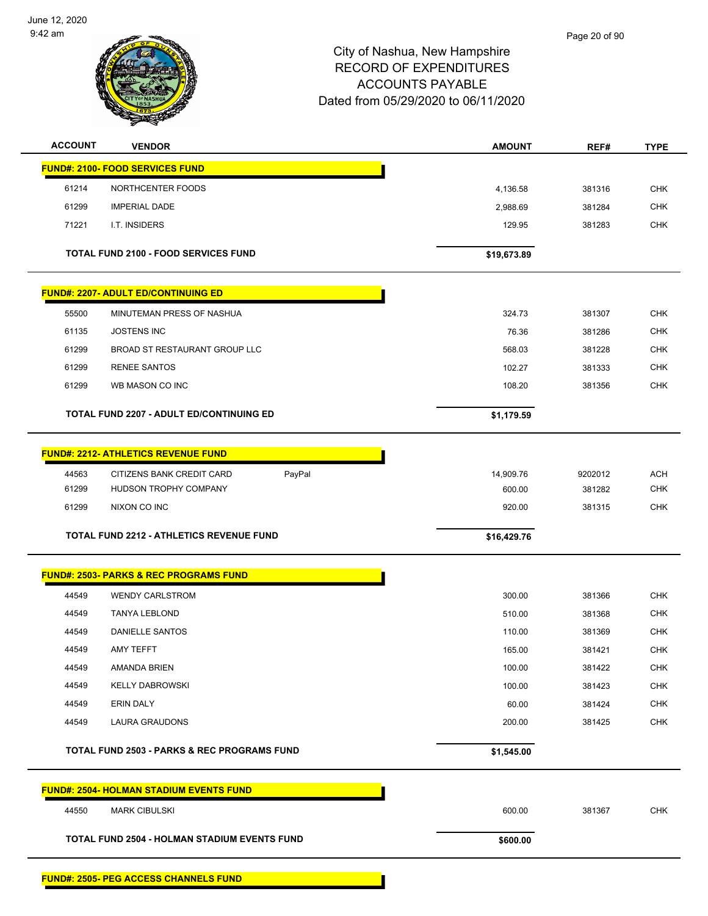

| <b>ACCOUNT</b> | <b>VENDOR</b>                                          | <b>AMOUNT</b> | REF#    | <b>TYPE</b> |
|----------------|--------------------------------------------------------|---------------|---------|-------------|
|                | <b>FUND#: 2100- FOOD SERVICES FUND</b>                 |               |         |             |
| 61214          | NORTHCENTER FOODS                                      | 4,136.58      | 381316  | <b>CHK</b>  |
| 61299          | <b>IMPERIAL DADE</b>                                   | 2,988.69      | 381284  | <b>CHK</b>  |
| 71221          | I.T. INSIDERS                                          | 129.95        | 381283  | <b>CHK</b>  |
|                | <b>TOTAL FUND 2100 - FOOD SERVICES FUND</b>            | \$19,673.89   |         |             |
|                | <b>FUND#: 2207- ADULT ED/CONTINUING ED</b>             |               |         |             |
| 55500          | MINUTEMAN PRESS OF NASHUA                              | 324.73        | 381307  | <b>CHK</b>  |
| 61135          | <b>JOSTENS INC</b>                                     | 76.36         | 381286  | <b>CHK</b>  |
| 61299          | BROAD ST RESTAURANT GROUP LLC                          | 568.03        | 381228  | <b>CHK</b>  |
| 61299          | <b>RENEE SANTOS</b>                                    | 102.27        | 381333  | <b>CHK</b>  |
| 61299          | WB MASON CO INC                                        | 108.20        | 381356  | <b>CHK</b>  |
|                | <b>TOTAL FUND 2207 - ADULT ED/CONTINUING ED</b>        | \$1,179.59    |         |             |
|                | <b>FUND#: 2212- ATHLETICS REVENUE FUND</b>             |               |         |             |
| 44563          | PayPal<br>CITIZENS BANK CREDIT CARD                    | 14,909.76     | 9202012 | <b>ACH</b>  |
| 61299          | HUDSON TROPHY COMPANY                                  | 600.00        | 381282  | <b>CHK</b>  |
| 61299          | NIXON CO INC                                           | 920.00        | 381315  | <b>CHK</b>  |
|                | TOTAL FUND 2212 - ATHLETICS REVENUE FUND               | \$16,429.76   |         |             |
|                | <b>FUND#: 2503- PARKS &amp; REC PROGRAMS FUND</b>      |               |         |             |
| 44549          | <b>WENDY CARLSTROM</b>                                 | 300.00        | 381366  | <b>CHK</b>  |
| 44549          | <b>TANYA LEBLOND</b>                                   | 510.00        | 381368  | <b>CHK</b>  |
| 44549          | DANIELLE SANTOS                                        | 110.00        | 381369  | <b>CHK</b>  |
| 44549          | AMY TEFFT                                              | 165.00        | 381421  | <b>CHK</b>  |
| 44549          | AMANDA BRIEN                                           | 100.00        | 381422  | CHK         |
| 44549          | <b>KELLY DABROWSKI</b>                                 | 100.00        | 381423  | <b>CHK</b>  |
| 44549          | ERIN DALY                                              | 60.00         | 381424  | <b>CHK</b>  |
| 44549          | <b>LAURA GRAUDONS</b>                                  | 200.00        | 381425  | <b>CHK</b>  |
|                | <b>TOTAL FUND 2503 - PARKS &amp; REC PROGRAMS FUND</b> | \$1,545.00    |         |             |
|                | <b>FUND#: 2504- HOLMAN STADIUM EVENTS FUND</b>         |               |         |             |
| 44550          | <b>MARK CIBULSKI</b>                                   | 600.00        | 381367  | <b>CHK</b>  |
|                | TOTAL FUND 2504 - HOLMAN STADIUM EVENTS FUND           | \$600.00      |         |             |
|                |                                                        |               |         |             |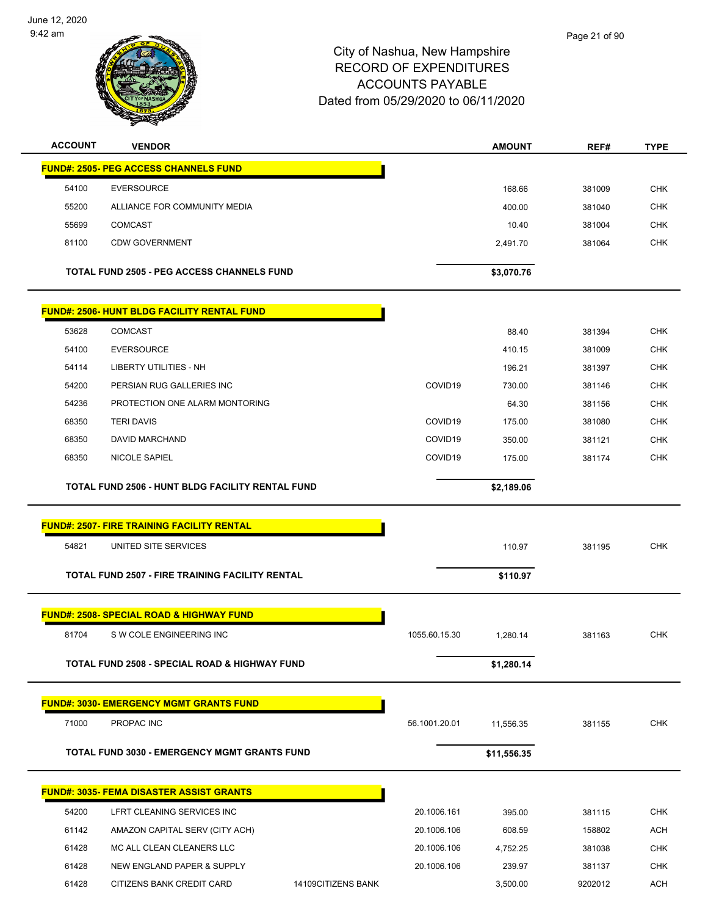

| <b>ACCOUNT</b> | <b>VENDOR</b>                                          |                     | AMOUNT      | REF#    | <b>TYPE</b> |
|----------------|--------------------------------------------------------|---------------------|-------------|---------|-------------|
|                | <b>FUND#: 2505- PEG ACCESS CHANNELS FUND</b>           |                     |             |         |             |
| 54100          | <b>EVERSOURCE</b>                                      |                     | 168.66      | 381009  | <b>CHK</b>  |
| 55200          | ALLIANCE FOR COMMUNITY MEDIA                           |                     | 400.00      | 381040  | <b>CHK</b>  |
| 55699          | <b>COMCAST</b>                                         |                     | 10.40       | 381004  | <b>CHK</b>  |
| 81100          | <b>CDW GOVERNMENT</b>                                  |                     | 2,491.70    | 381064  | <b>CHK</b>  |
|                | <b>TOTAL FUND 2505 - PEG ACCESS CHANNELS FUND</b>      |                     | \$3,070.76  |         |             |
|                | <b>FUND#: 2506- HUNT BLDG FACILITY RENTAL FUND</b>     |                     |             |         |             |
| 53628          | <b>COMCAST</b>                                         |                     | 88.40       | 381394  | <b>CHK</b>  |
| 54100          | <b>EVERSOURCE</b>                                      |                     | 410.15      | 381009  | <b>CHK</b>  |
| 54114          | <b>LIBERTY UTILITIES - NH</b>                          |                     | 196.21      | 381397  | <b>CHK</b>  |
| 54200          | PERSIAN RUG GALLERIES INC                              | COVID19             | 730.00      | 381146  | <b>CHK</b>  |
| 54236          | PROTECTION ONE ALARM MONTORING                         |                     | 64.30       | 381156  | <b>CHK</b>  |
| 68350          | <b>TERI DAVIS</b>                                      | COVID <sub>19</sub> | 175.00      | 381080  | <b>CHK</b>  |
| 68350          | DAVID MARCHAND                                         | COVID19             | 350.00      | 381121  | <b>CHK</b>  |
| 68350          | <b>NICOLE SAPIEL</b>                                   | COVID <sub>19</sub> | 175.00      | 381174  | <b>CHK</b>  |
|                | TOTAL FUND 2506 - HUNT BLDG FACILITY RENTAL FUND       |                     | \$2,189.06  |         |             |
|                | <b>FUND#: 2507- FIRE TRAINING FACILITY RENTAL</b>      |                     |             |         |             |
| 54821          | UNITED SITE SERVICES                                   |                     | 110.97      | 381195  | <b>CHK</b>  |
|                | <b>TOTAL FUND 2507 - FIRE TRAINING FACILITY RENTAL</b> |                     | \$110.97    |         |             |
|                | <b>FUND#: 2508- SPECIAL ROAD &amp; HIGHWAY FUND</b>    |                     |             |         |             |
| 81704          | S W COLE ENGINEERING INC                               | 1055.60.15.30       | 1,280.14    | 381163  | <b>CHK</b>  |
|                | TOTAL FUND 2508 - SPECIAL ROAD & HIGHWAY FUND          |                     | \$1,280.14  |         |             |
|                | <b>FUND#: 3030- EMERGENCY MGMT GRANTS FUND</b>         |                     |             |         |             |
| 71000          | PROPAC INC                                             | 56.1001.20.01       | 11,556.35   | 381155  | <b>CHK</b>  |
|                | TOTAL FUND 3030 - EMERGENCY MGMT GRANTS FUND           |                     | \$11,556.35 |         |             |
|                | <b>FUND#: 3035- FEMA DISASTER ASSIST GRANTS</b>        |                     |             |         |             |
| 54200          | LFRT CLEANING SERVICES INC                             | 20.1006.161         | 395.00      | 381115  | <b>CHK</b>  |
| 61142          | AMAZON CAPITAL SERV (CITY ACH)                         | 20.1006.106         | 608.59      | 158802  | <b>ACH</b>  |
| 61428          | MC ALL CLEAN CLEANERS LLC                              | 20.1006.106         | 4,752.25    | 381038  | <b>CHK</b>  |
| 61428          | NEW ENGLAND PAPER & SUPPLY                             | 20.1006.106         | 239.97      | 381137  | <b>CHK</b>  |
| 61428          | CITIZENS BANK CREDIT CARD                              | 14109CITIZENS BANK  | 3,500.00    | 9202012 | <b>ACH</b>  |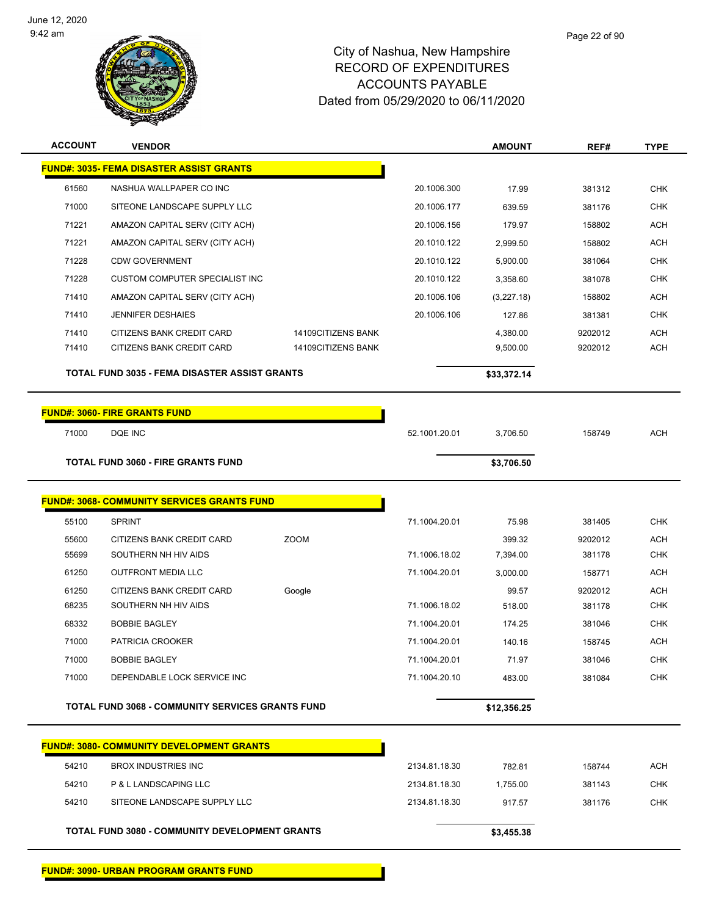

| <b>ACCOUNT</b> | <b>VENDOR</b>                                           |                    |               | <b>AMOUNT</b>   | REF#              | <b>TYPE</b> |
|----------------|---------------------------------------------------------|--------------------|---------------|-----------------|-------------------|-------------|
|                | <b>FUND#: 3035- FEMA DISASTER ASSIST GRANTS</b>         |                    |               |                 |                   |             |
| 61560          | NASHUA WALLPAPER CO INC                                 |                    | 20.1006.300   | 17.99           | 381312            | <b>CHK</b>  |
| 71000          | SITEONE LANDSCAPE SUPPLY LLC                            |                    | 20.1006.177   | 639.59          | 381176            | <b>CHK</b>  |
| 71221          | AMAZON CAPITAL SERV (CITY ACH)                          |                    | 20.1006.156   | 179.97          | 158802            | <b>ACH</b>  |
| 71221          | AMAZON CAPITAL SERV (CITY ACH)                          |                    | 20.1010.122   | 2,999.50        | 158802            | <b>ACH</b>  |
| 71228          | <b>CDW GOVERNMENT</b>                                   |                    | 20.1010.122   | 5,900.00        | 381064            | <b>CHK</b>  |
| 71228          | <b>CUSTOM COMPUTER SPECIALIST INC</b>                   |                    | 20.1010.122   | 3,358.60        | 381078            | <b>CHK</b>  |
| 71410          | AMAZON CAPITAL SERV (CITY ACH)                          |                    | 20.1006.106   | (3,227.18)      | 158802            | <b>ACH</b>  |
| 71410          | <b>JENNIFER DESHAIES</b>                                |                    | 20.1006.106   | 127.86          | 381381            | <b>CHK</b>  |
| 71410          | CITIZENS BANK CREDIT CARD                               | 14109CITIZENS BANK |               | 4,380.00        | 9202012           | <b>ACH</b>  |
| 71410          | CITIZENS BANK CREDIT CARD                               | 14109CITIZENS BANK |               | 9,500.00        | 9202012           | <b>ACH</b>  |
|                | <b>TOTAL FUND 3035 - FEMA DISASTER ASSIST GRANTS</b>    |                    |               | \$33,372.14     |                   |             |
|                |                                                         |                    |               |                 |                   |             |
|                | <b>FUND#: 3060- FIRE GRANTS FUND</b>                    |                    |               |                 |                   |             |
| 71000          | DQE INC                                                 |                    | 52.1001.20.01 | 3,706.50        | 158749            | <b>ACH</b>  |
|                | <b>TOTAL FUND 3060 - FIRE GRANTS FUND</b>               |                    |               | \$3,706.50      |                   |             |
|                | <b>FUND#: 3068- COMMUNITY SERVICES GRANTS FUND</b>      |                    |               |                 |                   |             |
| 55100          | <b>SPRINT</b>                                           |                    |               |                 |                   | <b>CHK</b>  |
| 55600          | CITIZENS BANK CREDIT CARD                               | <b>ZOOM</b>        | 71.1004.20.01 | 75.98<br>399.32 | 381405<br>9202012 | <b>ACH</b>  |
| 55699          | SOUTHERN NH HIV AIDS                                    |                    | 71.1006.18.02 | 7,394.00        | 381178            | CHK         |
| 61250          | <b>OUTFRONT MEDIA LLC</b>                               |                    | 71.1004.20.01 | 3,000.00        | 158771            | <b>ACH</b>  |
| 61250          | CITIZENS BANK CREDIT CARD                               | Google             |               | 99.57           | 9202012           | <b>ACH</b>  |
| 68235          | SOUTHERN NH HIV AIDS                                    |                    | 71.1006.18.02 | 518.00          | 381178            | <b>CHK</b>  |
| 68332          | <b>BOBBIE BAGLEY</b>                                    |                    | 71.1004.20.01 | 174.25          | 381046            | <b>CHK</b>  |
| 71000          | PATRICIA CROOKER                                        |                    | 71.1004.20.01 | 140.16          | 158745            | <b>ACH</b>  |
| 71000          | <b>BOBBIE BAGLEY</b>                                    |                    | 71.1004.20.01 | 71.97           | 381046            | CHK         |
| 71000          | DEPENDABLE LOCK SERVICE INC                             |                    | 71.1004.20.10 | 483.00          | 381084            | <b>CHK</b>  |
|                | <b>TOTAL FUND 3068 - COMMUNITY SERVICES GRANTS FUND</b> |                    |               | \$12,356.25     |                   |             |
|                |                                                         |                    |               |                 |                   |             |
|                | <b>FUND#: 3080- COMMUNITY DEVELOPMENT GRANTS</b>        |                    |               |                 |                   |             |
| 54210          | <b>BROX INDUSTRIES INC</b>                              |                    | 2134.81.18.30 | 782.81          | 158744            | <b>ACH</b>  |
| 54210          | P & L LANDSCAPING LLC                                   |                    | 2134.81.18.30 | 1,755.00        | 381143            | <b>CHK</b>  |
| 54210          | SITEONE LANDSCAPE SUPPLY LLC                            |                    | 2134.81.18.30 | 917.57          | 381176            | <b>CHK</b>  |
|                | <b>TOTAL FUND 3080 - COMMUNITY DEVELOPMENT GRANTS</b>   |                    |               | \$3,455.38      |                   |             |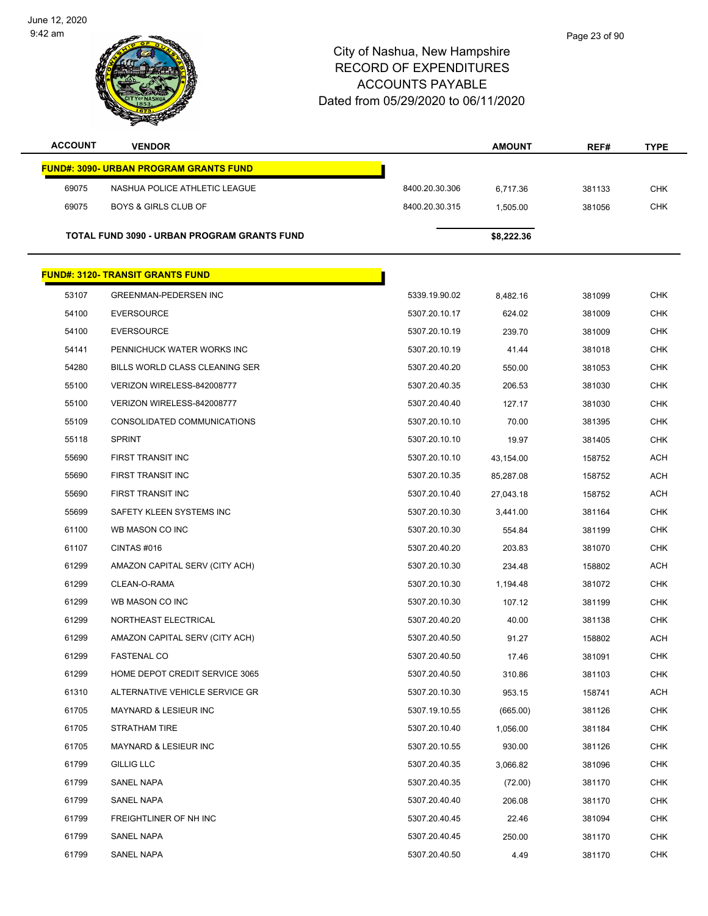

| <b>ACCOUNT</b> | <b>VENDOR</b>                                 |                | <b>AMOUNT</b> | REF#   | <b>TYPE</b> |
|----------------|-----------------------------------------------|----------------|---------------|--------|-------------|
|                | <b>FUND#: 3090- URBAN PROGRAM GRANTS FUND</b> |                |               |        |             |
| 69075          | NASHUA POLICE ATHLETIC LEAGUE                 | 8400.20.30.306 | 6,717.36      | 381133 | <b>CHK</b>  |
| 69075          | <b>BOYS &amp; GIRLS CLUB OF</b>               | 8400.20.30.315 | 1,505.00      | 381056 | <b>CHK</b>  |
|                |                                               |                |               |        |             |
|                | TOTAL FUND 3090 - URBAN PROGRAM GRANTS FUND   |                | \$8,222.36    |        |             |
|                | <b>FUND#: 3120- TRANSIT GRANTS FUND</b>       |                |               |        |             |
| 53107          | <b>GREENMAN-PEDERSEN INC</b>                  | 5339.19.90.02  | 8,482.16      | 381099 | <b>CHK</b>  |
| 54100          | <b>EVERSOURCE</b>                             | 5307.20.10.17  | 624.02        | 381009 | <b>CHK</b>  |
| 54100          | <b>EVERSOURCE</b>                             | 5307.20.10.19  | 239.70        | 381009 | CHK         |
| 54141          | PENNICHUCK WATER WORKS INC                    | 5307.20.10.19  | 41.44         | 381018 | <b>CHK</b>  |
| 54280          | BILLS WORLD CLASS CLEANING SER                | 5307.20.40.20  | 550.00        | 381053 | <b>CHK</b>  |
| 55100          | VERIZON WIRELESS-842008777                    | 5307.20.40.35  | 206.53        | 381030 | <b>CHK</b>  |
| 55100          | VERIZON WIRELESS-842008777                    | 5307.20.40.40  | 127.17        | 381030 | <b>CHK</b>  |
| 55109          | CONSOLIDATED COMMUNICATIONS                   | 5307.20.10.10  | 70.00         | 381395 | CHK         |
| 55118          | <b>SPRINT</b>                                 | 5307.20.10.10  | 19.97         | 381405 | <b>CHK</b>  |
| 55690          | FIRST TRANSIT INC                             | 5307.20.10.10  | 43,154.00     | 158752 | ACH         |
| 55690          | FIRST TRANSIT INC                             | 5307.20.10.35  | 85,287.08     | 158752 | <b>ACH</b>  |
| 55690          | FIRST TRANSIT INC                             | 5307.20.10.40  | 27,043.18     | 158752 | <b>ACH</b>  |
| 55699          | SAFETY KLEEN SYSTEMS INC                      | 5307.20.10.30  | 3,441.00      | 381164 | <b>CHK</b>  |
| 61100          | WB MASON CO INC                               | 5307.20.10.30  | 554.84        | 381199 | <b>CHK</b>  |
| 61107          | CINTAS #016                                   | 5307.20.40.20  | 203.83        | 381070 | CHK         |
| 61299          | AMAZON CAPITAL SERV (CITY ACH)                | 5307.20.10.30  | 234.48        | 158802 | <b>ACH</b>  |
| 61299          | CLEAN-O-RAMA                                  | 5307.20.10.30  | 1,194.48      | 381072 | <b>CHK</b>  |
| 61299          | WB MASON CO INC                               | 5307.20.10.30  | 107.12        | 381199 | <b>CHK</b>  |
| 61299          | NORTHEAST ELECTRICAL                          | 5307.20.40.20  | 40.00         | 381138 | <b>CHK</b>  |
| 61299          | AMAZON CAPITAL SERV (CITY ACH)                | 5307.20.40.50  | 91.27         | 158802 | ACH         |
| 61299          | <b>FASTENAL CO</b>                            | 5307.20.40.50  | 17.46         | 381091 | <b>CHK</b>  |
| 61299          | HOME DEPOT CREDIT SERVICE 3065                | 5307.20.40.50  | 310.86        | 381103 | <b>CHK</b>  |
| 61310          | ALTERNATIVE VEHICLE SERVICE GR                | 5307.20.10.30  | 953.15        | 158741 | <b>ACH</b>  |
| 61705          | MAYNARD & LESIEUR INC                         | 5307.19.10.55  | (665.00)      | 381126 | <b>CHK</b>  |
| 61705          | STRATHAM TIRE                                 | 5307.20.10.40  | 1,056.00      | 381184 | <b>CHK</b>  |
| 61705          | <b>MAYNARD &amp; LESIEUR INC</b>              | 5307.20.10.55  | 930.00        | 381126 | <b>CHK</b>  |
| 61799          | <b>GILLIG LLC</b>                             | 5307.20.40.35  | 3,066.82      | 381096 | <b>CHK</b>  |
| 61799          | SANEL NAPA                                    | 5307.20.40.35  | (72.00)       | 381170 | <b>CHK</b>  |
| 61799          | SANEL NAPA                                    | 5307.20.40.40  | 206.08        | 381170 | <b>CHK</b>  |
| 61799          | FREIGHTLINER OF NH INC                        | 5307.20.40.45  | 22.46         | 381094 | <b>CHK</b>  |
| 61799          | SANEL NAPA                                    | 5307.20.40.45  | 250.00        | 381170 | <b>CHK</b>  |
| 61799          | SANEL NAPA                                    | 5307.20.40.50  | 4.49          | 381170 | <b>CHK</b>  |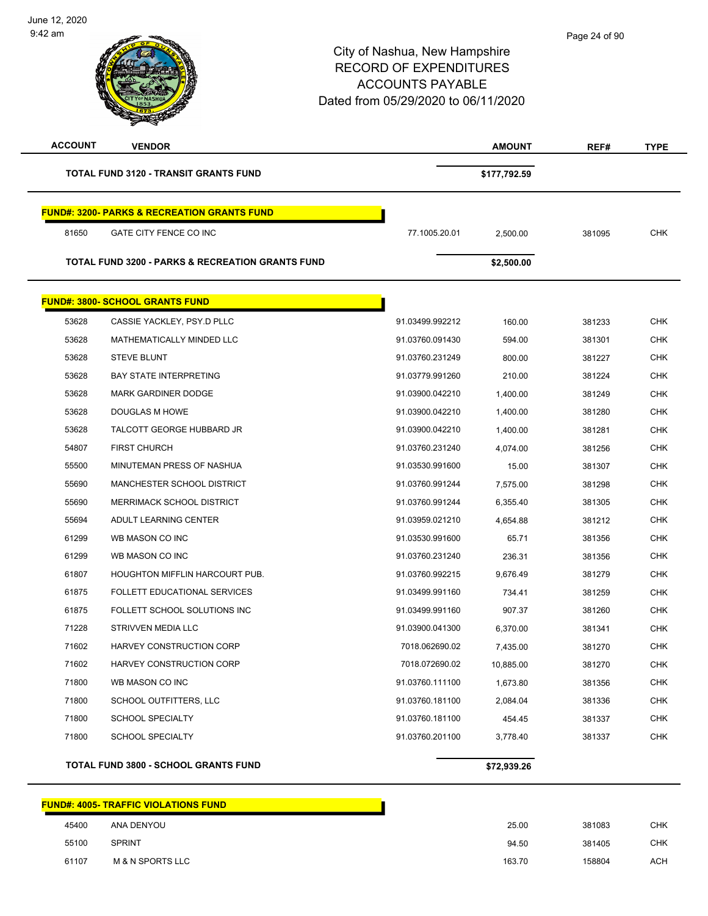| <b>ACCOUNT</b> | <b>VENDOR</b>                                               |                 | <b>AMOUNT</b> | REF#   | <b>TYPE</b> |
|----------------|-------------------------------------------------------------|-----------------|---------------|--------|-------------|
|                | <b>TOTAL FUND 3120 - TRANSIT GRANTS FUND</b>                |                 | \$177,792.59  |        |             |
|                | <b>FUND#: 3200- PARKS &amp; RECREATION GRANTS FUND</b>      |                 |               |        |             |
| 81650          | GATE CITY FENCE CO INC                                      | 77.1005.20.01   | 2,500.00      | 381095 | <b>CHK</b>  |
|                | <b>TOTAL FUND 3200 - PARKS &amp; RECREATION GRANTS FUND</b> |                 | \$2,500.00    |        |             |
|                | <b>FUND#: 3800- SCHOOL GRANTS FUND</b>                      |                 |               |        |             |
| 53628          | CASSIE YACKLEY, PSY.D PLLC                                  | 91.03499.992212 | 160.00        | 381233 | <b>CHK</b>  |
| 53628          | MATHEMATICALLY MINDED LLC                                   | 91.03760.091430 | 594.00        | 381301 | <b>CHK</b>  |
| 53628          | <b>STEVE BLUNT</b>                                          | 91.03760.231249 | 800.00        | 381227 | <b>CHK</b>  |
| 53628          | <b>BAY STATE INTERPRETING</b>                               | 91.03779.991260 | 210.00        | 381224 | <b>CHK</b>  |
| 53628          | <b>MARK GARDINER DODGE</b>                                  | 91.03900.042210 | 1,400.00      | 381249 | <b>CHK</b>  |
| 53628          | DOUGLAS M HOWE                                              | 91.03900.042210 | 1,400.00      | 381280 | <b>CHK</b>  |
| 53628          | TALCOTT GEORGE HUBBARD JR                                   | 91.03900.042210 | 1,400.00      | 381281 | <b>CHK</b>  |
| 54807          | <b>FIRST CHURCH</b>                                         | 91.03760.231240 | 4,074.00      | 381256 | <b>CHK</b>  |
| 55500          | MINUTEMAN PRESS OF NASHUA                                   | 91.03530.991600 | 15.00         | 381307 | <b>CHK</b>  |
| 55690          | MANCHESTER SCHOOL DISTRICT                                  | 91.03760.991244 | 7,575.00      | 381298 | <b>CHK</b>  |
| 55690          | MERRIMACK SCHOOL DISTRICT                                   | 91.03760.991244 | 6,355.40      | 381305 | <b>CHK</b>  |
| 55694          | ADULT LEARNING CENTER                                       | 91.03959.021210 | 4,654.88      | 381212 | <b>CHK</b>  |
| 61299          | WB MASON CO INC                                             | 91.03530.991600 | 65.71         | 381356 | <b>CHK</b>  |
| 61299          | WB MASON CO INC                                             | 91.03760.231240 | 236.31        | 381356 | <b>CHK</b>  |
| 61807          | <b>HOUGHTON MIFFLIN HARCOURT PUB.</b>                       | 91.03760.992215 | 9,676.49      | 381279 | <b>CHK</b>  |
| 61875          | <b>FOLLETT EDUCATIONAL SERVICES</b>                         | 91.03499.991160 | 734.41        | 381259 | CHK         |
| 61875          | FOLLETT SCHOOL SOLUTIONS INC                                | 91.03499.991160 | 907.37        | 381260 | <b>CHK</b>  |
| 71228          | STRIVVEN MEDIA LLC                                          | 91.03900.041300 | 6,370.00      | 381341 | CHK         |
| 71602          | HARVEY CONSTRUCTION CORP                                    | 7018.062690.02  | 7,435.00      | 381270 | <b>CHK</b>  |
| 71602          | HARVEY CONSTRUCTION CORP                                    | 7018.072690.02  | 10,885.00     | 381270 | <b>CHK</b>  |
| 71800          | WB MASON CO INC                                             | 91.03760.111100 | 1,673.80      | 381356 | <b>CHK</b>  |
| 71800          | SCHOOL OUTFITTERS, LLC                                      | 91.03760.181100 | 2,084.04      | 381336 | <b>CHK</b>  |
| 71800          | SCHOOL SPECIALTY                                            | 91.03760.181100 | 454.45        | 381337 | <b>CHK</b>  |
| 71800          | <b>SCHOOL SPECIALTY</b>                                     | 91.03760.201100 | 3,778.40      | 381337 | <b>CHK</b>  |
|                | <b>TOTAL FUND 3800 - SCHOOL GRANTS FUND</b>                 |                 | \$72,939.26   |        |             |

|       | <u> FUND#: 4005- TRAFFIC VIOLATIONS FUND</u> |        |        |            |
|-------|----------------------------------------------|--------|--------|------------|
| 45400 | ANA DENYOU                                   | 25.00  | 381083 | <b>CHK</b> |
| 55100 | <b>SPRINT</b>                                | 94.50  | 381405 | <b>CHK</b> |
| 61107 | <b>M &amp; N SPORTS LLC</b>                  | 163.70 | 158804 | ACH        |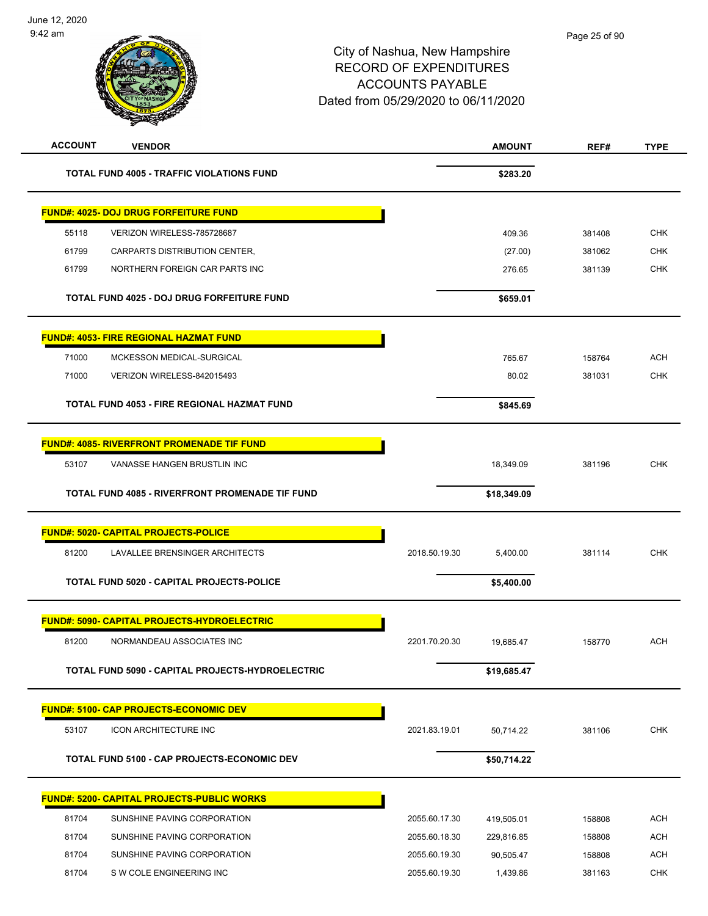| <b>ACCOUNT</b> | <b>VENDOR</b>                                      |               | <b>AMOUNT</b> | REF#   | <b>TYPE</b> |
|----------------|----------------------------------------------------|---------------|---------------|--------|-------------|
|                | <b>TOTAL FUND 4005 - TRAFFIC VIOLATIONS FUND</b>   |               | \$283.20      |        |             |
|                | <u> FUND#: 4025- DOJ DRUG FORFEITURE FUND</u>      |               |               |        |             |
| 55118          | VERIZON WIRELESS-785728687                         |               | 409.36        | 381408 | <b>CHK</b>  |
| 61799          | CARPARTS DISTRIBUTION CENTER,                      |               | (27.00)       | 381062 | <b>CHK</b>  |
| 61799          | NORTHERN FOREIGN CAR PARTS INC                     |               | 276.65        | 381139 | <b>CHK</b>  |
|                | <b>TOTAL FUND 4025 - DOJ DRUG FORFEITURE FUND</b>  |               | \$659.01      |        |             |
|                | <b>FUND#: 4053- FIRE REGIONAL HAZMAT FUND</b>      |               |               |        |             |
| 71000          | MCKESSON MEDICAL-SURGICAL                          |               | 765.67        | 158764 | <b>ACH</b>  |
| 71000          | VERIZON WIRELESS-842015493                         |               | 80.02         | 381031 | <b>CHK</b>  |
|                | TOTAL FUND 4053 - FIRE REGIONAL HAZMAT FUND        |               | \$845.69      |        |             |
|                | <b>FUND#: 4085- RIVERFRONT PROMENADE TIF FUND</b>  |               |               |        |             |
| 53107          | VANASSE HANGEN BRUSTLIN INC                        |               | 18,349.09     | 381196 | <b>CHK</b>  |
|                | TOTAL FUND 4085 - RIVERFRONT PROMENADE TIF FUND    |               | \$18,349.09   |        |             |
|                | <b>FUND#: 5020- CAPITAL PROJECTS-POLICE</b>        |               |               |        |             |
| 81200          | LAVALLEE BRENSINGER ARCHITECTS                     | 2018.50.19.30 | 5,400.00      | 381114 | <b>CHK</b>  |
|                | TOTAL FUND 5020 - CAPITAL PROJECTS-POLICE          |               | \$5,400.00    |        |             |
|                | <b>FUND#: 5090- CAPITAL PROJECTS-HYDROELECTRIC</b> |               |               |        |             |
| 81200          | NORMANDEAU ASSOCIATES INC                          | 2201.70.20.30 | 19,685.47     | 158770 | <b>ACH</b>  |
|                | TOTAL FUND 5090 - CAPITAL PROJECTS-HYDROELECTRIC   |               | \$19,685.47   |        |             |
|                | <b>FUND#: 5100- CAP PROJECTS-ECONOMIC DEV</b>      |               |               |        |             |
| 53107          | <b>ICON ARCHITECTURE INC</b>                       | 2021.83.19.01 | 50,714.22     | 381106 | <b>CHK</b>  |
|                | TOTAL FUND 5100 - CAP PROJECTS-ECONOMIC DEV        |               | \$50,714.22   |        |             |
|                | <b>FUND#: 5200- CAPITAL PROJECTS-PUBLIC WORKS</b>  |               |               |        |             |
| 81704          | SUNSHINE PAVING CORPORATION                        | 2055.60.17.30 | 419,505.01    | 158808 | <b>ACH</b>  |
| 81704          | SUNSHINE PAVING CORPORATION                        | 2055.60.18.30 | 229,816.85    | 158808 | <b>ACH</b>  |
| 81704          | SUNSHINE PAVING CORPORATION                        | 2055.60.19.30 | 90,505.47     | 158808 | <b>ACH</b>  |
| 81704          | S W COLE ENGINEERING INC                           | 2055.60.19.30 | 1,439.86      | 381163 | <b>CHK</b>  |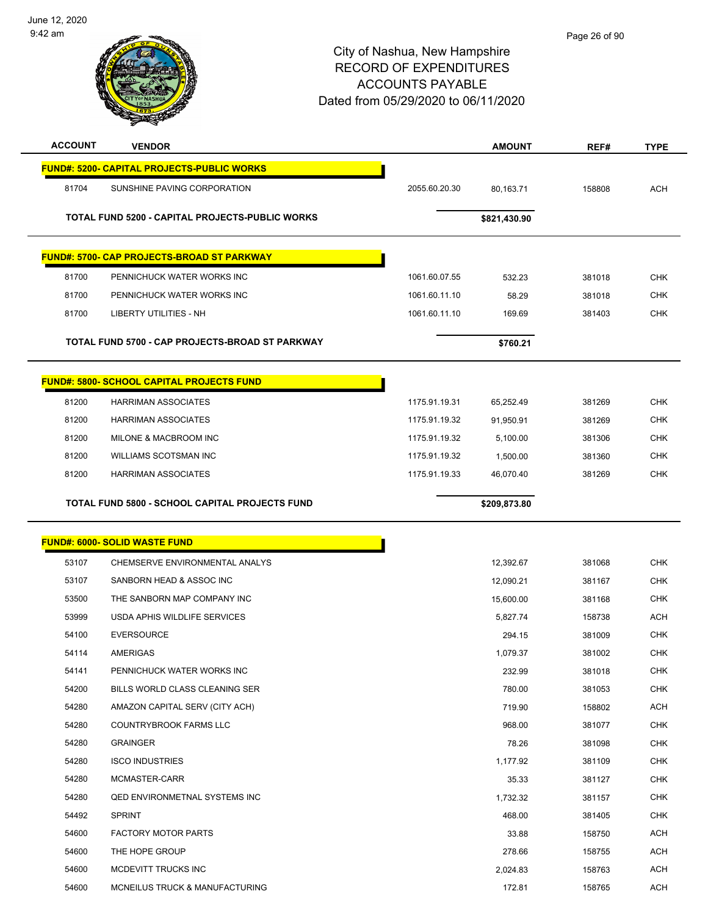

| <b>ACCOUNT</b> | <b>VENDOR</b>                                          |               | <b>AMOUNT</b> | REF#   | <b>TYPE</b> |
|----------------|--------------------------------------------------------|---------------|---------------|--------|-------------|
|                | <b>FUND#: 5200- CAPITAL PROJECTS-PUBLIC WORKS</b>      |               |               |        |             |
| 81704          | SUNSHINE PAVING CORPORATION                            | 2055.60.20.30 | 80,163.71     | 158808 | <b>ACH</b>  |
|                | <b>TOTAL FUND 5200 - CAPITAL PROJECTS-PUBLIC WORKS</b> |               | \$821,430.90  |        |             |
|                |                                                        |               |               |        |             |
|                | <b>FUND#: 5700- CAP PROJECTS-BROAD ST PARKWAY</b>      |               |               |        |             |
| 81700          | PENNICHUCK WATER WORKS INC                             | 1061.60.07.55 | 532.23        | 381018 | <b>CHK</b>  |
| 81700          | PENNICHUCK WATER WORKS INC                             | 1061.60.11.10 | 58.29         | 381018 | <b>CHK</b>  |
| 81700          | <b>LIBERTY UTILITIES - NH</b>                          | 1061.60.11.10 | 169.69        | 381403 | <b>CHK</b>  |
|                |                                                        |               |               |        |             |
|                | TOTAL FUND 5700 - CAP PROJECTS-BROAD ST PARKWAY        |               | \$760.21      |        |             |
|                | <b>FUND#: 5800- SCHOOL CAPITAL PROJECTS FUND</b>       |               |               |        |             |
|                |                                                        |               |               |        |             |
| 81200          | <b>HARRIMAN ASSOCIATES</b>                             | 1175.91.19.31 | 65,252.49     | 381269 | <b>CHK</b>  |
| 81200          | <b>HARRIMAN ASSOCIATES</b>                             | 1175.91.19.32 | 91,950.91     | 381269 | <b>CHK</b>  |
| 81200          | MILONE & MACBROOM INC                                  | 1175.91.19.32 | 5.100.00      | 381306 | CHK         |
| 81200          | WILLIAMS SCOTSMAN INC                                  | 1175.91.19.32 | 1,500.00      | 381360 | <b>CHK</b>  |
| 81200          | <b>HARRIMAN ASSOCIATES</b>                             | 1175.91.19.33 | 46,070.40     | 381269 | <b>CHK</b>  |
|                | TOTAL FUND 5800 - SCHOOL CAPITAL PROJECTS FUND         |               | \$209,873.80  |        |             |
|                |                                                        |               |               |        |             |
|                | <b>FUND#: 6000- SOLID WASTE FUND</b>                   |               |               |        |             |
| 53107          | CHEMSERVE ENVIRONMENTAL ANALYS                         |               | 12,392.67     | 381068 | <b>CHK</b>  |
| 53107          | SANBORN HEAD & ASSOC INC                               |               | 12,090.21     | 381167 | CHK         |
| 53500          | THE SANBORN MAP COMPANY INC                            |               | 15,600.00     | 381168 | <b>CHK</b>  |
| 53999          | USDA APHIS WILDLIFE SERVICES                           |               | 5,827.74      | 158738 | <b>ACH</b>  |
| 54100          | <b>EVERSOURCE</b>                                      |               | 294.15        | 381009 | <b>CHK</b>  |
| 54114          | <b>AMERIGAS</b>                                        |               | 1,079.37      | 381002 | <b>CHK</b>  |
| 54141          | PENNICHUCK WATER WORKS INC                             |               | 232.99        | 381018 | <b>CHK</b>  |
| 54200          | BILLS WORLD CLASS CLEANING SER                         |               | 780.00        | 381053 | <b>CHK</b>  |
| 54280          | AMAZON CAPITAL SERV (CITY ACH)                         |               | 719.90        | 158802 | ACH         |
| 54280          | COUNTRYBROOK FARMS LLC                                 |               | 968.00        | 381077 | <b>CHK</b>  |
| 54280          | <b>GRAINGER</b>                                        |               | 78.26         | 381098 | <b>CHK</b>  |
| 54280          | <b>ISCO INDUSTRIES</b>                                 |               | 1,177.92      | 381109 | CHK         |
| 54280          | MCMASTER-CARR                                          |               | 35.33         | 381127 | <b>CHK</b>  |
| 54280          | <b>QED ENVIRONMETNAL SYSTEMS INC</b>                   |               | 1,732.32      | 381157 | <b>CHK</b>  |
| 54492          | <b>SPRINT</b>                                          |               | 468.00        | 381405 | CHK         |
| 54600          | <b>FACTORY MOTOR PARTS</b>                             |               | 33.88         | 158750 | <b>ACH</b>  |
| 54600          | THE HOPE GROUP                                         |               | 278.66        | 158755 | ACH         |
| 54600          | MCDEVITT TRUCKS INC                                    |               | 2,024.83      | 158763 | <b>ACH</b>  |
| 54600          | MCNEILUS TRUCK & MANUFACTURING                         |               | 172.81        | 158765 | <b>ACH</b>  |
|                |                                                        |               |               |        |             |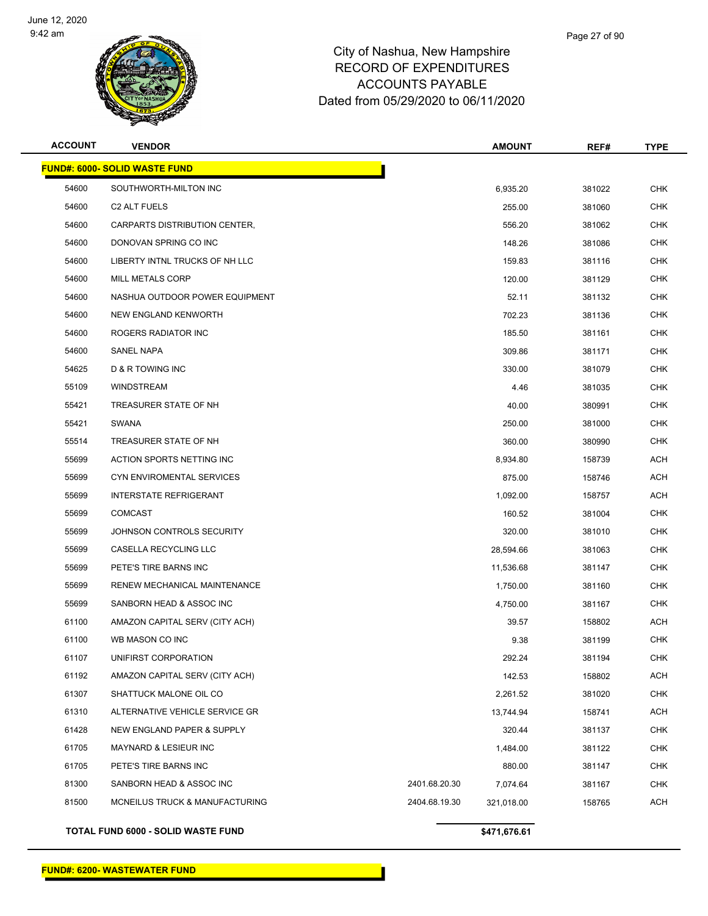

| <b>ACCOUNT</b> | <b>VENDOR</b>                        |               | <b>AMOUNT</b> | REF#   | <b>TYPE</b> |
|----------------|--------------------------------------|---------------|---------------|--------|-------------|
|                | <b>FUND#: 6000- SOLID WASTE FUND</b> |               |               |        |             |
| 54600          | SOUTHWORTH-MILTON INC                |               | 6,935.20      | 381022 | <b>CHK</b>  |
| 54600          | C <sub>2</sub> ALT FUELS             |               | 255.00        | 381060 | <b>CHK</b>  |
| 54600          | CARPARTS DISTRIBUTION CENTER,        |               | 556.20        | 381062 | <b>CHK</b>  |
| 54600          | DONOVAN SPRING CO INC                |               | 148.26        | 381086 | <b>CHK</b>  |
| 54600          | LIBERTY INTNL TRUCKS OF NH LLC       |               | 159.83        | 381116 | <b>CHK</b>  |
| 54600          | MILL METALS CORP                     |               | 120.00        | 381129 | CHK         |
| 54600          | NASHUA OUTDOOR POWER EQUIPMENT       |               | 52.11         | 381132 | <b>CHK</b>  |
| 54600          | NEW ENGLAND KENWORTH                 |               | 702.23        | 381136 | <b>CHK</b>  |
| 54600          | ROGERS RADIATOR INC                  |               | 185.50        | 381161 | <b>CHK</b>  |
| 54600          | SANEL NAPA                           |               | 309.86        | 381171 | <b>CHK</b>  |
| 54625          | D & R TOWING INC                     |               | 330.00        | 381079 | <b>CHK</b>  |
| 55109          | <b>WINDSTREAM</b>                    |               | 4.46          | 381035 | <b>CHK</b>  |
| 55421          | TREASURER STATE OF NH                |               | 40.00         | 380991 | CHK         |
| 55421          | <b>SWANA</b>                         |               | 250.00        | 381000 | <b>CHK</b>  |
| 55514          | TREASURER STATE OF NH                |               | 360.00        | 380990 | <b>CHK</b>  |
| 55699          | ACTION SPORTS NETTING INC            |               | 8,934.80      | 158739 | ACH         |
| 55699          | CYN ENVIROMENTAL SERVICES            |               | 875.00        | 158746 | <b>ACH</b>  |
| 55699          | <b>INTERSTATE REFRIGERANT</b>        |               | 1,092.00      | 158757 | ACH         |
| 55699          | <b>COMCAST</b>                       |               | 160.52        | 381004 | <b>CHK</b>  |
| 55699          | JOHNSON CONTROLS SECURITY            |               | 320.00        | 381010 | <b>CHK</b>  |
| 55699          | CASELLA RECYCLING LLC                |               | 28,594.66     | 381063 | <b>CHK</b>  |
| 55699          | PETE'S TIRE BARNS INC                |               | 11,536.68     | 381147 | <b>CHK</b>  |
| 55699          | RENEW MECHANICAL MAINTENANCE         |               | 1,750.00      | 381160 | <b>CHK</b>  |
| 55699          | SANBORN HEAD & ASSOC INC             |               | 4,750.00      | 381167 | <b>CHK</b>  |
| 61100          | AMAZON CAPITAL SERV (CITY ACH)       |               | 39.57         | 158802 | ACH         |
| 61100          | WB MASON CO INC                      |               | 9.38          | 381199 | CHK         |
| 61107          | UNIFIRST CORPORATION                 |               | 292.24        | 381194 | <b>CHK</b>  |
| 61192          | AMAZON CAPITAL SERV (CITY ACH)       |               | 142.53        | 158802 | ACH         |
| 61307          | SHATTUCK MALONE OIL CO               |               | 2,261.52      | 381020 | <b>CHK</b>  |
| 61310          | ALTERNATIVE VEHICLE SERVICE GR       |               | 13,744.94     | 158741 | <b>ACH</b>  |
| 61428          | NEW ENGLAND PAPER & SUPPLY           |               | 320.44        | 381137 | <b>CHK</b>  |
| 61705          | MAYNARD & LESIEUR INC                |               | 1,484.00      | 381122 | <b>CHK</b>  |
| 61705          | PETE'S TIRE BARNS INC                |               | 880.00        | 381147 | <b>CHK</b>  |
| 81300          | SANBORN HEAD & ASSOC INC             | 2401.68.20.30 | 7,074.64      | 381167 | <b>CHK</b>  |
| 81500          | MCNEILUS TRUCK & MANUFACTURING       | 2404.68.19.30 | 321,018.00    | 158765 | ACH         |
|                |                                      |               |               |        |             |

**TOTAL FUND 6000 - SOLID WASTE FUND \$471,676.61**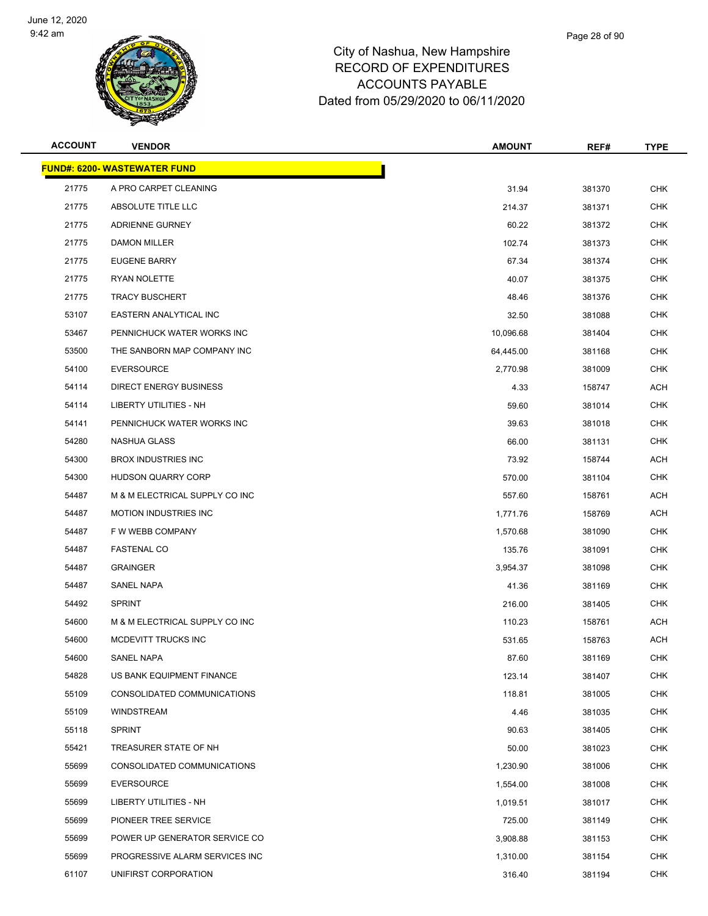

| <b>ACCOUNT</b> | <b>VENDOR</b>                       | <b>AMOUNT</b> | REF#   | <b>TYPE</b> |
|----------------|-------------------------------------|---------------|--------|-------------|
|                | <b>FUND#: 6200- WASTEWATER FUND</b> |               |        |             |
| 21775          | A PRO CARPET CLEANING               | 31.94         | 381370 | <b>CHK</b>  |
| 21775          | ABSOLUTE TITLE LLC                  | 214.37        | 381371 | <b>CHK</b>  |
| 21775          | ADRIENNE GURNEY                     | 60.22         | 381372 | <b>CHK</b>  |
| 21775          | <b>DAMON MILLER</b>                 | 102.74        | 381373 | <b>CHK</b>  |
| 21775          | <b>EUGENE BARRY</b>                 | 67.34         | 381374 | <b>CHK</b>  |
| 21775          | RYAN NOLETTE                        | 40.07         | 381375 | <b>CHK</b>  |
| 21775          | <b>TRACY BUSCHERT</b>               | 48.46         | 381376 | <b>CHK</b>  |
| 53107          | EASTERN ANALYTICAL INC              | 32.50         | 381088 | <b>CHK</b>  |
| 53467          | PENNICHUCK WATER WORKS INC          | 10,096.68     | 381404 | <b>CHK</b>  |
| 53500          | THE SANBORN MAP COMPANY INC         | 64,445.00     | 381168 | <b>CHK</b>  |
| 54100          | <b>EVERSOURCE</b>                   | 2,770.98      | 381009 | <b>CHK</b>  |
| 54114          | <b>DIRECT ENERGY BUSINESS</b>       | 4.33          | 158747 | <b>ACH</b>  |
| 54114          | <b>LIBERTY UTILITIES - NH</b>       | 59.60         | 381014 | CHK         |
| 54141          | PENNICHUCK WATER WORKS INC          | 39.63         | 381018 | <b>CHK</b>  |
| 54280          | NASHUA GLASS                        | 66.00         | 381131 | <b>CHK</b>  |
| 54300          | <b>BROX INDUSTRIES INC</b>          | 73.92         | 158744 | ACH         |
| 54300          | <b>HUDSON QUARRY CORP</b>           | 570.00        | 381104 | <b>CHK</b>  |
| 54487          | M & M ELECTRICAL SUPPLY CO INC      | 557.60        | 158761 | ACH         |
| 54487          | <b>MOTION INDUSTRIES INC</b>        | 1,771.76      | 158769 | ACH         |
| 54487          | F W WEBB COMPANY                    | 1,570.68      | 381090 | <b>CHK</b>  |
| 54487          | <b>FASTENAL CO</b>                  | 135.76        | 381091 | <b>CHK</b>  |
| 54487          | <b>GRAINGER</b>                     | 3,954.37      | 381098 | <b>CHK</b>  |
| 54487          | SANEL NAPA                          | 41.36         | 381169 | <b>CHK</b>  |
| 54492          | <b>SPRINT</b>                       | 216.00        | 381405 | <b>CHK</b>  |
| 54600          | M & M ELECTRICAL SUPPLY CO INC      | 110.23        | 158761 | ACH         |
| 54600          | MCDEVITT TRUCKS INC                 | 531.65        | 158763 | ACH         |
| 54600          | SANEL NAPA                          | 87.60         | 381169 | <b>CHK</b>  |
| 54828          | US BANK EQUIPMENT FINANCE           | 123.14        | 381407 | <b>CHK</b>  |
| 55109          | CONSOLIDATED COMMUNICATIONS         | 118.81        | 381005 | <b>CHK</b>  |
| 55109          | WINDSTREAM                          | 4.46          | 381035 | <b>CHK</b>  |
| 55118          | <b>SPRINT</b>                       | 90.63         | 381405 | <b>CHK</b>  |
| 55421          | TREASURER STATE OF NH               | 50.00         | 381023 | <b>CHK</b>  |
| 55699          | CONSOLIDATED COMMUNICATIONS         | 1,230.90      | 381006 | <b>CHK</b>  |
| 55699          | <b>EVERSOURCE</b>                   | 1,554.00      | 381008 | <b>CHK</b>  |
| 55699          | LIBERTY UTILITIES - NH              | 1,019.51      | 381017 | <b>CHK</b>  |
| 55699          | PIONEER TREE SERVICE                | 725.00        | 381149 | <b>CHK</b>  |
| 55699          | POWER UP GENERATOR SERVICE CO       | 3,908.88      | 381153 | <b>CHK</b>  |
| 55699          | PROGRESSIVE ALARM SERVICES INC      | 1,310.00      | 381154 | <b>CHK</b>  |
| 61107          | UNIFIRST CORPORATION                | 316.40        | 381194 | <b>CHK</b>  |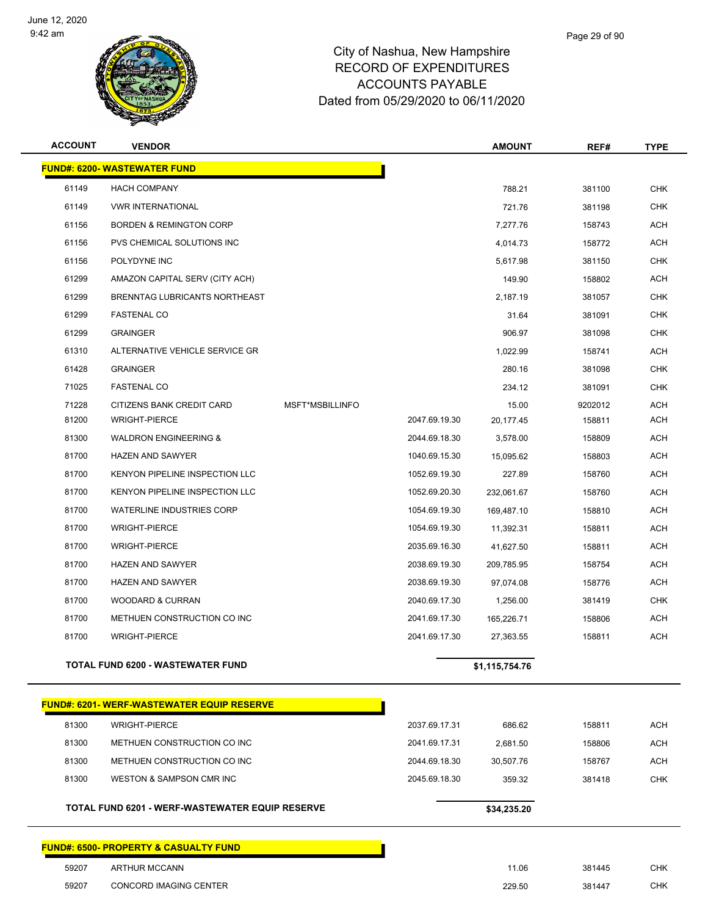

| <b>ACCOUNT</b> | <b>VENDOR</b>                                     |                 |               | <b>AMOUNT</b>  | REF#    | <b>TYPE</b> |
|----------------|---------------------------------------------------|-----------------|---------------|----------------|---------|-------------|
|                | <b>FUND#: 6200- WASTEWATER FUND</b>               |                 |               |                |         |             |
| 61149          | <b>HACH COMPANY</b>                               |                 |               | 788.21         | 381100  | <b>CHK</b>  |
| 61149          | <b>VWR INTERNATIONAL</b>                          |                 |               | 721.76         | 381198  | <b>CHK</b>  |
| 61156          | <b>BORDEN &amp; REMINGTON CORP</b>                |                 |               | 7,277.76       | 158743  | <b>ACH</b>  |
| 61156          | PVS CHEMICAL SOLUTIONS INC                        |                 |               | 4,014.73       | 158772  | <b>ACH</b>  |
| 61156          | POLYDYNE INC                                      |                 |               | 5,617.98       | 381150  | <b>CHK</b>  |
| 61299          | AMAZON CAPITAL SERV (CITY ACH)                    |                 |               | 149.90         | 158802  | <b>ACH</b>  |
| 61299          | BRENNTAG LUBRICANTS NORTHEAST                     |                 |               | 2,187.19       | 381057  | <b>CHK</b>  |
| 61299          | <b>FASTENAL CO</b>                                |                 |               | 31.64          | 381091  | <b>CHK</b>  |
| 61299          | <b>GRAINGER</b>                                   |                 |               | 906.97         | 381098  | <b>CHK</b>  |
| 61310          | ALTERNATIVE VEHICLE SERVICE GR                    |                 |               | 1,022.99       | 158741  | <b>ACH</b>  |
| 61428          | <b>GRAINGER</b>                                   |                 |               | 280.16         | 381098  | <b>CHK</b>  |
| 71025          | <b>FASTENAL CO</b>                                |                 |               | 234.12         | 381091  | <b>CHK</b>  |
| 71228          | CITIZENS BANK CREDIT CARD                         | MSFT*MSBILLINFO |               | 15.00          | 9202012 | <b>ACH</b>  |
| 81200          | <b>WRIGHT-PIERCE</b>                              |                 | 2047.69.19.30 | 20,177.45      | 158811  | <b>ACH</b>  |
| 81300          | <b>WALDRON ENGINEERING &amp;</b>                  |                 | 2044.69.18.30 | 3,578.00       | 158809  | ACH         |
| 81700          | <b>HAZEN AND SAWYER</b>                           |                 | 1040.69.15.30 | 15,095.62      | 158803  | <b>ACH</b>  |
| 81700          | KENYON PIPELINE INSPECTION LLC                    |                 | 1052.69.19.30 | 227.89         | 158760  | ACH         |
| 81700          | KENYON PIPELINE INSPECTION LLC                    |                 | 1052.69.20.30 | 232,061.67     | 158760  | <b>ACH</b>  |
| 81700          | WATERLINE INDUSTRIES CORP                         |                 | 1054.69.19.30 | 169,487.10     | 158810  | <b>ACH</b>  |
| 81700          | <b>WRIGHT-PIERCE</b>                              |                 | 1054.69.19.30 | 11,392.31      | 158811  | ACH         |
| 81700          | <b>WRIGHT-PIERCE</b>                              |                 | 2035.69.16.30 | 41,627.50      | 158811  | <b>ACH</b>  |
| 81700          | <b>HAZEN AND SAWYER</b>                           |                 | 2038.69.19.30 | 209,785.95     | 158754  | ACH         |
| 81700          | <b>HAZEN AND SAWYER</b>                           |                 | 2038.69.19.30 | 97,074.08      | 158776  | <b>ACH</b>  |
| 81700          | <b>WOODARD &amp; CURRAN</b>                       |                 | 2040.69.17.30 | 1,256.00       | 381419  | <b>CHK</b>  |
| 81700          | METHUEN CONSTRUCTION CO INC                       |                 | 2041.69.17.30 | 165,226.71     | 158806  | ACH         |
| 81700          | <b>WRIGHT-PIERCE</b>                              |                 | 2041.69.17.30 | 27,363.55      | 158811  | <b>ACH</b>  |
|                | TOTAL FUND 6200 - WASTEWATER FUND                 |                 |               | \$1,115,754.76 |         |             |
|                | <b>FUND#: 6201- WERF-WASTEWATER EQUIP RESERVE</b> |                 |               |                |         |             |
| 81300          | <b>WRIGHT-PIERCE</b>                              |                 | 2037.69.17.31 | 686.62         | 158811  | <b>ACH</b>  |
| 81300          | METHUEN CONSTRUCTION CO INC                       |                 | 2041.69.17.31 | 2,681.50       | 158806  | ACH         |
| 81300          | METHUEN CONSTRUCTION CO INC                       |                 | 2044.69.18.30 | 30,507.76      | 158767  | ACH         |
| 81300          | WESTON & SAMPSON CMR INC                          |                 | 2045.69.18.30 | 359.32         | 381418  | <b>CHK</b>  |
|                | TOTAL FUND 6201 - WERF-WASTEWATER EQUIP RESERVE   |                 |               | \$34,235.20    |         |             |
|                | <b>FUND#: 6500- PROPERTY &amp; CASUALTY FUND</b>  |                 |               |                |         |             |

 ARTHUR MCCANN 11.06 381445 CHK CONCORD IMAGING CENTER 229.50 381447 CHK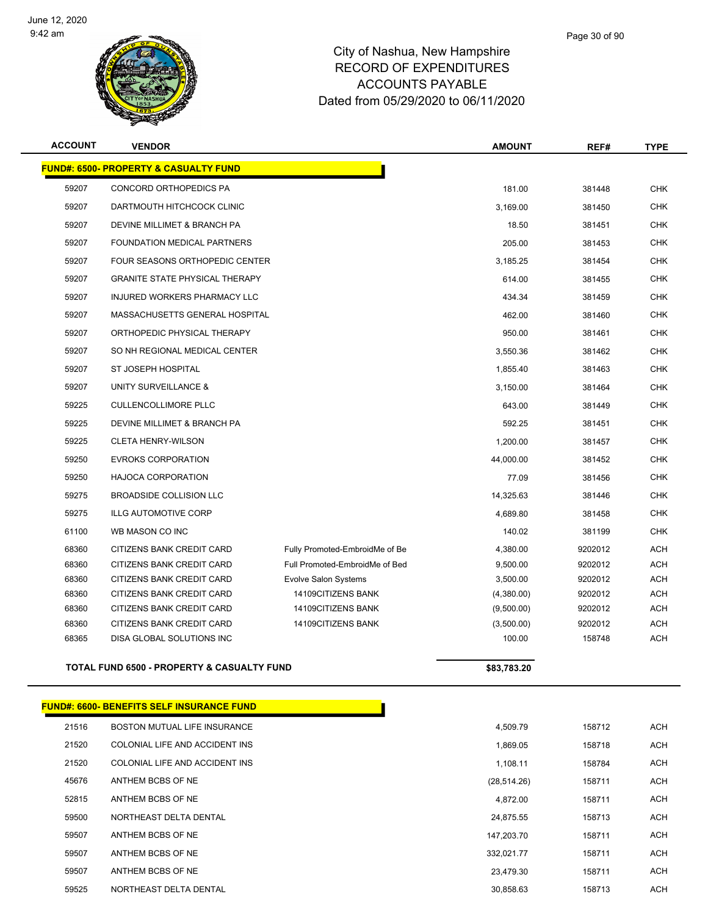

| <b>ACCOUNT</b> | <b>VENDOR</b>                                         |                                | <b>AMOUNT</b> | REF#    | <b>TYPE</b> |
|----------------|-------------------------------------------------------|--------------------------------|---------------|---------|-------------|
|                | <b>FUND#: 6500- PROPERTY &amp; CASUALTY FUND</b>      |                                |               |         |             |
| 59207          | CONCORD ORTHOPEDICS PA                                |                                | 181.00        | 381448  | <b>CHK</b>  |
| 59207          | DARTMOUTH HITCHCOCK CLINIC                            |                                | 3,169.00      | 381450  | <b>CHK</b>  |
| 59207          | DEVINE MILLIMET & BRANCH PA                           |                                | 18.50         | 381451  | <b>CHK</b>  |
| 59207          | FOUNDATION MEDICAL PARTNERS                           |                                | 205.00        | 381453  | <b>CHK</b>  |
| 59207          | <b>FOUR SEASONS ORTHOPEDIC CENTER</b>                 |                                | 3,185.25      | 381454  | <b>CHK</b>  |
| 59207          | <b>GRANITE STATE PHYSICAL THERAPY</b>                 |                                | 614.00        | 381455  | <b>CHK</b>  |
| 59207          | INJURED WORKERS PHARMACY LLC                          |                                | 434.34        | 381459  | <b>CHK</b>  |
| 59207          | MASSACHUSETTS GENERAL HOSPITAL                        |                                | 462.00        | 381460  | <b>CHK</b>  |
| 59207          | ORTHOPEDIC PHYSICAL THERAPY                           |                                | 950.00        | 381461  | <b>CHK</b>  |
| 59207          | SO NH REGIONAL MEDICAL CENTER                         |                                | 3,550.36      | 381462  | <b>CHK</b>  |
| 59207          | ST JOSEPH HOSPITAL                                    |                                | 1,855.40      | 381463  | <b>CHK</b>  |
| 59207          | UNITY SURVEILLANCE &                                  |                                | 3,150.00      | 381464  | <b>CHK</b>  |
| 59225          | <b>CULLENCOLLIMORE PLLC</b>                           |                                | 643.00        | 381449  | <b>CHK</b>  |
| 59225          | DEVINE MILLIMET & BRANCH PA                           |                                | 592.25        | 381451  | <b>CHK</b>  |
| 59225          | <b>CLETA HENRY-WILSON</b>                             |                                | 1,200.00      | 381457  | <b>CHK</b>  |
| 59250          | <b>EVROKS CORPORATION</b>                             |                                | 44,000.00     | 381452  | <b>CHK</b>  |
| 59250          | <b>HAJOCA CORPORATION</b>                             |                                | 77.09         | 381456  | <b>CHK</b>  |
| 59275          | BROADSIDE COLLISION LLC                               |                                | 14,325.63     | 381446  | <b>CHK</b>  |
| 59275          | <b>ILLG AUTOMOTIVE CORP</b>                           |                                | 4,689.80      | 381458  | <b>CHK</b>  |
| 61100          | WB MASON CO INC                                       |                                | 140.02        | 381199  | <b>CHK</b>  |
| 68360          | CITIZENS BANK CREDIT CARD                             | Fully Promoted-EmbroidMe of Be | 4,380.00      | 9202012 | <b>ACH</b>  |
| 68360          | CITIZENS BANK CREDIT CARD                             | Full Promoted-EmbroidMe of Bed | 9,500.00      | 9202012 | <b>ACH</b>  |
| 68360          | CITIZENS BANK CREDIT CARD                             | Evolve Salon Systems           | 3,500.00      | 9202012 | <b>ACH</b>  |
| 68360          | <b>CITIZENS BANK CREDIT CARD</b>                      | 14109CITIZENS BANK             | (4,380.00)    | 9202012 | <b>ACH</b>  |
| 68360          | <b>CITIZENS BANK CREDIT CARD</b>                      | 14109CITIZENS BANK             | (9,500.00)    | 9202012 | <b>ACH</b>  |
| 68360          | CITIZENS BANK CREDIT CARD                             | 14109CITIZENS BANK             | (3,500.00)    | 9202012 | <b>ACH</b>  |
| 68365          | DISA GLOBAL SOLUTIONS INC                             |                                | 100.00        | 158748  | <b>ACH</b>  |
|                | <b>TOTAL FUND 6500 - PROPERTY &amp; CASUALTY FUND</b> |                                | \$83,783.20   |         |             |
|                |                                                       |                                |               |         |             |
|                | <b>FUND#: 6600- BENEFITS SELF INSURANCE FUND</b>      |                                |               |         |             |

| 21516 | BOSTON MUTUAL LIFE INSURANCE   | 4,509.79     |
|-------|--------------------------------|--------------|
| 21520 | COLONIAL LIFE AND ACCIDENT INS | 1.869.05     |
| 21520 | COLONIAL LIFE AND ACCIDENT INS | 1,108.11     |
| 45676 | ANTHEM BCBS OF NE              | (28, 514.26) |
| 52815 | ANTHEM BCBS OF NE              | 4.872.00     |
| 59500 | NORTHEAST DELTA DENTAL         | 24.875.55    |
| 59507 | ANTHEM BCBS OF NE              | 147.203.70   |
| 59507 | ANTHEM BCBS OF NE              | 332.021.77   |
| 59507 | ANTHEM BCBS OF NE              | 23.479.30    |
| 59525 | NORTHEAST DELTA DENTAL         | 30.858.63    |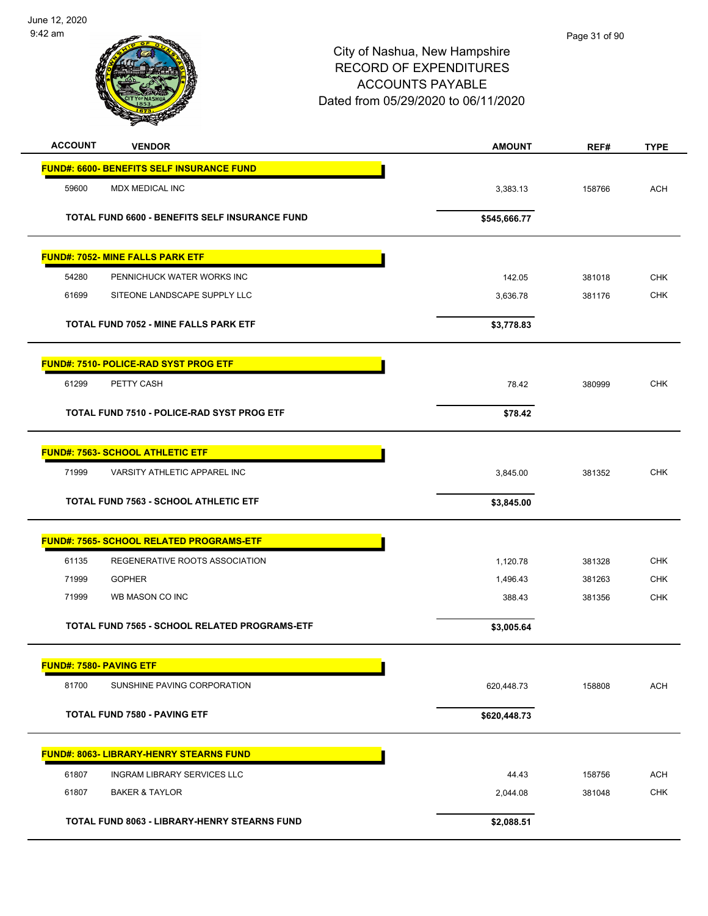

| <b>ACCOUNT</b> | <b>VENDOR</b>                                    | <b>AMOUNT</b> | REF#   | <b>TYPE</b> |
|----------------|--------------------------------------------------|---------------|--------|-------------|
|                | <b>FUND#: 6600- BENEFITS SELF INSURANCE FUND</b> |               |        |             |
| 59600          | MDX MEDICAL INC                                  | 3,383.13      | 158766 | <b>ACH</b>  |
|                | TOTAL FUND 6600 - BENEFITS SELF INSURANCE FUND   | \$545,666.77  |        |             |
|                | <b>FUND#: 7052- MINE FALLS PARK ETF</b>          |               |        |             |
| 54280          | PENNICHUCK WATER WORKS INC                       | 142.05        | 381018 | <b>CHK</b>  |
| 61699          | SITEONE LANDSCAPE SUPPLY LLC                     | 3,636.78      | 381176 | <b>CHK</b>  |
|                | <b>TOTAL FUND 7052 - MINE FALLS PARK ETF</b>     | \$3,778.83    |        |             |
|                | <b>FUND#: 7510- POLICE-RAD SYST PROG ETF</b>     |               |        |             |
| 61299          | PETTY CASH                                       | 78.42         | 380999 | CHK         |
|                | TOTAL FUND 7510 - POLICE-RAD SYST PROG ETF       | \$78.42       |        |             |
|                | <b>FUND#: 7563- SCHOOL ATHLETIC ETF</b>          |               |        |             |
| 71999          | VARSITY ATHLETIC APPAREL INC                     | 3,845.00      | 381352 | <b>CHK</b>  |
|                | <b>TOTAL FUND 7563 - SCHOOL ATHLETIC ETF</b>     | \$3,845.00    |        |             |
|                | <b>FUND#: 7565- SCHOOL RELATED PROGRAMS-ETF</b>  |               |        |             |
| 61135          | REGENERATIVE ROOTS ASSOCIATION                   | 1,120.78      | 381328 | <b>CHK</b>  |
| 71999          | <b>GOPHER</b>                                    | 1,496.43      | 381263 | <b>CHK</b>  |
| 71999          | WB MASON CO INC                                  | 388.43        | 381356 | <b>CHK</b>  |
|                | TOTAL FUND 7565 - SCHOOL RELATED PROGRAMS-ETF    | \$3,005.64    |        |             |
|                | <b>FUND#: 7580- PAVING ETF</b>                   |               |        |             |
| 81700          | SUNSHINE PAVING CORPORATION                      | 620,448.73    | 158808 | <b>ACH</b>  |
|                | <b>TOTAL FUND 7580 - PAVING ETF</b>              | \$620,448.73  |        |             |
|                | FUND#: 8063- LIBRARY-HENRY STEARNS FUND          |               |        |             |
| 61807          | INGRAM LIBRARY SERVICES LLC                      | 44.43         | 158756 | <b>ACH</b>  |
| 61807          | <b>BAKER &amp; TAYLOR</b>                        | 2,044.08      | 381048 | <b>CHK</b>  |
|                | TOTAL FUND 8063 - LIBRARY-HENRY STEARNS FUND     | \$2,088.51    |        |             |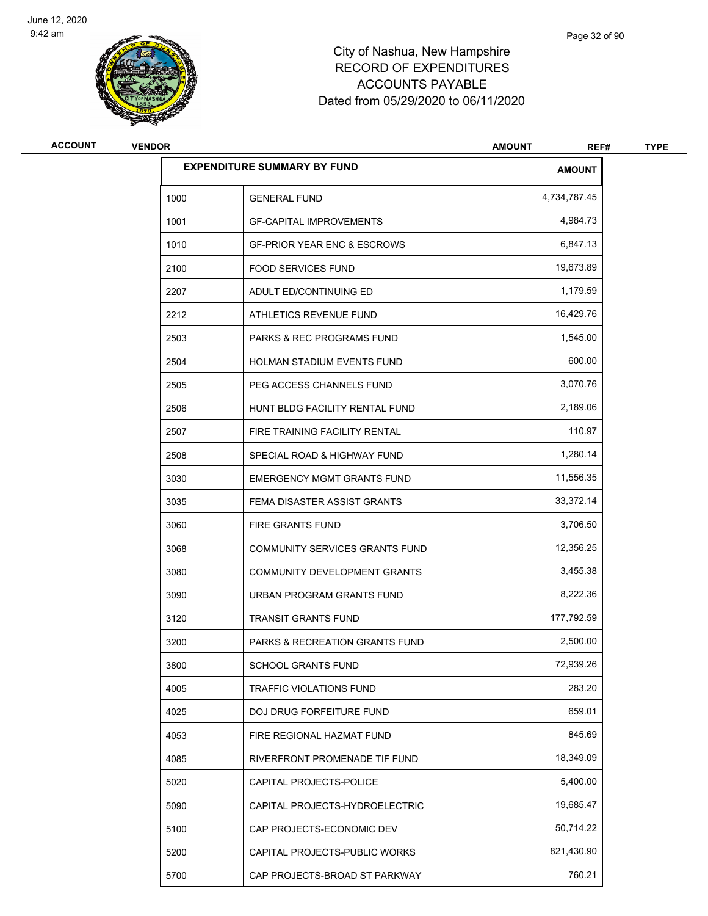

| <b>ACCOUNT</b> | <b>VENDOR</b> |                                           | <b>AMOUNT</b><br>REF# | <b>TYPE</b> |
|----------------|---------------|-------------------------------------------|-----------------------|-------------|
|                |               | <b>EXPENDITURE SUMMARY BY FUND</b>        | <b>AMOUNT</b>         |             |
|                | 1000          | <b>GENERAL FUND</b>                       | 4,734,787.45          |             |
|                | 1001          | <b>GF-CAPITAL IMPROVEMENTS</b>            | 4,984.73              |             |
|                | 1010          | <b>GF-PRIOR YEAR ENC &amp; ESCROWS</b>    | 6,847.13              |             |
|                | 2100          | <b>FOOD SERVICES FUND</b>                 | 19,673.89             |             |
|                | 2207          | ADULT ED/CONTINUING ED                    | 1,179.59              |             |
|                | 2212          | ATHLETICS REVENUE FUND                    | 16,429.76             |             |
|                | 2503          | <b>PARKS &amp; REC PROGRAMS FUND</b>      | 1,545.00              |             |
|                | 2504          | HOLMAN STADIUM EVENTS FUND                | 600.00                |             |
|                | 2505          | PEG ACCESS CHANNELS FUND                  | 3,070.76              |             |
|                | 2506          | HUNT BLDG FACILITY RENTAL FUND            | 2,189.06              |             |
|                | 2507          | FIRE TRAINING FACILITY RENTAL             | 110.97                |             |
|                | 2508          | SPECIAL ROAD & HIGHWAY FUND               | 1,280.14              |             |
|                | 3030          | <b>EMERGENCY MGMT GRANTS FUND</b>         | 11,556.35             |             |
|                | 3035          | FEMA DISASTER ASSIST GRANTS               | 33,372.14             |             |
|                | 3060          | <b>FIRE GRANTS FUND</b>                   | 3,706.50              |             |
|                | 3068          | COMMUNITY SERVICES GRANTS FUND            | 12,356.25             |             |
|                | 3080          | COMMUNITY DEVELOPMENT GRANTS              | 3,455.38              |             |
|                | 3090          | URBAN PROGRAM GRANTS FUND                 | 8,222.36              |             |
|                | 3120          | <b>TRANSIT GRANTS FUND</b>                | 177,792.59            |             |
|                | 3200          | <b>PARKS &amp; RECREATION GRANTS FUND</b> | 2,500.00              |             |
|                | 3800          | SCHOOL GRANTS FUND                        | 72,939.26             |             |
|                | 4005          | <b>TRAFFIC VIOLATIONS FUND</b>            | 283.20                |             |
|                | 4025          | DOJ DRUG FORFEITURE FUND                  | 659.01                |             |
|                | 4053          | FIRE REGIONAL HAZMAT FUND                 | 845.69                |             |
|                | 4085          | RIVERFRONT PROMENADE TIF FUND             | 18,349.09             |             |
|                | 5020          | CAPITAL PROJECTS-POLICE                   | 5,400.00              |             |
|                | 5090          | CAPITAL PROJECTS-HYDROELECTRIC            | 19,685.47             |             |
|                | 5100          | CAP PROJECTS-ECONOMIC DEV                 | 50,714.22             |             |
|                | 5200          | CAPITAL PROJECTS-PUBLIC WORKS             | 821,430.90            |             |
|                | 5700          | CAP PROJECTS-BROAD ST PARKWAY             | 760.21                |             |
|                |               |                                           |                       |             |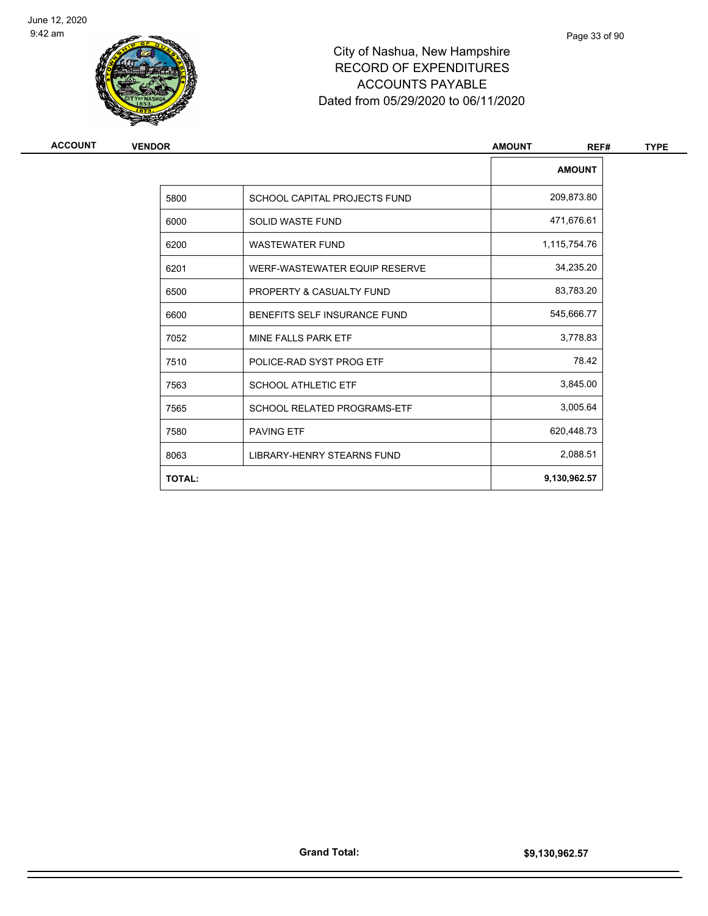

| ACCOUNT | <b>VENDOR</b> |                                    | <b>AMOUNT</b><br>REF# | <b>TYPE</b> |
|---------|---------------|------------------------------------|-----------------------|-------------|
|         |               |                                    | <b>AMOUNT</b>         |             |
|         | 5800          | SCHOOL CAPITAL PROJECTS FUND       | 209,873.80            |             |
|         | 6000          | SOLID WASTE FUND                   | 471,676.61            |             |
|         | 6200          | <b>WASTEWATER FUND</b>             | 1,115,754.76          |             |
|         | 6201          | WERF-WASTEWATER EQUIP RESERVE      | 34,235.20             |             |
|         | 6500          | PROPERTY & CASUALTY FUND           | 83,783.20             |             |
|         | 6600          | BENEFITS SELF INSURANCE FUND       | 545,666.77            |             |
|         | 7052          | MINE FALLS PARK ETF                | 3,778.83              |             |
|         | 7510          | POLICE-RAD SYST PROG ETF           | 78.42                 |             |
|         | 7563          | <b>SCHOOL ATHLETIC ETF</b>         | 3,845.00              |             |
|         | 7565          | <b>SCHOOL RELATED PROGRAMS-ETF</b> | 3,005.64              |             |
|         | 7580          | <b>PAVING ETF</b>                  | 620,448.73            |             |
|         | 8063          | LIBRARY-HENRY STEARNS FUND         | 2,088.51              |             |
|         | <b>TOTAL:</b> |                                    | 9,130,962.57          |             |
|         |               |                                    |                       |             |

Page 33 of 90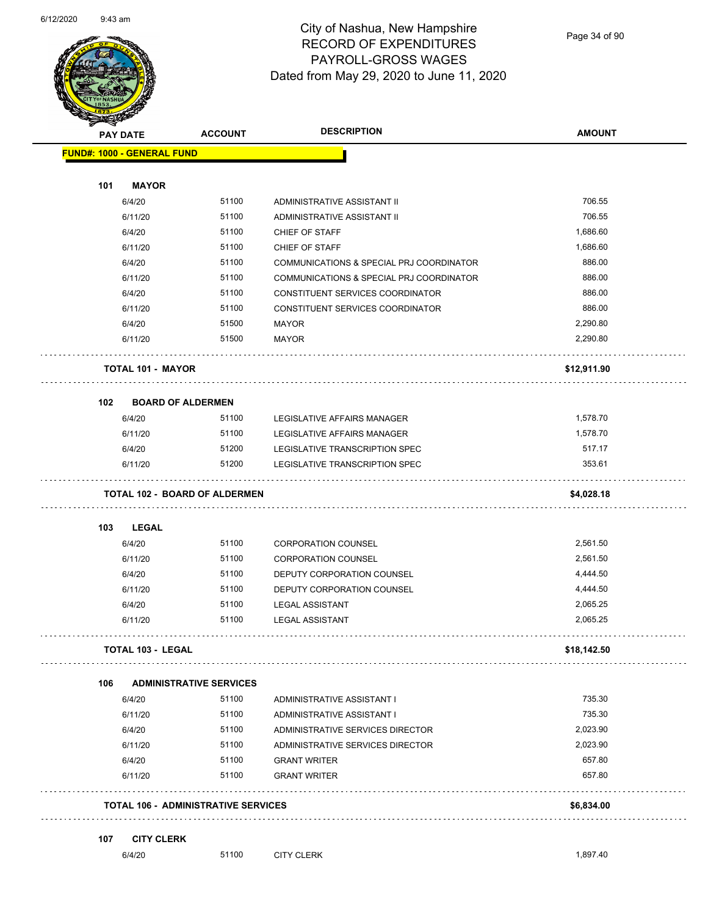

#### City of Nashua, New Hampshire RECORD OF EXPENDITURES PAYROLL-GROSS WAGES Dated from May 29, 2020 to June 11, 2020

Page 34 of 90

| <b>PAY DATE</b>                    | <b>ACCOUNT</b>                             | <b>DESCRIPTION</b>                       | <b>AMOUNT</b> |
|------------------------------------|--------------------------------------------|------------------------------------------|---------------|
| <b>FUND#: 1000 - GENERAL FUND</b>  |                                            |                                          |               |
| 101<br><b>MAYOR</b>                |                                            |                                          |               |
| 6/4/20                             | 51100                                      | ADMINISTRATIVE ASSISTANT II              | 706.55        |
| 6/11/20                            | 51100                                      | ADMINISTRATIVE ASSISTANT II              | 706.55        |
| 6/4/20                             | 51100                                      | CHIEF OF STAFF                           | 1,686.60      |
| 6/11/20                            | 51100                                      | CHIEF OF STAFF                           | 1,686.60      |
| 6/4/20                             | 51100                                      | COMMUNICATIONS & SPECIAL PRJ COORDINATOR | 886.00        |
| 6/11/20                            | 51100                                      | COMMUNICATIONS & SPECIAL PRJ COORDINATOR | 886.00        |
| 6/4/20                             | 51100                                      | CONSTITUENT SERVICES COORDINATOR         | 886.00        |
| 6/11/20                            | 51100                                      | CONSTITUENT SERVICES COORDINATOR         | 886.00        |
| 6/4/20                             | 51500                                      | <b>MAYOR</b>                             | 2,290.80      |
| 6/11/20                            | 51500                                      | MAYOR                                    | 2,290.80      |
| <b>TOTAL 101 - MAYOR</b>           |                                            |                                          | \$12,911.90   |
|                                    |                                            |                                          |               |
| 102                                | <b>BOARD OF ALDERMEN</b>                   |                                          |               |
| 6/4/20                             | 51100                                      | LEGISLATIVE AFFAIRS MANAGER              | 1,578.70      |
| 6/11/20                            | 51100                                      | LEGISLATIVE AFFAIRS MANAGER              | 1,578.70      |
| 6/4/20                             | 51200                                      | LEGISLATIVE TRANSCRIPTION SPEC           | 517.17        |
| 6/11/20                            | 51200                                      | LEGISLATIVE TRANSCRIPTION SPEC           | 353.61        |
|                                    | <b>TOTAL 102 - BOARD OF ALDERMEN</b>       |                                          | \$4,028.18    |
| 103<br><b>LEGAL</b>                |                                            |                                          |               |
| 6/4/20                             | 51100                                      | <b>CORPORATION COUNSEL</b>               | 2,561.50      |
| 6/11/20                            | 51100                                      | <b>CORPORATION COUNSEL</b>               | 2,561.50      |
| 6/4/20                             | 51100                                      | DEPUTY CORPORATION COUNSEL               | 4,444.50      |
| 6/11/20                            | 51100                                      | DEPUTY CORPORATION COUNSEL               | 4,444.50      |
| 6/4/20                             | 51100                                      | <b>LEGAL ASSISTANT</b>                   | 2,065.25      |
| 6/11/20                            | 51100                                      | <b>LEGAL ASSISTANT</b>                   | 2,065.25      |
| <b>TOTAL 103 - LEGAL</b>           |                                            |                                          | \$18,142.50   |
| 106                                | <b>ADMINISTRATIVE SERVICES</b>             |                                          |               |
| 6/4/20                             | 51100                                      | ADMINISTRATIVE ASSISTANT I               | 735.30        |
| 6/11/20                            | 51100                                      | ADMINISTRATIVE ASSISTANT I               | 735.30        |
| 6/4/20                             | 51100                                      | ADMINISTRATIVE SERVICES DIRECTOR         | 2,023.90      |
| 6/11/20                            | 51100                                      | ADMINISTRATIVE SERVICES DIRECTOR         | 2,023.90      |
| 6/4/20                             | 51100                                      | <b>GRANT WRITER</b>                      | 657.80        |
| 6/11/20                            | 51100                                      | <b>GRANT WRITER</b>                      | 657.80        |
|                                    | <b>TOTAL 106 - ADMINISTRATIVE SERVICES</b> |                                          | \$6,834.00    |
|                                    |                                            |                                          |               |
| 107<br><b>CITY CLERK</b><br>6/4/20 | 51100                                      | <b>CITY CLERK</b>                        | 1,897.40      |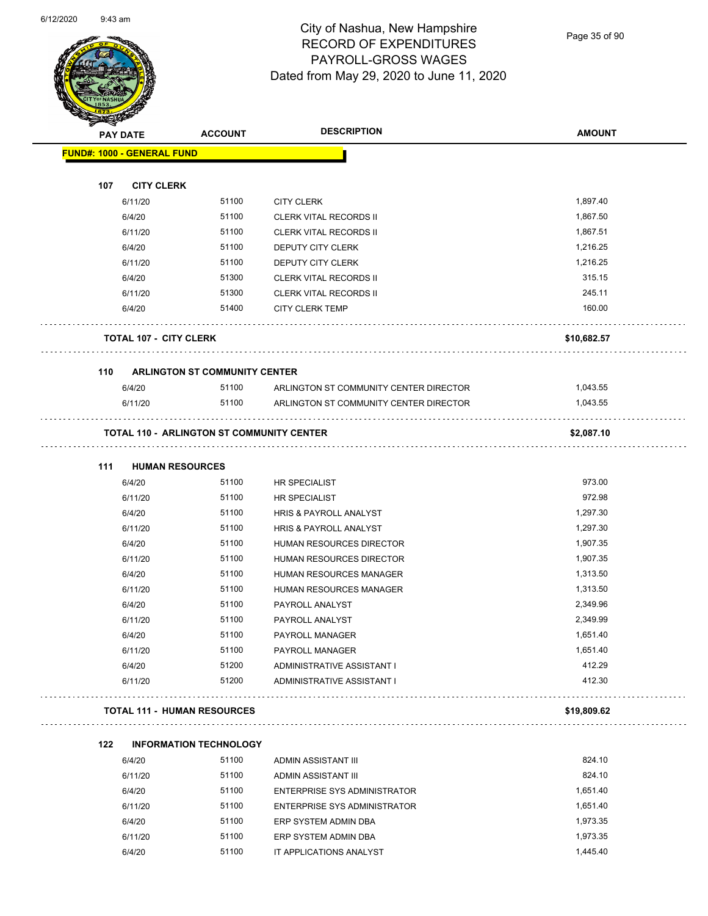

#### City of Nashua, New Hampshire RECORD OF EXPENDITURES PAYROLL-GROSS WAGES Dated from May 29, 2020 to June 11, 2020

Page 35 of 90

| <b>PAY DATE</b>                   |                                                  |                                        | <b>AMOUNT</b> |
|-----------------------------------|--------------------------------------------------|----------------------------------------|---------------|
| <b>FUND#: 1000 - GENERAL FUND</b> |                                                  |                                        |               |
|                                   |                                                  |                                        |               |
| 107                               | <b>CITY CLERK</b>                                |                                        |               |
| 6/11/20                           | 51100                                            | <b>CITY CLERK</b>                      | 1,897.40      |
| 6/4/20                            | 51100                                            | <b>CLERK VITAL RECORDS II</b>          | 1,867.50      |
| 6/11/20                           | 51100                                            | <b>CLERK VITAL RECORDS II</b>          | 1,867.51      |
| 6/4/20                            | 51100                                            | <b>DEPUTY CITY CLERK</b>               | 1,216.25      |
| 6/11/20                           | 51100                                            | DEPUTY CITY CLERK                      | 1,216.25      |
| 6/4/20                            | 51300                                            | <b>CLERK VITAL RECORDS II</b>          | 315.15        |
| 6/11/20                           | 51300                                            | <b>CLERK VITAL RECORDS II</b>          | 245.11        |
| 6/4/20                            | 51400                                            | <b>CITY CLERK TEMP</b>                 | 160.00        |
|                                   | <b>TOTAL 107 - CITY CLERK</b>                    |                                        | \$10,682.57   |
|                                   |                                                  |                                        |               |
| 110                               | <b>ARLINGTON ST COMMUNITY CENTER</b>             |                                        |               |
| 6/4/20                            | 51100                                            | ARLINGTON ST COMMUNITY CENTER DIRECTOR | 1,043.55      |
| 6/11/20                           | 51100                                            | ARLINGTON ST COMMUNITY CENTER DIRECTOR | 1,043.55      |
|                                   | <b>TOTAL 110 - ARLINGTON ST COMMUNITY CENTER</b> |                                        | \$2,087.10    |
| 111                               | <b>HUMAN RESOURCES</b>                           |                                        |               |
| 6/4/20                            | 51100                                            | HR SPECIALIST                          | 973.00        |
| 6/11/20                           | 51100                                            | <b>HR SPECIALIST</b>                   | 972.98        |
| 6/4/20                            | 51100                                            | HRIS & PAYROLL ANALYST                 | 1,297.30      |
| 6/11/20                           | 51100                                            | HRIS & PAYROLL ANALYST                 | 1,297.30      |
| 6/4/20                            | 51100                                            | HUMAN RESOURCES DIRECTOR               | 1,907.35      |
| 6/11/20                           | 51100                                            | <b>HUMAN RESOURCES DIRECTOR</b>        | 1,907.35      |
| 6/4/20                            | 51100                                            | HUMAN RESOURCES MANAGER                | 1,313.50      |
| 6/11/20                           | 51100                                            | <b>HUMAN RESOURCES MANAGER</b>         | 1,313.50      |
| 6/4/20                            | 51100                                            | PAYROLL ANALYST                        | 2,349.96      |
| 6/11/20                           | 51100                                            | PAYROLL ANALYST                        | 2,349.99      |
| 6/4/20                            | 51100                                            | PAYROLL MANAGER                        | 1,651.40      |
| 6/11/20                           | 51100                                            | PAYROLL MANAGER                        | 1,651.40      |
| 6/4/20                            | 51200                                            | ADMINISTRATIVE ASSISTANT I             | 412.29        |
| 6/11/20                           | 51200                                            | ADMINISTRATIVE ASSISTANT I             | 412.30        |
|                                   | <b>TOTAL 111 - HUMAN RESOURCES</b>               |                                        | \$19,809.62   |
| 122                               | <b>INFORMATION TECHNOLOGY</b>                    |                                        |               |
| 6/4/20                            | 51100                                            | ADMIN ASSISTANT III                    | 824.10        |
| 6/11/20                           | 51100                                            | ADMIN ASSISTANT III                    | 824.10        |
| 6/4/20                            | 51100                                            | <b>ENTERPRISE SYS ADMINISTRATOR</b>    | 1,651.40      |
| 6/11/20                           | 51100                                            | ENTERPRISE SYS ADMINISTRATOR           | 1,651.40      |
| 6/4/20                            | 51100                                            | ERP SYSTEM ADMIN DBA                   | 1,973.35      |
|                                   | 6/11/20<br>51100                                 | ERP SYSTEM ADMIN DBA                   | 1,973.35      |

6/4/20 51100 IT APPLICATIONS ANALYST 1,445.40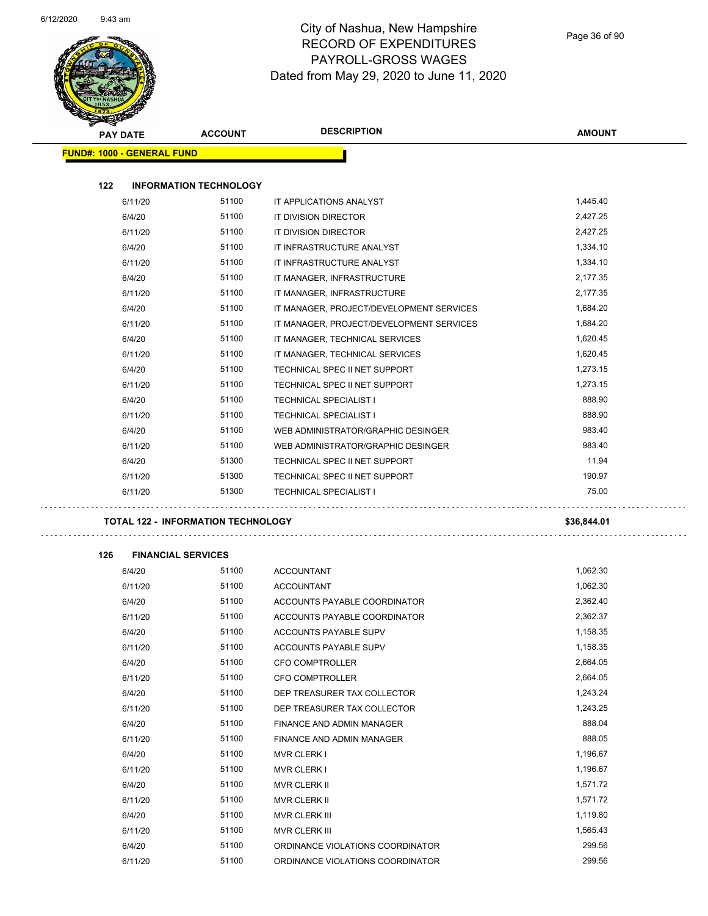

#### City of Nashua, New Hampshire RECORD OF EXPENDITURES PAYROLL-GROSS WAGES Dated from May 29, 2020 to June 11, 2020

| <b>PAY DATE</b>                   | <b>ACCOUNT</b>                            | <b>DESCRIPTION</b>                       | <b>AMOUNT</b> |
|-----------------------------------|-------------------------------------------|------------------------------------------|---------------|
| <b>FUND#: 1000 - GENERAL FUND</b> |                                           |                                          |               |
|                                   |                                           |                                          |               |
| 122                               | <b>INFORMATION TECHNOLOGY</b>             |                                          |               |
| 6/11/20                           | 51100                                     | IT APPLICATIONS ANALYST                  | 1,445.40      |
| 6/4/20                            | 51100                                     | IT DIVISION DIRECTOR                     | 2,427.25      |
| 6/11/20                           | 51100                                     | IT DIVISION DIRECTOR                     | 2,427.25      |
| 6/4/20                            | 51100                                     | IT INFRASTRUCTURE ANALYST                | 1,334.10      |
| 6/11/20                           | 51100                                     | IT INFRASTRUCTURE ANALYST                | 1,334.10      |
| 6/4/20                            | 51100                                     | IT MANAGER, INFRASTRUCTURE               | 2,177.35      |
| 6/11/20                           | 51100                                     | IT MANAGER, INFRASTRUCTURE               | 2,177.35      |
| 6/4/20                            | 51100                                     | IT MANAGER, PROJECT/DEVELOPMENT SERVICES | 1,684.20      |
| 6/11/20                           | 51100                                     | IT MANAGER, PROJECT/DEVELOPMENT SERVICES | 1,684.20      |
| 6/4/20                            | 51100                                     | IT MANAGER, TECHNICAL SERVICES           | 1,620.45      |
| 6/11/20                           | 51100                                     | IT MANAGER, TECHNICAL SERVICES           | 1,620.45      |
| 6/4/20                            | 51100                                     | TECHNICAL SPEC II NET SUPPORT            | 1,273.15      |
| 6/11/20                           | 51100                                     | TECHNICAL SPEC II NET SUPPORT            | 1,273.15      |
| 6/4/20                            | 51100                                     | <b>TECHNICAL SPECIALIST I</b>            | 888.90        |
| 6/11/20                           | 51100                                     | <b>TECHNICAL SPECIALIST I</b>            | 888.90        |
| 6/4/20                            | 51100                                     | WEB ADMINISTRATOR/GRAPHIC DESINGER       | 983.40        |
| 6/11/20                           | 51100                                     | WEB ADMINISTRATOR/GRAPHIC DESINGER       | 983.40        |
| 6/4/20                            | 51300                                     | TECHNICAL SPEC II NET SUPPORT            | 11.94         |
| 6/11/20                           | 51300                                     | TECHNICAL SPEC II NET SUPPORT            | 190.97        |
| 6/11/20                           | 51300                                     | <b>TECHNICAL SPECIALIST I</b>            | 75.00         |
|                                   | <b>TOTAL 122 - INFORMATION TECHNOLOGY</b> |                                          | \$36,844.01   |
|                                   |                                           |                                          |               |
| 126                               | <b>FINANCIAL SERVICES</b>                 |                                          |               |
| 6/4/20                            | 51100                                     | <b>ACCOUNTANT</b>                        | 1,062.30      |
| 6/11/20                           | 51100                                     | <b>ACCOUNTANT</b>                        | 1,062.30      |
| 6/4/20                            | 51100                                     | ACCOUNTS PAYABLE COORDINATOR             | 2,362.40      |
| 6/11/20                           | 51100                                     | ACCOUNTS PAYABLE COORDINATOR             | 2,362.37      |
| 6/4/20                            | 51100                                     | ACCOUNTS PAYABLE SUPV                    | 1,158.35      |
| 6/11/20                           | 51100                                     | ACCOUNTS PAYABLE SUPV                    | 1,158.35      |
| 6/4/20                            | 51100                                     | CFO COMPTROLLER                          | 2,664.05      |
| 6/11/20                           | 51100                                     | CFO COMPTROLLER                          | 2,664.05      |
| 6/4/20                            | 51100                                     | DEP TREASURER TAX COLLECTOR              | 1,243.24      |
| 6/11/20                           | 51100                                     | DEP TREASURER TAX COLLECTOR              | 1,243.25      |
| 6/4/20                            | 51100                                     | FINANCE AND ADMIN MANAGER                | 888.04        |
| 6/11/20                           | 51100                                     | FINANCE AND ADMIN MANAGER                | 888.05        |
| 6/4/20                            | 51100                                     | <b>MVR CLERK I</b>                       | 1,196.67      |
| 6/11/20                           | 51100                                     | <b>MVR CLERK I</b>                       | 1,196.67      |
| 6/4/20                            | 51100                                     | MVR CLERK II                             | 1,571.72      |
| 6/11/20                           | 51100                                     | MVR CLERK II                             | 1,571.72      |
| 6/4/20                            | 51100                                     | MVR CLERK III                            | 1,119.80      |
| 6/11/20                           | 51100                                     | MVR CLERK III                            | 1,565.43      |
| 6/4/20                            | 51100                                     | ORDINANCE VIOLATIONS COORDINATOR         | 299.56        |
| 6/11/20                           | 51100                                     | ORDINANCE VIOLATIONS COORDINATOR         | 299.56        |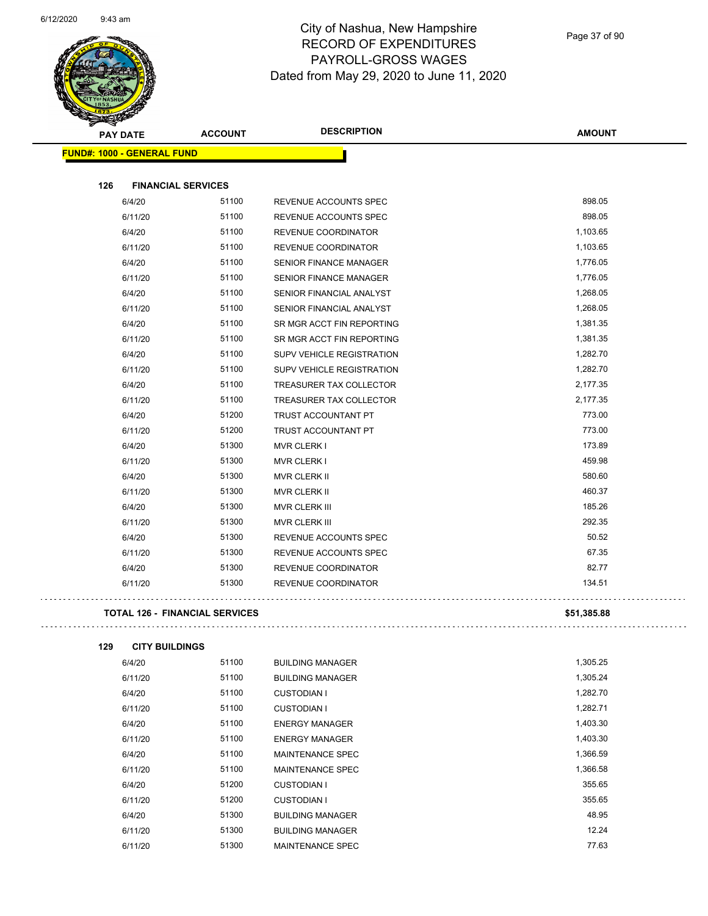

| <b>PAY DATE</b>                       | <b>ACCOUNT</b> | <b>DESCRIPTION</b>               | <b>AMOUNT</b> |
|---------------------------------------|----------------|----------------------------------|---------------|
| <b>FUND#: 1000 - GENERAL FUND</b>     |                |                                  |               |
| 126<br><b>FINANCIAL SERVICES</b>      |                |                                  |               |
| 6/4/20                                | 51100          | REVENUE ACCOUNTS SPEC            | 898.05        |
| 6/11/20                               | 51100          | REVENUE ACCOUNTS SPEC            | 898.05        |
| 6/4/20                                | 51100          | REVENUE COORDINATOR              | 1,103.65      |
| 6/11/20                               | 51100          | REVENUE COORDINATOR              | 1,103.65      |
| 6/4/20                                | 51100          | <b>SENIOR FINANCE MANAGER</b>    | 1,776.05      |
| 6/11/20                               | 51100          | SENIOR FINANCE MANAGER           | 1,776.05      |
| 6/4/20                                | 51100          | <b>SENIOR FINANCIAL ANALYST</b>  | 1,268.05      |
| 6/11/20                               | 51100          | SENIOR FINANCIAL ANALYST         | 1,268.05      |
| 6/4/20                                | 51100          | SR MGR ACCT FIN REPORTING        | 1,381.35      |
| 6/11/20                               | 51100          | SR MGR ACCT FIN REPORTING        | 1,381.35      |
| 6/4/20                                | 51100          | SUPV VEHICLE REGISTRATION        | 1,282.70      |
| 6/11/20                               | 51100          | <b>SUPV VEHICLE REGISTRATION</b> | 1,282.70      |
| 6/4/20                                | 51100          | TREASURER TAX COLLECTOR          | 2,177.35      |
| 6/11/20                               | 51100          | TREASURER TAX COLLECTOR          | 2,177.35      |
| 6/4/20                                | 51200          | TRUST ACCOUNTANT PT              | 773.00        |
| 6/11/20                               | 51200          | <b>TRUST ACCOUNTANT PT</b>       | 773.00        |
| 6/4/20                                | 51300          | <b>MVR CLERK I</b>               | 173.89        |
| 6/11/20                               | 51300          | <b>MVR CLERK I</b>               | 459.98        |
| 6/4/20                                | 51300          | <b>MVR CLERK II</b>              | 580.60        |
| 6/11/20                               | 51300          | MVR CLERK II                     | 460.37        |
| 6/4/20                                | 51300          | <b>MVR CLERK III</b>             | 185.26        |
| 6/11/20                               | 51300          | <b>MVR CLERK III</b>             | 292.35        |
| 6/4/20                                | 51300          | REVENUE ACCOUNTS SPEC            | 50.52         |
| 6/11/20                               | 51300          | REVENUE ACCOUNTS SPEC            | 67.35         |
| 6/4/20                                | 51300          | REVENUE COORDINATOR              | 82.77         |
| 6/11/20                               | 51300          | REVENUE COORDINATOR              | 134.51        |
| <b>TOTAL 126 - FINANCIAL SERVICES</b> |                |                                  | \$51,385.88   |

| 6/4/20  | 51100 | <b>BUILDING MANAGER</b> | 1,305.25 |
|---------|-------|-------------------------|----------|
| 6/11/20 | 51100 | <b>BUILDING MANAGER</b> | 1,305.24 |
| 6/4/20  | 51100 | <b>CUSTODIAN I</b>      | 1,282.70 |
| 6/11/20 | 51100 | <b>CUSTODIAN I</b>      | 1,282.71 |
| 6/4/20  | 51100 | <b>ENERGY MANAGER</b>   | 1,403.30 |
| 6/11/20 | 51100 | <b>ENERGY MANAGER</b>   | 1,403.30 |
| 6/4/20  | 51100 | <b>MAINTENANCE SPEC</b> | 1,366.59 |
| 6/11/20 | 51100 | <b>MAINTENANCE SPEC</b> | 1,366.58 |
| 6/4/20  | 51200 | <b>CUSTODIAN I</b>      | 355.65   |
| 6/11/20 | 51200 | <b>CUSTODIAN I</b>      | 355.65   |
| 6/4/20  | 51300 | <b>BUILDING MANAGER</b> | 48.95    |
| 6/11/20 | 51300 | <b>BUILDING MANAGER</b> | 12.24    |
| 6/11/20 | 51300 | MAINTENANCE SPEC        | 77.63    |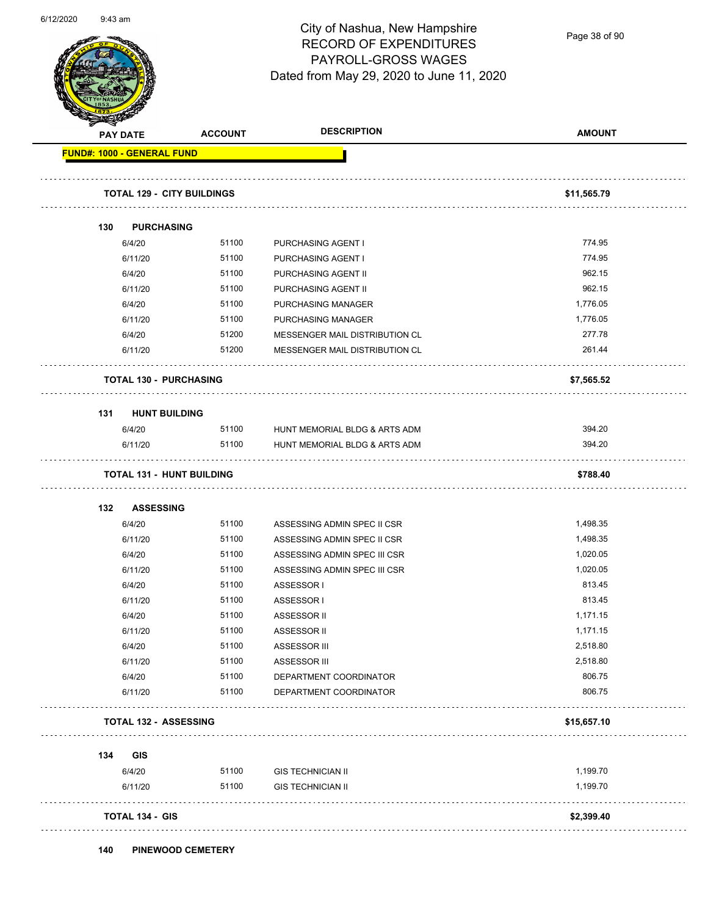

Page 38 of 90

|     | <b>PAY DATE</b>                   | <b>ACCOUNT</b> | <b>DESCRIPTION</b>                                           | <b>AMOUNT</b>        |
|-----|-----------------------------------|----------------|--------------------------------------------------------------|----------------------|
|     | FUND#: 1000 - GENERAL FUND        |                |                                                              |                      |
|     | <b>TOTAL 129 - CITY BUILDINGS</b> |                |                                                              | \$11,565.79          |
| 130 | <b>PURCHASING</b>                 |                |                                                              |                      |
|     | 6/4/20                            | 51100          | PURCHASING AGENT I                                           | 774.95               |
|     | 6/11/20                           | 51100          | PURCHASING AGENT I                                           | 774.95               |
|     | 6/4/20                            | 51100          | PURCHASING AGENT II                                          | 962.15               |
|     | 6/11/20                           | 51100          | PURCHASING AGENT II                                          | 962.15               |
|     | 6/4/20                            | 51100          | PURCHASING MANAGER                                           | 1,776.05             |
|     | 6/11/20                           | 51100          | PURCHASING MANAGER                                           | 1,776.05             |
|     | 6/4/20                            | 51200          | MESSENGER MAIL DISTRIBUTION CL                               | 277.78               |
|     | 6/11/20                           | 51200          | MESSENGER MAIL DISTRIBUTION CL                               | 261.44               |
|     | <b>TOTAL 130 - PURCHASING</b>     |                |                                                              | \$7,565.52           |
| 131 | <b>HUNT BUILDING</b>              |                |                                                              |                      |
|     | 6/4/20                            | 51100          | HUNT MEMORIAL BLDG & ARTS ADM                                | 394.20               |
|     | 6/11/20                           | 51100          | HUNT MEMORIAL BLDG & ARTS ADM                                | 394.20               |
|     | <b>TOTAL 131 - HUNT BUILDING</b>  |                |                                                              | \$788.40             |
| 132 | <b>ASSESSING</b>                  |                |                                                              |                      |
|     |                                   |                |                                                              |                      |
|     |                                   |                |                                                              |                      |
|     | 6/4/20                            | 51100<br>51100 | ASSESSING ADMIN SPEC II CSR                                  | 1,498.35             |
|     | 6/11/20<br>6/4/20                 | 51100          | ASSESSING ADMIN SPEC II CSR                                  | 1,498.35<br>1,020.05 |
|     | 6/11/20                           | 51100          | ASSESSING ADMIN SPEC III CSR<br>ASSESSING ADMIN SPEC III CSR | 1,020.05             |
|     | 6/4/20                            | 51100          | ASSESSOR I                                                   | 813.45               |
|     | 6/11/20                           | 51100          | ASSESSOR I                                                   | 813.45               |
|     | 6/4/20                            | 51100          | ASSESSOR II                                                  | 1,171.15             |
|     | 6/11/20                           | 51100          | ASSESSOR II                                                  | 1,171.15             |
|     | 6/4/20                            | 51100          | ASSESSOR III                                                 | 2,518.80             |
|     | 6/11/20                           | 51100          | ASSESSOR III                                                 | 2,518.80             |
|     | 6/4/20                            | 51100          | DEPARTMENT COORDINATOR                                       | 806.75               |
|     | 6/11/20                           | 51100          | DEPARTMENT COORDINATOR                                       | 806.75               |
|     | <b>TOTAL 132 - ASSESSING</b>      |                |                                                              | \$15,657.10          |
| 134 | GIS                               |                |                                                              |                      |
|     |                                   |                |                                                              |                      |
|     | 6/4/20<br>6/11/20                 | 51100<br>51100 | <b>GIS TECHNICIAN II</b><br><b>GIS TECHNICIAN II</b>         | 1,199.70<br>1,199.70 |

**140 PINEWOOD CEMETERY**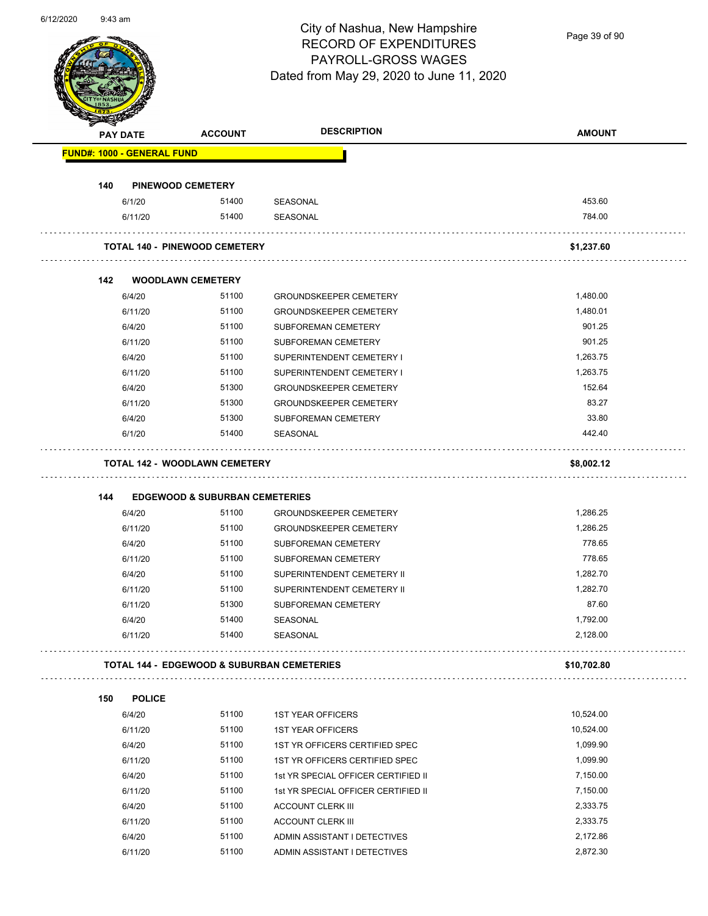Page 39 of 90

|     | <b>PAY DATE</b>                   | <b>ACCOUNT</b>                             | <b>DESCRIPTION</b>                                             | <b>AMOUNT</b>        |
|-----|-----------------------------------|--------------------------------------------|----------------------------------------------------------------|----------------------|
|     | <b>FUND#: 1000 - GENERAL FUND</b> |                                            |                                                                |                      |
| 140 |                                   | <b>PINEWOOD CEMETERY</b>                   |                                                                |                      |
|     | 6/1/20                            | 51400                                      | SEASONAL                                                       | 453.60               |
|     | 6/11/20                           | 51400                                      | SEASONAL                                                       | 784.00               |
|     |                                   | <b>TOTAL 140 - PINEWOOD CEMETERY</b>       |                                                                | \$1,237.60           |
| 142 |                                   | <b>WOODLAWN CEMETERY</b>                   |                                                                |                      |
|     | 6/4/20                            | 51100                                      | <b>GROUNDSKEEPER CEMETERY</b>                                  | 1,480.00             |
|     | 6/11/20                           | 51100                                      | <b>GROUNDSKEEPER CEMETERY</b>                                  | 1,480.01             |
|     | 6/4/20                            | 51100                                      | <b>SUBFOREMAN CEMETERY</b>                                     | 901.25               |
|     | 6/11/20                           | 51100                                      | SUBFOREMAN CEMETERY                                            | 901.25               |
|     | 6/4/20                            | 51100                                      | SUPERINTENDENT CEMETERY I                                      | 1,263.75             |
|     | 6/11/20                           | 51100                                      | SUPERINTENDENT CEMETERY I                                      | 1,263.75             |
|     | 6/4/20                            | 51300                                      | <b>GROUNDSKEEPER CEMETERY</b>                                  | 152.64               |
|     | 6/11/20                           | 51300                                      | <b>GROUNDSKEEPER CEMETERY</b>                                  | 83.27                |
|     | 6/4/20                            | 51300                                      | SUBFOREMAN CEMETERY                                            | 33.80                |
|     | 6/1/20                            | 51400                                      | SEASONAL                                                       | 442.40               |
|     |                                   | <b>TOTAL 142 - WOODLAWN CEMETERY</b>       |                                                                | \$8,002.12           |
|     |                                   |                                            |                                                                |                      |
| 144 |                                   | <b>EDGEWOOD &amp; SUBURBAN CEMETERIES</b>  |                                                                |                      |
|     | 6/4/20<br>6/11/20                 | 51100<br>51100                             | <b>GROUNDSKEEPER CEMETERY</b><br><b>GROUNDSKEEPER CEMETERY</b> | 1,286.25<br>1,286.25 |
|     | 6/4/20                            | 51100                                      | SUBFOREMAN CEMETERY                                            | 778.65               |
|     | 6/11/20                           | 51100                                      | SUBFOREMAN CEMETERY                                            | 778.65               |
|     | 6/4/20                            | 51100                                      | SUPERINTENDENT CEMETERY II                                     | 1,282.70             |
|     | 6/11/20                           | 51100                                      | SUPERINTENDENT CEMETERY II                                     | 1,282.70             |
|     | 6/11/20                           | 51300                                      | <b>SUBFOREMAN CEMETERY</b>                                     | 87.60                |
|     | 6/4/20                            | 51400                                      | SEASONAL                                                       | 1,792.00             |
|     | 6/11/20                           | 51400                                      | SEASONAL                                                       | 2,128.00             |
|     |                                   | TOTAL 144 - EDGEWOOD & SUBURBAN CEMETERIES |                                                                | \$10,702.80          |
| 150 | <b>POLICE</b>                     |                                            |                                                                |                      |
|     | 6/4/20                            | 51100                                      | <b>1ST YEAR OFFICERS</b>                                       | 10,524.00            |
|     | 6/11/20                           | 51100                                      | <b>1ST YEAR OFFICERS</b>                                       | 10,524.00            |
|     | 6/4/20                            | 51100                                      | 1ST YR OFFICERS CERTIFIED SPEC                                 | 1,099.90             |
|     | 6/11/20                           | 51100                                      | 1ST YR OFFICERS CERTIFIED SPEC                                 | 1,099.90             |
|     | 6/4/20                            | 51100                                      | 1st YR SPECIAL OFFICER CERTIFIED II                            | 7,150.00             |
|     | 6/11/20                           | 51100                                      | 1st YR SPECIAL OFFICER CERTIFIED II                            | 7,150.00             |
|     | 6/4/20                            | 51100                                      | <b>ACCOUNT CLERK III</b>                                       | 2,333.75             |
|     | 6/11/20                           | 51100                                      | <b>ACCOUNT CLERK III</b>                                       | 2,333.75             |
|     | 6/4/20                            | 51100                                      | ADMIN ASSISTANT I DETECTIVES                                   | 2,172.86             |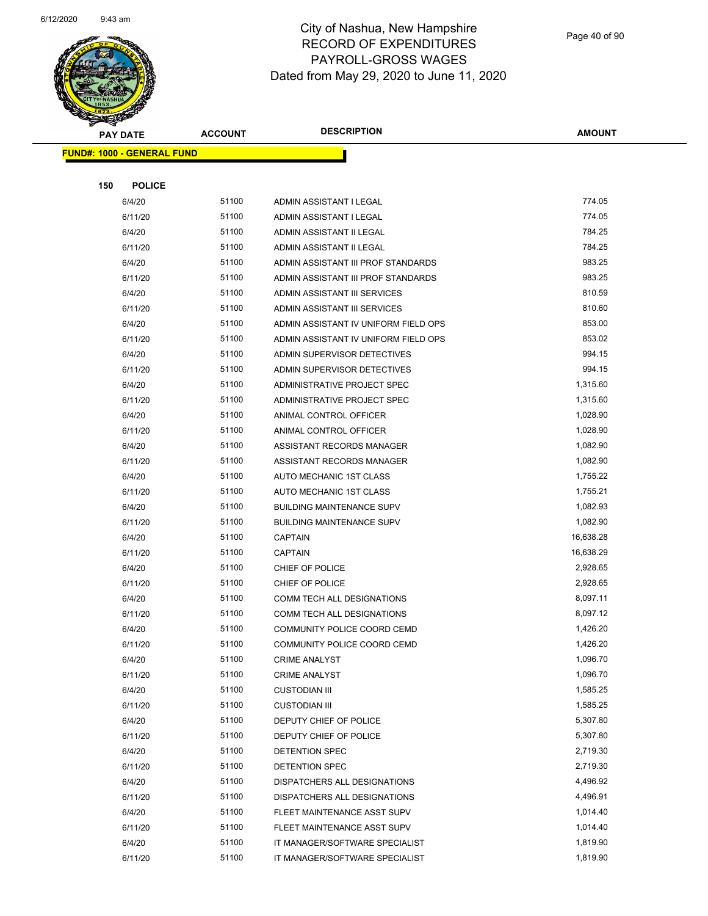

| Ð<br>$\blacktriangleleft$ . | <b>PAY DATE</b>                   | <b>ACCOUNT</b> | <b>DESCRIPTION</b>                   | <b>AMOUNT</b> |
|-----------------------------|-----------------------------------|----------------|--------------------------------------|---------------|
|                             | <b>FUND#: 1000 - GENERAL FUND</b> |                |                                      |               |
|                             |                                   |                |                                      |               |
| 150                         | <b>POLICE</b>                     |                |                                      |               |
|                             | 6/4/20                            | 51100          | ADMIN ASSISTANT I LEGAL              | 774.05        |
|                             | 6/11/20                           | 51100          | ADMIN ASSISTANT I LEGAL              | 774.05        |
|                             | 6/4/20                            | 51100          | ADMIN ASSISTANT II LEGAL             | 784.25        |
|                             | 6/11/20                           | 51100          | ADMIN ASSISTANT II LEGAL             | 784.25        |
|                             | 6/4/20                            | 51100          | ADMIN ASSISTANT III PROF STANDARDS   | 983.25        |
|                             | 6/11/20                           | 51100          | ADMIN ASSISTANT III PROF STANDARDS   | 983.25        |
|                             | 6/4/20                            | 51100          | ADMIN ASSISTANT III SERVICES         | 810.59        |
|                             | 6/11/20                           | 51100          | ADMIN ASSISTANT III SERVICES         | 810.60        |
|                             | 6/4/20                            | 51100          | ADMIN ASSISTANT IV UNIFORM FIELD OPS | 853.00        |
|                             | 6/11/20                           | 51100          | ADMIN ASSISTANT IV UNIFORM FIELD OPS | 853.02        |
|                             | 6/4/20                            | 51100          | ADMIN SUPERVISOR DETECTIVES          | 994.15        |
|                             | 6/11/20                           | 51100          | ADMIN SUPERVISOR DETECTIVES          | 994.15        |
|                             | 6/4/20                            | 51100          | ADMINISTRATIVE PROJECT SPEC          | 1,315.60      |
|                             | 6/11/20                           | 51100          | ADMINISTRATIVE PROJECT SPEC          | 1,315.60      |
|                             | 6/4/20                            | 51100          | ANIMAL CONTROL OFFICER               | 1,028.90      |
|                             | 6/11/20                           | 51100          | ANIMAL CONTROL OFFICER               | 1,028.90      |
|                             | 6/4/20                            | 51100          | ASSISTANT RECORDS MANAGER            | 1,082.90      |
|                             | 6/11/20                           | 51100          | ASSISTANT RECORDS MANAGER            | 1,082.90      |
|                             | 6/4/20                            | 51100          | AUTO MECHANIC 1ST CLASS              | 1,755.22      |
|                             | 6/11/20                           | 51100          | AUTO MECHANIC 1ST CLASS              | 1,755.21      |
|                             | 6/4/20                            | 51100          | <b>BUILDING MAINTENANCE SUPV</b>     | 1,082.93      |
|                             | 6/11/20                           | 51100          | <b>BUILDING MAINTENANCE SUPV</b>     | 1,082.90      |
|                             | 6/4/20                            | 51100          | <b>CAPTAIN</b>                       | 16,638.28     |
|                             | 6/11/20                           | 51100          | <b>CAPTAIN</b>                       | 16,638.29     |
|                             | 6/4/20                            | 51100          | CHIEF OF POLICE                      | 2,928.65      |
|                             | 6/11/20                           | 51100          | CHIEF OF POLICE                      | 2,928.65      |
|                             | 6/4/20                            | 51100          | COMM TECH ALL DESIGNATIONS           | 8,097.11      |
|                             | 6/11/20                           | 51100          | <b>COMM TECH ALL DESIGNATIONS</b>    | 8,097.12      |
|                             | 6/4/20                            | 51100          | COMMUNITY POLICE COORD CEMD          | 1,426.20      |
|                             | 6/11/20                           | 51100          | COMMUNITY POLICE COORD CEMD          | 1,426.20      |
|                             | 6/4/20                            | 51100          | <b>CRIME ANALYST</b>                 | 1,096.70      |
|                             | 6/11/20                           | 51100          | <b>CRIME ANALYST</b>                 | 1,096.70      |
|                             | 6/4/20                            | 51100          | <b>CUSTODIAN III</b>                 | 1,585.25      |
|                             | 6/11/20                           | 51100          | <b>CUSTODIAN III</b>                 | 1,585.25      |
|                             | 6/4/20                            | 51100          | DEPUTY CHIEF OF POLICE               | 5,307.80      |
|                             | 6/11/20                           | 51100          | DEPUTY CHIEF OF POLICE               | 5,307.80      |
|                             | 6/4/20                            | 51100          | DETENTION SPEC                       | 2,719.30      |
|                             | 6/11/20                           | 51100          | DETENTION SPEC                       | 2,719.30      |
|                             | 6/4/20                            | 51100          | DISPATCHERS ALL DESIGNATIONS         | 4,496.92      |
|                             | 6/11/20                           | 51100          | DISPATCHERS ALL DESIGNATIONS         | 4,496.91      |
|                             | 6/4/20                            | 51100          | FLEET MAINTENANCE ASST SUPV          | 1,014.40      |
|                             | 6/11/20                           | 51100          | FLEET MAINTENANCE ASST SUPV          | 1,014.40      |
|                             | 6/4/20                            | 51100          | IT MANAGER/SOFTWARE SPECIALIST       | 1,819.90      |
|                             | 6/11/20                           | 51100          | IT MANAGER/SOFTWARE SPECIALIST       | 1,819.90      |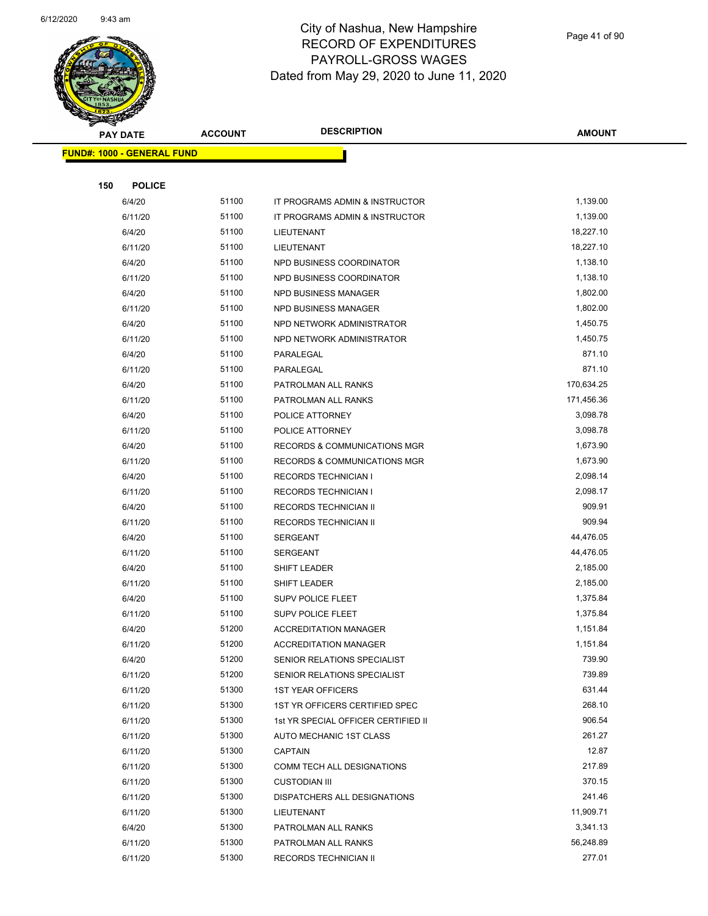

| <b>Contraction</b><br><b>PAY DATE</b> | <b>ACCOUNT</b> | <b>DESCRIPTION</b>                      | <b>AMOUNT</b> |
|---------------------------------------|----------------|-----------------------------------------|---------------|
|                                       |                |                                         |               |
| <b>FUND#: 1000 - GENERAL FUND</b>     |                |                                         |               |
| 150<br><b>POLICE</b>                  |                |                                         |               |
| 6/4/20                                | 51100          | IT PROGRAMS ADMIN & INSTRUCTOR          | 1,139.00      |
| 6/11/20                               | 51100          | IT PROGRAMS ADMIN & INSTRUCTOR          | 1,139.00      |
| 6/4/20                                | 51100          | LIEUTENANT                              | 18,227.10     |
| 6/11/20                               | 51100          | LIEUTENANT                              | 18,227.10     |
| 6/4/20                                | 51100          | NPD BUSINESS COORDINATOR                | 1,138.10      |
|                                       | 51100          | NPD BUSINESS COORDINATOR                | 1,138.10      |
| 6/11/20<br>6/4/20                     | 51100          | NPD BUSINESS MANAGER                    | 1,802.00      |
| 6/11/20                               | 51100          | NPD BUSINESS MANAGER                    | 1,802.00      |
| 6/4/20                                | 51100          | NPD NETWORK ADMINISTRATOR               | 1,450.75      |
| 6/11/20                               | 51100          | NPD NETWORK ADMINISTRATOR               | 1,450.75      |
| 6/4/20                                | 51100          | PARALEGAL                               | 871.10        |
| 6/11/20                               | 51100          | PARALEGAL                               | 871.10        |
| 6/4/20                                | 51100          | PATROLMAN ALL RANKS                     | 170,634.25    |
| 6/11/20                               | 51100          | PATROLMAN ALL RANKS                     | 171,456.36    |
| 6/4/20                                | 51100          | POLICE ATTORNEY                         | 3,098.78      |
| 6/11/20                               | 51100          | POLICE ATTORNEY                         | 3,098.78      |
| 6/4/20                                | 51100          | RECORDS & COMMUNICATIONS MGR            | 1,673.90      |
| 6/11/20                               | 51100          | <b>RECORDS &amp; COMMUNICATIONS MGR</b> | 1,673.90      |
| 6/4/20                                | 51100          | <b>RECORDS TECHNICIAN I</b>             | 2,098.14      |
| 6/11/20                               | 51100          | <b>RECORDS TECHNICIAN I</b>             | 2,098.17      |
| 6/4/20                                | 51100          | RECORDS TECHNICIAN II                   | 909.91        |
| 6/11/20                               | 51100          | RECORDS TECHNICIAN II                   | 909.94        |
| 6/4/20                                | 51100          | SERGEANT                                | 44,476.05     |
| 6/11/20                               | 51100          | SERGEANT                                | 44,476.05     |
| 6/4/20                                | 51100          | SHIFT LEADER                            | 2,185.00      |
| 6/11/20                               | 51100          | SHIFT LEADER                            | 2,185.00      |
| 6/4/20                                | 51100          | SUPV POLICE FLEET                       | 1,375.84      |
| 6/11/20                               | 51100          | <b>SUPV POLICE FLEET</b>                | 1,375.84      |
| 6/4/20                                | 51200          | <b>ACCREDITATION MANAGER</b>            | 1,151.84      |
| 6/11/20                               | 51200          | <b>ACCREDITATION MANAGER</b>            | 1,151.84      |
| 6/4/20                                | 51200          | SENIOR RELATIONS SPECIALIST             | 739.90        |
| 6/11/20                               | 51200          | SENIOR RELATIONS SPECIALIST             | 739.89        |
| 6/11/20                               | 51300          | <b>1ST YEAR OFFICERS</b>                | 631.44        |
| 6/11/20                               | 51300          | 1ST YR OFFICERS CERTIFIED SPEC          | 268.10        |
| 6/11/20                               | 51300          | 1st YR SPECIAL OFFICER CERTIFIED II     | 906.54        |
| 6/11/20                               | 51300          | AUTO MECHANIC 1ST CLASS                 | 261.27        |
| 6/11/20                               | 51300          | <b>CAPTAIN</b>                          | 12.87         |
| 6/11/20                               | 51300          | COMM TECH ALL DESIGNATIONS              | 217.89        |
| 6/11/20                               | 51300          | <b>CUSTODIAN III</b>                    | 370.15        |
| 6/11/20                               | 51300          | DISPATCHERS ALL DESIGNATIONS            | 241.46        |
| 6/11/20                               | 51300          | LIEUTENANT                              | 11,909.71     |
| 6/4/20                                | 51300          | PATROLMAN ALL RANKS                     | 3,341.13      |
| 6/11/20                               | 51300          | PATROLMAN ALL RANKS                     | 56,248.89     |
| 6/11/20                               | 51300          | RECORDS TECHNICIAN II                   | 277.01        |
|                                       |                |                                         |               |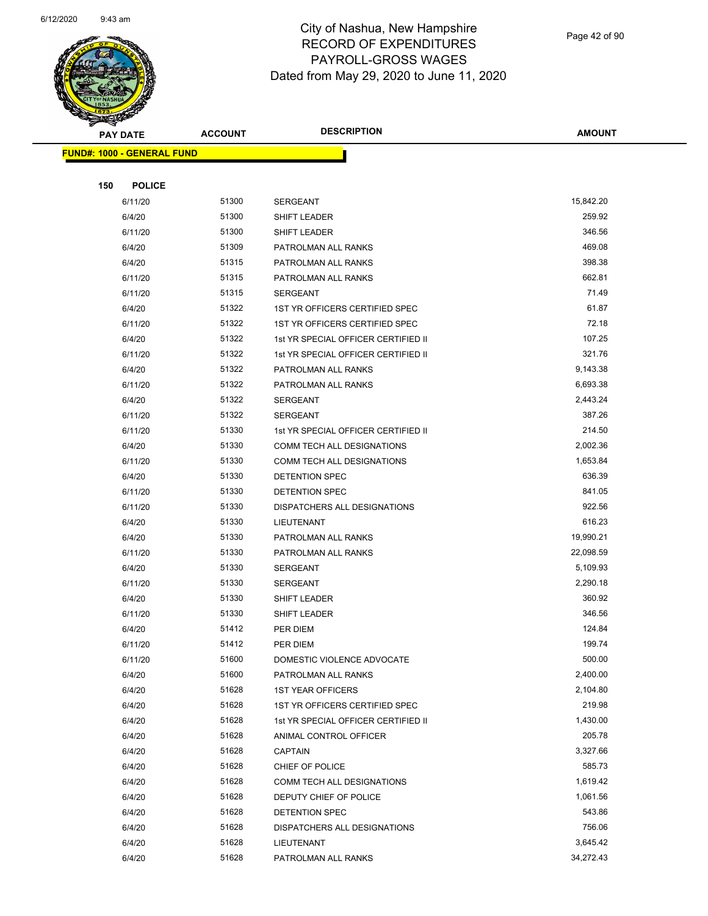

Page 42 of 90

| <b>STARTING CONFIDENCE</b> |                                   |                |                                                |                      |
|----------------------------|-----------------------------------|----------------|------------------------------------------------|----------------------|
|                            | <b>PAY DATE</b>                   | <b>ACCOUNT</b> | <b>DESCRIPTION</b>                             | <b>AMOUNT</b>        |
|                            | <b>FUND#: 1000 - GENERAL FUND</b> |                |                                                |                      |
|                            |                                   |                |                                                |                      |
| 150                        | <b>POLICE</b>                     |                |                                                |                      |
|                            | 6/11/20                           | 51300          | <b>SERGEANT</b>                                | 15,842.20            |
|                            | 6/4/20                            | 51300          | <b>SHIFT LEADER</b>                            | 259.92               |
|                            | 6/11/20                           | 51300          | SHIFT LEADER                                   | 346.56               |
|                            | 6/4/20                            | 51309          | PATROLMAN ALL RANKS                            | 469.08               |
|                            | 6/4/20                            | 51315          | PATROLMAN ALL RANKS                            | 398.38               |
|                            | 6/11/20                           | 51315          | PATROLMAN ALL RANKS                            | 662.81               |
|                            | 6/11/20                           | 51315          | <b>SERGEANT</b>                                | 71.49                |
|                            | 6/4/20                            | 51322          | 1ST YR OFFICERS CERTIFIED SPEC                 | 61.87                |
|                            | 6/11/20                           | 51322          | 1ST YR OFFICERS CERTIFIED SPEC                 | 72.18                |
|                            | 6/4/20                            | 51322          | 1st YR SPECIAL OFFICER CERTIFIED II            | 107.25               |
|                            | 6/11/20                           | 51322          | 1st YR SPECIAL OFFICER CERTIFIED II            | 321.76               |
|                            | 6/4/20                            | 51322          | PATROLMAN ALL RANKS                            | 9,143.38             |
|                            | 6/11/20                           | 51322          | PATROLMAN ALL RANKS                            | 6,693.38             |
|                            | 6/4/20                            | 51322          | <b>SERGEANT</b>                                | 2,443.24             |
|                            | 6/11/20                           | 51322          | <b>SERGEANT</b>                                | 387.26               |
|                            | 6/11/20                           | 51330          | 1st YR SPECIAL OFFICER CERTIFIED II            | 214.50               |
|                            | 6/4/20                            | 51330          | COMM TECH ALL DESIGNATIONS                     | 2,002.36             |
|                            | 6/11/20                           | 51330          | COMM TECH ALL DESIGNATIONS                     | 1,653.84             |
|                            | 6/4/20                            | 51330          | DETENTION SPEC                                 | 636.39               |
|                            | 6/11/20                           | 51330          | DETENTION SPEC                                 | 841.05               |
|                            | 6/11/20                           | 51330          | DISPATCHERS ALL DESIGNATIONS                   | 922.56               |
|                            | 6/4/20                            | 51330          | LIEUTENANT                                     | 616.23               |
|                            | 6/4/20                            | 51330          | PATROLMAN ALL RANKS                            | 19,990.21            |
|                            | 6/11/20                           | 51330          | PATROLMAN ALL RANKS                            | 22,098.59            |
|                            | 6/4/20                            | 51330          | <b>SERGEANT</b>                                | 5,109.93             |
|                            | 6/11/20                           | 51330          | <b>SERGEANT</b>                                | 2,290.18             |
|                            | 6/4/20                            | 51330          | SHIFT LEADER                                   | 360.92               |
|                            | 6/11/20                           | 51330          | SHIFT LEADER                                   | 346.56               |
|                            | 6/4/20                            | 51412          | PER DIEM                                       | 124.84               |
|                            | 6/11/20                           | 51412          | PER DIEM                                       | 199.74               |
|                            | 6/11/20                           | 51600          | DOMESTIC VIOLENCE ADVOCATE                     | 500.00               |
|                            | 6/4/20                            | 51600          | PATROLMAN ALL RANKS                            | 2,400.00             |
|                            | 6/4/20                            | 51628          | <b>1ST YEAR OFFICERS</b>                       | 2,104.80             |
|                            | 6/4/20                            | 51628          | 1ST YR OFFICERS CERTIFIED SPEC                 | 219.98               |
|                            | 6/4/20                            | 51628          | 1st YR SPECIAL OFFICER CERTIFIED II            | 1,430.00<br>205.78   |
|                            | 6/4/20                            | 51628<br>51628 | ANIMAL CONTROL OFFICER<br><b>CAPTAIN</b>       | 3,327.66             |
|                            | 6/4/20                            |                |                                                | 585.73               |
|                            | 6/4/20                            | 51628          | CHIEF OF POLICE                                |                      |
|                            | 6/4/20                            | 51628<br>51628 | COMM TECH ALL DESIGNATIONS                     | 1,619.42<br>1,061.56 |
|                            | 6/4/20                            | 51628          | DEPUTY CHIEF OF POLICE                         | 543.86               |
|                            | 6/4/20<br>6/4/20                  | 51628          | DETENTION SPEC<br>DISPATCHERS ALL DESIGNATIONS | 756.06               |
|                            | 6/4/20                            | 51628          | LIEUTENANT                                     | 3,645.42             |
|                            | 6/4/20                            | 51628          | PATROLMAN ALL RANKS                            | 34,272.43            |
|                            |                                   |                |                                                |                      |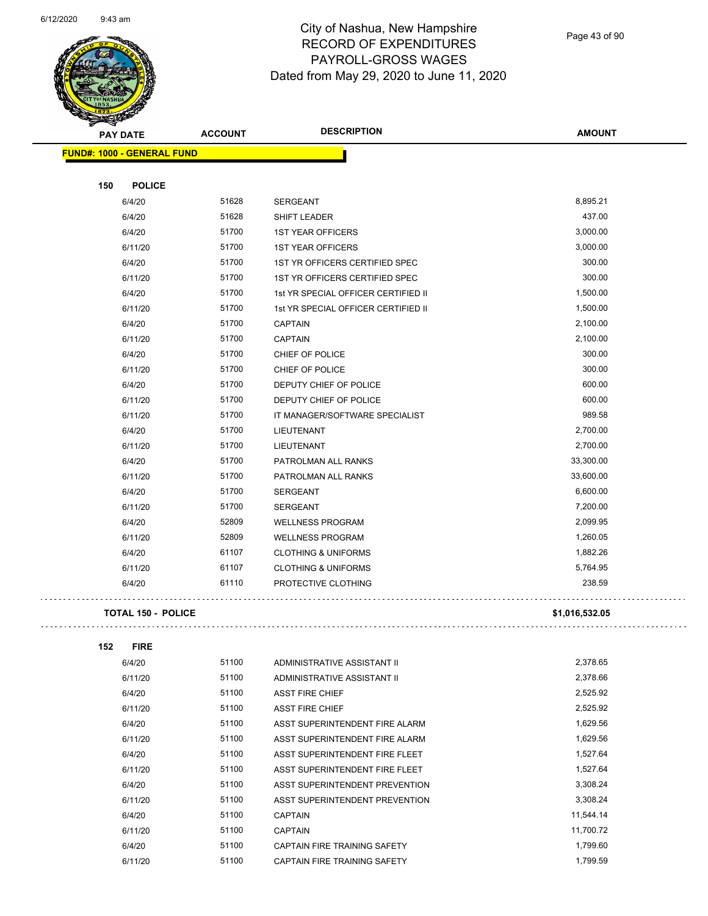

Page 43 of 90

| alban |                                   |                |                                     |                      |
|-------|-----------------------------------|----------------|-------------------------------------|----------------------|
|       | <b>PAY DATE</b>                   | <b>ACCOUNT</b> | <b>DESCRIPTION</b>                  | <b>AMOUNT</b>        |
|       | <b>FUND#: 1000 - GENERAL FUND</b> |                |                                     |                      |
|       |                                   |                |                                     |                      |
| 150   | <b>POLICE</b>                     |                |                                     |                      |
|       | 6/4/20                            | 51628          | SERGEANT                            | 8,895.21             |
|       | 6/4/20                            | 51628          | SHIFT LEADER                        | 437.00               |
|       | 6/4/20                            | 51700          | <b>1ST YEAR OFFICERS</b>            | 3,000.00             |
|       | 6/11/20                           | 51700          | <b>1ST YEAR OFFICERS</b>            | 3,000.00             |
|       | 6/4/20                            | 51700          | 1ST YR OFFICERS CERTIFIED SPEC      | 300.00               |
|       | 6/11/20                           | 51700          | 1ST YR OFFICERS CERTIFIED SPEC      | 300.00               |
|       | 6/4/20                            | 51700          | 1st YR SPECIAL OFFICER CERTIFIED II | 1,500.00             |
|       | 6/11/20                           | 51700          | 1st YR SPECIAL OFFICER CERTIFIED II | 1,500.00             |
|       | 6/4/20                            | 51700          | <b>CAPTAIN</b>                      | 2,100.00             |
|       | 6/11/20                           | 51700          | <b>CAPTAIN</b>                      | 2,100.00             |
|       | 6/4/20                            | 51700          | CHIEF OF POLICE                     | 300.00               |
|       | 6/11/20                           | 51700          | CHIEF OF POLICE                     | 300.00               |
|       | 6/4/20                            | 51700          | DEPUTY CHIEF OF POLICE              | 600.00               |
|       | 6/11/20                           | 51700          | DEPUTY CHIEF OF POLICE              | 600.00               |
|       | 6/11/20                           | 51700          | IT MANAGER/SOFTWARE SPECIALIST      | 989.58               |
|       | 6/4/20                            | 51700          | <b>LIEUTENANT</b>                   | 2,700.00             |
|       | 6/11/20                           | 51700          | LIEUTENANT                          | 2,700.00             |
|       | 6/4/20                            | 51700          | PATROLMAN ALL RANKS                 | 33,300.00            |
|       | 6/11/20                           | 51700          | PATROLMAN ALL RANKS                 | 33,600.00            |
|       | 6/4/20                            | 51700          | <b>SERGEANT</b>                     | 6,600.00             |
|       | 6/11/20                           | 51700          | <b>SERGEANT</b>                     | 7,200.00             |
|       | 6/4/20                            | 52809          | <b>WELLNESS PROGRAM</b>             | 2,099.95             |
|       | 6/11/20                           | 52809          | <b>WELLNESS PROGRAM</b>             | 1,260.05             |
|       | 6/4/20                            | 61107          | <b>CLOTHING &amp; UNIFORMS</b>      | 1,882.26             |
|       | 6/11/20                           | 61107          | <b>CLOTHING &amp; UNIFORMS</b>      | 5,764.95             |
|       | 6/4/20                            | 61110          | PROTECTIVE CLOTHING                 | 238.59               |
|       |                                   |                |                                     |                      |
|       | <b>TOTAL 150 - POLICE</b>         |                |                                     | \$1,016,532.05       |
|       |                                   |                |                                     |                      |
| 152   | <b>FIRE</b>                       | 51100          |                                     |                      |
|       | 6/4/20                            | 51100          | ADMINISTRATIVE ASSISTANT II         | 2,378.65<br>2,378.66 |
|       | 6/11/20                           | 51100          | ADMINISTRATIVE ASSISTANT II         |                      |
|       | 6/4/20                            | 51100          | <b>ASST FIRE CHIEF</b>              | 2,525.92<br>2,525.92 |
|       | 6/11/20                           |                | <b>ASST FIRE CHIEF</b>              |                      |
|       | 6/4/20                            | 51100          | ASST SUPERINTENDENT FIRE ALARM      | 1,629.56             |
|       | 6/11/20                           | 51100<br>51100 | ASST SUPERINTENDENT FIRE ALARM      | 1,629.56             |
|       | 6/4/20                            |                | ASST SUPERINTENDENT FIRE FLEET      | 1,527.64             |
|       | 6/11/20                           | 51100          | ASST SUPERINTENDENT FIRE FLEET      | 1,527.64             |
|       | 6/4/20                            | 51100          | ASST SUPERINTENDENT PREVENTION      | 3,308.24             |
|       | 6/11/20                           | 51100          | ASST SUPERINTENDENT PREVENTION      | 3,308.24             |
|       | 6/4/20                            | 51100          | <b>CAPTAIN</b>                      | 11,544.14            |
|       | 6/11/20                           | 51100          | <b>CAPTAIN</b>                      | 11,700.72            |
|       | 6/4/20                            | 51100          | CAPTAIN FIRE TRAINING SAFETY        | 1,799.60             |

6/11/20 51100 CAPTAIN FIRE TRAINING SAFETY 1,799.59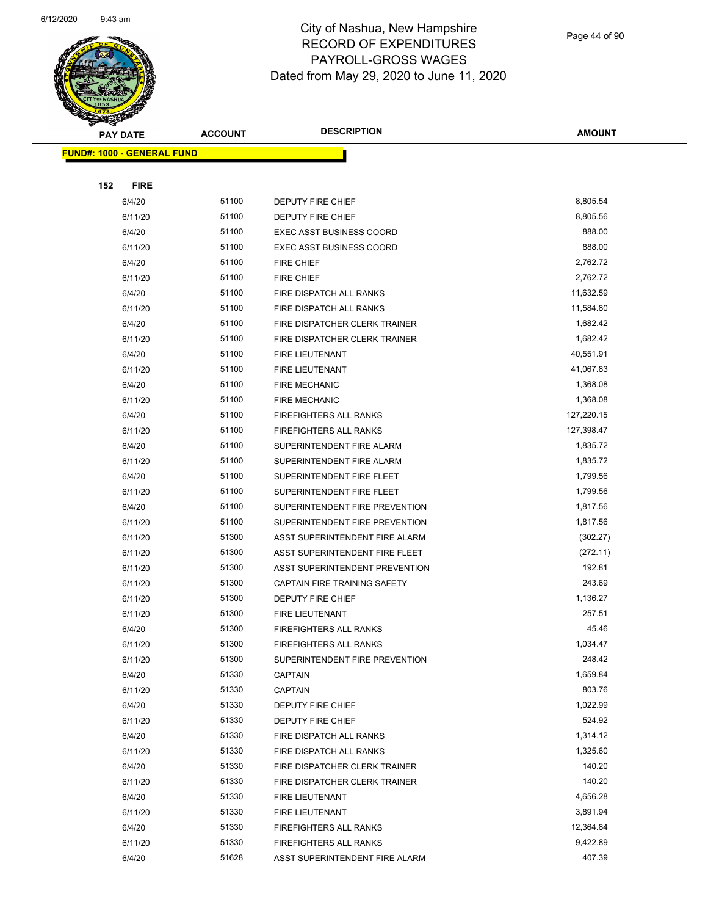

Page 44 of 90

| <b>Andri</b><br><b>PAY DATE</b>   | <b>ACCOUNT</b> | <b>DESCRIPTION</b>                    | <b>AMOUNT</b> |
|-----------------------------------|----------------|---------------------------------------|---------------|
| <b>FUND#: 1000 - GENERAL FUND</b> |                |                                       |               |
|                                   |                |                                       |               |
| 152<br><b>FIRE</b>                |                |                                       |               |
| 6/4/20                            | 51100          | <b>DEPUTY FIRE CHIEF</b>              | 8,805.54      |
| 6/11/20                           | 51100          | DEPUTY FIRE CHIEF                     | 8,805.56      |
| 6/4/20                            | 51100          | <b>EXEC ASST BUSINESS COORD</b>       | 888.00        |
| 6/11/20                           | 51100          | <b>EXEC ASST BUSINESS COORD</b>       | 888.00        |
| 6/4/20                            | 51100          | <b>FIRE CHIEF</b>                     | 2,762.72      |
| 6/11/20                           | 51100          | FIRE CHIEF                            | 2,762.72      |
| 6/4/20                            | 51100          | FIRE DISPATCH ALL RANKS               | 11,632.59     |
| 6/11/20                           | 51100          | FIRE DISPATCH ALL RANKS               | 11,584.80     |
| 6/4/20                            | 51100          | FIRE DISPATCHER CLERK TRAINER         | 1,682.42      |
| 6/11/20                           | 51100          | FIRE DISPATCHER CLERK TRAINER         | 1,682.42      |
| 6/4/20                            | 51100          | FIRE LIEUTENANT                       | 40,551.91     |
| 6/11/20                           | 51100          | <b>FIRE LIEUTENANT</b>                | 41,067.83     |
| 6/4/20                            | 51100          | <b>FIRE MECHANIC</b>                  | 1,368.08      |
| 6/11/20                           | 51100          | <b>FIRE MECHANIC</b>                  | 1,368.08      |
| 6/4/20                            | 51100          | FIREFIGHTERS ALL RANKS                | 127,220.15    |
| 6/11/20                           | 51100          | FIREFIGHTERS ALL RANKS                | 127,398.47    |
| 6/4/20                            | 51100          | SUPERINTENDENT FIRE ALARM             | 1,835.72      |
| 6/11/20                           | 51100          | SUPERINTENDENT FIRE ALARM             | 1,835.72      |
| 6/4/20                            | 51100          | SUPERINTENDENT FIRE FLEET             | 1,799.56      |
| 6/11/20                           | 51100          | SUPERINTENDENT FIRE FLEET             | 1,799.56      |
| 6/4/20                            | 51100          | SUPERINTENDENT FIRE PREVENTION        | 1,817.56      |
| 6/11/20                           | 51100          | SUPERINTENDENT FIRE PREVENTION        | 1,817.56      |
| 6/11/20                           | 51300          | ASST SUPERINTENDENT FIRE ALARM        | (302.27)      |
| 6/11/20                           | 51300          | ASST SUPERINTENDENT FIRE FLEET        | (272.11)      |
| 6/11/20                           | 51300          | <b>ASST SUPERINTENDENT PREVENTION</b> | 192.81        |
| 6/11/20                           | 51300          | CAPTAIN FIRE TRAINING SAFETY          | 243.69        |
| 6/11/20                           | 51300          | DEPUTY FIRE CHIEF                     | 1,136.27      |
| 6/11/20                           | 51300          | FIRE LIEUTENANT                       | 257.51        |
| 6/4/20                            | 51300          | <b>FIREFIGHTERS ALL RANKS</b>         | 45.46         |
| 6/11/20                           | 51300          | FIREFIGHTERS ALL RANKS                | 1,034.47      |
| 6/11/20                           | 51300          | SUPERINTENDENT FIRE PREVENTION        | 248.42        |
| 6/4/20                            | 51330          | <b>CAPTAIN</b>                        | 1,659.84      |
| 6/11/20                           | 51330          | <b>CAPTAIN</b>                        | 803.76        |
| 6/4/20                            | 51330          | DEPUTY FIRE CHIEF                     | 1,022.99      |
| 6/11/20                           | 51330          | DEPUTY FIRE CHIEF                     | 524.92        |
| 6/4/20                            | 51330          | FIRE DISPATCH ALL RANKS               | 1,314.12      |
| 6/11/20                           | 51330          | FIRE DISPATCH ALL RANKS               | 1,325.60      |
| 6/4/20                            | 51330          | FIRE DISPATCHER CLERK TRAINER         | 140.20        |
| 6/11/20                           | 51330          | FIRE DISPATCHER CLERK TRAINER         | 140.20        |
| 6/4/20                            | 51330          | FIRE LIEUTENANT                       | 4,656.28      |
| 6/11/20                           | 51330          | FIRE LIEUTENANT                       | 3,891.94      |
| 6/4/20                            | 51330          | <b>FIREFIGHTERS ALL RANKS</b>         | 12,364.84     |
| 6/11/20                           | 51330          | FIREFIGHTERS ALL RANKS                | 9,422.89      |
| 6/4/20                            | 51628          | ASST SUPERINTENDENT FIRE ALARM        | 407.39        |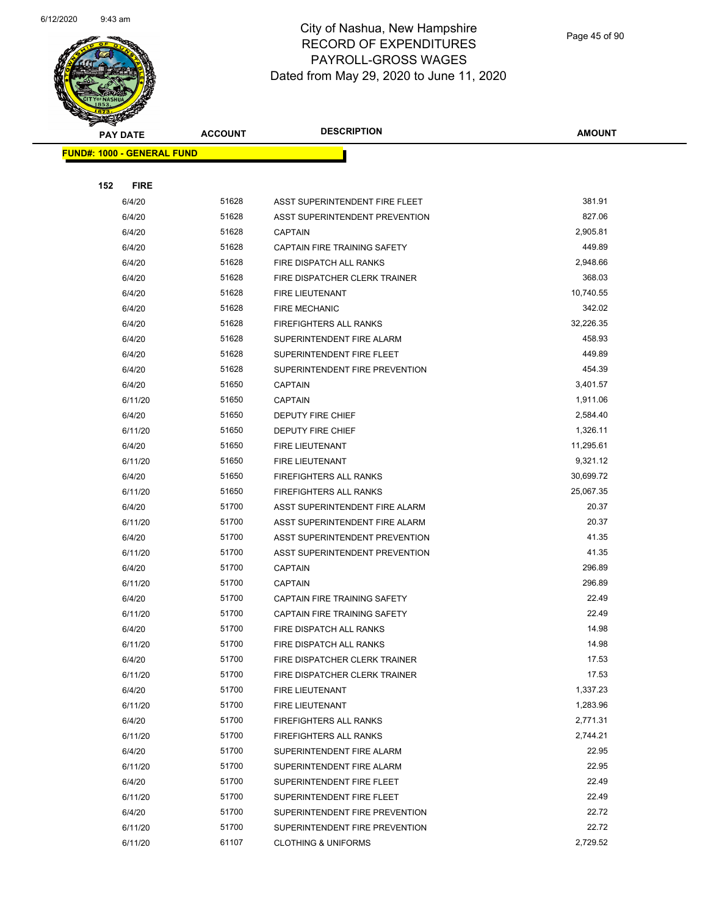

Page 45 of 90

| $\blacktriangleleft$ .<br><b>PAY DATE</b> | <b>ACCOUNT</b> | <b>DESCRIPTION</b>                                               | <b>AMOUNT</b>  |
|-------------------------------------------|----------------|------------------------------------------------------------------|----------------|
| <b>FUND#: 1000 - GENERAL FUND</b>         |                |                                                                  |                |
|                                           |                |                                                                  |                |
| 152<br><b>FIRE</b>                        |                |                                                                  |                |
| 6/4/20                                    | 51628          | ASST SUPERINTENDENT FIRE FLEET                                   | 381.91         |
| 6/4/20                                    | 51628          | ASST SUPERINTENDENT PREVENTION                                   | 827.06         |
| 6/4/20                                    | 51628          | <b>CAPTAIN</b>                                                   | 2,905.81       |
| 6/4/20                                    | 51628          | CAPTAIN FIRE TRAINING SAFETY                                     | 449.89         |
| 6/4/20                                    | 51628          | FIRE DISPATCH ALL RANKS                                          | 2,948.66       |
| 6/4/20                                    | 51628          | FIRE DISPATCHER CLERK TRAINER                                    | 368.03         |
| 6/4/20                                    | 51628          | FIRE LIEUTENANT                                                  | 10,740.55      |
| 6/4/20                                    | 51628          | <b>FIRE MECHANIC</b>                                             | 342.02         |
| 6/4/20                                    | 51628          | FIREFIGHTERS ALL RANKS                                           | 32,226.35      |
| 6/4/20                                    | 51628          | SUPERINTENDENT FIRE ALARM                                        | 458.93         |
| 6/4/20                                    | 51628          | SUPERINTENDENT FIRE FLEET                                        | 449.89         |
| 6/4/20                                    | 51628          | SUPERINTENDENT FIRE PREVENTION                                   | 454.39         |
| 6/4/20                                    | 51650          | <b>CAPTAIN</b>                                                   | 3,401.57       |
| 6/11/20                                   | 51650          | <b>CAPTAIN</b>                                                   | 1,911.06       |
| 6/4/20                                    | 51650          | DEPUTY FIRE CHIEF                                                | 2,584.40       |
| 6/11/20                                   | 51650          | <b>DEPUTY FIRE CHIEF</b>                                         | 1,326.11       |
| 6/4/20                                    | 51650          | <b>FIRE LIEUTENANT</b>                                           | 11,295.61      |
| 6/11/20                                   | 51650          | FIRE LIEUTENANT                                                  | 9,321.12       |
| 6/4/20                                    | 51650          | <b>FIREFIGHTERS ALL RANKS</b>                                    | 30,699.72      |
| 6/11/20                                   | 51650          | FIREFIGHTERS ALL RANKS                                           | 25,067.35      |
| 6/4/20                                    | 51700<br>51700 | ASST SUPERINTENDENT FIRE ALARM                                   | 20.37<br>20.37 |
| 6/11/20                                   | 51700          | ASST SUPERINTENDENT FIRE ALARM                                   | 41.35          |
| 6/4/20<br>6/11/20                         | 51700          | ASST SUPERINTENDENT PREVENTION<br>ASST SUPERINTENDENT PREVENTION | 41.35          |
| 6/4/20                                    | 51700          | <b>CAPTAIN</b>                                                   | 296.89         |
| 6/11/20                                   | 51700          | <b>CAPTAIN</b>                                                   | 296.89         |
| 6/4/20                                    | 51700          | CAPTAIN FIRE TRAINING SAFETY                                     | 22.49          |
| 6/11/20                                   | 51700          | CAPTAIN FIRE TRAINING SAFETY                                     | 22.49          |
| 6/4/20                                    | 51700          | FIRE DISPATCH ALL RANKS                                          | 14.98          |
| 6/11/20                                   | 51700          | FIRE DISPATCH ALL RANKS                                          | 14.98          |
| 6/4/20                                    | 51700          | FIRE DISPATCHER CLERK TRAINER                                    | 17.53          |
| 6/11/20                                   | 51700          | FIRE DISPATCHER CLERK TRAINER                                    | 17.53          |
| 6/4/20                                    | 51700          | <b>FIRE LIEUTENANT</b>                                           | 1,337.23       |
| 6/11/20                                   | 51700          | FIRE LIEUTENANT                                                  | 1,283.96       |
| 6/4/20                                    | 51700          | <b>FIREFIGHTERS ALL RANKS</b>                                    | 2,771.31       |
| 6/11/20                                   | 51700          | <b>FIREFIGHTERS ALL RANKS</b>                                    | 2,744.21       |
| 6/4/20                                    | 51700          | SUPERINTENDENT FIRE ALARM                                        | 22.95          |
| 6/11/20                                   | 51700          | SUPERINTENDENT FIRE ALARM                                        | 22.95          |
| 6/4/20                                    | 51700          | SUPERINTENDENT FIRE FLEET                                        | 22.49          |
| 6/11/20                                   | 51700          | SUPERINTENDENT FIRE FLEET                                        | 22.49          |
| 6/4/20                                    | 51700          | SUPERINTENDENT FIRE PREVENTION                                   | 22.72          |
| 6/11/20                                   | 51700          | SUPERINTENDENT FIRE PREVENTION                                   | 22.72          |
| 6/11/20                                   | 61107          | <b>CLOTHING &amp; UNIFORMS</b>                                   | 2,729.52       |
|                                           |                |                                                                  |                |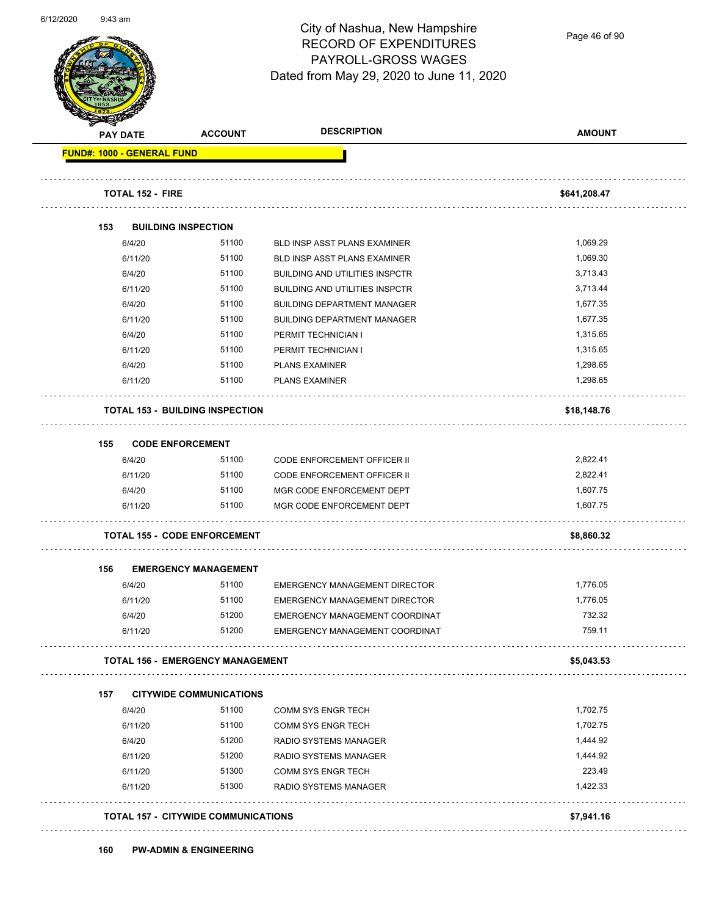

Page 46 of 90

| <b>PAY DATE</b> | <b>ACCOUNT</b>                             | <b>DESCRIPTION</b>                    | <b>AMOUNT</b> |
|-----------------|--------------------------------------------|---------------------------------------|---------------|
|                 | <b>FUND#: 1000 - GENERAL FUND</b>          |                                       |               |
|                 | <b>TOTAL 152 - FIRE</b>                    |                                       | \$641,208.47  |
| 153             | <b>BUILDING INSPECTION</b>                 |                                       |               |
| 6/4/20          | 51100                                      | <b>BLD INSP ASST PLANS EXAMINER</b>   | 1,069.29      |
| 6/11/20         | 51100                                      | BLD INSP ASST PLANS EXAMINER          | 1,069.30      |
| 6/4/20          | 51100                                      | <b>BUILDING AND UTILITIES INSPCTR</b> | 3,713.43      |
| 6/11/20         | 51100                                      | <b>BUILDING AND UTILITIES INSPCTR</b> | 3,713.44      |
| 6/4/20          | 51100                                      | <b>BUILDING DEPARTMENT MANAGER</b>    | 1,677.35      |
| 6/11/20         | 51100                                      | <b>BUILDING DEPARTMENT MANAGER</b>    | 1,677.35      |
| 6/4/20          | 51100                                      | PERMIT TECHNICIAN I                   | 1,315.65      |
| 6/11/20         | 51100                                      | PERMIT TECHNICIAN I                   | 1,315.65      |
| 6/4/20          | 51100                                      | <b>PLANS EXAMINER</b>                 | 1,298.65      |
| 6/11/20         | 51100                                      | <b>PLANS EXAMINER</b>                 | 1,298.65      |
|                 | <b>TOTAL 153 - BUILDING INSPECTION</b>     |                                       | \$18,148.76   |
| 155             | <b>CODE ENFORCEMENT</b>                    |                                       |               |
| 6/4/20          | 51100                                      | <b>CODE ENFORCEMENT OFFICER II</b>    | 2,822.41      |
| 6/11/20         | 51100                                      | <b>CODE ENFORCEMENT OFFICER II</b>    | 2,822.41      |
| 6/4/20          | 51100                                      | MGR CODE ENFORCEMENT DEPT             | 1,607.75      |
| 6/11/20         | 51100                                      | MGR CODE ENFORCEMENT DEPT             | 1,607.75      |
|                 | <b>TOTAL 155 - CODE ENFORCEMENT</b>        |                                       | \$8,860.32    |
| 156             | <b>EMERGENCY MANAGEMENT</b>                |                                       |               |
| 6/4/20          | 51100                                      | <b>EMERGENCY MANAGEMENT DIRECTOR</b>  | 1,776.05      |
| 6/11/20         | 51100                                      | <b>EMERGENCY MANAGEMENT DIRECTOR</b>  | 1,776.05      |
| 6/4/20          | 51200                                      | EMERGENCY MANAGEMENT COORDINAT        | 732.32        |
| 6/11/20         | 51200                                      | EMERGENCY MANAGEMENT COORDINAT        | 759.11        |
|                 | <b>TOTAL 156 - EMERGENCY MANAGEMENT</b>    |                                       | \$5,043.53    |
| 157             | <b>CITYWIDE COMMUNICATIONS</b>             |                                       |               |
| 6/4/20          | 51100                                      | <b>COMM SYS ENGR TECH</b>             | 1,702.75      |
| 6/11/20         | 51100                                      | COMM SYS ENGR TECH                    | 1,702.75      |
| 6/4/20          | 51200                                      | RADIO SYSTEMS MANAGER                 | 1,444.92      |
| 6/11/20         | 51200                                      | RADIO SYSTEMS MANAGER                 | 1,444.92      |
| 6/11/20         | 51300                                      | <b>COMM SYS ENGR TECH</b>             | 223.49        |
| 6/11/20         | 51300                                      | RADIO SYSTEMS MANAGER                 | 1,422.33      |
|                 | <b>TOTAL 157 - CITYWIDE COMMUNICATIONS</b> |                                       | \$7,941.16    |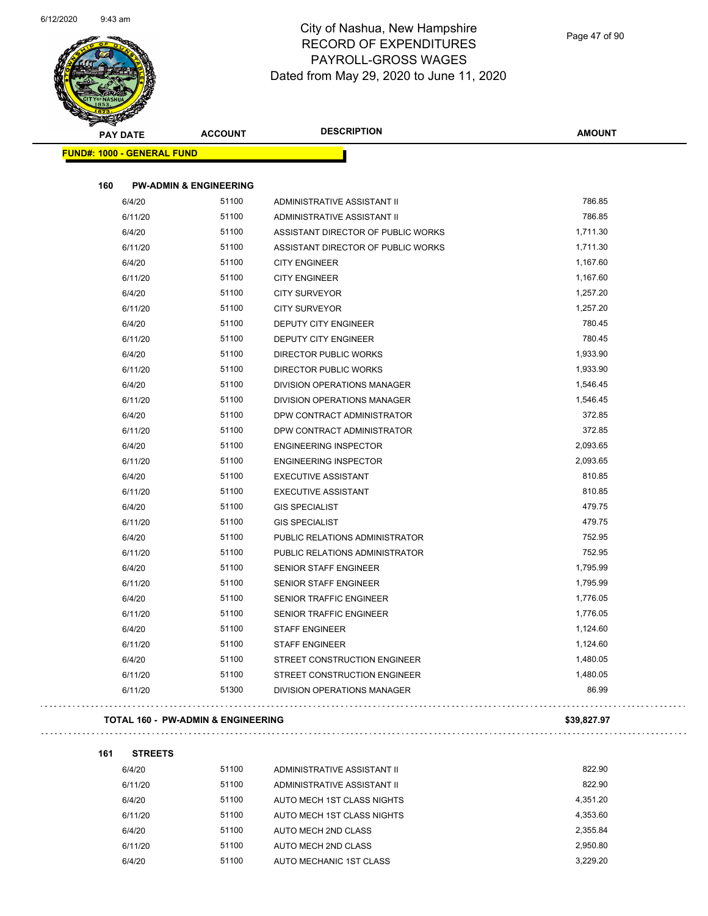

| <b>PAY DATE</b>                   | <b>ACCOUNT</b>                    | <b>DESCRIPTION</b>                 | <b>AMOUNT</b> |
|-----------------------------------|-----------------------------------|------------------------------------|---------------|
| <b>FUND#: 1000 - GENERAL FUND</b> |                                   |                                    |               |
| 160                               | <b>PW-ADMIN &amp; ENGINEERING</b> |                                    |               |
| 6/4/20                            | 51100                             | ADMINISTRATIVE ASSISTANT II        | 786.85        |
| 6/11/20                           | 51100                             | ADMINISTRATIVE ASSISTANT II        | 786.85        |
| 6/4/20                            | 51100                             | ASSISTANT DIRECTOR OF PUBLIC WORKS | 1,711.30      |
| 6/11/20                           | 51100                             | ASSISTANT DIRECTOR OF PUBLIC WORKS | 1,711.30      |
| 6/4/20                            | 51100                             | <b>CITY ENGINEER</b>               | 1,167.60      |
| 6/11/20                           | 51100                             | <b>CITY ENGINEER</b>               | 1,167.60      |
| 6/4/20                            | 51100                             | <b>CITY SURVEYOR</b>               | 1,257.20      |
| 6/11/20                           | 51100                             | <b>CITY SURVEYOR</b>               | 1,257.20      |
| 6/4/20                            | 51100                             | <b>DEPUTY CITY ENGINEER</b>        | 780.45        |
| 6/11/20                           | 51100                             | DEPUTY CITY ENGINEER               | 780.45        |
| 6/4/20                            | 51100                             | <b>DIRECTOR PUBLIC WORKS</b>       | 1,933.90      |
| 6/11/20                           | 51100                             | DIRECTOR PUBLIC WORKS              | 1,933.90      |
| 6/4/20                            | 51100                             | DIVISION OPERATIONS MANAGER        | 1,546.45      |
| 6/11/20                           | 51100                             | <b>DIVISION OPERATIONS MANAGER</b> | 1,546.45      |
| 6/4/20                            | 51100                             | DPW CONTRACT ADMINISTRATOR         | 372.85        |
| 6/11/20                           | 51100                             | DPW CONTRACT ADMINISTRATOR         | 372.85        |
| 6/4/20                            | 51100                             | <b>ENGINEERING INSPECTOR</b>       | 2,093.65      |
| 6/11/20                           | 51100                             | <b>ENGINEERING INSPECTOR</b>       | 2,093.65      |
| 6/4/20                            | 51100                             | <b>EXECUTIVE ASSISTANT</b>         | 810.85        |
| 6/11/20                           | 51100                             | <b>EXECUTIVE ASSISTANT</b>         | 810.85        |
| 6/4/20                            | 51100                             | <b>GIS SPECIALIST</b>              | 479.75        |
| 6/11/20                           | 51100                             | <b>GIS SPECIALIST</b>              | 479.75        |
| 6/4/20                            | 51100                             | PUBLIC RELATIONS ADMINISTRATOR     | 752.95        |
| 6/11/20                           | 51100                             | PUBLIC RELATIONS ADMINISTRATOR     | 752.95        |
| 6/4/20                            | 51100                             | <b>SENIOR STAFF ENGINEER</b>       | 1,795.99      |
| 6/11/20                           | 51100                             | SENIOR STAFF ENGINEER              | 1,795.99      |
| 6/4/20                            | 51100                             | <b>SENIOR TRAFFIC ENGINEER</b>     | 1,776.05      |
| 6/11/20                           | 51100                             | SENIOR TRAFFIC ENGINEER            | 1,776.05      |
| 6/4/20                            | 51100                             | <b>STAFF ENGINEER</b>              | 1,124.60      |
| 6/11/20                           | 51100                             | <b>STAFF ENGINEER</b>              | 1,124.60      |
| 6/4/20                            | 51100                             | STREET CONSTRUCTION ENGINEER       | 1,480.05      |
| 6/11/20                           | 51100                             | STREET CONSTRUCTION ENGINEER       | 1,480.05      |
| 6/11/20                           | 51300                             | DIVISION OPERATIONS MANAGER        | 86.99         |

#### **TOTAL 160 - PW-ADMIN & ENGINEERING \$39,827.97**

#### **161 STREETS**

| 6/4/20  | 51100 | ADMINISTRATIVE ASSISTANT II | 822.90   |
|---------|-------|-----------------------------|----------|
| 6/11/20 | 51100 | ADMINISTRATIVE ASSISTANT II | 822.90   |
| 6/4/20  | 51100 | AUTO MECH 1ST CLASS NIGHTS  | 4.351.20 |
| 6/11/20 | 51100 | AUTO MECH 1ST CLASS NIGHTS  | 4.353.60 |
| 6/4/20  | 51100 | AUTO MECH 2ND CLASS         | 2.355.84 |
| 6/11/20 | 51100 | AUTO MECH 2ND CLASS         | 2.950.80 |
| 6/4/20  | 51100 | AUTO MECHANIC 1ST CLASS     | 3.229.20 |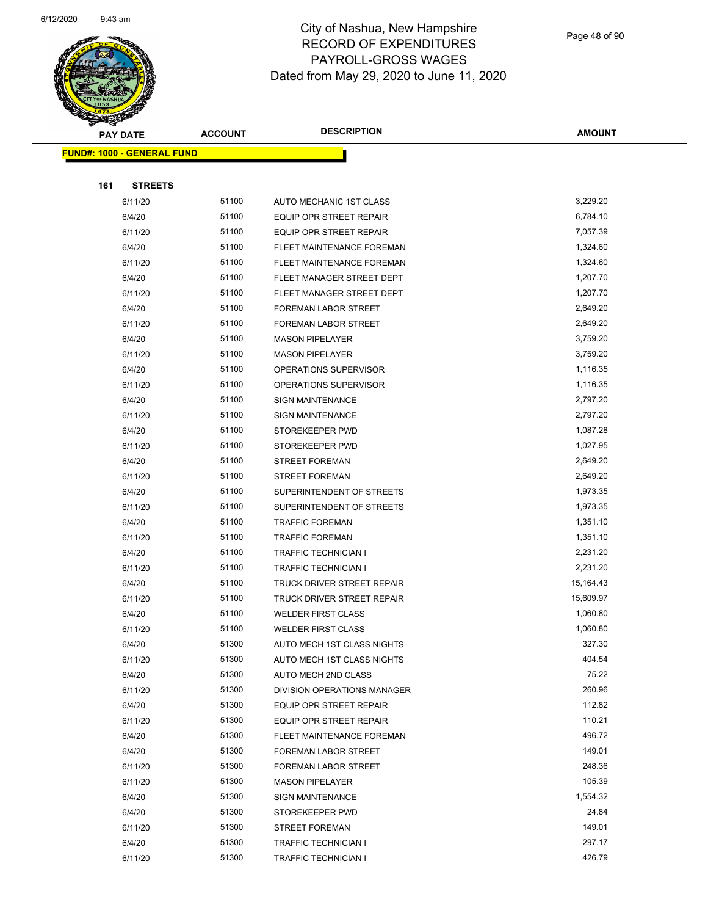

Page 48 of 90

| A.  | <b>PAY DATE</b>                   | <b>ACCOUNT</b> | <b>DESCRIPTION</b>             | <b>AMOUNT</b> |
|-----|-----------------------------------|----------------|--------------------------------|---------------|
|     | <b>FUND#: 1000 - GENERAL FUND</b> |                |                                |               |
|     |                                   |                |                                |               |
| 161 | <b>STREETS</b>                    |                |                                |               |
|     | 6/11/20                           | 51100          | AUTO MECHANIC 1ST CLASS        | 3,229.20      |
|     | 6/4/20                            | 51100          | <b>EQUIP OPR STREET REPAIR</b> | 6,784.10      |
|     | 6/11/20                           | 51100          | EQUIP OPR STREET REPAIR        | 7,057.39      |
|     | 6/4/20                            | 51100          | FLEET MAINTENANCE FOREMAN      | 1,324.60      |
|     | 6/11/20                           | 51100          | FLEET MAINTENANCE FOREMAN      | 1,324.60      |
|     | 6/4/20                            | 51100          | FLEET MANAGER STREET DEPT      | 1,207.70      |
|     | 6/11/20                           | 51100          | FLEET MANAGER STREET DEPT      | 1,207.70      |
|     | 6/4/20                            | 51100          | FOREMAN LABOR STREET           | 2,649.20      |
|     | 6/11/20                           | 51100          | FOREMAN LABOR STREET           | 2,649.20      |
|     | 6/4/20                            | 51100          | <b>MASON PIPELAYER</b>         | 3,759.20      |
|     | 6/11/20                           | 51100          | <b>MASON PIPELAYER</b>         | 3,759.20      |
|     | 6/4/20                            | 51100          | OPERATIONS SUPERVISOR          | 1,116.35      |
|     | 6/11/20                           | 51100          | OPERATIONS SUPERVISOR          | 1,116.35      |
|     | 6/4/20                            | 51100          | <b>SIGN MAINTENANCE</b>        | 2,797.20      |
|     | 6/11/20                           | 51100          | <b>SIGN MAINTENANCE</b>        | 2,797.20      |
|     | 6/4/20                            | 51100          | STOREKEEPER PWD                | 1,087.28      |
|     | 6/11/20                           | 51100          | STOREKEEPER PWD                | 1,027.95      |
|     | 6/4/20                            | 51100          | <b>STREET FOREMAN</b>          | 2,649.20      |
|     | 6/11/20                           | 51100          | <b>STREET FOREMAN</b>          | 2,649.20      |
|     | 6/4/20                            | 51100          | SUPERINTENDENT OF STREETS      | 1,973.35      |
|     | 6/11/20                           | 51100          | SUPERINTENDENT OF STREETS      | 1,973.35      |
|     | 6/4/20                            | 51100          | <b>TRAFFIC FOREMAN</b>         | 1,351.10      |
|     | 6/11/20                           | 51100          | <b>TRAFFIC FOREMAN</b>         | 1,351.10      |
|     | 6/4/20                            | 51100          | TRAFFIC TECHNICIAN I           | 2,231.20      |
|     | 6/11/20                           | 51100          | TRAFFIC TECHNICIAN I           | 2,231.20      |
|     | 6/4/20                            | 51100          | TRUCK DRIVER STREET REPAIR     | 15,164.43     |
|     | 6/11/20                           | 51100          | TRUCK DRIVER STREET REPAIR     | 15,609.97     |
|     | 6/4/20                            | 51100          | <b>WELDER FIRST CLASS</b>      | 1,060.80      |
|     | 6/11/20                           | 51100          | <b>WELDER FIRST CLASS</b>      | 1,060.80      |
|     | 6/4/20                            | 51300          | AUTO MECH 1ST CLASS NIGHTS     | 327.30        |
|     | 6/11/20                           | 51300          | AUTO MECH 1ST CLASS NIGHTS     | 404.54        |
|     | 6/4/20                            | 51300          | AUTO MECH 2ND CLASS            | 75.22         |
|     | 6/11/20                           | 51300          | DIVISION OPERATIONS MANAGER    | 260.96        |
|     | 6/4/20                            | 51300          | EQUIP OPR STREET REPAIR        | 112.82        |
|     | 6/11/20                           | 51300          | EQUIP OPR STREET REPAIR        | 110.21        |
|     | 6/4/20                            | 51300          | FLEET MAINTENANCE FOREMAN      | 496.72        |
|     | 6/4/20                            | 51300          | FOREMAN LABOR STREET           | 149.01        |
|     | 6/11/20                           | 51300          | FOREMAN LABOR STREET           | 248.36        |
|     | 6/11/20                           | 51300          | <b>MASON PIPELAYER</b>         | 105.39        |
|     | 6/4/20                            | 51300          | <b>SIGN MAINTENANCE</b>        | 1,554.32      |
|     | 6/4/20                            | 51300          | STOREKEEPER PWD                | 24.84         |
|     | 6/11/20                           | 51300          | <b>STREET FOREMAN</b>          | 149.01        |
|     | 6/4/20                            | 51300          | TRAFFIC TECHNICIAN I           | 297.17        |
|     | 6/11/20                           | 51300          | TRAFFIC TECHNICIAN I           | 426.79        |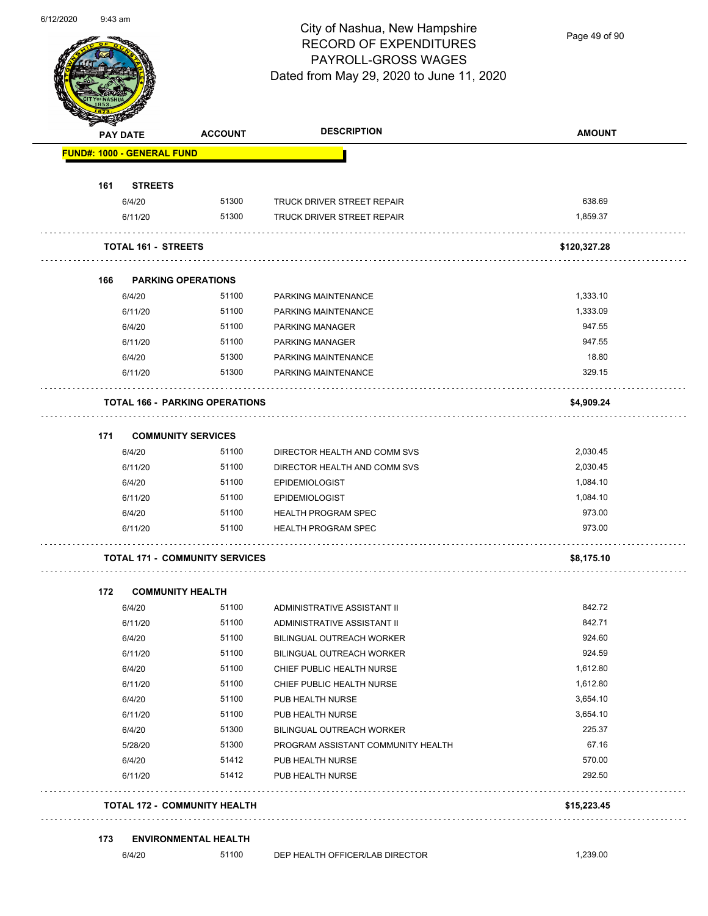

Page 49 of 90

| <b>PAY DATE</b>            | <b>ACCOUNT</b>                        | <b>DESCRIPTION</b>                 | <b>AMOUNT</b> |
|----------------------------|---------------------------------------|------------------------------------|---------------|
| FUND#: 1000 - GENERAL FUND |                                       |                                    |               |
| <b>STREETS</b><br>161      |                                       |                                    |               |
| 6/4/20                     | 51300                                 | TRUCK DRIVER STREET REPAIR         | 638.69        |
| 6/11/20                    | 51300                                 | TRUCK DRIVER STREET REPAIR         | 1,859.37      |
|                            |                                       |                                    |               |
| <b>TOTAL 161 - STREETS</b> |                                       |                                    | \$120,327.28  |
|                            |                                       |                                    |               |
| 166                        | <b>PARKING OPERATIONS</b>             |                                    |               |
| 6/4/20                     | 51100                                 | PARKING MAINTENANCE                | 1,333.10      |
| 6/11/20                    | 51100                                 | PARKING MAINTENANCE                | 1,333.09      |
| 6/4/20                     | 51100                                 | PARKING MANAGER                    | 947.55        |
| 6/11/20                    | 51100                                 | <b>PARKING MANAGER</b>             | 947.55        |
| 6/4/20                     | 51300                                 | PARKING MAINTENANCE                | 18.80         |
| 6/11/20                    | 51300                                 | PARKING MAINTENANCE                | 329.15        |
|                            | <b>TOTAL 166 - PARKING OPERATIONS</b> |                                    | \$4,909.24    |
| 171                        | <b>COMMUNITY SERVICES</b>             |                                    |               |
| 6/4/20                     | 51100                                 | DIRECTOR HEALTH AND COMM SVS       | 2,030.45      |
| 6/11/20                    | 51100                                 | DIRECTOR HEALTH AND COMM SVS       | 2,030.45      |
| 6/4/20                     | 51100                                 | <b>EPIDEMIOLOGIST</b>              | 1,084.10      |
| 6/11/20                    | 51100                                 | <b>EPIDEMIOLOGIST</b>              | 1,084.10      |
| 6/4/20                     | 51100                                 | <b>HEALTH PROGRAM SPEC</b>         | 973.00        |
| 6/11/20                    | 51100                                 | <b>HEALTH PROGRAM SPEC</b>         | 973.00        |
|                            | <b>TOTAL 171 - COMMUNITY SERVICES</b> |                                    | \$8,175.10    |
| 172                        | <b>COMMUNITY HEALTH</b>               |                                    |               |
| 6/4/20                     | 51100                                 | ADMINISTRATIVE ASSISTANT II        | 842.72        |
| 6/11/20                    | 51100                                 | ADMINISTRATIVE ASSISTANT II        | 842.71        |
| 6/4/20                     | 51100                                 | BILINGUAL OUTREACH WORKER          | 924.60        |
| 6/11/20                    | 51100                                 | BILINGUAL OUTREACH WORKER          | 924.59        |
| 6/4/20                     | 51100                                 | CHIEF PUBLIC HEALTH NURSE          | 1,612.80      |
| 6/11/20                    | 51100                                 | CHIEF PUBLIC HEALTH NURSE          | 1,612.80      |
| 6/4/20                     | 51100                                 | PUB HEALTH NURSE                   | 3,654.10      |
| 6/11/20                    | 51100                                 | PUB HEALTH NURSE                   | 3,654.10      |
| 6/4/20                     | 51300                                 | <b>BILINGUAL OUTREACH WORKER</b>   | 225.37        |
| 5/28/20                    | 51300                                 | PROGRAM ASSISTANT COMMUNITY HEALTH | 67.16         |
| 6/4/20                     | 51412                                 | PUB HEALTH NURSE                   | 570.00        |
| 6/11/20                    | 51412                                 | PUB HEALTH NURSE                   | 292.50        |
|                            | <b>TOTAL 172 - COMMUNITY HEALTH</b>   |                                    | \$15,223.45   |
| 173                        | <b>ENVIRONMENTAL HEALTH</b>           |                                    |               |
| 6/4/20                     | 51100                                 | DEP HEALTH OFFICER/LAB DIRECTOR    | 1,239.00      |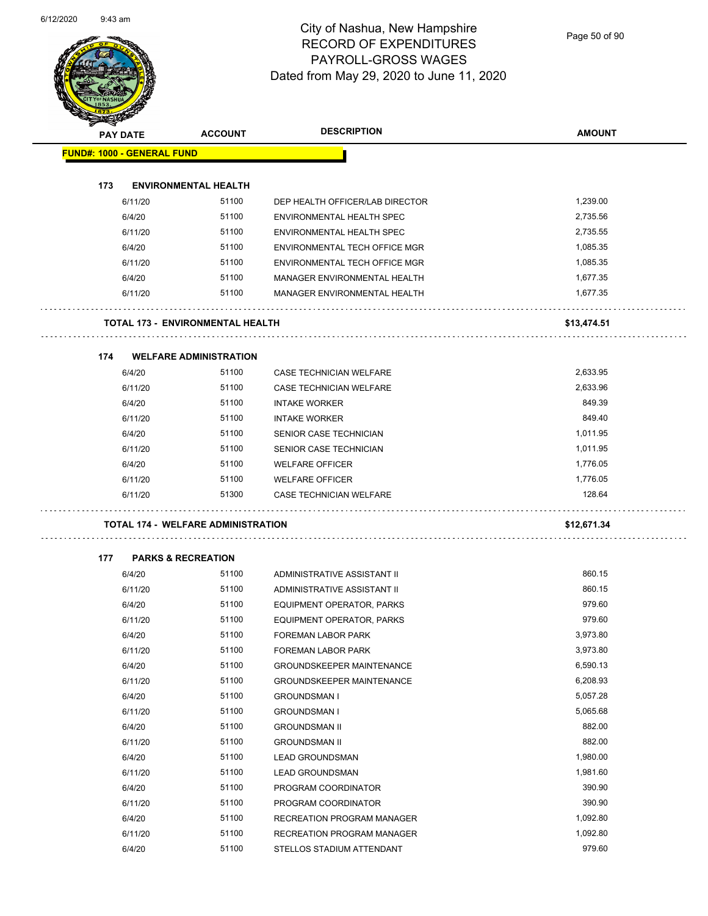Page 50 of 90

|     | PAY DATE                          | <b>ACCOUNT</b>                            | <b>DESCRIPTION</b>               | <b>AMOUNT</b> |
|-----|-----------------------------------|-------------------------------------------|----------------------------------|---------------|
|     | <b>FUND#: 1000 - GENERAL FUND</b> |                                           |                                  |               |
|     |                                   |                                           |                                  |               |
| 173 |                                   | <b>ENVIRONMENTAL HEALTH</b><br>51100      |                                  | 1,239.00      |
|     | 6/11/20                           |                                           | DEP HEALTH OFFICER/LAB DIRECTOR  |               |
|     | 6/4/20                            | 51100                                     | ENVIRONMENTAL HEALTH SPEC        | 2,735.56      |
|     | 6/11/20                           | 51100                                     | ENVIRONMENTAL HEALTH SPEC        | 2,735.55      |
|     | 6/4/20                            | 51100                                     | ENVIRONMENTAL TECH OFFICE MGR    | 1,085.35      |
|     | 6/11/20                           | 51100                                     | ENVIRONMENTAL TECH OFFICE MGR    | 1,085.35      |
|     | 6/4/20                            | 51100                                     | MANAGER ENVIRONMENTAL HEALTH     | 1,677.35      |
|     | 6/11/20                           | 51100                                     | MANAGER ENVIRONMENTAL HEALTH     | 1,677.35      |
|     |                                   | <b>TOTAL 173 - ENVIRONMENTAL HEALTH</b>   |                                  | \$13,474.51   |
|     |                                   |                                           |                                  |               |
| 174 | 6/4/20                            | <b>WELFARE ADMINISTRATION</b><br>51100    |                                  | 2,633.95      |
|     |                                   |                                           | CASE TECHNICIAN WELFARE          |               |
|     | 6/11/20                           | 51100                                     | CASE TECHNICIAN WELFARE          | 2,633.96      |
|     | 6/4/20                            | 51100                                     | <b>INTAKE WORKER</b>             | 849.39        |
|     | 6/11/20                           | 51100                                     | <b>INTAKE WORKER</b>             | 849.40        |
|     | 6/4/20                            | 51100                                     | SENIOR CASE TECHNICIAN           | 1,011.95      |
|     | 6/11/20                           | 51100                                     | SENIOR CASE TECHNICIAN           | 1,011.95      |
|     | 6/4/20                            | 51100                                     | <b>WELFARE OFFICER</b>           | 1,776.05      |
|     | 6/11/20                           | 51100                                     | <b>WELFARE OFFICER</b>           | 1,776.05      |
|     | 6/11/20                           | 51300                                     | CASE TECHNICIAN WELFARE          | 128.64        |
|     |                                   | <b>TOTAL 174 - WELFARE ADMINISTRATION</b> |                                  | \$12,671.34   |
| 177 |                                   | <b>PARKS &amp; RECREATION</b>             |                                  |               |
|     | 6/4/20                            | 51100                                     | ADMINISTRATIVE ASSISTANT II      | 860.15        |
|     | 6/11/20                           | 51100                                     | ADMINISTRATIVE ASSISTANT II      | 860.15        |
|     | 6/4/20                            | 51100                                     | EQUIPMENT OPERATOR, PARKS        | 979.60        |
|     | 6/11/20                           | 51100                                     | EQUIPMENT OPERATOR, PARKS        | 979.60        |
|     | 6/4/20                            | 51100                                     | FOREMAN LABOR PARK               | 3,973.80      |
|     | 6/11/20                           | 51100                                     | FOREMAN LABOR PARK               | 3,973.80      |
|     | 6/4/20                            | 51100                                     | <b>GROUNDSKEEPER MAINTENANCE</b> | 6,590.13      |
|     | 6/11/20                           | 51100                                     | <b>GROUNDSKEEPER MAINTENANCE</b> | 6,208.93      |
|     | 6/4/20                            | 51100                                     | <b>GROUNDSMAN I</b>              | 5,057.28      |
|     | 6/11/20                           | 51100                                     | <b>GROUNDSMAN I</b>              | 5,065.68      |
|     | 6/4/20                            | 51100                                     |                                  | 882.00        |
|     |                                   |                                           | <b>GROUNDSMAN II</b>             | 882.00        |
|     | 6/11/20                           | 51100                                     | <b>GROUNDSMAN II</b>             |               |
|     | 6/4/20                            | 51100                                     | <b>LEAD GROUNDSMAN</b>           | 1,980.00      |
|     | 6/11/20                           | 51100                                     | <b>LEAD GROUNDSMAN</b>           | 1,981.60      |
|     | 6/4/20                            | 51100                                     | PROGRAM COORDINATOR              | 390.90        |
|     | 6/11/20                           | 51100                                     | PROGRAM COORDINATOR              | 390.90        |
|     | 6/4/20                            | 51100                                     | RECREATION PROGRAM MANAGER       | 1,092.80      |
|     | 6/11/20                           | 51100                                     | RECREATION PROGRAM MANAGER       | 1,092.80      |
|     | 6/4/20                            | 51100                                     | STELLOS STADIUM ATTENDANT        | 979.60        |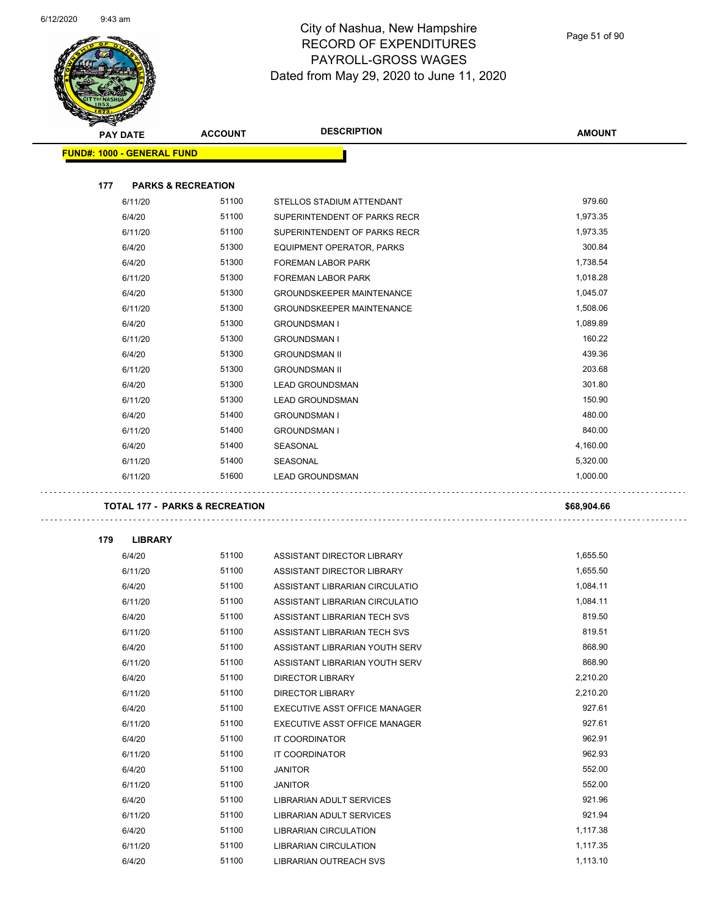and the



|     |                                   |                                           | <b>DESCRIPTION</b>                              | <b>AMOUNT</b>        |
|-----|-----------------------------------|-------------------------------------------|-------------------------------------------------|----------------------|
|     | <b>PAY DATE</b>                   | <b>ACCOUNT</b>                            |                                                 |                      |
|     | <b>FUND#: 1000 - GENERAL FUND</b> |                                           |                                                 |                      |
| 177 | <b>PARKS &amp; RECREATION</b>     |                                           |                                                 |                      |
|     | 6/11/20                           | 51100                                     | STELLOS STADIUM ATTENDANT                       | 979.60               |
|     | 6/4/20                            | 51100                                     | SUPERINTENDENT OF PARKS RECR                    | 1,973.35             |
|     | 6/11/20                           | 51100                                     | SUPERINTENDENT OF PARKS RECR                    | 1,973.35             |
|     | 6/4/20                            | 51300                                     | EQUIPMENT OPERATOR, PARKS                       | 300.84               |
|     | 6/4/20                            | 51300                                     | <b>FOREMAN LABOR PARK</b>                       | 1,738.54             |
|     | 6/11/20                           | 51300                                     | FOREMAN LABOR PARK                              | 1,018.28             |
|     | 6/4/20                            | 51300                                     | <b>GROUNDSKEEPER MAINTENANCE</b>                | 1,045.07             |
|     | 6/11/20                           | 51300                                     | <b>GROUNDSKEEPER MAINTENANCE</b>                | 1,508.06             |
|     | 6/4/20                            | 51300                                     | <b>GROUNDSMAN I</b>                             | 1,089.89             |
|     | 6/11/20                           | 51300                                     | <b>GROUNDSMAN I</b>                             | 160.22               |
|     | 6/4/20                            | 51300                                     | <b>GROUNDSMAN II</b>                            | 439.36               |
|     | 6/11/20                           | 51300                                     | <b>GROUNDSMAN II</b>                            | 203.68               |
|     | 6/4/20                            | 51300                                     | <b>LEAD GROUNDSMAN</b>                          | 301.80               |
|     | 6/11/20                           | 51300                                     | <b>LEAD GROUNDSMAN</b>                          | 150.90               |
|     | 6/4/20                            | 51400                                     | <b>GROUNDSMAN I</b>                             | 480.00               |
|     | 6/11/20                           | 51400                                     | <b>GROUNDSMAN I</b>                             | 840.00               |
|     | 6/4/20                            | 51400                                     | SEASONAL                                        | 4,160.00             |
|     | 6/11/20                           | 51400                                     | SEASONAL                                        | 5,320.00             |
|     | 6/11/20                           | 51600                                     | <b>LEAD GROUNDSMAN</b>                          | 1,000.00             |
|     |                                   | <b>TOTAL 177 - PARKS &amp; RECREATION</b> |                                                 | \$68,904.66          |
|     |                                   |                                           |                                                 |                      |
| 179 | <b>LIBRARY</b>                    |                                           |                                                 |                      |
|     | 6/4/20                            | 51100                                     | ASSISTANT DIRECTOR LIBRARY                      | 1,655.50             |
|     | 6/11/20                           | 51100                                     | ASSISTANT DIRECTOR LIBRARY                      | 1,655.50             |
|     | 6/4/20                            | 51100                                     | ASSISTANT LIBRARIAN CIRCULATIO                  | 1,084.11             |
|     | 6/11/20                           | 51100                                     | ASSISTANT LIBRARIAN CIRCULATIO                  | 1,084.11             |
|     | 6/4/20                            | 51100                                     | ASSISTANT LIBRARIAN TECH SVS                    | 819.50               |
|     | 6/11/20                           | 51100                                     | ASSISTANT LIBRARIAN TECH SVS                    | 819.51               |
|     | 6/4/20                            | 51100                                     | ASSISTANT LIBRARIAN YOUTH SERV                  | 868.90               |
|     | 6/11/20                           | 51100                                     | ASSISTANT LIBRARIAN YOUTH SERV                  | 868.90               |
|     | 6/4/20                            | 51100                                     | DIRECTOR LIBRARY                                | 2,210.20             |
|     | 6/11/20                           | 51100                                     | DIRECTOR LIBRARY                                | 2,210.20             |
|     | 6/4/20                            | 51100                                     | EXECUTIVE ASST OFFICE MANAGER                   | 927.61               |
|     | 6/11/20                           | 51100                                     | EXECUTIVE ASST OFFICE MANAGER                   | 927.61               |
|     | 6/4/20                            | 51100                                     | IT COORDINATOR                                  | 962.91               |
|     | 6/11/20                           | 51100                                     | IT COORDINATOR                                  | 962.93               |
|     | 6/4/20                            | 51100                                     | <b>JANITOR</b>                                  | 552.00               |
|     | 6/11/20                           | 51100                                     | <b>JANITOR</b>                                  | 552.00               |
|     | 6/4/20                            | 51100                                     | LIBRARIAN ADULT SERVICES                        | 921.96               |
|     | 6/11/20                           | 51100                                     | LIBRARIAN ADULT SERVICES                        | 921.94               |
|     |                                   |                                           |                                                 |                      |
|     | 6/4/20                            | 51100                                     | <b>LIBRARIAN CIRCULATION</b>                    | 1,117.38             |
|     | 6/11/20<br>6/4/20                 | 51100<br>51100                            | LIBRARIAN CIRCULATION<br>LIBRARIAN OUTREACH SVS | 1,117.35<br>1,113.10 |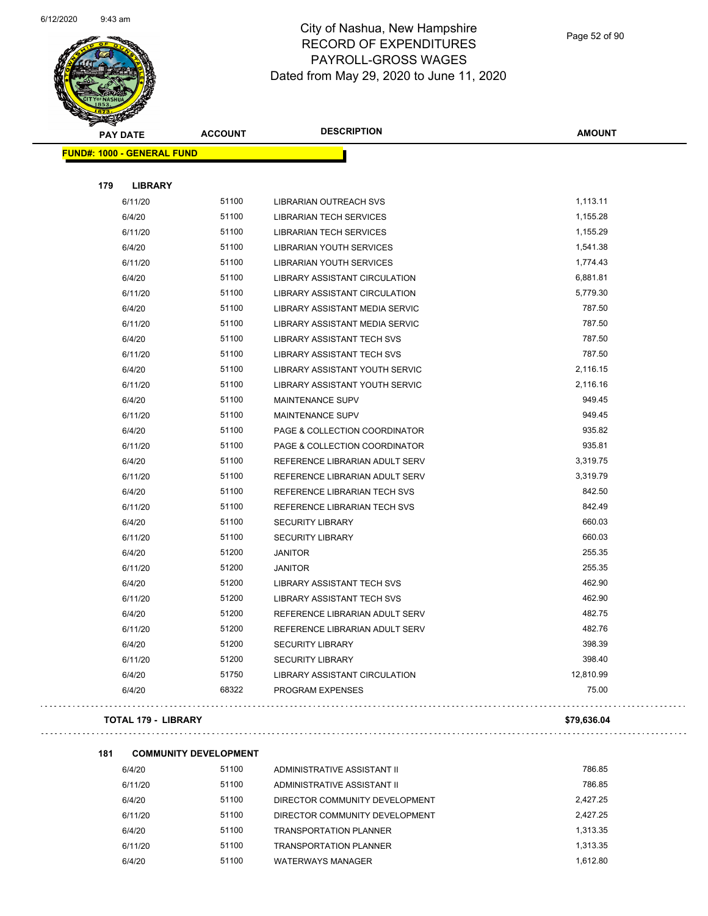

|     | <b>PAY DATE</b>                   | <b>ACCOUNT</b> | <b>DESCRIPTION</b>                   | <b>AMOUNT</b> |
|-----|-----------------------------------|----------------|--------------------------------------|---------------|
|     | <b>FUND#: 1000 - GENERAL FUND</b> |                |                                      |               |
|     |                                   |                |                                      |               |
| 179 | <b>LIBRARY</b>                    |                |                                      |               |
|     | 6/11/20                           | 51100          | <b>LIBRARIAN OUTREACH SVS</b>        | 1,113.11      |
|     | 6/4/20                            | 51100          | <b>LIBRARIAN TECH SERVICES</b>       | 1,155.28      |
|     | 6/11/20                           | 51100          | <b>LIBRARIAN TECH SERVICES</b>       | 1,155.29      |
|     | 6/4/20                            | 51100          | <b>LIBRARIAN YOUTH SERVICES</b>      | 1,541.38      |
|     | 6/11/20                           | 51100          | <b>LIBRARIAN YOUTH SERVICES</b>      | 1,774.43      |
|     | 6/4/20                            | 51100          | <b>LIBRARY ASSISTANT CIRCULATION</b> | 6,881.81      |
|     | 6/11/20                           | 51100          | LIBRARY ASSISTANT CIRCULATION        | 5,779.30      |
|     | 6/4/20                            | 51100          | LIBRARY ASSISTANT MEDIA SERVIC       | 787.50        |
|     | 6/11/20                           | 51100          | LIBRARY ASSISTANT MEDIA SERVIC       | 787.50        |
|     | 6/4/20                            | 51100          | <b>LIBRARY ASSISTANT TECH SVS</b>    | 787.50        |
|     | 6/11/20                           | 51100          | <b>LIBRARY ASSISTANT TECH SVS</b>    | 787.50        |
|     | 6/4/20                            | 51100          | LIBRARY ASSISTANT YOUTH SERVIC       | 2,116.15      |
|     | 6/11/20                           | 51100          | LIBRARY ASSISTANT YOUTH SERVIC       | 2,116.16      |
|     | 6/4/20                            | 51100          | MAINTENANCE SUPV                     | 949.45        |
|     | 6/11/20                           | 51100          | MAINTENANCE SUPV                     | 949.45        |
|     | 6/4/20                            | 51100          | PAGE & COLLECTION COORDINATOR        | 935.82        |
|     | 6/11/20                           | 51100          | PAGE & COLLECTION COORDINATOR        | 935.81        |
|     | 6/4/20                            | 51100          | REFERENCE LIBRARIAN ADULT SERV       | 3,319.75      |
|     | 6/11/20                           | 51100          | REFERENCE LIBRARIAN ADULT SERV       | 3,319.79      |
|     | 6/4/20                            | 51100          | REFERENCE LIBRARIAN TECH SVS         | 842.50        |
|     | 6/11/20                           | 51100          | REFERENCE LIBRARIAN TECH SVS         | 842.49        |
|     | 6/4/20                            | 51100          | <b>SECURITY LIBRARY</b>              | 660.03        |
|     | 6/11/20                           | 51100          | <b>SECURITY LIBRARY</b>              | 660.03        |
|     | 6/4/20                            | 51200          | <b>JANITOR</b>                       | 255.35        |
|     | 6/11/20                           | 51200          | <b>JANITOR</b>                       | 255.35        |
|     | 6/4/20                            | 51200          | <b>LIBRARY ASSISTANT TECH SVS</b>    | 462.90        |
|     | 6/11/20                           | 51200          | LIBRARY ASSISTANT TECH SVS           | 462.90        |
|     | 6/4/20                            | 51200          | REFERENCE LIBRARIAN ADULT SERV       | 482.75        |
|     | 6/11/20                           | 51200          | REFERENCE LIBRARIAN ADULT SERV       | 482.76        |
|     | 6/4/20                            | 51200          | <b>SECURITY LIBRARY</b>              | 398.39        |
|     | 6/11/20                           | 51200          | <b>SECURITY LIBRARY</b>              | 398.40        |
|     | 6/4/20                            | 51750          | LIBRARY ASSISTANT CIRCULATION        | 12,810.99     |
|     | 6/4/20                            | 68322          | PROGRAM EXPENSES                     | 75.00         |
|     |                                   |                |                                      |               |

#### **TOTAL 179 - LIBRARY \$79,636.04**

 $\Box$  .

. . . . . . . . . . .

. . . . . . . .

. . . . . . . . . .

#### **181 COMMUNITY DEVELOPMENT**

6/4/20 51100 ADMINISTRATIVE ASSISTANT II 786.85 6/11/20 51100 ADMINISTRATIVE ASSISTANT II 786.85 6/4/20 51100 DIRECTOR COMMUNITY DEVELOPMENT 2,427.25 6/11/20 51100 DIRECTOR COMMUNITY DEVELOPMENT 2,427.25 6/4/20 51100 TRANSPORTATION PLANNER 1,313.35 6/11/20 51100 TRANSPORTATION PLANNER 1,313.35 6/4/20 51100 WATERWAYS MANAGER 1,612.80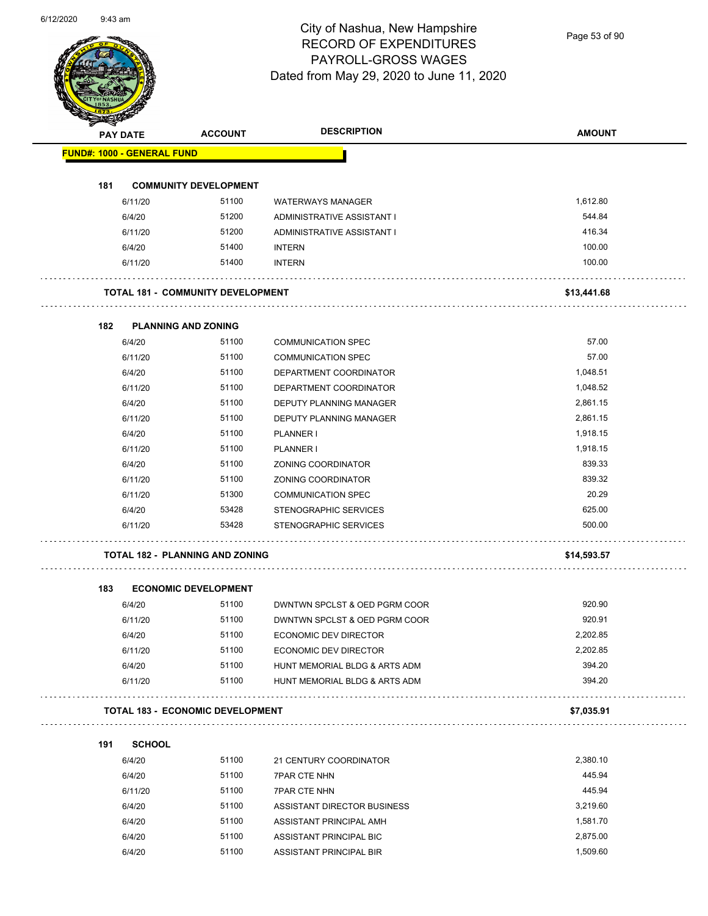Page 53 of 90

|     | <b>PAY DATE</b>                   | <b>ACCOUNT</b>                           | <b>DESCRIPTION</b>                                 | <b>AMOUNT</b> |
|-----|-----------------------------------|------------------------------------------|----------------------------------------------------|---------------|
|     | <b>FUND#: 1000 - GENERAL FUND</b> |                                          |                                                    |               |
|     |                                   |                                          |                                                    |               |
| 181 |                                   | <b>COMMUNITY DEVELOPMENT</b>             |                                                    |               |
|     | 6/11/20                           | 51100                                    | <b>WATERWAYS MANAGER</b>                           | 1,612.80      |
|     | 6/4/20                            | 51200                                    | ADMINISTRATIVE ASSISTANT I                         | 544.84        |
|     | 6/11/20                           | 51200                                    | ADMINISTRATIVE ASSISTANT I                         | 416.34        |
|     | 6/4/20                            | 51400                                    | <b>INTERN</b>                                      | 100.00        |
|     | 6/11/20                           | 51400                                    | <b>INTERN</b>                                      | 100.00        |
|     |                                   | <b>TOTAL 181 - COMMUNITY DEVELOPMENT</b> |                                                    | \$13,441.68   |
| 182 |                                   | <b>PLANNING AND ZONING</b>               |                                                    |               |
|     | 6/4/20                            | 51100                                    | <b>COMMUNICATION SPEC</b>                          | 57.00         |
|     | 6/11/20                           | 51100                                    | <b>COMMUNICATION SPEC</b>                          | 57.00         |
|     | 6/4/20                            | 51100                                    | DEPARTMENT COORDINATOR                             | 1,048.51      |
|     | 6/11/20                           | 51100                                    | DEPARTMENT COORDINATOR                             | 1,048.52      |
|     | 6/4/20                            | 51100                                    | DEPUTY PLANNING MANAGER                            | 2,861.15      |
|     | 6/11/20                           | 51100                                    | DEPUTY PLANNING MANAGER                            | 2,861.15      |
|     | 6/4/20                            | 51100                                    | <b>PLANNER I</b>                                   | 1,918.15      |
|     | 6/11/20                           | 51100                                    | <b>PLANNER I</b>                                   | 1,918.15      |
|     | 6/4/20                            | 51100                                    | ZONING COORDINATOR                                 | 839.33        |
|     | 6/11/20                           | 51100                                    | ZONING COORDINATOR                                 | 839.32        |
|     | 6/11/20                           | 51300                                    | <b>COMMUNICATION SPEC</b>                          | 20.29         |
|     | 6/4/20                            | 53428                                    | STENOGRAPHIC SERVICES                              | 625.00        |
|     | 6/11/20                           | 53428                                    | STENOGRAPHIC SERVICES                              | 500.00        |
|     |                                   |                                          |                                                    |               |
|     |                                   | <b>TOTAL 182 - PLANNING AND ZONING</b>   |                                                    | \$14,593.57   |
| 183 |                                   | <b>ECONOMIC DEVELOPMENT</b>              |                                                    |               |
|     | 6/4/20                            | 51100                                    | DWNTWN SPCLST & OED PGRM COOR                      | 920.90        |
|     | 6/11/20                           | 51100                                    | DWNTWN SPCLST & OED PGRM COOR                      | 920.91        |
|     | 6/4/20                            | 51100                                    | <b>ECONOMIC DEV DIRECTOR</b>                       | 2,202.85      |
|     | 6/11/20                           | 51100                                    | ECONOMIC DEV DIRECTOR                              | 2,202.85      |
|     | 6/4/20                            | 51100                                    | HUNT MEMORIAL BLDG & ARTS ADM                      | 394.20        |
|     | 6/11/20                           | 51100                                    | HUNT MEMORIAL BLDG & ARTS ADM                      | 394.20        |
|     |                                   | <b>TOTAL 183 - ECONOMIC DEVELOPMENT</b>  |                                                    | \$7,035.91    |
| 191 |                                   |                                          |                                                    |               |
|     | <b>SCHOOL</b><br>6/4/20           | 51100                                    | 21 CENTURY COORDINATOR                             | 2,380.10      |
|     | 6/4/20                            | 51100                                    | 7PAR CTE NHN                                       | 445.94        |
|     |                                   | 51100                                    |                                                    | 445.94        |
|     | 6/11/20                           | 51100                                    | 7PAR CTE NHN                                       | 3,219.60      |
|     | 6/4/20                            | 51100                                    | ASSISTANT DIRECTOR BUSINESS                        | 1,581.70      |
|     | 6/4/20                            |                                          | ASSISTANT PRINCIPAL AMH<br>ASSISTANT PRINCIPAL BIC | 2,875.00      |
|     | 6/4/20                            | 51100                                    |                                                    |               |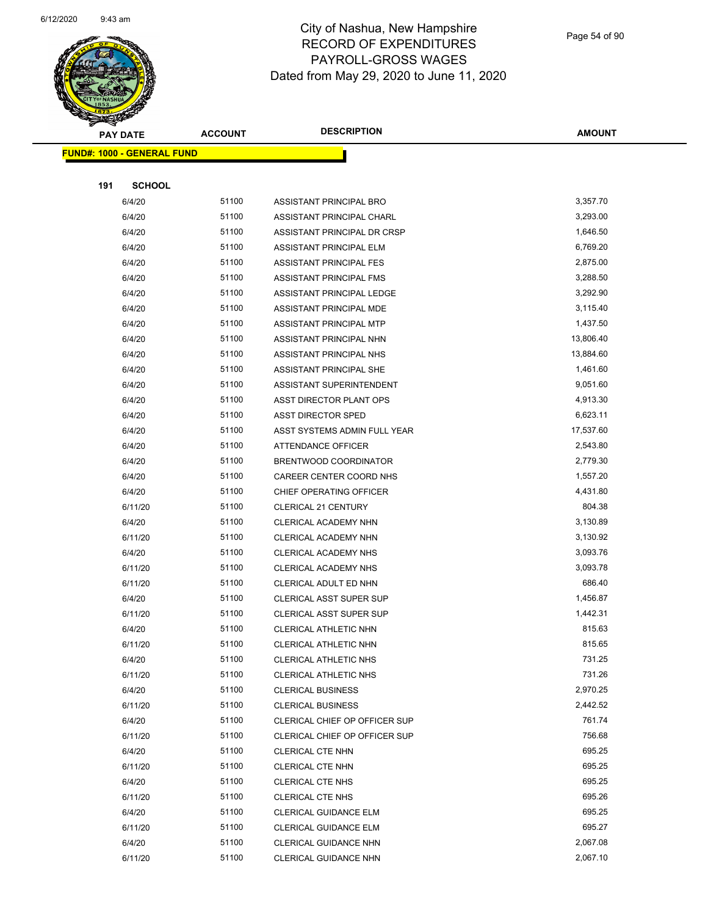

Page 54 of 90

| <b>Anthony</b><br><b>PAY DATE</b> | <b>ACCOUNT</b> | <b>DESCRIPTION</b>             | <b>AMOUNT</b> |
|-----------------------------------|----------------|--------------------------------|---------------|
| <b>FUND#: 1000 - GENERAL FUND</b> |                |                                |               |
|                                   |                |                                |               |
| 191<br><b>SCHOOL</b>              |                |                                |               |
| 6/4/20                            | 51100          | ASSISTANT PRINCIPAL BRO        | 3,357.70      |
| 6/4/20                            | 51100          | ASSISTANT PRINCIPAL CHARL      | 3,293.00      |
| 6/4/20                            | 51100          | ASSISTANT PRINCIPAL DR CRSP    | 1,646.50      |
| 6/4/20                            | 51100          | ASSISTANT PRINCIPAL ELM        | 6,769.20      |
| 6/4/20                            | 51100          | <b>ASSISTANT PRINCIPAL FES</b> | 2,875.00      |
| 6/4/20                            | 51100          | ASSISTANT PRINCIPAL FMS        | 3,288.50      |
| 6/4/20                            | 51100          | ASSISTANT PRINCIPAL LEDGE      | 3,292.90      |
| 6/4/20                            | 51100          | ASSISTANT PRINCIPAL MDE        | 3,115.40      |
| 6/4/20                            | 51100          | ASSISTANT PRINCIPAL MTP        | 1,437.50      |
| 6/4/20                            | 51100          | ASSISTANT PRINCIPAL NHN        | 13,806.40     |
| 6/4/20                            | 51100          | ASSISTANT PRINCIPAL NHS        | 13,884.60     |
| 6/4/20                            | 51100          | ASSISTANT PRINCIPAL SHE        | 1,461.60      |
| 6/4/20                            | 51100          | ASSISTANT SUPERINTENDENT       | 9,051.60      |
| 6/4/20                            | 51100          | ASST DIRECTOR PLANT OPS        | 4,913.30      |
| 6/4/20                            | 51100          | <b>ASST DIRECTOR SPED</b>      | 6,623.11      |
| 6/4/20                            | 51100          | ASST SYSTEMS ADMIN FULL YEAR   | 17,537.60     |
| 6/4/20                            | 51100          | <b>ATTENDANCE OFFICER</b>      | 2,543.80      |
| 6/4/20                            | 51100          | BRENTWOOD COORDINATOR          | 2,779.30      |
| 6/4/20                            | 51100          | CAREER CENTER COORD NHS        | 1,557.20      |
| 6/4/20                            | 51100          | CHIEF OPERATING OFFICER        | 4,431.80      |
| 6/11/20                           | 51100          | <b>CLERICAL 21 CENTURY</b>     | 804.38        |
| 6/4/20                            | 51100          | CLERICAL ACADEMY NHN           | 3,130.89      |
| 6/11/20                           | 51100          | CLERICAL ACADEMY NHN           | 3,130.92      |
| 6/4/20                            | 51100          | CLERICAL ACADEMY NHS           | 3,093.76      |
| 6/11/20                           | 51100          | CLERICAL ACADEMY NHS           | 3,093.78      |
| 6/11/20                           | 51100          | CLERICAL ADULT ED NHN          | 686.40        |
| 6/4/20                            | 51100          | CLERICAL ASST SUPER SUP        | 1,456.87      |
| 6/11/20                           | 51100          | CLERICAL ASST SUPER SUP        | 1,442.31      |
| 6/4/20                            | 51100          | CLERICAL ATHLETIC NHN          | 815.63        |
| 6/11/20                           | 51100          | CLERICAL ATHLETIC NHN          | 815.65        |
| 6/4/20                            | 51100          | <b>CLERICAL ATHLETIC NHS</b>   | 731.25        |
| 6/11/20                           | 51100          | CLERICAL ATHLETIC NHS          | 731.26        |
| 6/4/20                            | 51100          | <b>CLERICAL BUSINESS</b>       | 2,970.25      |
| 6/11/20                           | 51100          | <b>CLERICAL BUSINESS</b>       | 2,442.52      |
| 6/4/20                            | 51100          | CLERICAL CHIEF OP OFFICER SUP  | 761.74        |
| 6/11/20                           | 51100          | CLERICAL CHIEF OP OFFICER SUP  | 756.68        |
| 6/4/20                            | 51100          | CLERICAL CTE NHN               | 695.25        |
| 6/11/20                           | 51100          | CLERICAL CTE NHN               | 695.25        |
| 6/4/20                            | 51100          | CLERICAL CTE NHS               | 695.25        |
| 6/11/20                           | 51100          | CLERICAL CTE NHS               | 695.26        |
| 6/4/20                            | 51100          | <b>CLERICAL GUIDANCE ELM</b>   | 695.25        |
| 6/11/20                           | 51100          | <b>CLERICAL GUIDANCE ELM</b>   | 695.27        |
| 6/4/20                            | 51100          | CLERICAL GUIDANCE NHN          | 2,067.08      |
| 6/11/20                           | 51100          | CLERICAL GUIDANCE NHN          | 2,067.10      |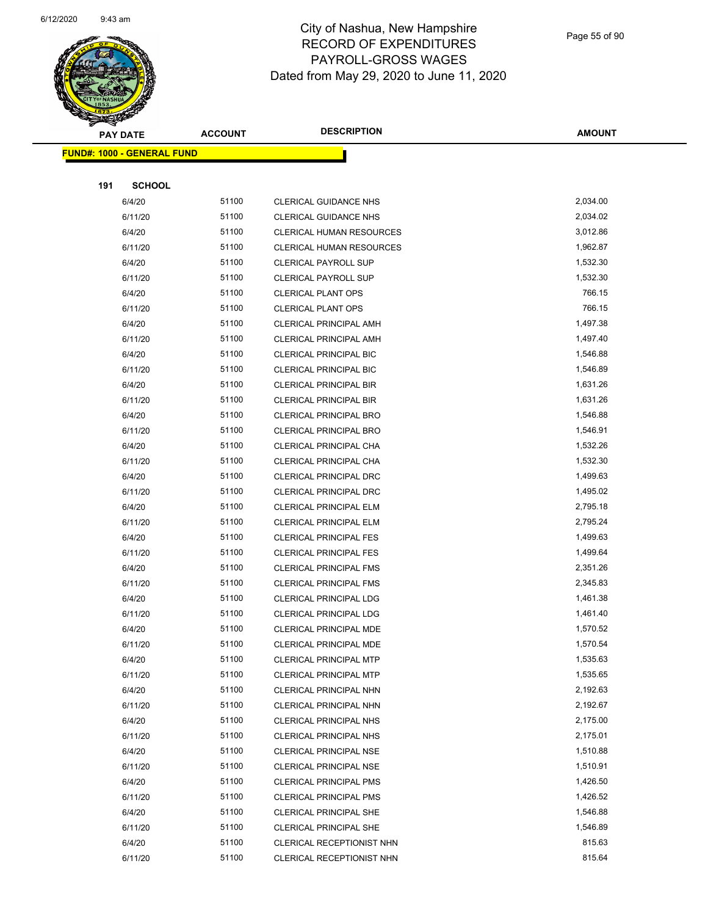

Page 55 of 90

| ទ<br>ॼ<br><b>PAY DATE</b> |                                   | <b>ACCOUNT</b> | <b>DESCRIPTION</b>            | <b>AMOUNT</b> |  |  |  |
|---------------------------|-----------------------------------|----------------|-------------------------------|---------------|--|--|--|
|                           | <b>FUND#: 1000 - GENERAL FUND</b> |                |                               |               |  |  |  |
|                           |                                   |                |                               |               |  |  |  |
| 191                       | <b>SCHOOL</b>                     |                |                               |               |  |  |  |
|                           | 6/4/20                            | 51100          | <b>CLERICAL GUIDANCE NHS</b>  | 2,034.00      |  |  |  |
|                           | 6/11/20                           | 51100          | <b>CLERICAL GUIDANCE NHS</b>  | 2,034.02      |  |  |  |
|                           | 6/4/20                            | 51100          | CLERICAL HUMAN RESOURCES      | 3,012.86      |  |  |  |
|                           | 6/11/20                           | 51100          | CLERICAL HUMAN RESOURCES      | 1,962.87      |  |  |  |
|                           | 6/4/20                            | 51100          | CLERICAL PAYROLL SUP          | 1,532.30      |  |  |  |
|                           | 6/11/20                           | 51100          | CLERICAL PAYROLL SUP          | 1,532.30      |  |  |  |
|                           | 6/4/20                            | 51100          | <b>CLERICAL PLANT OPS</b>     | 766.15        |  |  |  |
|                           | 6/11/20                           | 51100          | <b>CLERICAL PLANT OPS</b>     | 766.15        |  |  |  |
|                           | 6/4/20                            | 51100          | CLERICAL PRINCIPAL AMH        | 1,497.38      |  |  |  |
|                           | 6/11/20                           | 51100          | <b>CLERICAL PRINCIPAL AMH</b> | 1,497.40      |  |  |  |
|                           | 6/4/20                            | 51100          | CLERICAL PRINCIPAL BIC        | 1,546.88      |  |  |  |
|                           | 6/11/20                           | 51100          | <b>CLERICAL PRINCIPAL BIC</b> | 1,546.89      |  |  |  |
|                           | 6/4/20                            | 51100          | <b>CLERICAL PRINCIPAL BIR</b> | 1,631.26      |  |  |  |
|                           | 6/11/20                           | 51100          | <b>CLERICAL PRINCIPAL BIR</b> | 1,631.26      |  |  |  |
|                           | 6/4/20                            | 51100          | <b>CLERICAL PRINCIPAL BRO</b> | 1,546.88      |  |  |  |
|                           | 6/11/20                           | 51100          | CLERICAL PRINCIPAL BRO        | 1,546.91      |  |  |  |
|                           | 6/4/20                            | 51100          | CLERICAL PRINCIPAL CHA        | 1,532.26      |  |  |  |
|                           | 6/11/20                           | 51100          | CLERICAL PRINCIPAL CHA        | 1,532.30      |  |  |  |
|                           | 6/4/20                            | 51100          | CLERICAL PRINCIPAL DRC        | 1,499.63      |  |  |  |
|                           | 6/11/20                           | 51100          | CLERICAL PRINCIPAL DRC        | 1,495.02      |  |  |  |
|                           | 6/4/20                            | 51100          | CLERICAL PRINCIPAL ELM        | 2,795.18      |  |  |  |
|                           | 6/11/20                           | 51100          | <b>CLERICAL PRINCIPAL ELM</b> | 2,795.24      |  |  |  |
|                           | 6/4/20                            | 51100          | <b>CLERICAL PRINCIPAL FES</b> | 1,499.63      |  |  |  |
|                           | 6/11/20                           | 51100          | <b>CLERICAL PRINCIPAL FES</b> | 1,499.64      |  |  |  |
|                           | 6/4/20                            | 51100          | <b>CLERICAL PRINCIPAL FMS</b> | 2,351.26      |  |  |  |
|                           | 6/11/20                           | 51100          | <b>CLERICAL PRINCIPAL FMS</b> | 2,345.83      |  |  |  |
|                           | 6/4/20                            | 51100          | <b>CLERICAL PRINCIPAL LDG</b> | 1,461.38      |  |  |  |
|                           | 6/11/20                           | 51100          | <b>CLERICAL PRINCIPAL LDG</b> | 1,461.40      |  |  |  |
|                           | 6/4/20                            | 51100          | <b>CLERICAL PRINCIPAL MDE</b> | 1,570.52      |  |  |  |
|                           | 6/11/20                           | 51100          | CLERICAL PRINCIPAL MDE        | 1,570.54      |  |  |  |
|                           | 6/4/20                            | 51100          | CLERICAL PRINCIPAL MTP        | 1,535.63      |  |  |  |
|                           | 6/11/20                           | 51100          | <b>CLERICAL PRINCIPAL MTP</b> | 1,535.65      |  |  |  |
|                           | 6/4/20                            | 51100          | CLERICAL PRINCIPAL NHN        | 2,192.63      |  |  |  |
|                           | 6/11/20                           | 51100          | CLERICAL PRINCIPAL NHN        | 2,192.67      |  |  |  |
|                           | 6/4/20                            | 51100          | <b>CLERICAL PRINCIPAL NHS</b> | 2,175.00      |  |  |  |
|                           | 6/11/20                           | 51100          | CLERICAL PRINCIPAL NHS        | 2,175.01      |  |  |  |
|                           | 6/4/20                            | 51100          | <b>CLERICAL PRINCIPAL NSE</b> | 1,510.88      |  |  |  |
|                           | 6/11/20                           | 51100          | <b>CLERICAL PRINCIPAL NSE</b> | 1,510.91      |  |  |  |
|                           | 6/4/20                            | 51100          | <b>CLERICAL PRINCIPAL PMS</b> | 1,426.50      |  |  |  |
|                           | 6/11/20                           | 51100          | <b>CLERICAL PRINCIPAL PMS</b> | 1,426.52      |  |  |  |
|                           | 6/4/20                            | 51100          | CLERICAL PRINCIPAL SHE        | 1,546.88      |  |  |  |
|                           | 6/11/20                           | 51100          | <b>CLERICAL PRINCIPAL SHE</b> | 1,546.89      |  |  |  |
|                           | 6/4/20                            | 51100          | CLERICAL RECEPTIONIST NHN     | 815.63        |  |  |  |
|                           | 6/11/20                           | 51100          | CLERICAL RECEPTIONIST NHN     | 815.64        |  |  |  |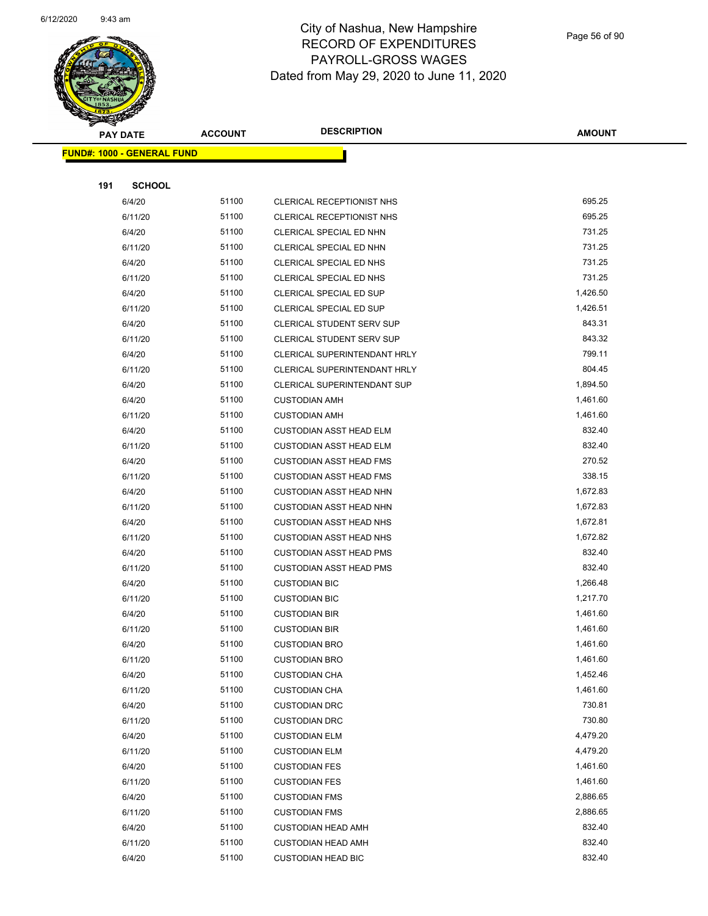

Page 56 of 90

|     | <b>PAY DATE</b>                    | <b>ACCOUNT</b> | <b>DESCRIPTION</b>                 | <b>AMOUNT</b> |
|-----|------------------------------------|----------------|------------------------------------|---------------|
|     | <u> FUND#: 1000 - GENERAL FUND</u> |                |                                    |               |
|     |                                    |                |                                    |               |
| 191 | <b>SCHOOL</b>                      |                |                                    |               |
|     | 6/4/20                             | 51100          | CLERICAL RECEPTIONIST NHS          | 695.25        |
|     | 6/11/20                            | 51100          | CLERICAL RECEPTIONIST NHS          | 695.25        |
|     | 6/4/20                             | 51100          | CLERICAL SPECIAL ED NHN            | 731.25        |
|     | 6/11/20                            | 51100          | CLERICAL SPECIAL ED NHN            | 731.25        |
|     | 6/4/20                             | 51100          | CLERICAL SPECIAL ED NHS            | 731.25        |
|     | 6/11/20                            | 51100          | CLERICAL SPECIAL ED NHS            | 731.25        |
|     | 6/4/20                             | 51100          | CLERICAL SPECIAL ED SUP            | 1,426.50      |
|     | 6/11/20                            | 51100          | CLERICAL SPECIAL ED SUP            | 1,426.51      |
|     | 6/4/20                             | 51100          | CLERICAL STUDENT SERV SUP          | 843.31        |
|     | 6/11/20                            | 51100          | CLERICAL STUDENT SERV SUP          | 843.32        |
|     | 6/4/20                             | 51100          | CLERICAL SUPERINTENDANT HRLY       | 799.11        |
|     | 6/11/20                            | 51100          | CLERICAL SUPERINTENDANT HRLY       | 804.45        |
|     | 6/4/20                             | 51100          | <b>CLERICAL SUPERINTENDANT SUP</b> | 1,894.50      |
|     | 6/4/20                             | 51100          | <b>CUSTODIAN AMH</b>               | 1,461.60      |
|     | 6/11/20                            | 51100          | <b>CUSTODIAN AMH</b>               | 1,461.60      |
|     | 6/4/20                             | 51100          | <b>CUSTODIAN ASST HEAD ELM</b>     | 832.40        |
|     | 6/11/20                            | 51100          | <b>CUSTODIAN ASST HEAD ELM</b>     | 832.40        |
|     | 6/4/20                             | 51100          | <b>CUSTODIAN ASST HEAD FMS</b>     | 270.52        |
|     | 6/11/20                            | 51100          | <b>CUSTODIAN ASST HEAD FMS</b>     | 338.15        |
|     | 6/4/20                             | 51100          | <b>CUSTODIAN ASST HEAD NHN</b>     | 1,672.83      |
|     | 6/11/20                            | 51100          | <b>CUSTODIAN ASST HEAD NHN</b>     | 1,672.83      |
|     | 6/4/20                             | 51100          | <b>CUSTODIAN ASST HEAD NHS</b>     | 1,672.81      |
|     | 6/11/20                            | 51100          | <b>CUSTODIAN ASST HEAD NHS</b>     | 1,672.82      |
|     | 6/4/20                             | 51100          | <b>CUSTODIAN ASST HEAD PMS</b>     | 832.40        |
|     | 6/11/20                            | 51100          | <b>CUSTODIAN ASST HEAD PMS</b>     | 832.40        |
|     | 6/4/20                             | 51100          | <b>CUSTODIAN BIC</b>               | 1,266.48      |
|     | 6/11/20                            | 51100          | <b>CUSTODIAN BIC</b>               | 1,217.70      |
|     | 6/4/20                             | 51100          | <b>CUSTODIAN BIR</b>               | 1,461.60      |
|     | 6/11/20                            | 51100          | <b>CUSTODIAN BIR</b>               | 1,461.60      |
|     | 6/4/20                             | 51100          | <b>CUSTODIAN BRO</b>               | 1,461.60      |
|     | 6/11/20                            | 51100          | <b>CUSTODIAN BRO</b>               | 1,461.60      |
|     | 6/4/20                             | 51100          | <b>CUSTODIAN CHA</b>               | 1,452.46      |
|     | 6/11/20                            | 51100          | <b>CUSTODIAN CHA</b>               | 1,461.60      |
|     | 6/4/20                             | 51100          | <b>CUSTODIAN DRC</b>               | 730.81        |
|     | 6/11/20                            | 51100          | <b>CUSTODIAN DRC</b>               | 730.80        |
|     | 6/4/20                             | 51100          | <b>CUSTODIAN ELM</b>               | 4,479.20      |
|     | 6/11/20                            | 51100          | <b>CUSTODIAN ELM</b>               | 4,479.20      |
|     | 6/4/20                             | 51100          | <b>CUSTODIAN FES</b>               | 1,461.60      |
|     | 6/11/20                            | 51100          | <b>CUSTODIAN FES</b>               | 1,461.60      |
|     | 6/4/20                             | 51100          | <b>CUSTODIAN FMS</b>               | 2,886.65      |
|     | 6/11/20                            | 51100          | <b>CUSTODIAN FMS</b>               | 2,886.65      |
|     | 6/4/20                             | 51100          | <b>CUSTODIAN HEAD AMH</b>          | 832.40        |
|     | 6/11/20                            | 51100          | <b>CUSTODIAN HEAD AMH</b>          | 832.40        |
|     | 6/4/20                             | 51100          | <b>CUSTODIAN HEAD BIC</b>          | 832.40        |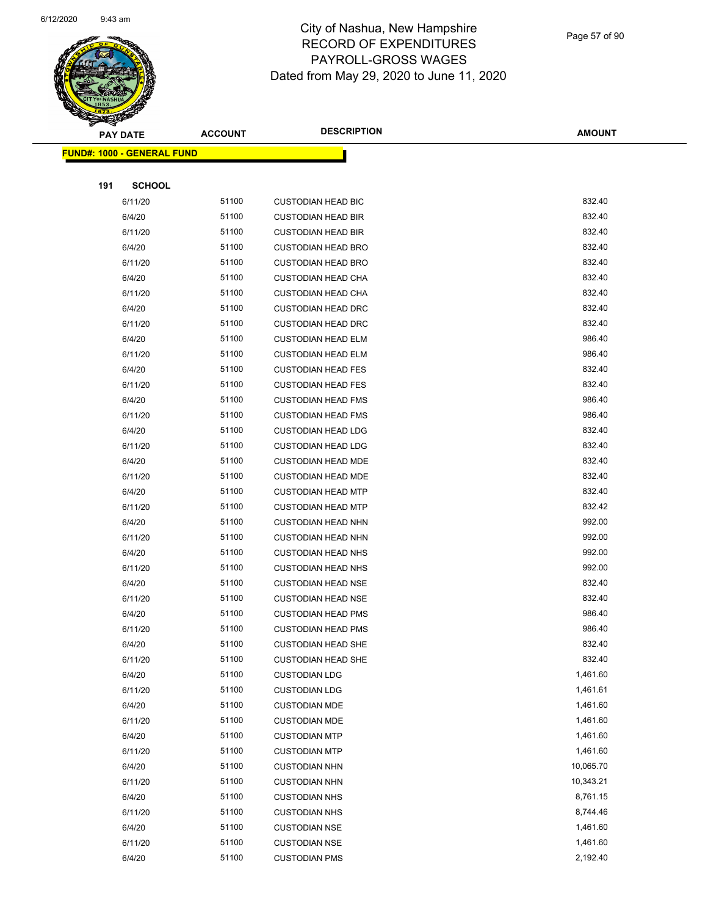

Page 57 of 90

|     | <b>PAY DATE</b>                   | <b>ACCOUNT</b> | <b>DESCRIPTION</b>        | <b>AMOUNT</b> |
|-----|-----------------------------------|----------------|---------------------------|---------------|
|     | <b>FUND#: 1000 - GENERAL FUND</b> |                |                           |               |
|     |                                   |                |                           |               |
| 191 | <b>SCHOOL</b>                     |                |                           |               |
|     | 6/11/20                           | 51100          | <b>CUSTODIAN HEAD BIC</b> | 832.40        |
|     | 6/4/20                            | 51100          | <b>CUSTODIAN HEAD BIR</b> | 832.40        |
|     | 6/11/20                           | 51100          | <b>CUSTODIAN HEAD BIR</b> | 832.40        |
|     | 6/4/20                            | 51100          | <b>CUSTODIAN HEAD BRO</b> | 832.40        |
|     | 6/11/20                           | 51100          | <b>CUSTODIAN HEAD BRO</b> | 832.40        |
|     | 6/4/20                            | 51100          | <b>CUSTODIAN HEAD CHA</b> | 832.40        |
|     | 6/11/20                           | 51100          | <b>CUSTODIAN HEAD CHA</b> | 832.40        |
|     | 6/4/20                            | 51100          | <b>CUSTODIAN HEAD DRC</b> | 832.40        |
|     | 6/11/20                           | 51100          | <b>CUSTODIAN HEAD DRC</b> | 832.40        |
|     | 6/4/20                            | 51100          | <b>CUSTODIAN HEAD ELM</b> | 986.40        |
|     | 6/11/20                           | 51100          | <b>CUSTODIAN HEAD ELM</b> | 986.40        |
|     | 6/4/20                            | 51100          | <b>CUSTODIAN HEAD FES</b> | 832.40        |
|     | 6/11/20                           | 51100          | <b>CUSTODIAN HEAD FES</b> | 832.40        |
|     | 6/4/20                            | 51100          | <b>CUSTODIAN HEAD FMS</b> | 986.40        |
|     | 6/11/20                           | 51100          | <b>CUSTODIAN HEAD FMS</b> | 986.40        |
|     | 6/4/20                            | 51100          | <b>CUSTODIAN HEAD LDG</b> | 832.40        |
|     | 6/11/20                           | 51100          | <b>CUSTODIAN HEAD LDG</b> | 832.40        |
|     | 6/4/20                            | 51100          | <b>CUSTODIAN HEAD MDE</b> | 832.40        |
|     | 6/11/20                           | 51100          | <b>CUSTODIAN HEAD MDE</b> | 832.40        |
|     | 6/4/20                            | 51100          | <b>CUSTODIAN HEAD MTP</b> | 832.40        |
|     | 6/11/20                           | 51100          | <b>CUSTODIAN HEAD MTP</b> | 832.42        |
|     | 6/4/20                            | 51100          | <b>CUSTODIAN HEAD NHN</b> | 992.00        |
|     | 6/11/20                           | 51100          | <b>CUSTODIAN HEAD NHN</b> | 992.00        |
|     | 6/4/20                            | 51100          | <b>CUSTODIAN HEAD NHS</b> | 992.00        |
|     | 6/11/20                           | 51100          | <b>CUSTODIAN HEAD NHS</b> | 992.00        |
|     | 6/4/20                            | 51100          | <b>CUSTODIAN HEAD NSE</b> | 832.40        |
|     | 6/11/20                           | 51100          | <b>CUSTODIAN HEAD NSE</b> | 832.40        |
|     | 6/4/20                            | 51100          | <b>CUSTODIAN HEAD PMS</b> | 986.40        |
|     | 6/11/20                           | 51100          | <b>CUSTODIAN HEAD PMS</b> | 986.40        |
|     | 6/4/20                            | 51100          | <b>CUSTODIAN HEAD SHE</b> | 832.40        |
|     | 6/11/20                           | 51100          | <b>CUSTODIAN HEAD SHE</b> | 832.40        |
|     | 6/4/20                            | 51100          | <b>CUSTODIAN LDG</b>      | 1,461.60      |
|     | 6/11/20                           | 51100          | <b>CUSTODIAN LDG</b>      | 1,461.61      |
|     | 6/4/20                            | 51100          | <b>CUSTODIAN MDE</b>      | 1,461.60      |
|     | 6/11/20                           | 51100          | <b>CUSTODIAN MDE</b>      | 1,461.60      |
|     | 6/4/20                            | 51100          | <b>CUSTODIAN MTP</b>      | 1,461.60      |
|     | 6/11/20                           | 51100          | <b>CUSTODIAN MTP</b>      | 1,461.60      |
|     | 6/4/20                            | 51100          | <b>CUSTODIAN NHN</b>      | 10,065.70     |
|     | 6/11/20                           | 51100          | <b>CUSTODIAN NHN</b>      | 10,343.21     |
|     | 6/4/20                            | 51100          | <b>CUSTODIAN NHS</b>      | 8,761.15      |
|     | 6/11/20                           | 51100          | <b>CUSTODIAN NHS</b>      | 8,744.46      |
|     | 6/4/20                            | 51100          | <b>CUSTODIAN NSE</b>      | 1,461.60      |
|     | 6/11/20                           | 51100          | <b>CUSTODIAN NSE</b>      | 1,461.60      |
|     | 6/4/20                            | 51100          | <b>CUSTODIAN PMS</b>      | 2,192.40      |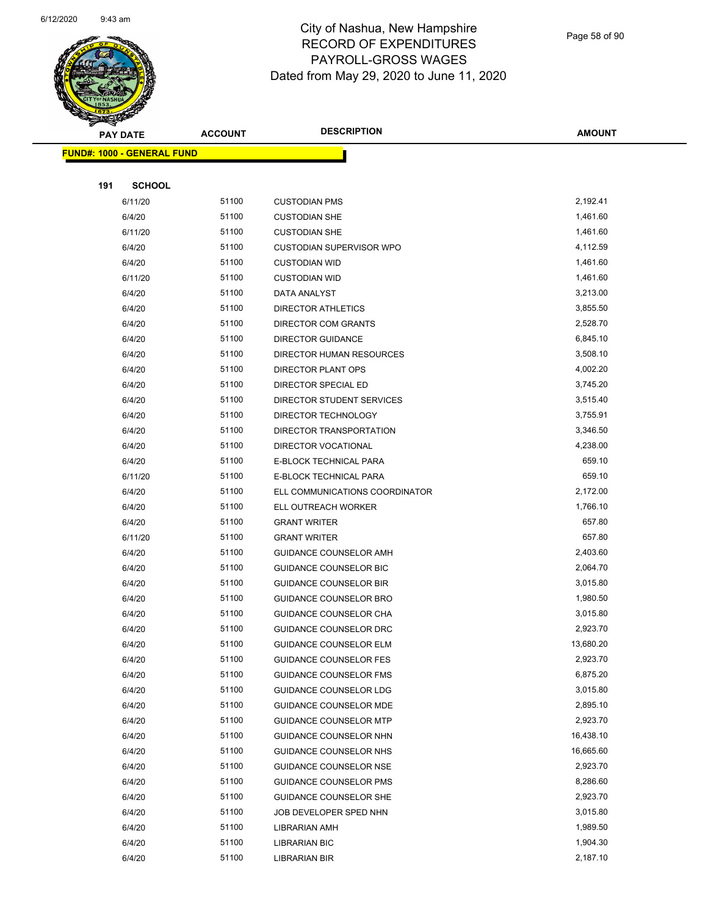

Page 58 of 90

| <b>STARTING</b> |                                   |                | <b>DESCRIPTION</b>              |               |
|-----------------|-----------------------------------|----------------|---------------------------------|---------------|
|                 | <b>PAY DATE</b>                   | <b>ACCOUNT</b> |                                 | <b>AMOUNT</b> |
|                 | <b>FUND#: 1000 - GENERAL FUND</b> |                |                                 |               |
|                 |                                   |                |                                 |               |
| 191             | <b>SCHOOL</b>                     |                |                                 |               |
|                 | 6/11/20                           | 51100          | <b>CUSTODIAN PMS</b>            | 2,192.41      |
|                 | 6/4/20                            | 51100          | <b>CUSTODIAN SHE</b>            | 1,461.60      |
|                 | 6/11/20                           | 51100          | <b>CUSTODIAN SHE</b>            | 1,461.60      |
|                 | 6/4/20                            | 51100          | <b>CUSTODIAN SUPERVISOR WPO</b> | 4,112.59      |
|                 | 6/4/20                            | 51100          | <b>CUSTODIAN WID</b>            | 1,461.60      |
|                 | 6/11/20                           | 51100          | <b>CUSTODIAN WID</b>            | 1,461.60      |
|                 | 6/4/20                            | 51100          | DATA ANALYST                    | 3,213.00      |
|                 | 6/4/20                            | 51100          | DIRECTOR ATHLETICS              | 3,855.50      |
|                 | 6/4/20                            | 51100          | <b>DIRECTOR COM GRANTS</b>      | 2,528.70      |
|                 | 6/4/20                            | 51100          | <b>DIRECTOR GUIDANCE</b>        | 6,845.10      |
|                 | 6/4/20                            | 51100          | <b>DIRECTOR HUMAN RESOURCES</b> | 3,508.10      |
|                 | 6/4/20                            | 51100          | DIRECTOR PLANT OPS              | 4,002.20      |
|                 | 6/4/20                            | 51100          | DIRECTOR SPECIAL ED             | 3,745.20      |
|                 | 6/4/20                            | 51100          | DIRECTOR STUDENT SERVICES       | 3,515.40      |
|                 | 6/4/20                            | 51100          | DIRECTOR TECHNOLOGY             | 3,755.91      |
|                 | 6/4/20                            | 51100          | DIRECTOR TRANSPORTATION         | 3,346.50      |
|                 | 6/4/20                            | 51100          | DIRECTOR VOCATIONAL             | 4,238.00      |
|                 | 6/4/20                            | 51100          | E-BLOCK TECHNICAL PARA          | 659.10        |
|                 | 6/11/20                           | 51100          | E-BLOCK TECHNICAL PARA          | 659.10        |
|                 | 6/4/20                            | 51100          | ELL COMMUNICATIONS COORDINATOR  | 2,172.00      |
|                 | 6/4/20                            | 51100          | ELL OUTREACH WORKER             | 1,766.10      |
|                 | 6/4/20                            | 51100          | <b>GRANT WRITER</b>             | 657.80        |
|                 | 6/11/20                           | 51100          | <b>GRANT WRITER</b>             | 657.80        |
|                 | 6/4/20                            | 51100          | GUIDANCE COUNSELOR AMH          | 2,403.60      |
|                 | 6/4/20                            | 51100          | <b>GUIDANCE COUNSELOR BIC</b>   | 2,064.70      |
|                 | 6/4/20                            | 51100          | <b>GUIDANCE COUNSELOR BIR</b>   | 3,015.80      |
|                 | 6/4/20                            | 51100          | <b>GUIDANCE COUNSELOR BRO</b>   | 1,980.50      |
|                 | 6/4/20                            | 51100          | <b>GUIDANCE COUNSELOR CHA</b>   | 3,015.80      |
|                 | 6/4/20                            | 51100          | <b>GUIDANCE COUNSELOR DRC</b>   | 2,923.70      |
|                 | 6/4/20                            | 51100          | GUIDANCE COUNSELOR ELM          | 13,680.20     |
|                 | 6/4/20                            | 51100          | <b>GUIDANCE COUNSELOR FES</b>   | 2,923.70      |
|                 | 6/4/20                            | 51100          | <b>GUIDANCE COUNSELOR FMS</b>   | 6,875.20      |
|                 | 6/4/20                            | 51100          | GUIDANCE COUNSELOR LDG          | 3,015.80      |
|                 | 6/4/20                            | 51100          | <b>GUIDANCE COUNSELOR MDE</b>   | 2,895.10      |
|                 | 6/4/20                            | 51100          | <b>GUIDANCE COUNSELOR MTP</b>   | 2,923.70      |
|                 | 6/4/20                            | 51100          | GUIDANCE COUNSELOR NHN          | 16,438.10     |
|                 | 6/4/20                            | 51100          | GUIDANCE COUNSELOR NHS          | 16,665.60     |
|                 | 6/4/20                            | 51100          | <b>GUIDANCE COUNSELOR NSE</b>   | 2,923.70      |
|                 | 6/4/20                            | 51100          | <b>GUIDANCE COUNSELOR PMS</b>   | 8,286.60      |
|                 | 6/4/20                            | 51100          | <b>GUIDANCE COUNSELOR SHE</b>   | 2,923.70      |
|                 | 6/4/20                            | 51100          | JOB DEVELOPER SPED NHN          | 3,015.80      |
|                 | 6/4/20                            | 51100          | LIBRARIAN AMH                   | 1,989.50      |
|                 | 6/4/20                            | 51100          | <b>LIBRARIAN BIC</b>            | 1,904.30      |
|                 | 6/4/20                            | 51100          | <b>LIBRARIAN BIR</b>            | 2,187.10      |
|                 |                                   |                |                                 |               |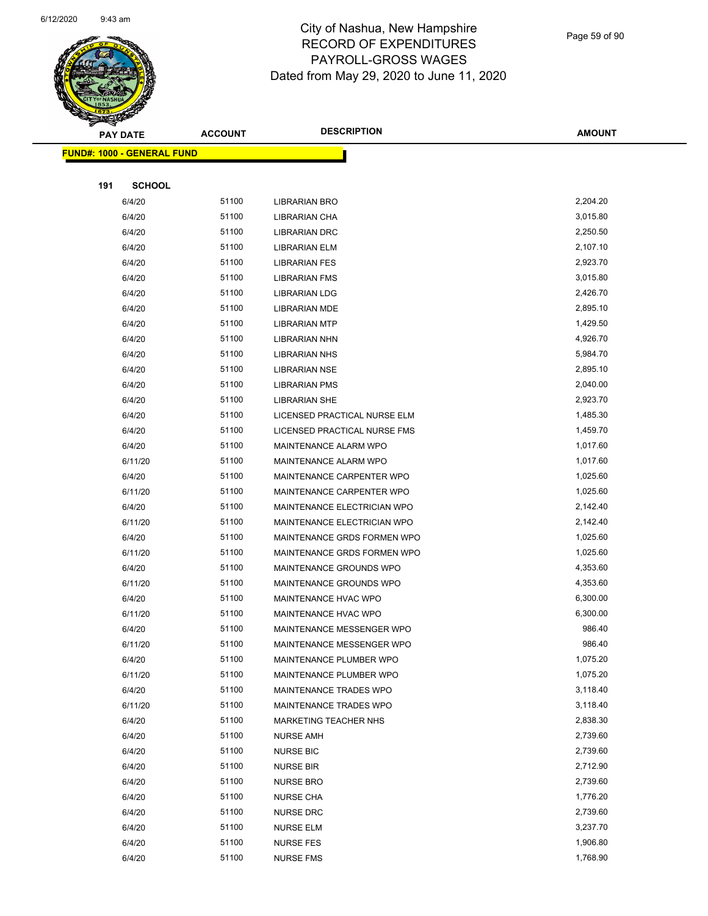

|     | <b>PAY DATE</b>                   | <b>ACCOUNT</b> | <b>DESCRIPTION</b>           | <b>AMOUNT</b> |
|-----|-----------------------------------|----------------|------------------------------|---------------|
|     | <b>FUND#: 1000 - GENERAL FUND</b> |                |                              |               |
|     |                                   |                |                              |               |
| 191 | <b>SCHOOL</b>                     |                |                              |               |
|     | 6/4/20                            | 51100          | LIBRARIAN BRO                | 2,204.20      |
|     | 6/4/20                            | 51100          | LIBRARIAN CHA                | 3,015.80      |
|     | 6/4/20                            | 51100          | <b>LIBRARIAN DRC</b>         | 2,250.50      |
|     | 6/4/20                            | 51100          | <b>LIBRARIAN ELM</b>         | 2,107.10      |
|     | 6/4/20                            | 51100          | <b>LIBRARIAN FES</b>         | 2,923.70      |
|     | 6/4/20                            | 51100          | <b>LIBRARIAN FMS</b>         | 3,015.80      |
|     | 6/4/20                            | 51100          | <b>LIBRARIAN LDG</b>         | 2,426.70      |
|     | 6/4/20                            | 51100          | <b>LIBRARIAN MDE</b>         | 2,895.10      |
|     | 6/4/20                            | 51100          | <b>LIBRARIAN MTP</b>         | 1,429.50      |
|     | 6/4/20                            | 51100          | <b>LIBRARIAN NHN</b>         | 4,926.70      |
|     | 6/4/20                            | 51100          | <b>LIBRARIAN NHS</b>         | 5,984.70      |
|     | 6/4/20                            | 51100          | <b>LIBRARIAN NSE</b>         | 2,895.10      |
|     | 6/4/20                            | 51100          | <b>LIBRARIAN PMS</b>         | 2,040.00      |
|     | 6/4/20                            | 51100          | <b>LIBRARIAN SHE</b>         | 2,923.70      |
|     | 6/4/20                            | 51100          | LICENSED PRACTICAL NURSE ELM | 1,485.30      |
|     | 6/4/20                            | 51100          | LICENSED PRACTICAL NURSE FMS | 1,459.70      |
|     | 6/4/20                            | 51100          | MAINTENANCE ALARM WPO        | 1,017.60      |
|     | 6/11/20                           | 51100          | MAINTENANCE ALARM WPO        | 1,017.60      |
|     | 6/4/20                            | 51100          | MAINTENANCE CARPENTER WPO    | 1,025.60      |
|     | 6/11/20                           | 51100          | MAINTENANCE CARPENTER WPO    | 1,025.60      |
|     | 6/4/20                            | 51100          | MAINTENANCE ELECTRICIAN WPO  | 2,142.40      |
|     | 6/11/20                           | 51100          | MAINTENANCE ELECTRICIAN WPO  | 2,142.40      |
|     | 6/4/20                            | 51100          | MAINTENANCE GRDS FORMEN WPO  | 1,025.60      |
|     | 6/11/20                           | 51100          | MAINTENANCE GRDS FORMEN WPO  | 1,025.60      |
|     | 6/4/20                            | 51100          | MAINTENANCE GROUNDS WPO      | 4,353.60      |
|     | 6/11/20                           | 51100          | MAINTENANCE GROUNDS WPO      | 4,353.60      |
|     | 6/4/20                            | 51100          | MAINTENANCE HVAC WPO         | 6,300.00      |
|     | 6/11/20                           | 51100          | MAINTENANCE HVAC WPO         | 6,300.00      |
|     | 6/4/20                            | 51100          | MAINTENANCE MESSENGER WPO    | 986.40        |
|     | 6/11/20                           | 51100          | MAINTENANCE MESSENGER WPO    | 986.40        |
|     | 6/4/20                            | 51100          | MAINTENANCE PLUMBER WPO      | 1,075.20      |
|     | 6/11/20                           | 51100          | MAINTENANCE PLUMBER WPO      | 1,075.20      |
|     | 6/4/20                            | 51100          | MAINTENANCE TRADES WPO       | 3,118.40      |
|     | 6/11/20                           | 51100          | MAINTENANCE TRADES WPO       | 3,118.40      |
|     | 6/4/20                            | 51100          | MARKETING TEACHER NHS        | 2,838.30      |
|     | 6/4/20                            | 51100          | <b>NURSE AMH</b>             | 2,739.60      |
|     | 6/4/20                            | 51100          | <b>NURSE BIC</b>             | 2,739.60      |
|     | 6/4/20                            | 51100          | <b>NURSE BIR</b>             | 2,712.90      |
|     | 6/4/20                            | 51100          | <b>NURSE BRO</b>             | 2,739.60      |
|     | 6/4/20                            | 51100          | <b>NURSE CHA</b>             | 1,776.20      |
|     | 6/4/20                            | 51100          | <b>NURSE DRC</b>             | 2,739.60      |
|     | 6/4/20                            | 51100          | <b>NURSE ELM</b>             | 3,237.70      |
|     | 6/4/20                            | 51100          | <b>NURSE FES</b>             | 1,906.80      |
|     | 6/4/20                            | 51100          | <b>NURSE FMS</b>             | 1,768.90      |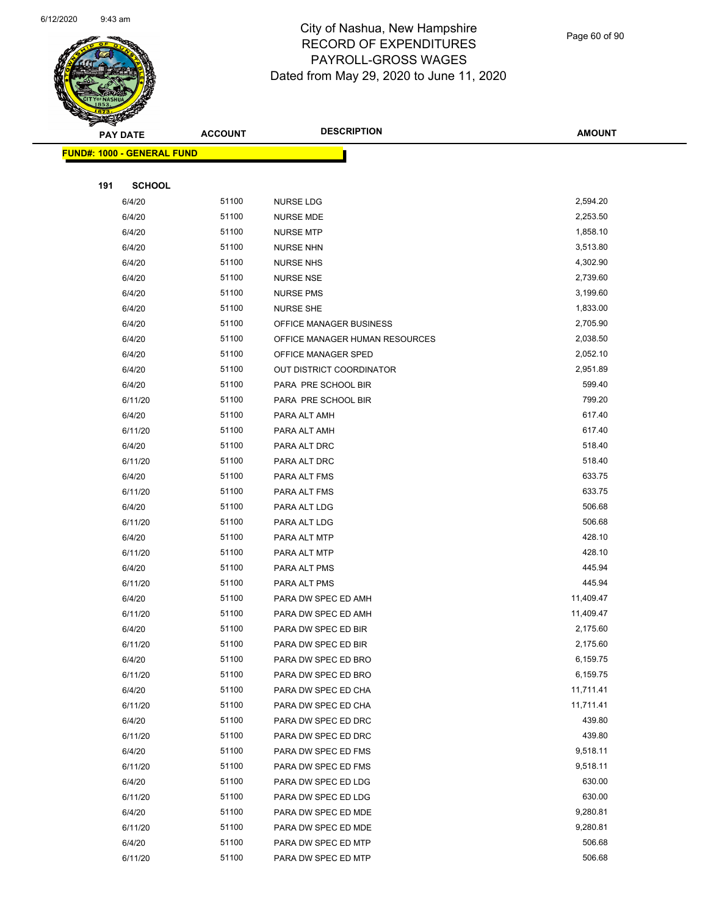

Page 60 of 90

| <b>Andri</b><br><b>PAY DATE</b> |                                   | <b>ACCOUNT</b> | <b>DESCRIPTION</b>             | <b>AMOUNT</b> |
|---------------------------------|-----------------------------------|----------------|--------------------------------|---------------|
|                                 |                                   |                |                                |               |
|                                 | <b>FUND#: 1000 - GENERAL FUND</b> |                |                                |               |
| 191                             | <b>SCHOOL</b>                     |                |                                |               |
|                                 | 6/4/20                            | 51100          | <b>NURSE LDG</b>               | 2,594.20      |
|                                 | 6/4/20                            | 51100          | <b>NURSE MDE</b>               | 2,253.50      |
|                                 | 6/4/20                            | 51100          | <b>NURSE MTP</b>               | 1,858.10      |
|                                 | 6/4/20                            | 51100          | <b>NURSE NHN</b>               | 3,513.80      |
|                                 | 6/4/20                            | 51100          | <b>NURSE NHS</b>               | 4,302.90      |
|                                 | 6/4/20                            | 51100          | <b>NURSE NSE</b>               | 2,739.60      |
|                                 | 6/4/20                            | 51100          | <b>NURSE PMS</b>               | 3,199.60      |
|                                 | 6/4/20                            | 51100          | <b>NURSE SHE</b>               | 1,833.00      |
|                                 | 6/4/20                            | 51100          | OFFICE MANAGER BUSINESS        | 2,705.90      |
|                                 | 6/4/20                            | 51100          | OFFICE MANAGER HUMAN RESOURCES | 2,038.50      |
|                                 | 6/4/20                            | 51100          | OFFICE MANAGER SPED            | 2,052.10      |
|                                 | 6/4/20                            | 51100          | OUT DISTRICT COORDINATOR       | 2,951.89      |
|                                 | 6/4/20                            | 51100          | PARA PRE SCHOOL BIR            | 599.40        |
|                                 | 6/11/20                           | 51100          | PARA PRE SCHOOL BIR            | 799.20        |
|                                 | 6/4/20                            | 51100          | PARA ALT AMH                   | 617.40        |
|                                 | 6/11/20                           | 51100          | PARA ALT AMH                   | 617.40        |
|                                 | 6/4/20                            | 51100          | PARA ALT DRC                   | 518.40        |
|                                 | 6/11/20                           | 51100          | PARA ALT DRC                   | 518.40        |
|                                 | 6/4/20                            | 51100          | PARA ALT FMS                   | 633.75        |
|                                 | 6/11/20                           | 51100          | PARA ALT FMS                   | 633.75        |
|                                 | 6/4/20                            | 51100          | PARA ALT LDG                   | 506.68        |
|                                 | 6/11/20                           | 51100          | PARA ALT LDG                   | 506.68        |
|                                 | 6/4/20                            | 51100          | PARA ALT MTP                   | 428.10        |
|                                 | 6/11/20                           | 51100          | PARA ALT MTP                   | 428.10        |
|                                 | 6/4/20                            | 51100          | PARA ALT PMS                   | 445.94        |
|                                 | 6/11/20                           | 51100          | PARA ALT PMS                   | 445.94        |
|                                 | 6/4/20                            | 51100          | PARA DW SPEC ED AMH            | 11,409.47     |
|                                 | 6/11/20                           | 51100          | PARA DW SPEC ED AMH            | 11,409.47     |
|                                 | 6/4/20                            | 51100          | PARA DW SPEC ED BIR            | 2,175.60      |
|                                 | 6/11/20                           | 51100          | PARA DW SPEC ED BIR            | 2,175.60      |
|                                 | 6/4/20                            | 51100          | PARA DW SPEC ED BRO            | 6,159.75      |
|                                 | 6/11/20                           | 51100          | PARA DW SPEC ED BRO            | 6,159.75      |
|                                 | 6/4/20                            | 51100          | PARA DW SPEC ED CHA            | 11,711.41     |
|                                 | 6/11/20                           | 51100          | PARA DW SPEC ED CHA            | 11,711.41     |
|                                 | 6/4/20                            | 51100          | PARA DW SPEC ED DRC            | 439.80        |
|                                 | 6/11/20                           | 51100          | PARA DW SPEC ED DRC            | 439.80        |
|                                 | 6/4/20                            | 51100          | PARA DW SPEC ED FMS            | 9,518.11      |
|                                 | 6/11/20                           | 51100          | PARA DW SPEC ED FMS            | 9,518.11      |
|                                 | 6/4/20                            | 51100          | PARA DW SPEC ED LDG            | 630.00        |
|                                 | 6/11/20                           | 51100          | PARA DW SPEC ED LDG            | 630.00        |
|                                 | 6/4/20                            | 51100          | PARA DW SPEC ED MDE            | 9,280.81      |
|                                 | 6/11/20                           | 51100          | PARA DW SPEC ED MDE            | 9,280.81      |
|                                 | 6/4/20                            | 51100          | PARA DW SPEC ED MTP            | 506.68        |
|                                 | 6/11/20                           | 51100          | PARA DW SPEC ED MTP            | 506.68        |
|                                 |                                   |                |                                |               |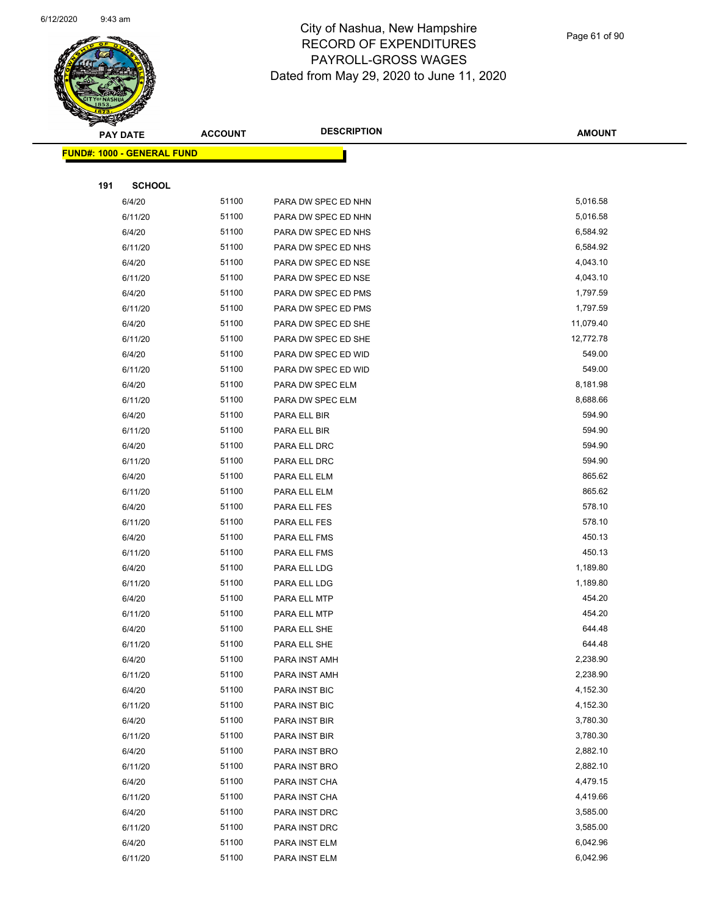

| <b>PAY DATE</b>                         | <b>ACCOUNT</b> | <b>DESCRIPTION</b>  | <b>AMOUNT</b> |
|-----------------------------------------|----------------|---------------------|---------------|
| <mark>FUND#: 1000 - GENERAL FUND</mark> |                |                     |               |
|                                         |                |                     |               |
| 191<br><b>SCHOOL</b>                    |                |                     |               |
| 6/4/20                                  | 51100          | PARA DW SPEC ED NHN | 5,016.58      |
| 6/11/20                                 | 51100          | PARA DW SPEC ED NHN | 5,016.58      |
| 6/4/20                                  | 51100          | PARA DW SPEC ED NHS | 6,584.92      |
| 6/11/20                                 | 51100          | PARA DW SPEC ED NHS | 6,584.92      |
| 6/4/20                                  | 51100          | PARA DW SPEC ED NSE | 4,043.10      |
| 6/11/20                                 | 51100          | PARA DW SPEC ED NSE | 4,043.10      |
| 6/4/20                                  | 51100          | PARA DW SPEC ED PMS | 1,797.59      |
| 6/11/20                                 | 51100          | PARA DW SPEC ED PMS | 1,797.59      |
| 6/4/20                                  | 51100          | PARA DW SPEC ED SHE | 11,079.40     |
| 6/11/20                                 | 51100          | PARA DW SPEC ED SHE | 12,772.78     |
| 6/4/20                                  | 51100          | PARA DW SPEC ED WID | 549.00        |
| 6/11/20                                 | 51100          | PARA DW SPEC ED WID | 549.00        |
| 6/4/20                                  | 51100          | PARA DW SPEC ELM    | 8,181.98      |
| 6/11/20                                 | 51100          | PARA DW SPEC ELM    | 8,688.66      |
| 6/4/20                                  | 51100          | PARA ELL BIR        | 594.90        |
| 6/11/20                                 | 51100          | PARA ELL BIR        | 594.90        |
| 6/4/20                                  | 51100          | PARA ELL DRC        | 594.90        |
| 6/11/20                                 | 51100          | PARA ELL DRC        | 594.90        |
| 6/4/20                                  | 51100          | PARA ELL ELM        | 865.62        |
| 6/11/20                                 | 51100          | PARA ELL ELM        | 865.62        |
| 6/4/20                                  | 51100          | PARA ELL FES        | 578.10        |
| 6/11/20                                 | 51100          | PARA ELL FES        | 578.10        |
| 6/4/20                                  | 51100          | PARA ELL FMS        | 450.13        |
| 6/11/20                                 | 51100          | PARA ELL FMS        | 450.13        |
| 6/4/20                                  | 51100          | PARA ELL LDG        | 1,189.80      |
| 6/11/20                                 | 51100          | PARA ELL LDG        | 1,189.80      |
| 6/4/20                                  | 51100          | PARA ELL MTP        | 454.20        |
| 6/11/20                                 | 51100          | PARA ELL MTP        | 454.20        |
| 6/4/20                                  | 51100          | PARA ELL SHE        | 644.48        |
| 6/11/20                                 | 51100          | PARA ELL SHE        | 644.48        |
| 6/4/20                                  | 51100          | PARA INST AMH       | 2,238.90      |
| 6/11/20                                 | 51100          | PARA INST AMH       | 2,238.90      |
| 6/4/20                                  | 51100          | PARA INST BIC       | 4,152.30      |
| 6/11/20                                 | 51100          | PARA INST BIC       | 4,152.30      |
| 6/4/20                                  | 51100          | PARA INST BIR       | 3,780.30      |
| 6/11/20                                 | 51100          | PARA INST BIR       | 3,780.30      |
| 6/4/20                                  | 51100          | PARA INST BRO       | 2,882.10      |
| 6/11/20                                 | 51100          | PARA INST BRO       | 2,882.10      |
| 6/4/20                                  | 51100          | PARA INST CHA       | 4,479.15      |
| 6/11/20                                 | 51100          | PARA INST CHA       | 4,419.66      |
| 6/4/20                                  | 51100          | PARA INST DRC       | 3,585.00      |
| 6/11/20                                 | 51100          | PARA INST DRC       | 3,585.00      |
| 6/4/20                                  | 51100          | PARA INST ELM       | 6,042.96      |
| 6/11/20                                 | 51100          | PARA INST ELM       | 6,042.96      |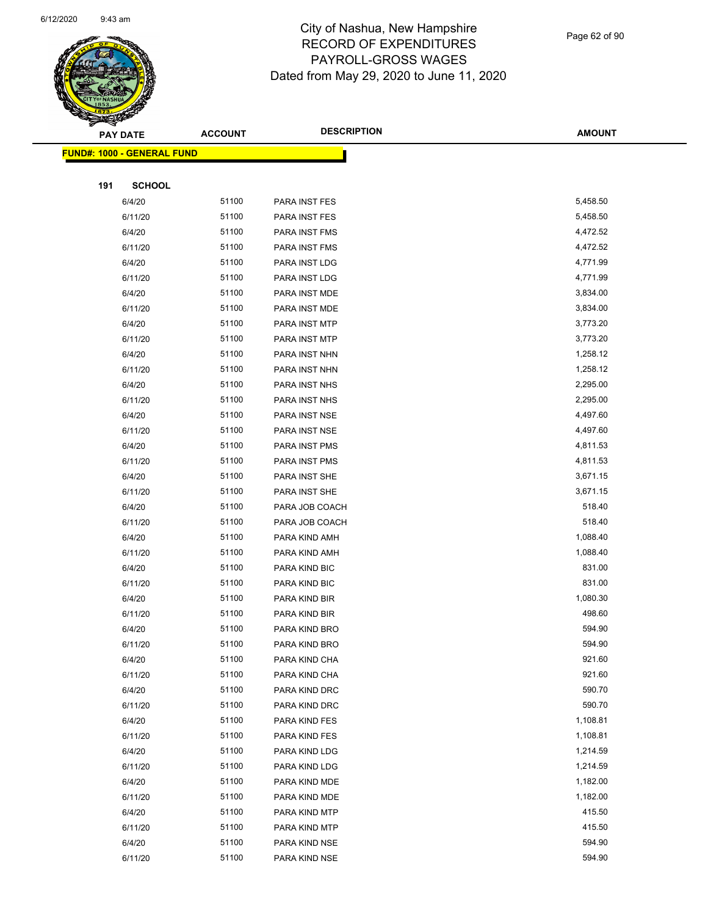

|     | <b>PAY DATE</b>                    | <b>ACCOUNT</b> | <b>DESCRIPTION</b> | <b>AMOUNT</b> |
|-----|------------------------------------|----------------|--------------------|---------------|
|     | <u> FUND#: 1000 - GENERAL FUND</u> |                |                    |               |
|     |                                    |                |                    |               |
| 191 | <b>SCHOOL</b>                      |                |                    |               |
|     | 6/4/20                             | 51100          | PARA INST FES      | 5,458.50      |
|     | 6/11/20                            | 51100          | PARA INST FES      | 5,458.50      |
|     | 6/4/20                             | 51100          | PARA INST FMS      | 4,472.52      |
|     | 6/11/20                            | 51100          | PARA INST FMS      | 4,472.52      |
|     | 6/4/20                             | 51100          | PARA INST LDG      | 4,771.99      |
|     | 6/11/20                            | 51100          | PARA INST LDG      | 4,771.99      |
|     | 6/4/20                             | 51100          | PARA INST MDE      | 3,834.00      |
|     | 6/11/20                            | 51100          | PARA INST MDE      | 3,834.00      |
|     | 6/4/20                             | 51100          | PARA INST MTP      | 3,773.20      |
|     | 6/11/20                            | 51100          | PARA INST MTP      | 3,773.20      |
|     | 6/4/20                             | 51100          | PARA INST NHN      | 1,258.12      |
|     | 6/11/20                            | 51100          | PARA INST NHN      | 1,258.12      |
|     | 6/4/20                             | 51100          | PARA INST NHS      | 2,295.00      |
|     | 6/11/20                            | 51100          | PARA INST NHS      | 2,295.00      |
|     | 6/4/20                             | 51100          | PARA INST NSE      | 4,497.60      |
|     | 6/11/20                            | 51100          | PARA INST NSE      | 4,497.60      |
|     | 6/4/20                             | 51100          | PARA INST PMS      | 4,811.53      |
|     | 6/11/20                            | 51100          | PARA INST PMS      | 4,811.53      |
|     | 6/4/20                             | 51100          | PARA INST SHE      | 3,671.15      |
|     | 6/11/20                            | 51100          | PARA INST SHE      | 3,671.15      |
|     | 6/4/20                             | 51100          | PARA JOB COACH     | 518.40        |
|     | 6/11/20                            | 51100          | PARA JOB COACH     | 518.40        |
|     | 6/4/20                             | 51100          | PARA KIND AMH      | 1,088.40      |
|     | 6/11/20                            | 51100          | PARA KIND AMH      | 1,088.40      |
|     | 6/4/20                             | 51100          | PARA KIND BIC      | 831.00        |
|     | 6/11/20                            | 51100          | PARA KIND BIC      | 831.00        |
|     | 6/4/20                             | 51100          | PARA KIND BIR      | 1,080.30      |
|     | 6/11/20                            | 51100          | PARA KIND BIR      | 498.60        |
|     | 6/4/20                             | 51100          | PARA KIND BRO      | 594.90        |
|     | 6/11/20                            | 51100          | PARA KIND BRO      | 594.90        |
|     | 6/4/20                             | 51100          | PARA KIND CHA      | 921.60        |
|     | 6/11/20                            | 51100          | PARA KIND CHA      | 921.60        |
|     | 6/4/20                             | 51100          | PARA KIND DRC      | 590.70        |
|     | 6/11/20                            | 51100          | PARA KIND DRC      | 590.70        |
|     | 6/4/20                             | 51100          | PARA KIND FES      | 1,108.81      |
|     | 6/11/20                            | 51100          | PARA KIND FES      | 1,108.81      |
|     | 6/4/20                             | 51100          | PARA KIND LDG      | 1,214.59      |
|     | 6/11/20                            | 51100          | PARA KIND LDG      | 1,214.59      |
|     | 6/4/20                             | 51100          | PARA KIND MDE      | 1,182.00      |
|     | 6/11/20                            | 51100          | PARA KIND MDE      | 1,182.00      |
|     | 6/4/20                             | 51100          | PARA KIND MTP      | 415.50        |
|     | 6/11/20                            | 51100          | PARA KIND MTP      | 415.50        |
|     | 6/4/20                             | 51100          | PARA KIND NSE      | 594.90        |
|     | 6/11/20                            | 51100          | PARA KIND NSE      | 594.90        |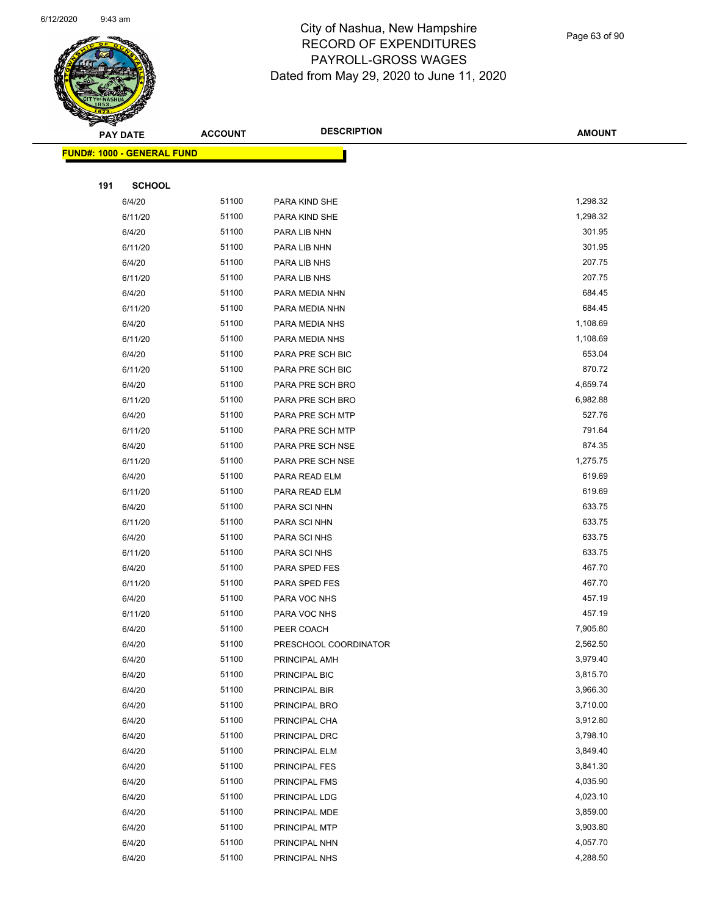

Page 63 of 90

| <b>READERS</b> |     |                                    |                |                       |               |
|----------------|-----|------------------------------------|----------------|-----------------------|---------------|
|                |     | <b>PAY DATE</b>                    | <b>ACCOUNT</b> | <b>DESCRIPTION</b>    | <b>AMOUNT</b> |
|                |     | <u> FUND#: 1000 - GENERAL FUND</u> |                |                       |               |
|                |     |                                    |                |                       |               |
|                | 191 | <b>SCHOOL</b>                      |                |                       |               |
|                |     | 6/4/20                             | 51100          | PARA KIND SHE         | 1,298.32      |
|                |     | 6/11/20                            | 51100          | PARA KIND SHE         | 1,298.32      |
|                |     | 6/4/20                             | 51100          | PARA LIB NHN          | 301.95        |
|                |     | 6/11/20                            | 51100          | PARA LIB NHN          | 301.95        |
|                |     | 6/4/20                             | 51100          | PARA LIB NHS          | 207.75        |
|                |     | 6/11/20                            | 51100          | PARA LIB NHS          | 207.75        |
|                |     | 6/4/20                             | 51100          | PARA MEDIA NHN        | 684.45        |
|                |     | 6/11/20                            | 51100          | PARA MEDIA NHN        | 684.45        |
|                |     | 6/4/20                             | 51100          | PARA MEDIA NHS        | 1,108.69      |
|                |     | 6/11/20                            | 51100          | PARA MEDIA NHS        | 1,108.69      |
|                |     | 6/4/20                             | 51100          | PARA PRE SCH BIC      | 653.04        |
|                |     | 6/11/20                            | 51100          | PARA PRE SCH BIC      | 870.72        |
|                |     | 6/4/20                             | 51100          | PARA PRE SCH BRO      | 4,659.74      |
|                |     | 6/11/20                            | 51100          | PARA PRE SCH BRO      | 6,982.88      |
|                |     | 6/4/20                             | 51100          | PARA PRE SCH MTP      | 527.76        |
|                |     | 6/11/20                            | 51100          | PARA PRE SCH MTP      | 791.64        |
|                |     | 6/4/20                             | 51100          | PARA PRE SCH NSE      | 874.35        |
|                |     | 6/11/20                            | 51100          | PARA PRE SCH NSE      | 1,275.75      |
|                |     | 6/4/20                             | 51100          | PARA READ ELM         | 619.69        |
|                |     | 6/11/20                            | 51100          | PARA READ ELM         | 619.69        |
|                |     | 6/4/20                             | 51100          | PARA SCI NHN          | 633.75        |
|                |     | 6/11/20                            | 51100          | PARA SCI NHN          | 633.75        |
|                |     | 6/4/20                             | 51100          | PARA SCI NHS          | 633.75        |
|                |     | 6/11/20                            | 51100          | PARA SCI NHS          | 633.75        |
|                |     | 6/4/20                             | 51100          | PARA SPED FES         | 467.70        |
|                |     | 6/11/20                            | 51100          | PARA SPED FES         | 467.70        |
|                |     | 6/4/20                             | 51100          | PARA VOC NHS          | 457.19        |
|                |     | 6/11/20                            | 51100          | PARA VOC NHS          | 457.19        |
|                |     | 6/4/20                             | 51100          | PEER COACH            | 7,905.80      |
|                |     | 6/4/20                             | 51100          | PRESCHOOL COORDINATOR | 2,562.50      |
|                |     | 6/4/20                             | 51100          | PRINCIPAL AMH         | 3,979.40      |
|                |     | 6/4/20                             | 51100          | PRINCIPAL BIC         | 3,815.70      |
|                |     | 6/4/20                             | 51100          | PRINCIPAL BIR         | 3,966.30      |
|                |     | 6/4/20                             | 51100          | PRINCIPAL BRO         | 3,710.00      |
|                |     | 6/4/20                             | 51100          | PRINCIPAL CHA         | 3,912.80      |
|                |     | 6/4/20                             | 51100          | PRINCIPAL DRC         | 3,798.10      |
|                |     | 6/4/20                             | 51100          | PRINCIPAL ELM         | 3,849.40      |
|                |     | 6/4/20                             | 51100          | <b>PRINCIPAL FES</b>  | 3,841.30      |
|                |     | 6/4/20                             | 51100          | <b>PRINCIPAL FMS</b>  | 4,035.90      |
|                |     | 6/4/20                             | 51100          | PRINCIPAL LDG         | 4,023.10      |
|                |     | 6/4/20                             | 51100          | PRINCIPAL MDE         | 3,859.00      |
|                |     | 6/4/20                             | 51100          | PRINCIPAL MTP         | 3,903.80      |
|                |     | 6/4/20                             | 51100          | PRINCIPAL NHN         | 4,057.70      |
|                |     | 6/4/20                             | 51100          | PRINCIPAL NHS         | 4,288.50      |
|                |     |                                    |                |                       |               |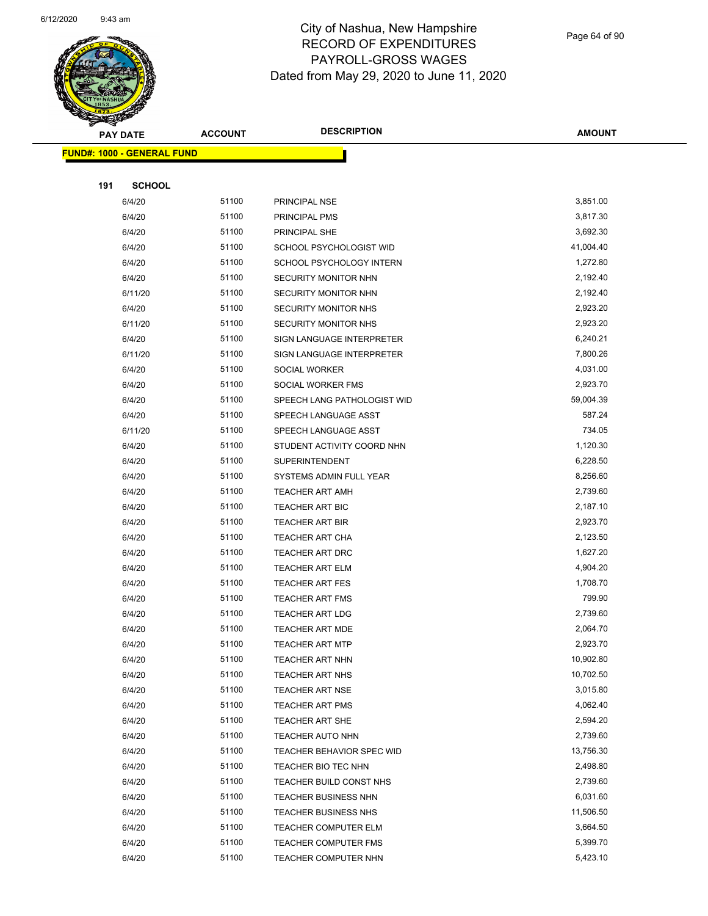

Page 64 of 90

| <b>Superintent</b><br><b>PAY DATE</b> | <b>ACCOUNT</b> | <b>DESCRIPTION</b>          | <b>AMOUNT</b> |
|---------------------------------------|----------------|-----------------------------|---------------|
|                                       |                |                             |               |
| <b>FUND#: 1000 - GENERAL FUND</b>     |                |                             |               |
| 191<br><b>SCHOOL</b>                  |                |                             |               |
| 6/4/20                                | 51100          | PRINCIPAL NSE               | 3,851.00      |
| 6/4/20                                | 51100          | <b>PRINCIPAL PMS</b>        | 3,817.30      |
| 6/4/20                                | 51100          | PRINCIPAL SHE               | 3,692.30      |
| 6/4/20                                | 51100          | SCHOOL PSYCHOLOGIST WID     | 41,004.40     |
| 6/4/20                                | 51100          | SCHOOL PSYCHOLOGY INTERN    | 1,272.80      |
| 6/4/20                                | 51100          | SECURITY MONITOR NHN        | 2,192.40      |
| 6/11/20                               | 51100          | SECURITY MONITOR NHN        | 2,192.40      |
| 6/4/20                                | 51100          | SECURITY MONITOR NHS        | 2,923.20      |
| 6/11/20                               | 51100          | SECURITY MONITOR NHS        | 2,923.20      |
| 6/4/20                                | 51100          | SIGN LANGUAGE INTERPRETER   | 6,240.21      |
| 6/11/20                               | 51100          | SIGN LANGUAGE INTERPRETER   | 7,800.26      |
| 6/4/20                                | 51100          | <b>SOCIAL WORKER</b>        | 4,031.00      |
| 6/4/20                                | 51100          | SOCIAL WORKER FMS           | 2,923.70      |
| 6/4/20                                | 51100          | SPEECH LANG PATHOLOGIST WID | 59,004.39     |
| 6/4/20                                | 51100          | SPEECH LANGUAGE ASST        | 587.24        |
| 6/11/20                               | 51100          | SPEECH LANGUAGE ASST        | 734.05        |
| 6/4/20                                | 51100          | STUDENT ACTIVITY COORD NHN  | 1,120.30      |
| 6/4/20                                | 51100          | <b>SUPERINTENDENT</b>       | 6,228.50      |
| 6/4/20                                | 51100          | SYSTEMS ADMIN FULL YEAR     | 8,256.60      |
| 6/4/20                                | 51100          | <b>TEACHER ART AMH</b>      | 2,739.60      |
| 6/4/20                                | 51100          | <b>TEACHER ART BIC</b>      | 2,187.10      |
| 6/4/20                                | 51100          | <b>TEACHER ART BIR</b>      | 2,923.70      |
| 6/4/20                                | 51100          | <b>TEACHER ART CHA</b>      | 2,123.50      |
| 6/4/20                                | 51100          | <b>TEACHER ART DRC</b>      | 1,627.20      |
| 6/4/20                                | 51100          | <b>TEACHER ART ELM</b>      | 4,904.20      |
| 6/4/20                                | 51100          | <b>TEACHER ART FES</b>      | 1,708.70      |
| 6/4/20                                | 51100          | <b>TEACHER ART FMS</b>      | 799.90        |
| 6/4/20                                | 51100          | <b>TEACHER ART LDG</b>      | 2,739.60      |
| 6/4/20                                | 51100          | <b>TEACHER ART MDE</b>      | 2,064.70      |
| 6/4/20                                | 51100          | <b>TEACHER ART MTP</b>      | 2,923.70      |
| 6/4/20                                | 51100          | <b>TEACHER ART NHN</b>      | 10,902.80     |
| 6/4/20                                | 51100          | <b>TEACHER ART NHS</b>      | 10,702.50     |
| 6/4/20                                | 51100          | TEACHER ART NSE             | 3,015.80      |
| 6/4/20                                | 51100          | <b>TEACHER ART PMS</b>      | 4,062.40      |
| 6/4/20                                | 51100          | TEACHER ART SHE             | 2,594.20      |
| 6/4/20                                | 51100          | <b>TEACHER AUTO NHN</b>     | 2,739.60      |
| 6/4/20                                | 51100          | TEACHER BEHAVIOR SPEC WID   | 13,756.30     |
| 6/4/20                                | 51100          | TEACHER BIO TEC NHN         | 2,498.80      |
| 6/4/20                                | 51100          | TEACHER BUILD CONST NHS     | 2,739.60      |
| 6/4/20                                | 51100          | TEACHER BUSINESS NHN        | 6,031.60      |
| 6/4/20                                | 51100          | <b>TEACHER BUSINESS NHS</b> | 11,506.50     |
| 6/4/20                                | 51100          | <b>TEACHER COMPUTER ELM</b> | 3,664.50      |
| 6/4/20                                | 51100          | <b>TEACHER COMPUTER FMS</b> | 5,399.70      |
| 6/4/20                                | 51100          | TEACHER COMPUTER NHN        | 5,423.10      |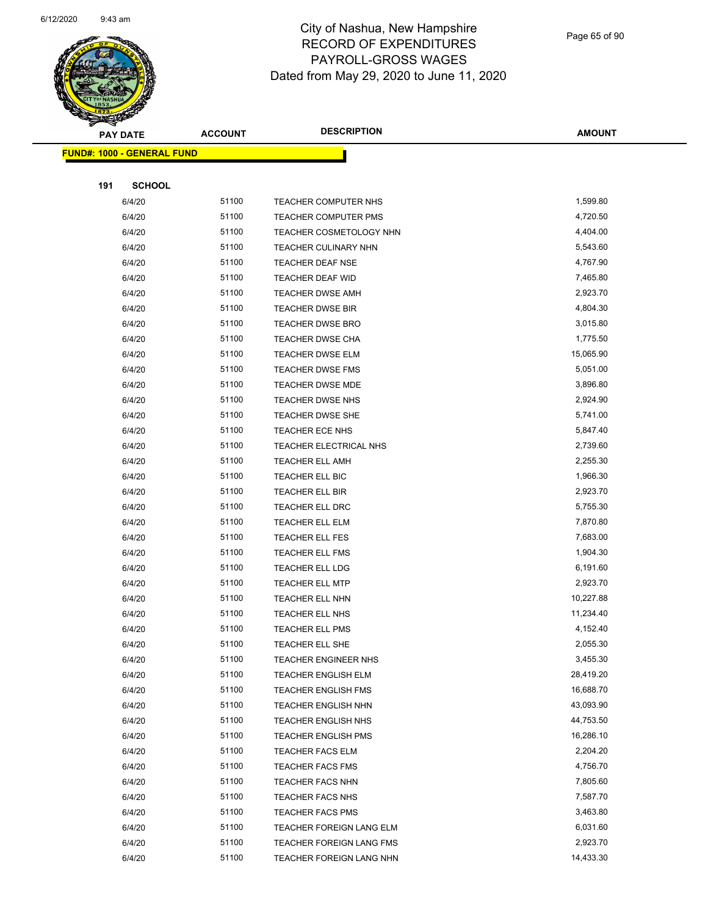

Page 65 of 90

|     | <b>PAY DATE</b>                   | <b>ACCOUNT</b> | <b>DESCRIPTION</b>                                | <b>AMOUNT</b>          |
|-----|-----------------------------------|----------------|---------------------------------------------------|------------------------|
|     | <b>FUND#: 1000 - GENERAL FUND</b> |                |                                                   |                        |
|     |                                   |                |                                                   |                        |
| 191 | <b>SCHOOL</b>                     |                |                                                   |                        |
|     | 6/4/20                            | 51100          | TEACHER COMPUTER NHS                              | 1,599.80               |
|     | 6/4/20                            | 51100          | TEACHER COMPUTER PMS                              | 4,720.50               |
|     | 6/4/20                            | 51100          | TEACHER COSMETOLOGY NHN                           | 4,404.00               |
|     | 6/4/20                            | 51100          | TEACHER CULINARY NHN                              | 5,543.60               |
|     | 6/4/20                            | 51100          | <b>TEACHER DEAF NSE</b>                           | 4,767.90               |
|     | 6/4/20                            | 51100          | TEACHER DEAF WID                                  | 7,465.80               |
|     | 6/4/20                            | 51100          | TEACHER DWSE AMH                                  | 2,923.70               |
|     | 6/4/20                            | 51100          | TEACHER DWSE BIR                                  | 4,804.30               |
|     | 6/4/20                            | 51100          | <b>TEACHER DWSE BRO</b>                           | 3,015.80               |
|     | 6/4/20                            | 51100          | <b>TEACHER DWSE CHA</b>                           | 1,775.50               |
|     | 6/4/20                            | 51100          | TEACHER DWSE ELM                                  | 15,065.90              |
|     | 6/4/20                            | 51100          | TEACHER DWSE FMS                                  | 5,051.00               |
|     | 6/4/20                            | 51100          | TEACHER DWSE MDE                                  | 3,896.80               |
|     | 6/4/20                            | 51100          | TEACHER DWSE NHS                                  | 2,924.90               |
|     | 6/4/20                            | 51100          | TEACHER DWSE SHE                                  | 5,741.00               |
|     | 6/4/20                            | 51100          | TEACHER ECE NHS                                   | 5,847.40               |
|     | 6/4/20                            | 51100          | TEACHER ELECTRICAL NHS                            | 2,739.60               |
|     | 6/4/20                            | 51100          | TEACHER ELL AMH                                   | 2,255.30               |
|     | 6/4/20                            | 51100          | TEACHER ELL BIC                                   | 1,966.30               |
|     | 6/4/20                            | 51100          | <b>TEACHER ELL BIR</b>                            | 2,923.70               |
|     | 6/4/20                            | 51100          | <b>TEACHER ELL DRC</b>                            | 5,755.30               |
|     | 6/4/20                            | 51100          | TEACHER ELL ELM                                   | 7,870.80               |
|     | 6/4/20                            | 51100          | <b>TEACHER ELL FES</b>                            | 7,683.00               |
|     | 6/4/20                            | 51100          | <b>TEACHER ELL FMS</b>                            | 1,904.30               |
|     | 6/4/20                            | 51100          | <b>TEACHER ELL LDG</b>                            | 6,191.60               |
|     | 6/4/20                            | 51100          | TEACHER ELL MTP                                   | 2,923.70               |
|     | 6/4/20                            | 51100          | TEACHER ELL NHN                                   | 10,227.88              |
|     | 6/4/20                            | 51100          | TEACHER ELL NHS                                   | 11,234.40              |
|     | 6/4/20                            | 51100          | <b>TEACHER ELL PMS</b>                            | 4,152.40               |
|     | 6/4/20                            | 51100          | TEACHER ELL SHE                                   | 2,055.30               |
|     | 6/4/20                            | 51100          | <b>TEACHER ENGINEER NHS</b>                       | 3,455.30               |
|     | 6/4/20                            | 51100          | TEACHER ENGLISH ELM                               | 28,419.20              |
|     | 6/4/20                            | 51100          | TEACHER ENGLISH FMS                               | 16,688.70              |
|     | 6/4/20                            | 51100<br>51100 | TEACHER ENGLISH NHN                               | 43,093.90<br>44,753.50 |
|     | 6/4/20<br>6/4/20                  | 51100          | TEACHER ENGLISH NHS<br><b>TEACHER ENGLISH PMS</b> | 16,286.10              |
|     | 6/4/20                            | 51100          | TEACHER FACS ELM                                  | 2,204.20               |
|     | 6/4/20                            | 51100          | <b>TEACHER FACS FMS</b>                           | 4,756.70               |
|     | 6/4/20                            | 51100          | <b>TEACHER FACS NHN</b>                           | 7,805.60               |
|     | 6/4/20                            | 51100          | TEACHER FACS NHS                                  | 7,587.70               |
|     | 6/4/20                            | 51100          | TEACHER FACS PMS                                  | 3,463.80               |
|     | 6/4/20                            | 51100          | TEACHER FOREIGN LANG ELM                          | 6,031.60               |
|     | 6/4/20                            | 51100          | TEACHER FOREIGN LANG FMS                          | 2,923.70               |
|     | 6/4/20                            | 51100          | TEACHER FOREIGN LANG NHN                          | 14,433.30              |
|     |                                   |                |                                                   |                        |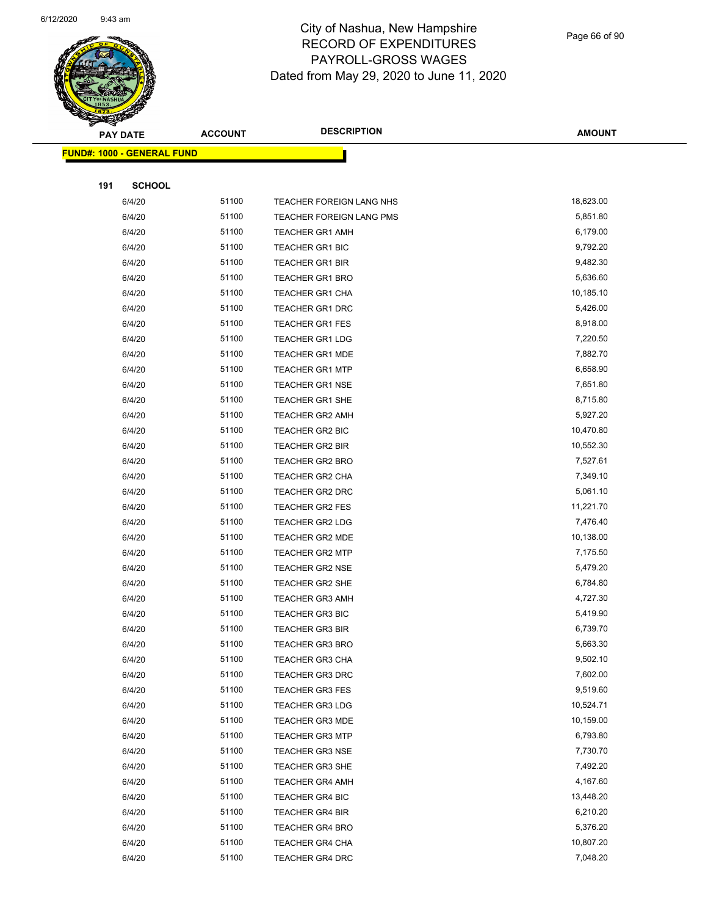

Page 66 of 90

| s<br>$\tilde{\phantom{a}}$ | <b>PAY DATE</b>                   | <b>ACCOUNT</b> | <b>DESCRIPTION</b>       | <b>AMOUNT</b> |
|----------------------------|-----------------------------------|----------------|--------------------------|---------------|
|                            | <b>FUND#: 1000 - GENERAL FUND</b> |                |                          |               |
|                            |                                   |                |                          |               |
| 191                        | <b>SCHOOL</b>                     |                |                          |               |
|                            | 6/4/20                            | 51100          | TEACHER FOREIGN LANG NHS | 18,623.00     |
|                            | 6/4/20                            | 51100          | TEACHER FOREIGN LANG PMS | 5,851.80      |
|                            | 6/4/20                            | 51100          | <b>TEACHER GR1 AMH</b>   | 6,179.00      |
|                            | 6/4/20                            | 51100          | <b>TEACHER GR1 BIC</b>   | 9,792.20      |
|                            | 6/4/20                            | 51100          | <b>TEACHER GR1 BIR</b>   | 9,482.30      |
|                            | 6/4/20                            | 51100          | <b>TEACHER GR1 BRO</b>   | 5,636.60      |
|                            | 6/4/20                            | 51100          | TEACHER GR1 CHA          | 10,185.10     |
|                            | 6/4/20                            | 51100          | <b>TEACHER GR1 DRC</b>   | 5,426.00      |
|                            | 6/4/20                            | 51100          | <b>TEACHER GR1 FES</b>   | 8,918.00      |
|                            | 6/4/20                            | 51100          | <b>TEACHER GR1 LDG</b>   | 7,220.50      |
|                            | 6/4/20                            | 51100          | TEACHER GR1 MDE          | 7,882.70      |
|                            | 6/4/20                            | 51100          | <b>TEACHER GR1 MTP</b>   | 6,658.90      |
|                            | 6/4/20                            | 51100          | <b>TEACHER GR1 NSE</b>   | 7,651.80      |
|                            | 6/4/20                            | 51100          | TEACHER GR1 SHE          | 8,715.80      |
|                            | 6/4/20                            | 51100          | <b>TEACHER GR2 AMH</b>   | 5,927.20      |
|                            | 6/4/20                            | 51100          | TEACHER GR2 BIC          | 10,470.80     |
|                            | 6/4/20                            | 51100          | <b>TEACHER GR2 BIR</b>   | 10,552.30     |
|                            | 6/4/20                            | 51100          | <b>TEACHER GR2 BRO</b>   | 7,527.61      |
|                            | 6/4/20                            | 51100          | <b>TEACHER GR2 CHA</b>   | 7,349.10      |
|                            | 6/4/20                            | 51100          | <b>TEACHER GR2 DRC</b>   | 5,061.10      |
|                            | 6/4/20                            | 51100          | TEACHER GR2 FES          | 11,221.70     |
|                            | 6/4/20                            | 51100          | TEACHER GR2 LDG          | 7,476.40      |
|                            | 6/4/20                            | 51100          | TEACHER GR2 MDE          | 10,138.00     |
|                            | 6/4/20                            | 51100          | <b>TEACHER GR2 MTP</b>   | 7,175.50      |
|                            | 6/4/20                            | 51100          | <b>TEACHER GR2 NSE</b>   | 5,479.20      |
|                            | 6/4/20                            | 51100          | TEACHER GR2 SHE          | 6,784.80      |
|                            | 6/4/20                            | 51100          | <b>TEACHER GR3 AMH</b>   | 4,727.30      |
|                            | 6/4/20                            | 51100          | <b>TEACHER GR3 BIC</b>   | 5,419.90      |
|                            | 6/4/20                            | 51100          | <b>TEACHER GR3 BIR</b>   | 6,739.70      |
|                            | 6/4/20                            | 51100          | TEACHER GR3 BRO          | 5,663.30      |
|                            | 6/4/20                            | 51100          | <b>TEACHER GR3 CHA</b>   | 9,502.10      |
|                            | 6/4/20                            | 51100          | <b>TEACHER GR3 DRC</b>   | 7,602.00      |
|                            | 6/4/20                            | 51100          | <b>TEACHER GR3 FES</b>   | 9,519.60      |
|                            | 6/4/20                            | 51100          | <b>TEACHER GR3 LDG</b>   | 10,524.71     |
|                            | 6/4/20                            | 51100          | <b>TEACHER GR3 MDE</b>   | 10,159.00     |
|                            | 6/4/20                            | 51100          | <b>TEACHER GR3 MTP</b>   | 6,793.80      |
|                            | 6/4/20                            | 51100          | <b>TEACHER GR3 NSE</b>   | 7,730.70      |
|                            | 6/4/20                            | 51100          | <b>TEACHER GR3 SHE</b>   | 7,492.20      |
|                            | 6/4/20                            | 51100          | <b>TEACHER GR4 AMH</b>   | 4,167.60      |
|                            | 6/4/20                            | 51100          | <b>TEACHER GR4 BIC</b>   | 13,448.20     |
|                            | 6/4/20                            | 51100          | TEACHER GR4 BIR          | 6,210.20      |
|                            | 6/4/20                            | 51100          | <b>TEACHER GR4 BRO</b>   | 5,376.20      |
|                            | 6/4/20                            | 51100          | TEACHER GR4 CHA          | 10,807.20     |
|                            | 6/4/20                            | 51100          | TEACHER GR4 DRC          | 7,048.20      |
|                            |                                   |                |                          |               |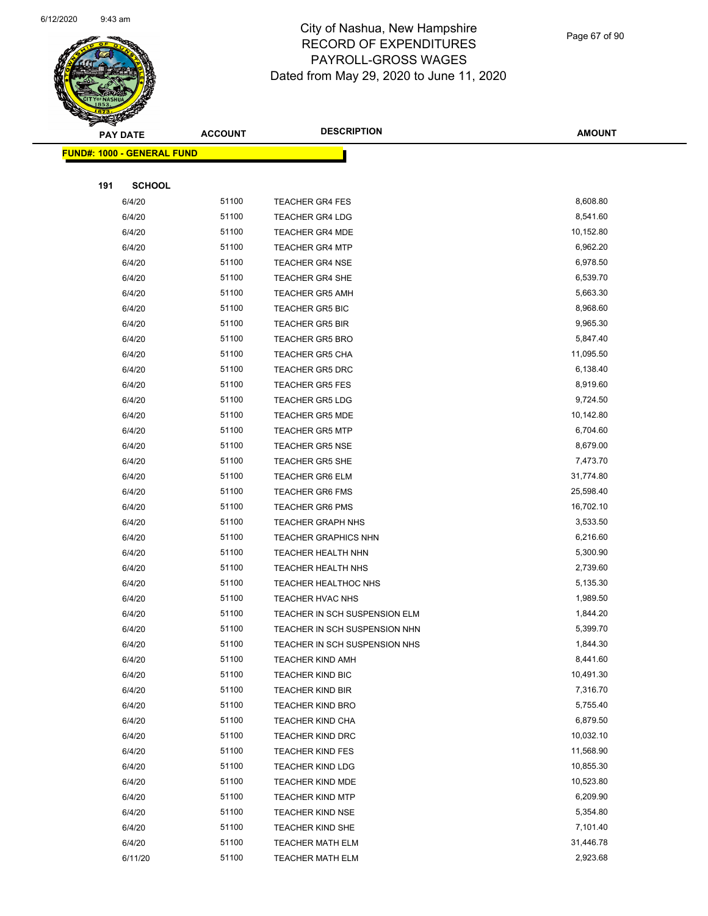

|     | <b>PAY DATE</b>                    | <b>ACCOUNT</b> | <b>DESCRIPTION</b>            | <b>AMOUNT</b> |
|-----|------------------------------------|----------------|-------------------------------|---------------|
|     | <u> FUND#: 1000 - GENERAL FUND</u> |                |                               |               |
|     |                                    |                |                               |               |
| 191 | <b>SCHOOL</b>                      |                |                               |               |
|     | 6/4/20                             | 51100          | <b>TEACHER GR4 FES</b>        | 8,608.80      |
|     | 6/4/20                             | 51100          | <b>TEACHER GR4 LDG</b>        | 8,541.60      |
|     | 6/4/20                             | 51100          | <b>TEACHER GR4 MDE</b>        | 10,152.80     |
|     | 6/4/20                             | 51100          | <b>TEACHER GR4 MTP</b>        | 6,962.20      |
|     | 6/4/20                             | 51100          | <b>TEACHER GR4 NSE</b>        | 6,978.50      |
|     | 6/4/20                             | 51100          | <b>TEACHER GR4 SHE</b>        | 6,539.70      |
|     | 6/4/20                             | 51100          | <b>TEACHER GR5 AMH</b>        | 5,663.30      |
|     | 6/4/20                             | 51100          | <b>TEACHER GR5 BIC</b>        | 8,968.60      |
|     | 6/4/20                             | 51100          | <b>TEACHER GR5 BIR</b>        | 9,965.30      |
|     | 6/4/20                             | 51100          | <b>TEACHER GR5 BRO</b>        | 5,847.40      |
|     | 6/4/20                             | 51100          | <b>TEACHER GR5 CHA</b>        | 11,095.50     |
|     | 6/4/20                             | 51100          | <b>TEACHER GR5 DRC</b>        | 6,138.40      |
|     | 6/4/20                             | 51100          | <b>TEACHER GR5 FES</b>        | 8,919.60      |
|     | 6/4/20                             | 51100          | <b>TEACHER GR5 LDG</b>        | 9,724.50      |
|     | 6/4/20                             | 51100          | <b>TEACHER GR5 MDE</b>        | 10,142.80     |
|     | 6/4/20                             | 51100          | <b>TEACHER GR5 MTP</b>        | 6,704.60      |
|     | 6/4/20                             | 51100          | <b>TEACHER GR5 NSE</b>        | 8,679.00      |
|     | 6/4/20                             | 51100          | <b>TEACHER GR5 SHE</b>        | 7,473.70      |
|     | 6/4/20                             | 51100          | <b>TEACHER GR6 ELM</b>        | 31,774.80     |
|     | 6/4/20                             | 51100          | <b>TEACHER GR6 FMS</b>        | 25,598.40     |
|     | 6/4/20                             | 51100          | <b>TEACHER GR6 PMS</b>        | 16,702.10     |
|     | 6/4/20                             | 51100          | <b>TEACHER GRAPH NHS</b>      | 3,533.50      |
|     | 6/4/20                             | 51100          | <b>TEACHER GRAPHICS NHN</b>   | 6,216.60      |
|     | 6/4/20                             | 51100          | TEACHER HEALTH NHN            | 5,300.90      |
|     | 6/4/20                             | 51100          | TEACHER HEALTH NHS            | 2,739.60      |
|     | 6/4/20                             | 51100          | <b>TEACHER HEALTHOC NHS</b>   | 5,135.30      |
|     | 6/4/20                             | 51100          | TEACHER HVAC NHS              | 1,989.50      |
|     | 6/4/20                             | 51100          | TEACHER IN SCH SUSPENSION ELM | 1,844.20      |
|     | 6/4/20                             | 51100          | TEACHER IN SCH SUSPENSION NHN | 5,399.70      |
|     | 6/4/20                             | 51100          | TEACHER IN SCH SUSPENSION NHS | 1,844.30      |
|     | 6/4/20                             | 51100          | <b>TEACHER KIND AMH</b>       | 8,441.60      |
|     | 6/4/20                             | 51100          | <b>TEACHER KIND BIC</b>       | 10,491.30     |
|     | 6/4/20                             | 51100          | <b>TEACHER KIND BIR</b>       | 7,316.70      |
|     | 6/4/20                             | 51100          | <b>TEACHER KIND BRO</b>       | 5,755.40      |
|     | 6/4/20                             | 51100          | <b>TEACHER KIND CHA</b>       | 6,879.50      |
|     | 6/4/20                             | 51100          | <b>TEACHER KIND DRC</b>       | 10,032.10     |
|     | 6/4/20                             | 51100          | <b>TEACHER KIND FES</b>       | 11,568.90     |
|     | 6/4/20                             | 51100          | <b>TEACHER KIND LDG</b>       | 10,855.30     |
|     | 6/4/20                             | 51100          | TEACHER KIND MDE              | 10,523.80     |
|     | 6/4/20                             | 51100          | <b>TEACHER KIND MTP</b>       | 6,209.90      |
|     | 6/4/20                             | 51100          | <b>TEACHER KIND NSE</b>       | 5,354.80      |
|     | 6/4/20                             | 51100          | TEACHER KIND SHE              | 7,101.40      |
|     | 6/4/20                             | 51100          | <b>TEACHER MATH ELM</b>       | 31,446.78     |
|     | 6/11/20                            | 51100          | <b>TEACHER MATH ELM</b>       | 2,923.68      |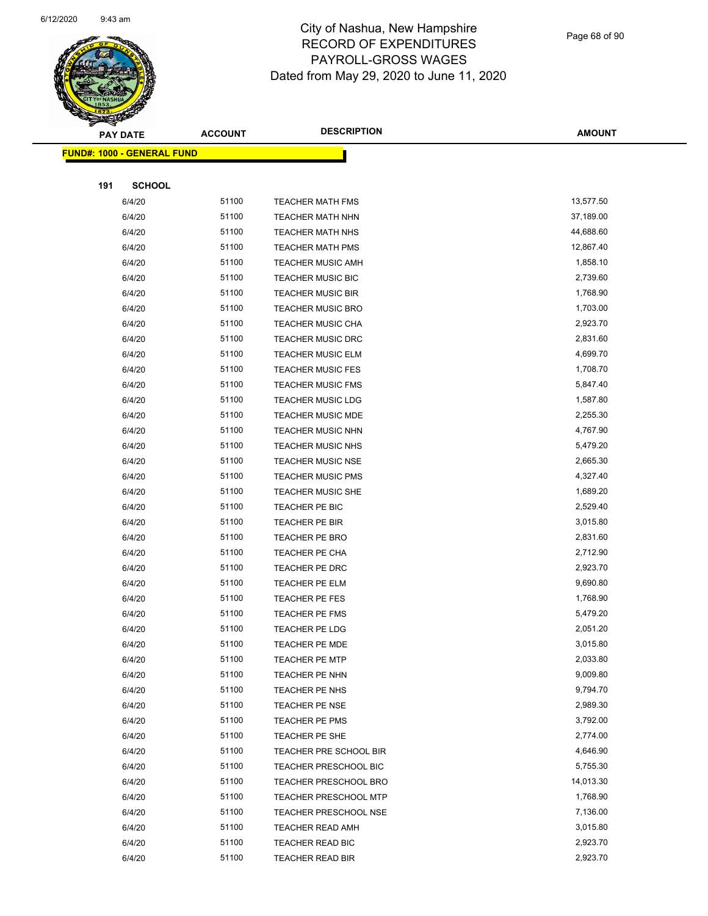

Page 68 of 90

| <b>PAY DATE</b>            | <b>ACCOUNT</b> | <b>DESCRIPTION</b>                                    | <b>AMOUNT</b>        |
|----------------------------|----------------|-------------------------------------------------------|----------------------|
| FUND#: 1000 - GENERAL FUND |                |                                                       |                      |
|                            |                |                                                       |                      |
| 191<br><b>SCHOOL</b>       |                |                                                       |                      |
| 6/4/20                     | 51100          | <b>TEACHER MATH FMS</b>                               | 13,577.50            |
| 6/4/20                     | 51100          | <b>TEACHER MATH NHN</b>                               | 37,189.00            |
| 6/4/20                     | 51100          | <b>TEACHER MATH NHS</b>                               | 44,688.60            |
| 6/4/20                     | 51100          | <b>TEACHER MATH PMS</b>                               | 12,867.40            |
| 6/4/20                     | 51100          | <b>TEACHER MUSIC AMH</b>                              | 1,858.10             |
| 6/4/20                     | 51100          | <b>TEACHER MUSIC BIC</b>                              | 2,739.60             |
| 6/4/20                     | 51100          | <b>TEACHER MUSIC BIR</b>                              | 1,768.90             |
| 6/4/20                     | 51100          | <b>TEACHER MUSIC BRO</b>                              | 1,703.00             |
| 6/4/20                     | 51100          | <b>TEACHER MUSIC CHA</b>                              | 2,923.70             |
| 6/4/20                     | 51100          | <b>TEACHER MUSIC DRC</b>                              | 2,831.60             |
| 6/4/20                     | 51100          | TEACHER MUSIC ELM                                     | 4,699.70             |
| 6/4/20                     | 51100          | <b>TEACHER MUSIC FES</b>                              | 1,708.70             |
| 6/4/20                     | 51100          | <b>TEACHER MUSIC FMS</b>                              | 5,847.40             |
| 6/4/20                     | 51100          | <b>TEACHER MUSIC LDG</b>                              | 1,587.80             |
| 6/4/20                     | 51100          | <b>TEACHER MUSIC MDE</b>                              | 2,255.30             |
| 6/4/20                     | 51100          | <b>TEACHER MUSIC NHN</b>                              | 4,767.90             |
| 6/4/20                     | 51100          | TEACHER MUSIC NHS                                     | 5,479.20             |
| 6/4/20                     | 51100          | <b>TEACHER MUSIC NSE</b>                              | 2,665.30             |
| 6/4/20                     | 51100          | <b>TEACHER MUSIC PMS</b>                              | 4,327.40             |
| 6/4/20                     | 51100          | <b>TEACHER MUSIC SHE</b>                              | 1,689.20             |
| 6/4/20                     | 51100          | TEACHER PE BIC                                        | 2,529.40             |
| 6/4/20                     | 51100          | TEACHER PE BIR                                        | 3,015.80             |
| 6/4/20                     | 51100          | <b>TEACHER PE BRO</b>                                 | 2,831.60             |
| 6/4/20                     | 51100          | TEACHER PE CHA                                        | 2,712.90             |
| 6/4/20                     | 51100          | TEACHER PE DRC                                        | 2,923.70             |
| 6/4/20                     | 51100          | TEACHER PE ELM                                        | 9,690.80             |
| 6/4/20                     | 51100          | TEACHER PE FES                                        | 1,768.90             |
| 6/4/20                     | 51100          | TEACHER PE FMS                                        | 5,479.20             |
| 6/4/20                     | 51100          | TEACHER PE LDG                                        | 2,051.20             |
| 6/4/20                     | 51100          | TEACHER PE MDE                                        | 3,015.80             |
| 6/4/20                     | 51100          | <b>TEACHER PE MTP</b>                                 | 2,033.80             |
| 6/4/20                     | 51100          | TEACHER PE NHN                                        | 9,009.80             |
| 6/4/20                     | 51100          | TEACHER PE NHS                                        | 9,794.70             |
| 6/4/20                     | 51100          | TEACHER PE NSE                                        | 2,989.30             |
| 6/4/20                     | 51100<br>51100 | TEACHER PE PMS                                        | 3,792.00             |
| 6/4/20                     | 51100          | TEACHER PE SHE<br>TEACHER PRE SCHOOL BIR              | 2,774.00<br>4,646.90 |
| 6/4/20<br>6/4/20           | 51100          | TEACHER PRESCHOOL BIC                                 | 5,755.30             |
|                            |                |                                                       | 14,013.30            |
| 6/4/20                     | 51100<br>51100 | <b>TEACHER PRESCHOOL BRO</b>                          | 1,768.90             |
| 6/4/20<br>6/4/20           | 51100          | <b>TEACHER PRESCHOOL MTP</b><br>TEACHER PRESCHOOL NSE | 7,136.00             |
| 6/4/20                     | 51100          | TEACHER READ AMH                                      | 3,015.80             |
| 6/4/20                     | 51100          | TEACHER READ BIC                                      | 2,923.70             |
| 6/4/20                     | 51100          | <b>TEACHER READ BIR</b>                               | 2,923.70             |
|                            |                |                                                       |                      |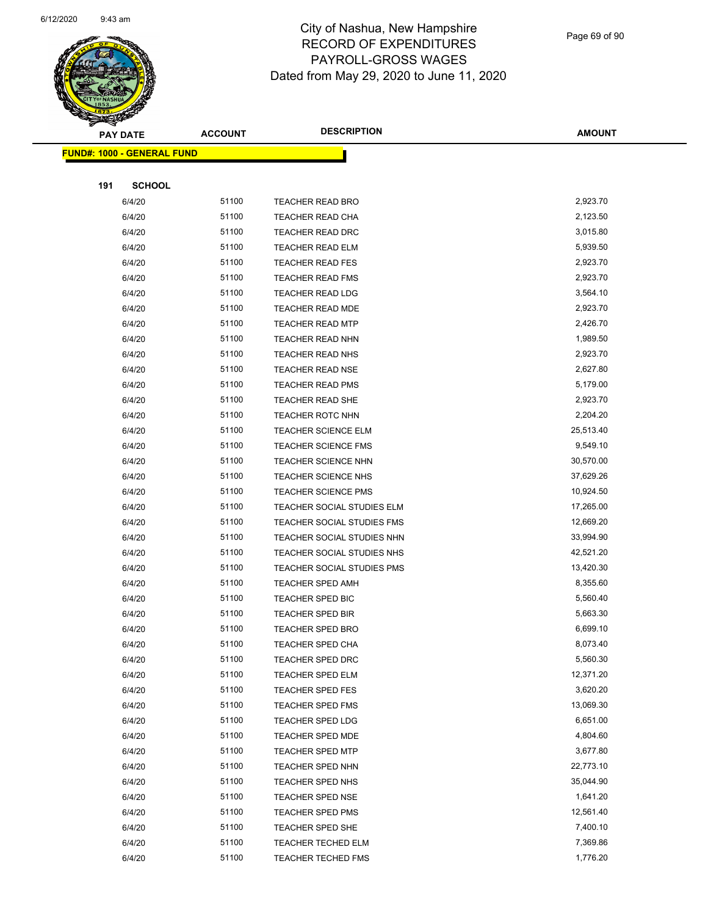

Page 69 of 90

|     | <b>PAY DATE</b>                   | <b>ACCOUNT</b> | <b>DESCRIPTION</b>         | <b>AMOUNT</b> |
|-----|-----------------------------------|----------------|----------------------------|---------------|
|     | <b>FUND#: 1000 - GENERAL FUND</b> |                |                            |               |
|     |                                   |                |                            |               |
| 191 | <b>SCHOOL</b>                     |                |                            |               |
|     | 6/4/20                            | 51100          | TEACHER READ BRO           | 2,923.70      |
|     | 6/4/20                            | 51100          | <b>TEACHER READ CHA</b>    | 2,123.50      |
|     | 6/4/20                            | 51100          | TEACHER READ DRC           | 3,015.80      |
|     | 6/4/20                            | 51100          | <b>TEACHER READ ELM</b>    | 5,939.50      |
|     | 6/4/20                            | 51100          | <b>TEACHER READ FES</b>    | 2,923.70      |
|     | 6/4/20                            | 51100          | <b>TEACHER READ FMS</b>    | 2,923.70      |
|     | 6/4/20                            | 51100          | <b>TEACHER READ LDG</b>    | 3,564.10      |
|     | 6/4/20                            | 51100          | <b>TEACHER READ MDE</b>    | 2,923.70      |
|     | 6/4/20                            | 51100          | <b>TEACHER READ MTP</b>    | 2,426.70      |
|     | 6/4/20                            | 51100          | TEACHER READ NHN           | 1,989.50      |
|     | 6/4/20                            | 51100          | <b>TEACHER READ NHS</b>    | 2,923.70      |
|     | 6/4/20                            | 51100          | <b>TEACHER READ NSE</b>    | 2,627.80      |
|     | 6/4/20                            | 51100          | <b>TEACHER READ PMS</b>    | 5,179.00      |
|     | 6/4/20                            | 51100          | TEACHER READ SHE           | 2,923.70      |
|     | 6/4/20                            | 51100          | <b>TEACHER ROTC NHN</b>    | 2,204.20      |
|     | 6/4/20                            | 51100          | <b>TEACHER SCIENCE ELM</b> | 25,513.40     |
|     | 6/4/20                            | 51100          | <b>TEACHER SCIENCE FMS</b> | 9,549.10      |
|     | 6/4/20                            | 51100          | <b>TEACHER SCIENCE NHN</b> | 30,570.00     |
|     | 6/4/20                            | 51100          | TEACHER SCIENCE NHS        | 37,629.26     |
|     | 6/4/20                            | 51100          | <b>TEACHER SCIENCE PMS</b> | 10,924.50     |
|     | 6/4/20                            | 51100          | TEACHER SOCIAL STUDIES ELM | 17,265.00     |
|     | 6/4/20                            | 51100          | TEACHER SOCIAL STUDIES FMS | 12,669.20     |
|     | 6/4/20                            | 51100          | TEACHER SOCIAL STUDIES NHN | 33,994.90     |
|     | 6/4/20                            | 51100          | TEACHER SOCIAL STUDIES NHS | 42,521.20     |
|     | 6/4/20                            | 51100          | TEACHER SOCIAL STUDIES PMS | 13,420.30     |
|     | 6/4/20                            | 51100          | <b>TEACHER SPED AMH</b>    | 8,355.60      |
|     | 6/4/20                            | 51100          | TEACHER SPED BIC           | 5,560.40      |
|     | 6/4/20                            | 51100          | <b>TEACHER SPED BIR</b>    | 5,663.30      |
|     | 6/4/20                            | 51100          | TEACHER SPED BRO           | 6,699.10      |
|     | 6/4/20                            | 51100          | TEACHER SPED CHA           | 8,073.40      |
|     | 6/4/20                            | 51100          | <b>TEACHER SPED DRC</b>    | 5,560.30      |
|     | 6/4/20                            | 51100          | <b>TEACHER SPED ELM</b>    | 12,371.20     |
|     | 6/4/20                            | 51100          | <b>TEACHER SPED FES</b>    | 3,620.20      |
|     | 6/4/20                            | 51100          | <b>TEACHER SPED FMS</b>    | 13,069.30     |
|     | 6/4/20                            | 51100          | <b>TEACHER SPED LDG</b>    | 6,651.00      |
|     | 6/4/20                            | 51100          | <b>TEACHER SPED MDE</b>    | 4,804.60      |
|     | 6/4/20                            | 51100          | <b>TEACHER SPED MTP</b>    | 3,677.80      |
|     | 6/4/20                            | 51100          | TEACHER SPED NHN           | 22,773.10     |
|     | 6/4/20                            | 51100          | TEACHER SPED NHS           | 35,044.90     |
|     | 6/4/20                            | 51100          | TEACHER SPED NSE           | 1,641.20      |
|     | 6/4/20                            | 51100          | <b>TEACHER SPED PMS</b>    | 12,561.40     |
|     | 6/4/20                            | 51100          | TEACHER SPED SHE           | 7,400.10      |
|     | 6/4/20                            | 51100          | TEACHER TECHED ELM         | 7,369.86      |
|     | 6/4/20                            | 51100          | <b>TEACHER TECHED FMS</b>  | 1,776.20      |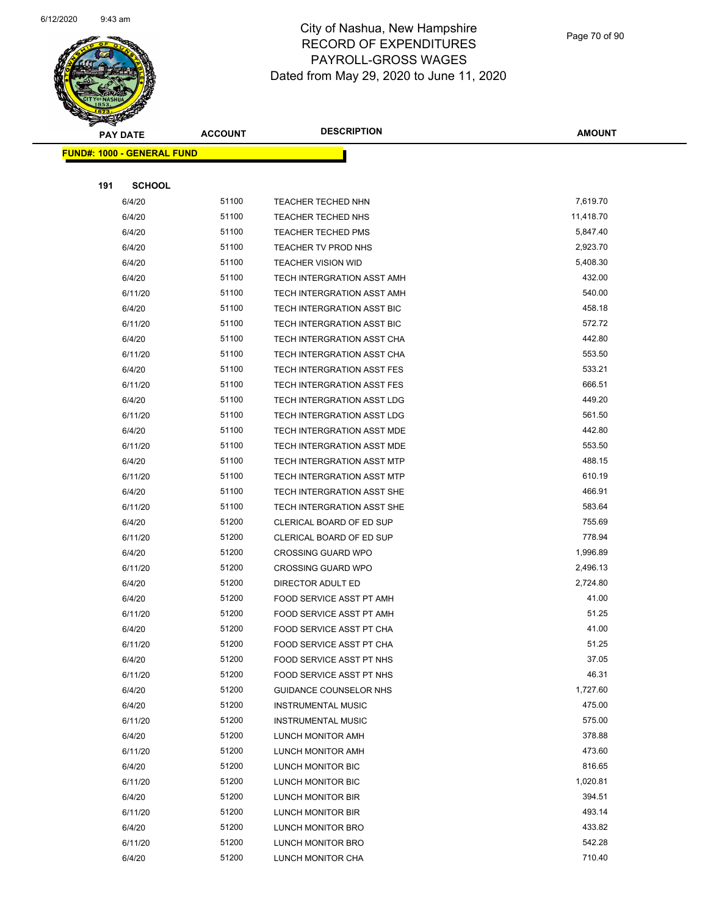

Page 70 of 90

| <b>Service</b> | <b>PAY DATE</b>            | <b>ACCOUNT</b> | <b>DESCRIPTION</b>            | <b>AMOUNT</b> |
|----------------|----------------------------|----------------|-------------------------------|---------------|
|                |                            |                |                               |               |
|                | FUND#: 1000 - GENERAL FUND |                |                               |               |
|                |                            |                |                               |               |
| 191            | <b>SCHOOL</b>              |                |                               |               |
|                | 6/4/20                     | 51100          | TEACHER TECHED NHN            | 7,619.70      |
|                | 6/4/20                     | 51100          | <b>TEACHER TECHED NHS</b>     | 11,418.70     |
|                | 6/4/20                     | 51100          | <b>TEACHER TECHED PMS</b>     | 5,847.40      |
|                | 6/4/20                     | 51100          | <b>TEACHER TV PROD NHS</b>    | 2,923.70      |
|                | 6/4/20                     | 51100          | <b>TEACHER VISION WID</b>     | 5,408.30      |
|                | 6/4/20                     | 51100          | TECH INTERGRATION ASST AMH    | 432.00        |
|                | 6/11/20                    | 51100          | TECH INTERGRATION ASST AMH    | 540.00        |
|                | 6/4/20                     | 51100          | TECH INTERGRATION ASST BIC    | 458.18        |
|                | 6/11/20                    | 51100          | TECH INTERGRATION ASST BIC    | 572.72        |
|                | 6/4/20                     | 51100          | TECH INTERGRATION ASST CHA    | 442.80        |
|                | 6/11/20                    | 51100          | TECH INTERGRATION ASST CHA    | 553.50        |
|                | 6/4/20                     | 51100          | TECH INTERGRATION ASST FES    | 533.21        |
|                | 6/11/20                    | 51100          | TECH INTERGRATION ASST FES    | 666.51        |
|                | 6/4/20                     | 51100          | TECH INTERGRATION ASST LDG    | 449.20        |
|                | 6/11/20                    | 51100          | TECH INTERGRATION ASST LDG    | 561.50        |
|                | 6/4/20                     | 51100          | TECH INTERGRATION ASST MDE    | 442.80        |
|                | 6/11/20                    | 51100          | TECH INTERGRATION ASST MDE    | 553.50        |
|                | 6/4/20                     | 51100          | TECH INTERGRATION ASST MTP    | 488.15        |
|                | 6/11/20                    | 51100          | TECH INTERGRATION ASST MTP    | 610.19        |
|                | 6/4/20                     | 51100          | TECH INTERGRATION ASST SHE    | 466.91        |
|                | 6/11/20                    | 51100          | TECH INTERGRATION ASST SHE    | 583.64        |
|                | 6/4/20                     | 51200          | CLERICAL BOARD OF ED SUP      | 755.69        |
|                | 6/11/20                    | 51200          | CLERICAL BOARD OF ED SUP      | 778.94        |
|                | 6/4/20                     | 51200          | <b>CROSSING GUARD WPO</b>     | 1,996.89      |
|                | 6/11/20                    | 51200          | <b>CROSSING GUARD WPO</b>     | 2,496.13      |
|                | 6/4/20                     | 51200          | DIRECTOR ADULT ED             | 2,724.80      |
|                | 6/4/20                     | 51200          | FOOD SERVICE ASST PT AMH      | 41.00         |
|                | 6/11/20                    | 51200          | FOOD SERVICE ASST PT AMH      | 51.25         |
|                | 6/4/20                     | 51200          | FOOD SERVICE ASST PT CHA      | 41.00         |
|                | 6/11/20                    | 51200          | FOOD SERVICE ASST PT CHA      | 51.25         |
|                | 6/4/20                     | 51200          | FOOD SERVICE ASST PT NHS      | 37.05         |
|                | 6/11/20                    | 51200          | FOOD SERVICE ASST PT NHS      | 46.31         |
|                | 6/4/20                     | 51200          | <b>GUIDANCE COUNSELOR NHS</b> | 1,727.60      |
|                | 6/4/20                     | 51200          | <b>INSTRUMENTAL MUSIC</b>     | 475.00        |
|                | 6/11/20                    | 51200          | <b>INSTRUMENTAL MUSIC</b>     | 575.00        |
|                | 6/4/20                     | 51200          | LUNCH MONITOR AMH             | 378.88        |
|                | 6/11/20                    | 51200          | LUNCH MONITOR AMH             | 473.60        |
|                | 6/4/20                     | 51200          | LUNCH MONITOR BIC             | 816.65        |
|                | 6/11/20                    | 51200          | LUNCH MONITOR BIC             | 1,020.81      |
|                | 6/4/20                     | 51200          | LUNCH MONITOR BIR             | 394.51        |
|                | 6/11/20                    | 51200          | LUNCH MONITOR BIR             | 493.14        |
|                | 6/4/20                     | 51200          | LUNCH MONITOR BRO             | 433.82        |
|                | 6/11/20                    | 51200          | LUNCH MONITOR BRO             | 542.28        |
|                | 6/4/20                     | 51200          | LUNCH MONITOR CHA             | 710.40        |
|                |                            |                |                               |               |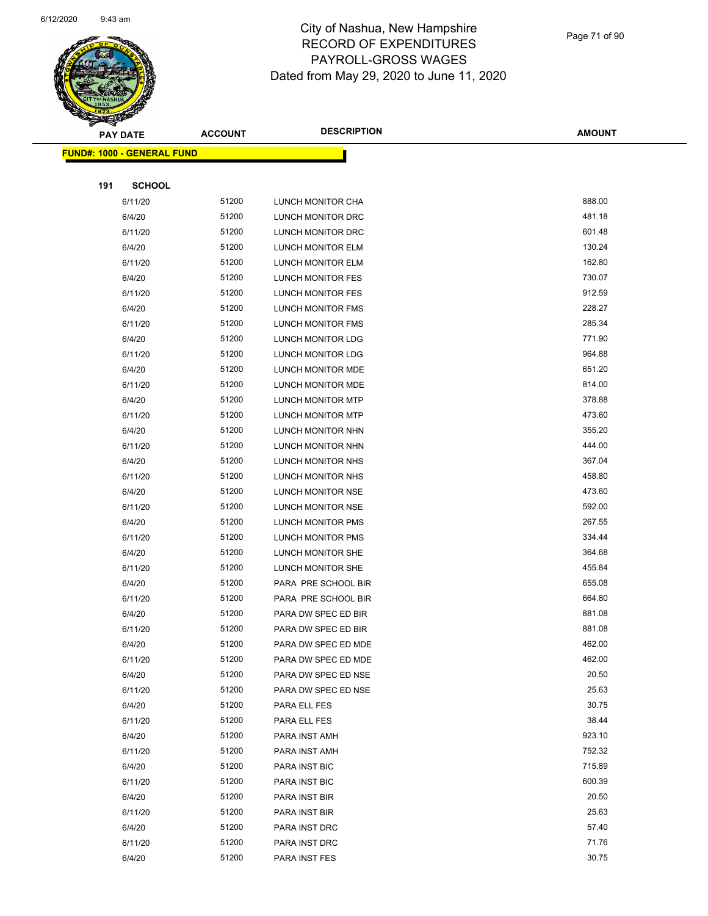

|     | <b>PAY DATE</b>                    | <b>ACCOUNT</b> | <b>DESCRIPTION</b>       | <b>AMOUNT</b> |
|-----|------------------------------------|----------------|--------------------------|---------------|
|     | <u> FUND#: 1000 - GENERAL FUND</u> |                |                          |               |
|     |                                    |                |                          |               |
| 191 | <b>SCHOOL</b>                      |                |                          |               |
|     | 6/11/20                            | 51200          | LUNCH MONITOR CHA        | 888.00        |
|     | 6/4/20                             | 51200          | LUNCH MONITOR DRC        | 481.18        |
|     | 6/11/20                            | 51200          | LUNCH MONITOR DRC        | 601.48        |
|     | 6/4/20                             | 51200          | LUNCH MONITOR ELM        | 130.24        |
|     | 6/11/20                            | 51200          | LUNCH MONITOR ELM        | 162.80        |
|     | 6/4/20                             | 51200          | LUNCH MONITOR FES        | 730.07        |
|     | 6/11/20                            | 51200          | LUNCH MONITOR FES        | 912.59        |
|     | 6/4/20                             | 51200          | LUNCH MONITOR FMS        | 228.27        |
|     | 6/11/20                            | 51200          | LUNCH MONITOR FMS        | 285.34        |
|     | 6/4/20                             | 51200          | LUNCH MONITOR LDG        | 771.90        |
|     | 6/11/20                            | 51200          | <b>LUNCH MONITOR LDG</b> | 964.88        |
|     | 6/4/20                             | 51200          | LUNCH MONITOR MDE        | 651.20        |
|     | 6/11/20                            | 51200          | LUNCH MONITOR MDE        | 814.00        |
|     | 6/4/20                             | 51200          | LUNCH MONITOR MTP        | 378.88        |
|     | 6/11/20                            | 51200          | <b>LUNCH MONITOR MTP</b> | 473.60        |
|     | 6/4/20                             | 51200          | LUNCH MONITOR NHN        | 355.20        |
|     | 6/11/20                            | 51200          | LUNCH MONITOR NHN        | 444.00        |
|     | 6/4/20                             | 51200          | LUNCH MONITOR NHS        | 367.04        |
|     | 6/11/20                            | 51200          | LUNCH MONITOR NHS        | 458.80        |
|     | 6/4/20                             | 51200          | LUNCH MONITOR NSE        | 473.60        |
|     | 6/11/20                            | 51200          | LUNCH MONITOR NSE        | 592.00        |
|     | 6/4/20                             | 51200          | LUNCH MONITOR PMS        | 267.55        |
|     | 6/11/20                            | 51200          | LUNCH MONITOR PMS        | 334.44        |
|     | 6/4/20                             | 51200          | LUNCH MONITOR SHE        | 364.68        |
|     | 6/11/20                            | 51200          | LUNCH MONITOR SHE        | 455.84        |
|     | 6/4/20                             | 51200          | PARA PRE SCHOOL BIR      | 655.08        |
|     | 6/11/20                            | 51200          | PARA PRE SCHOOL BIR      | 664.80        |
|     | 6/4/20                             | 51200          | PARA DW SPEC ED BIR      | 881.08        |
|     | 6/11/20                            | 51200          | PARA DW SPEC ED BIR      | 881.08        |
|     | 6/4/20                             | 51200          | PARA DW SPEC ED MDE      | 462.00        |
|     | 6/11/20                            | 51200          | PARA DW SPEC ED MDE      | 462.00        |
|     | 6/4/20                             | 51200          | PARA DW SPEC ED NSE      | 20.50         |
|     | 6/11/20                            | 51200          | PARA DW SPEC ED NSE      | 25.63         |
|     | 6/4/20                             | 51200          | PARA ELL FES             | 30.75         |
|     | 6/11/20                            | 51200          | PARA ELL FES             | 38.44         |
|     | 6/4/20                             | 51200          | PARA INST AMH            | 923.10        |
|     | 6/11/20                            | 51200          | PARA INST AMH            | 752.32        |
|     | 6/4/20                             | 51200          | PARA INST BIC            | 715.89        |
|     | 6/11/20                            | 51200          | PARA INST BIC            | 600.39        |
|     | 6/4/20                             | 51200          | PARA INST BIR            | 20.50         |
|     | 6/11/20                            | 51200          | PARA INST BIR            | 25.63         |
|     | 6/4/20                             | 51200          | PARA INST DRC            | 57.40         |
|     | 6/11/20                            | 51200          | PARA INST DRC            | 71.76         |
|     | 6/4/20                             | 51200          | PARA INST FES            | 30.75         |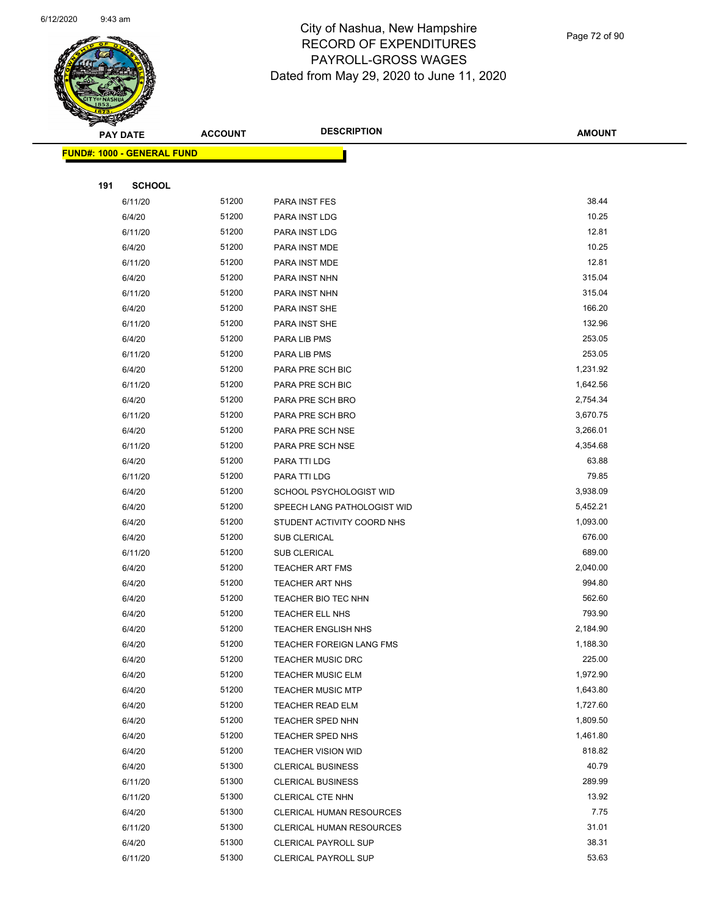

Page 72 of 90

| Sential Contraction of the Contraction of the Contraction of the Contraction of the Contraction of the Contraction of the Contraction of the Contraction of the Contraction of the Contraction of the Contraction of the Contr | <b>PAY DATE</b>                    | <b>ACCOUNT</b> | <b>DESCRIPTION</b>              | <b>AMOUNT</b> |
|--------------------------------------------------------------------------------------------------------------------------------------------------------------------------------------------------------------------------------|------------------------------------|----------------|---------------------------------|---------------|
|                                                                                                                                                                                                                                | <u> FUND#: 1000 - GENERAL FUND</u> |                |                                 |               |
|                                                                                                                                                                                                                                |                                    |                |                                 |               |
| 191                                                                                                                                                                                                                            | <b>SCHOOL</b>                      |                |                                 |               |
|                                                                                                                                                                                                                                | 6/11/20                            | 51200          | PARA INST FES                   | 38.44         |
|                                                                                                                                                                                                                                | 6/4/20                             | 51200          | PARA INST LDG                   | 10.25         |
|                                                                                                                                                                                                                                | 6/11/20                            | 51200          | PARA INST LDG                   | 12.81         |
|                                                                                                                                                                                                                                | 6/4/20                             | 51200          | PARA INST MDE                   | 10.25         |
|                                                                                                                                                                                                                                | 6/11/20                            | 51200          | PARA INST MDE                   | 12.81         |
|                                                                                                                                                                                                                                | 6/4/20                             | 51200          | PARA INST NHN                   | 315.04        |
|                                                                                                                                                                                                                                | 6/11/20                            | 51200          | PARA INST NHN                   | 315.04        |
|                                                                                                                                                                                                                                | 6/4/20                             | 51200          | PARA INST SHE                   | 166.20        |
|                                                                                                                                                                                                                                | 6/11/20                            | 51200          | PARA INST SHE                   | 132.96        |
|                                                                                                                                                                                                                                | 6/4/20                             | 51200          | PARA LIB PMS                    | 253.05        |
|                                                                                                                                                                                                                                | 6/11/20                            | 51200          | PARA LIB PMS                    | 253.05        |
|                                                                                                                                                                                                                                | 6/4/20                             | 51200          | PARA PRE SCH BIC                | 1,231.92      |
|                                                                                                                                                                                                                                | 6/11/20                            | 51200          | PARA PRE SCH BIC                | 1,642.56      |
|                                                                                                                                                                                                                                | 6/4/20                             | 51200          | PARA PRE SCH BRO                | 2,754.34      |
|                                                                                                                                                                                                                                | 6/11/20                            | 51200          | PARA PRE SCH BRO                | 3,670.75      |
|                                                                                                                                                                                                                                | 6/4/20                             | 51200          | PARA PRE SCH NSE                | 3,266.01      |
|                                                                                                                                                                                                                                | 6/11/20                            | 51200          | PARA PRE SCH NSE                | 4,354.68      |
|                                                                                                                                                                                                                                | 6/4/20                             | 51200          | PARA TTI LDG                    | 63.88         |
|                                                                                                                                                                                                                                | 6/11/20                            | 51200          | PARA TTI LDG                    | 79.85         |
|                                                                                                                                                                                                                                | 6/4/20                             | 51200          | SCHOOL PSYCHOLOGIST WID         | 3,938.09      |
|                                                                                                                                                                                                                                | 6/4/20                             | 51200          | SPEECH LANG PATHOLOGIST WID     | 5,452.21      |
|                                                                                                                                                                                                                                | 6/4/20                             | 51200          | STUDENT ACTIVITY COORD NHS      | 1,093.00      |
|                                                                                                                                                                                                                                | 6/4/20                             | 51200          | <b>SUB CLERICAL</b>             | 676.00        |
|                                                                                                                                                                                                                                | 6/11/20                            | 51200          | SUB CLERICAL                    | 689.00        |
|                                                                                                                                                                                                                                | 6/4/20                             | 51200          | <b>TEACHER ART FMS</b>          | 2,040.00      |
|                                                                                                                                                                                                                                | 6/4/20                             | 51200          | <b>TEACHER ART NHS</b>          | 994.80        |
|                                                                                                                                                                                                                                | 6/4/20                             | 51200          | TEACHER BIO TEC NHN             | 562.60        |
|                                                                                                                                                                                                                                | 6/4/20                             | 51200          | <b>TEACHER ELL NHS</b>          | 793.90        |
|                                                                                                                                                                                                                                | 6/4/20                             | 51200          | <b>TEACHER ENGLISH NHS</b>      | 2,184.90      |
|                                                                                                                                                                                                                                | 6/4/20                             | 51200          | TEACHER FOREIGN LANG FMS        | 1,188.30      |
|                                                                                                                                                                                                                                | 6/4/20                             | 51200          | <b>TEACHER MUSIC DRC</b>        | 225.00        |
|                                                                                                                                                                                                                                | 6/4/20                             | 51200          | <b>TEACHER MUSIC ELM</b>        | 1,972.90      |
|                                                                                                                                                                                                                                | 6/4/20                             | 51200          | <b>TEACHER MUSIC MTP</b>        | 1,643.80      |
|                                                                                                                                                                                                                                | 6/4/20                             | 51200          | <b>TEACHER READ ELM</b>         | 1,727.60      |
|                                                                                                                                                                                                                                | 6/4/20                             | 51200          | TEACHER SPED NHN                | 1,809.50      |
|                                                                                                                                                                                                                                | 6/4/20                             | 51200          | <b>TEACHER SPED NHS</b>         | 1,461.80      |
|                                                                                                                                                                                                                                | 6/4/20                             | 51200          | <b>TEACHER VISION WID</b>       | 818.82        |
|                                                                                                                                                                                                                                | 6/4/20                             | 51300          | <b>CLERICAL BUSINESS</b>        | 40.79         |
|                                                                                                                                                                                                                                | 6/11/20                            | 51300          | <b>CLERICAL BUSINESS</b>        | 289.99        |
|                                                                                                                                                                                                                                | 6/11/20                            | 51300          | CLERICAL CTE NHN                | 13.92         |
|                                                                                                                                                                                                                                | 6/4/20                             | 51300          | <b>CLERICAL HUMAN RESOURCES</b> | 7.75          |
|                                                                                                                                                                                                                                | 6/11/20                            | 51300          | CLERICAL HUMAN RESOURCES        | 31.01         |
|                                                                                                                                                                                                                                | 6/4/20                             | 51300          | <b>CLERICAL PAYROLL SUP</b>     | 38.31         |
|                                                                                                                                                                                                                                | 6/11/20                            | 51300          | <b>CLERICAL PAYROLL SUP</b>     | 53.63         |
|                                                                                                                                                                                                                                |                                    |                |                                 |               |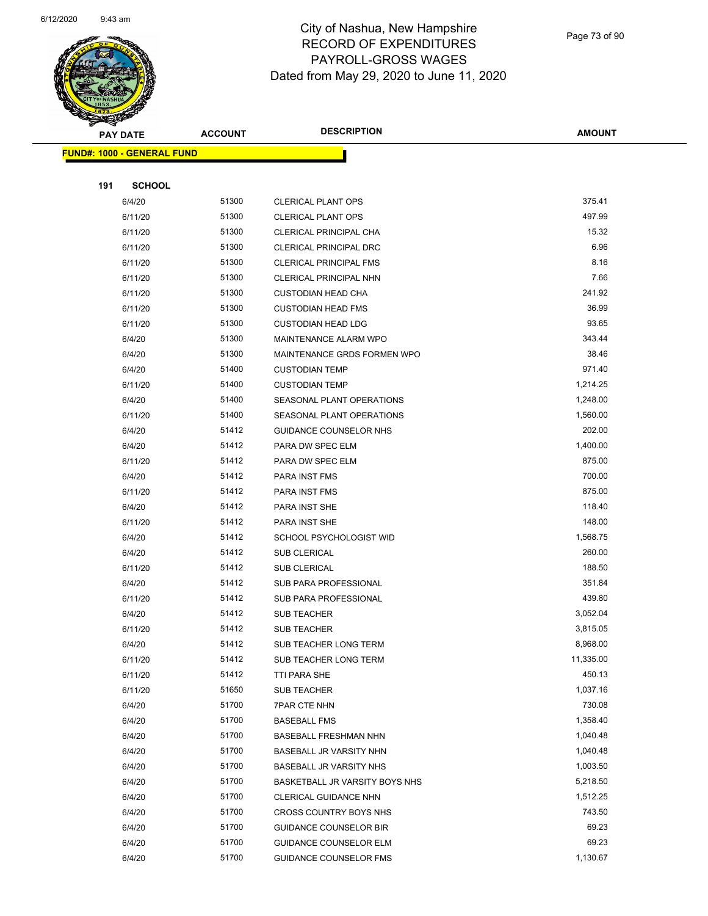

Page 73 of 90

|     | <b>PAY DATE</b>                   | <b>ACCOUNT</b> | <b>DESCRIPTION</b>                    | <b>AMOUNT</b>         |
|-----|-----------------------------------|----------------|---------------------------------------|-----------------------|
|     | <b>FUND#: 1000 - GENERAL FUND</b> |                |                                       |                       |
|     |                                   |                |                                       |                       |
| 191 | <b>SCHOOL</b>                     |                |                                       |                       |
|     | 6/4/20                            | 51300          | <b>CLERICAL PLANT OPS</b>             | 375.41                |
|     | 6/11/20                           | 51300          | <b>CLERICAL PLANT OPS</b>             | 497.99                |
|     | 6/11/20                           | 51300          | CLERICAL PRINCIPAL CHA                | 15.32                 |
|     | 6/11/20                           | 51300          | CLERICAL PRINCIPAL DRC                | 6.96                  |
|     | 6/11/20                           | 51300          | <b>CLERICAL PRINCIPAL FMS</b>         | 8.16                  |
|     | 6/11/20                           | 51300          | CLERICAL PRINCIPAL NHN                | 7.66                  |
|     | 6/11/20                           | 51300          | <b>CUSTODIAN HEAD CHA</b>             | 241.92                |
|     | 6/11/20                           | 51300          | <b>CUSTODIAN HEAD FMS</b>             | 36.99                 |
|     | 6/11/20                           | 51300          | <b>CUSTODIAN HEAD LDG</b>             | 93.65                 |
|     | 6/4/20                            | 51300          | MAINTENANCE ALARM WPO                 | 343.44                |
|     | 6/4/20                            | 51300          | MAINTENANCE GRDS FORMEN WPO           | 38.46                 |
|     | 6/4/20                            | 51400          | <b>CUSTODIAN TEMP</b>                 | 971.40                |
|     | 6/11/20                           | 51400          | <b>CUSTODIAN TEMP</b>                 | 1,214.25              |
|     | 6/4/20                            | 51400          | SEASONAL PLANT OPERATIONS             | 1,248.00              |
|     | 6/11/20                           | 51400          | SEASONAL PLANT OPERATIONS             | 1,560.00              |
|     | 6/4/20                            | 51412          | GUIDANCE COUNSELOR NHS                | 202.00                |
|     | 6/4/20                            | 51412          | PARA DW SPEC ELM                      | 1,400.00              |
|     | 6/11/20                           | 51412          | PARA DW SPEC ELM                      | 875.00                |
|     | 6/4/20                            | 51412          | PARA INST FMS                         | 700.00                |
|     | 6/11/20                           | 51412          | PARA INST FMS                         | 875.00                |
|     | 6/4/20                            | 51412          | PARA INST SHE                         | 118.40                |
|     | 6/11/20                           | 51412          | PARA INST SHE                         | 148.00                |
|     | 6/4/20                            | 51412          | SCHOOL PSYCHOLOGIST WID               | 1,568.75              |
|     | 6/4/20                            | 51412          | SUB CLERICAL                          | 260.00                |
|     | 6/11/20                           | 51412          | SUB CLERICAL                          | 188.50                |
|     | 6/4/20                            | 51412          | SUB PARA PROFESSIONAL                 | 351.84                |
|     | 6/11/20                           | 51412          | SUB PARA PROFESSIONAL                 | 439.80                |
|     | 6/4/20                            | 51412          | <b>SUB TEACHER</b>                    | 3,052.04              |
|     | 6/11/20                           | 51412          | <b>SUB TEACHER</b>                    | 3,815.05              |
|     | 6/4/20                            | 51412          | SUB TEACHER LONG TERM                 | 8,968.00<br>11,335.00 |
|     | 6/11/20<br>6/11/20                | 51412<br>51412 | SUB TEACHER LONG TERM<br>TTI PARA SHE | 450.13                |
|     | 6/11/20                           | 51650          | SUB TEACHER                           | 1,037.16              |
|     | 6/4/20                            | 51700          | <b>7PAR CTE NHN</b>                   | 730.08                |
|     | 6/4/20                            | 51700          | <b>BASEBALL FMS</b>                   | 1,358.40              |
|     | 6/4/20                            | 51700          | BASEBALL FRESHMAN NHN                 | 1,040.48              |
|     | 6/4/20                            | 51700          | BASEBALL JR VARSITY NHN               | 1,040.48              |
|     | 6/4/20                            | 51700          | <b>BASEBALL JR VARSITY NHS</b>        | 1,003.50              |
|     | 6/4/20                            | 51700          | BASKETBALL JR VARSITY BOYS NHS        | 5,218.50              |
|     | 6/4/20                            | 51700          | CLERICAL GUIDANCE NHN                 | 1,512.25              |
|     | 6/4/20                            | 51700          | CROSS COUNTRY BOYS NHS                | 743.50                |
|     | 6/4/20                            | 51700          | <b>GUIDANCE COUNSELOR BIR</b>         | 69.23                 |
|     | 6/4/20                            | 51700          | GUIDANCE COUNSELOR ELM                | 69.23                 |
|     | 6/4/20                            | 51700          | GUIDANCE COUNSELOR FMS                | 1,130.67              |
|     |                                   |                |                                       |                       |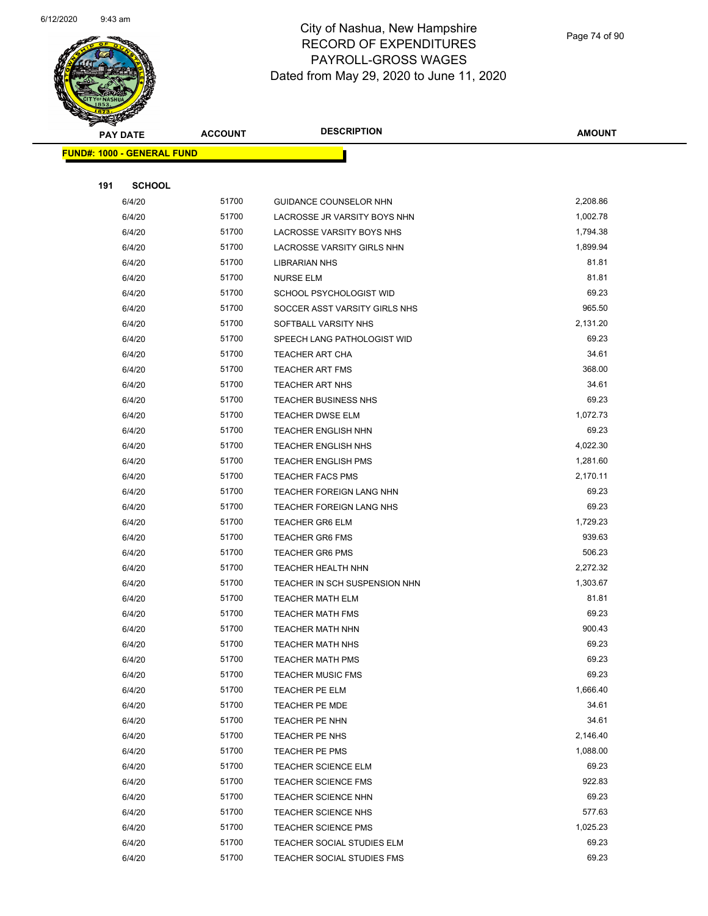

Page 74 of 90

| <b>STARTING START</b>             |                |                                 |                    |
|-----------------------------------|----------------|---------------------------------|--------------------|
| <b>PAY DATE</b>                   | <b>ACCOUNT</b> | <b>DESCRIPTION</b>              | <b>AMOUNT</b>      |
| <b>FUND#: 1000 - GENERAL FUND</b> |                |                                 |                    |
|                                   |                |                                 |                    |
| 191<br><b>SCHOOL</b>              |                |                                 |                    |
| 6/4/20                            | 51700          | GUIDANCE COUNSELOR NHN          | 2,208.86           |
| 6/4/20                            | 51700          | LACROSSE JR VARSITY BOYS NHN    | 1,002.78           |
| 6/4/20                            | 51700          | LACROSSE VARSITY BOYS NHS       | 1,794.38           |
| 6/4/20                            | 51700          | LACROSSE VARSITY GIRLS NHN      | 1,899.94           |
| 6/4/20                            | 51700          | <b>LIBRARIAN NHS</b>            | 81.81              |
| 6/4/20                            | 51700          | <b>NURSE ELM</b>                | 81.81              |
| 6/4/20                            | 51700          | SCHOOL PSYCHOLOGIST WID         | 69.23              |
| 6/4/20                            | 51700          | SOCCER ASST VARSITY GIRLS NHS   | 965.50             |
| 6/4/20                            | 51700          | SOFTBALL VARSITY NHS            | 2,131.20           |
| 6/4/20                            | 51700          | SPEECH LANG PATHOLOGIST WID     | 69.23              |
| 6/4/20                            | 51700          | <b>TEACHER ART CHA</b>          | 34.61              |
| 6/4/20                            | 51700          | <b>TEACHER ART FMS</b>          | 368.00             |
| 6/4/20                            | 51700          | TEACHER ART NHS                 | 34.61              |
| 6/4/20                            | 51700          | <b>TEACHER BUSINESS NHS</b>     | 69.23              |
| 6/4/20                            | 51700          | <b>TEACHER DWSE ELM</b>         | 1,072.73           |
| 6/4/20                            | 51700          | <b>TEACHER ENGLISH NHN</b>      | 69.23              |
| 6/4/20                            | 51700          | TEACHER ENGLISH NHS             | 4,022.30           |
| 6/4/20                            | 51700          | <b>TEACHER ENGLISH PMS</b>      | 1,281.60           |
| 6/4/20                            | 51700          | <b>TEACHER FACS PMS</b>         | 2,170.11           |
| 6/4/20                            | 51700          | <b>TEACHER FOREIGN LANG NHN</b> | 69.23              |
| 6/4/20                            | 51700          | <b>TEACHER FOREIGN LANG NHS</b> | 69.23              |
| 6/4/20                            | 51700          | <b>TEACHER GR6 ELM</b>          | 1,729.23           |
| 6/4/20                            | 51700          | <b>TEACHER GR6 FMS</b>          | 939.63             |
| 6/4/20                            | 51700          | <b>TEACHER GR6 PMS</b>          | 506.23             |
| 6/4/20                            | 51700          | <b>TEACHER HEALTH NHN</b>       | 2,272.32           |
| 6/4/20                            | 51700          | TEACHER IN SCH SUSPENSION NHN   | 1,303.67           |
| 6/4/20                            | 51700          | <b>TEACHER MATH ELM</b>         | 81.81              |
| 6/4/20                            | 51700          | <b>TEACHER MATH FMS</b>         | 69.23              |
| 6/4/20                            | 51700          | <b>TEACHER MATH NHN</b>         | 900.43             |
| 6/4/20                            | 51700          | <b>TEACHER MATH NHS</b>         | 69.23              |
| 6/4/20                            | 51700          | <b>TEACHER MATH PMS</b>         | 69.23              |
| 6/4/20                            | 51700          | <b>TEACHER MUSIC FMS</b>        | 69.23              |
| 6/4/20                            | 51700          | TEACHER PE ELM                  | 1,666.40           |
| 6/4/20                            | 51700          | <b>TEACHER PE MDE</b>           | 34.61              |
| 6/4/20                            | 51700          | TEACHER PE NHN                  | 34.61              |
| 6/4/20                            | 51700          | TEACHER PE NHS                  | 2,146.40           |
| 6/4/20                            | 51700          | TEACHER PE PMS                  | 1,088.00           |
| 6/4/20                            | 51700          | <b>TEACHER SCIENCE ELM</b>      | 69.23              |
| 6/4/20                            | 51700          | <b>TEACHER SCIENCE FMS</b>      | 922.83             |
| 6/4/20                            | 51700          | <b>TEACHER SCIENCE NHN</b>      | 69.23              |
| 6/4/20                            | 51700          | TEACHER SCIENCE NHS             | 577.63<br>1,025.23 |
| 6/4/20                            | 51700          | <b>TEACHER SCIENCE PMS</b>      | 69.23              |
| 6/4/20                            | 51700<br>51700 | TEACHER SOCIAL STUDIES ELM      | 69.23              |
| 6/4/20                            |                | TEACHER SOCIAL STUDIES FMS      |                    |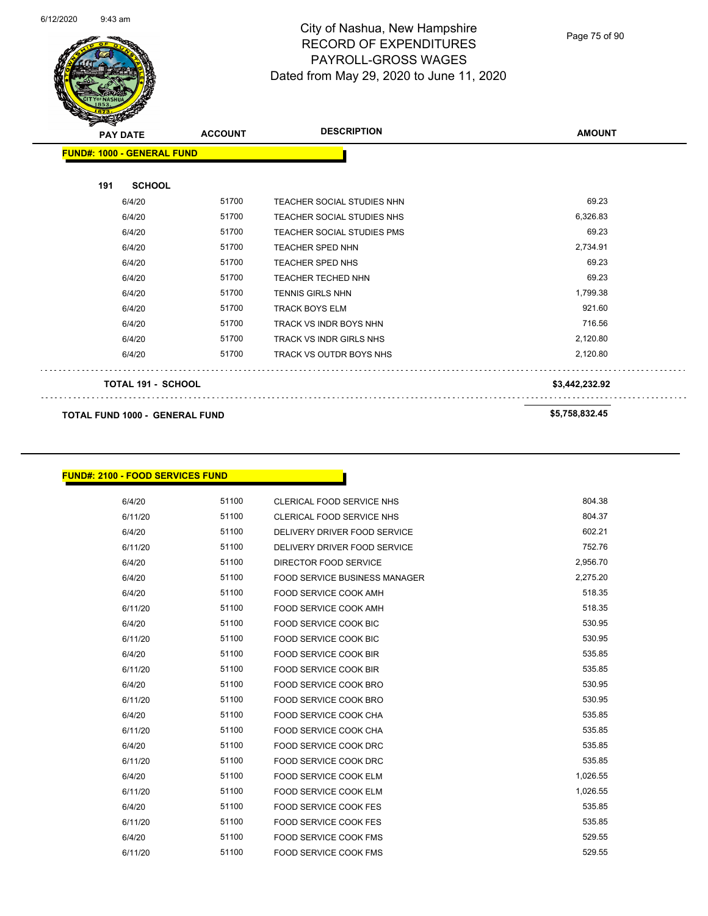

Page 75 of 90

| <b>PAY DATE</b>                       | <b>ACCOUNT</b> | <b>DESCRIPTION</b>                | <b>AMOUNT</b>  |
|---------------------------------------|----------------|-----------------------------------|----------------|
| <b>FUND#: 1000 - GENERAL FUND</b>     |                |                                   |                |
| <b>SCHOOL</b><br>191                  |                |                                   |                |
| 6/4/20                                | 51700          | <b>TEACHER SOCIAL STUDIES NHN</b> | 69.23          |
| 6/4/20                                | 51700          | <b>TEACHER SOCIAL STUDIES NHS</b> | 6,326.83       |
| 6/4/20                                | 51700          | TEACHER SOCIAL STUDIES PMS        | 69.23          |
| 6/4/20                                | 51700          | <b>TEACHER SPED NHN</b>           | 2,734.91       |
| 6/4/20                                | 51700          | <b>TEACHER SPED NHS</b>           | 69.23          |
| 6/4/20                                | 51700          | <b>TEACHER TECHED NHN</b>         | 69.23          |
| 6/4/20                                | 51700          | <b>TENNIS GIRLS NHN</b>           | 1,799.38       |
| 6/4/20                                | 51700          | <b>TRACK BOYS ELM</b>             | 921.60         |
| 6/4/20                                | 51700          | TRACK VS INDR BOYS NHN            | 716.56         |
| 6/4/20                                | 51700          | TRACK VS INDR GIRLS NHS           | 2,120.80       |
| 6/4/20                                | 51700          | TRACK VS OUTDR BOYS NHS           | 2,120.80       |
| <b>TOTAL 191 - SCHOOL</b>             |                |                                   | \$3,442,232.92 |
| <b>TOTAL FUND 1000 - GENERAL FUND</b> |                |                                   | \$5,758,832.45 |

## **FUND#: 2100 - FOOD SERVICES FUND**

| 6/4/20  | 51100 | CLERICAL FOOD SERVICE NHS            | 804.38   |
|---------|-------|--------------------------------------|----------|
| 6/11/20 | 51100 | CLERICAL FOOD SERVICE NHS            | 804.37   |
| 6/4/20  | 51100 | DELIVERY DRIVER FOOD SERVICE         | 602.21   |
| 6/11/20 | 51100 | DELIVERY DRIVER FOOD SERVICE         | 752.76   |
| 6/4/20  | 51100 | DIRECTOR FOOD SERVICE                | 2,956.70 |
| 6/4/20  | 51100 | <b>FOOD SERVICE BUSINESS MANAGER</b> | 2,275.20 |
| 6/4/20  | 51100 | FOOD SERVICE COOK AMH                | 518.35   |
| 6/11/20 | 51100 | FOOD SERVICE COOK AMH                | 518.35   |
| 6/4/20  | 51100 | <b>FOOD SERVICE COOK BIC</b>         | 530.95   |
| 6/11/20 | 51100 | <b>FOOD SERVICE COOK BIC</b>         | 530.95   |
| 6/4/20  | 51100 | <b>FOOD SERVICE COOK BIR</b>         | 535.85   |
| 6/11/20 | 51100 | <b>FOOD SERVICE COOK BIR</b>         | 535.85   |
| 6/4/20  | 51100 | FOOD SERVICE COOK BRO                | 530.95   |
| 6/11/20 | 51100 | FOOD SERVICE COOK BRO                | 530.95   |
| 6/4/20  | 51100 | <b>FOOD SERVICE COOK CHA</b>         | 535.85   |
| 6/11/20 | 51100 | <b>FOOD SERVICE COOK CHA</b>         | 535.85   |
| 6/4/20  | 51100 | FOOD SERVICE COOK DRC                | 535.85   |
| 6/11/20 | 51100 | FOOD SERVICE COOK DRC                | 535.85   |
| 6/4/20  | 51100 | <b>FOOD SERVICE COOK ELM</b>         | 1,026.55 |
| 6/11/20 | 51100 | <b>FOOD SERVICE COOK ELM</b>         | 1,026.55 |
| 6/4/20  | 51100 | <b>FOOD SERVICE COOK FES</b>         | 535.85   |
| 6/11/20 | 51100 | <b>FOOD SERVICE COOK FES</b>         | 535.85   |
| 6/4/20  | 51100 | <b>FOOD SERVICE COOK FMS</b>         | 529.55   |
| 6/11/20 | 51100 | <b>FOOD SERVICE COOK FMS</b>         | 529.55   |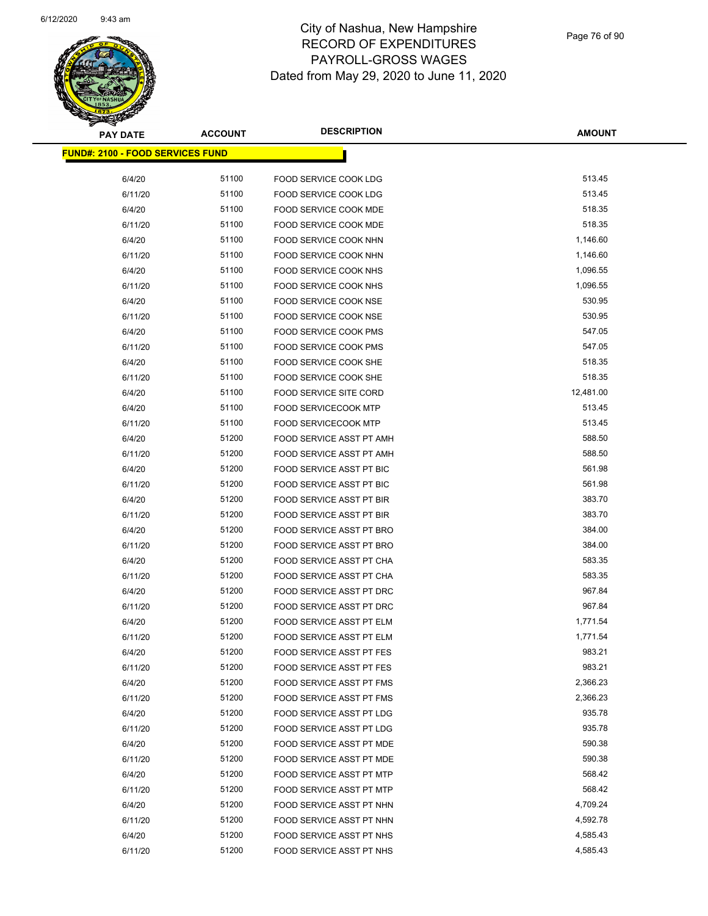

| <b>PAY DATE</b>                         | <b>ACCOUNT</b> | <b>DESCRIPTION</b>              | AMOUNT    |
|-----------------------------------------|----------------|---------------------------------|-----------|
| <b>FUND#: 2100 - FOOD SERVICES FUND</b> |                |                                 |           |
| 6/4/20                                  | 51100          | FOOD SERVICE COOK LDG           | 513.45    |
| 6/11/20                                 | 51100          | <b>FOOD SERVICE COOK LDG</b>    | 513.45    |
| 6/4/20                                  | 51100          | FOOD SERVICE COOK MDE           | 518.35    |
| 6/11/20                                 | 51100          | FOOD SERVICE COOK MDE           | 518.35    |
| 6/4/20                                  | 51100          | FOOD SERVICE COOK NHN           | 1,146.60  |
| 6/11/20                                 | 51100          | FOOD SERVICE COOK NHN           | 1,146.60  |
| 6/4/20                                  | 51100          | FOOD SERVICE COOK NHS           | 1,096.55  |
| 6/11/20                                 | 51100          | FOOD SERVICE COOK NHS           | 1,096.55  |
| 6/4/20                                  | 51100          | FOOD SERVICE COOK NSE           | 530.95    |
| 6/11/20                                 | 51100          | FOOD SERVICE COOK NSE           | 530.95    |
| 6/4/20                                  | 51100          | FOOD SERVICE COOK PMS           | 547.05    |
| 6/11/20                                 | 51100          | FOOD SERVICE COOK PMS           | 547.05    |
| 6/4/20                                  | 51100          | FOOD SERVICE COOK SHE           | 518.35    |
| 6/11/20                                 | 51100          | FOOD SERVICE COOK SHE           | 518.35    |
| 6/4/20                                  | 51100          | FOOD SERVICE SITE CORD          | 12,481.00 |
| 6/4/20                                  | 51100          | <b>FOOD SERVICECOOK MTP</b>     | 513.45    |
| 6/11/20                                 | 51100          | <b>FOOD SERVICECOOK MTP</b>     | 513.45    |
| 6/4/20                                  | 51200          | FOOD SERVICE ASST PT AMH        | 588.50    |
| 6/11/20                                 | 51200          | FOOD SERVICE ASST PT AMH        | 588.50    |
| 6/4/20                                  | 51200          | FOOD SERVICE ASST PT BIC        | 561.98    |
| 6/11/20                                 | 51200          | FOOD SERVICE ASST PT BIC        | 561.98    |
| 6/4/20                                  | 51200          | FOOD SERVICE ASST PT BIR        | 383.70    |
| 6/11/20                                 | 51200          | FOOD SERVICE ASST PT BIR        | 383.70    |
| 6/4/20                                  | 51200          | FOOD SERVICE ASST PT BRO        | 384.00    |
| 6/11/20                                 | 51200          | FOOD SERVICE ASST PT BRO        | 384.00    |
| 6/4/20                                  | 51200          | FOOD SERVICE ASST PT CHA        | 583.35    |
| 6/11/20                                 | 51200          | FOOD SERVICE ASST PT CHA        | 583.35    |
| 6/4/20                                  | 51200          | FOOD SERVICE ASST PT DRC        | 967.84    |
| 6/11/20                                 | 51200          | FOOD SERVICE ASST PT DRC        | 967.84    |
| 6/4/20                                  | 51200          | FOOD SERVICE ASST PT ELM        | 1,771.54  |
| 6/11/20                                 | 51200          | <b>FOOD SERVICE ASST PT ELM</b> | 1,771.54  |
| 6/4/20                                  | 51200          | FOOD SERVICE ASST PT FES        | 983.21    |
| 6/11/20                                 | 51200          | <b>FOOD SERVICE ASST PT FES</b> | 983.21    |
| 6/4/20                                  | 51200          | FOOD SERVICE ASST PT FMS        | 2,366.23  |
| 6/11/20                                 | 51200          | FOOD SERVICE ASST PT FMS        | 2,366.23  |
| 6/4/20                                  | 51200          | FOOD SERVICE ASST PT LDG        | 935.78    |
| 6/11/20                                 | 51200          | FOOD SERVICE ASST PT LDG        | 935.78    |
| 6/4/20                                  | 51200          | FOOD SERVICE ASST PT MDE        | 590.38    |
| 6/11/20                                 | 51200          | FOOD SERVICE ASST PT MDE        | 590.38    |
| 6/4/20                                  | 51200          | FOOD SERVICE ASST PT MTP        | 568.42    |
| 6/11/20                                 | 51200          | <b>FOOD SERVICE ASST PT MTP</b> | 568.42    |
| 6/4/20                                  | 51200          | FOOD SERVICE ASST PT NHN        | 4,709.24  |
| 6/11/20                                 | 51200          | FOOD SERVICE ASST PT NHN        | 4,592.78  |
| 6/4/20                                  | 51200          | FOOD SERVICE ASST PT NHS        | 4,585.43  |
| 6/11/20                                 | 51200          | FOOD SERVICE ASST PT NHS        | 4,585.43  |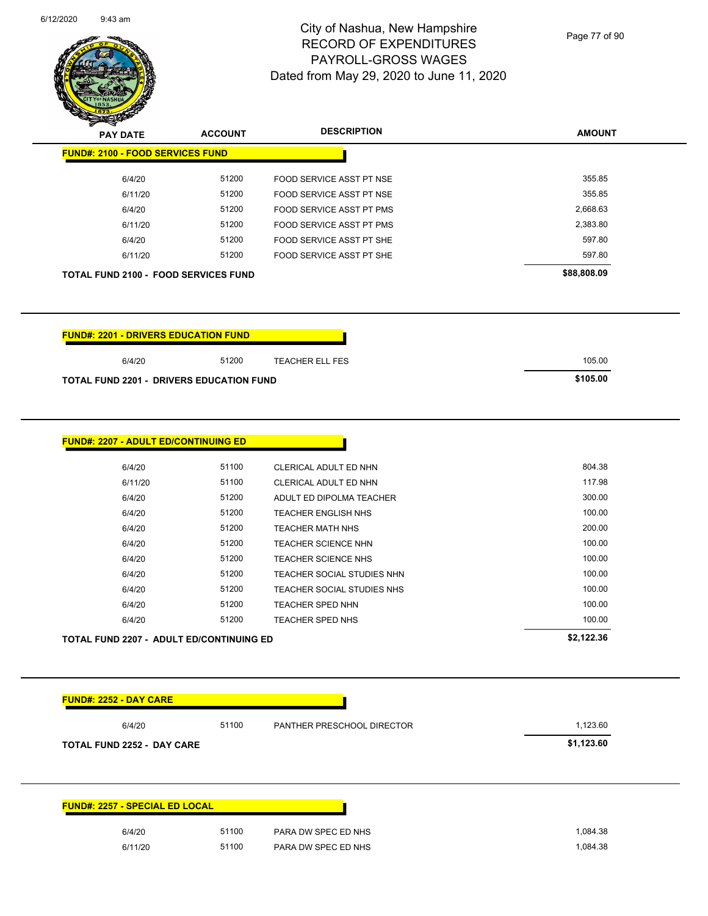

Page 77 of 90

| <b>PAY DATE</b>                                 | <b>ACCOUNT</b> | <b>DESCRIPTION</b>                                       | <b>AMOUNT</b>    |
|-------------------------------------------------|----------------|----------------------------------------------------------|------------------|
| <b>FUND#: 2100 - FOOD SERVICES FUND</b>         |                |                                                          |                  |
| 6/4/20                                          | 51200          | FOOD SERVICE ASST PT NSE                                 | 355.85           |
| 6/11/20                                         | 51200          | FOOD SERVICE ASST PT NSE                                 | 355.85           |
| 6/4/20                                          | 51200          | FOOD SERVICE ASST PT PMS                                 | 2,668.63         |
| 6/11/20                                         | 51200          | FOOD SERVICE ASST PT PMS                                 | 2,383.80         |
| 6/4/20                                          | 51200          | FOOD SERVICE ASST PT SHE                                 | 597.80           |
| 6/11/20                                         | 51200          | FOOD SERVICE ASST PT SHE                                 | 597.80           |
| TOTAL FUND 2100 - FOOD SERVICES FUND            |                |                                                          | \$88,808.09      |
| <b>FUND#: 2201 - DRIVERS EDUCATION FUND</b>     |                |                                                          |                  |
| 6/4/20                                          | 51200          | <b>TEACHER ELL FES</b>                                   | 105.00           |
| <b>TOTAL FUND 2201 - DRIVERS EDUCATION FUND</b> |                |                                                          | \$105.00         |
| <b>FUND#: 2207 - ADULT ED/CONTINUING ED</b>     |                |                                                          |                  |
| 6/4/20                                          | 51100          | CLERICAL ADULT ED NHN                                    | 804.38           |
| 6/11/20                                         | 51100          | CLERICAL ADULT ED NHN                                    | 117.98           |
| 6/4/20                                          | 51200          | ADULT ED DIPOLMA TEACHER                                 | 300.00           |
| 6/4/20                                          | 51200          | <b>TEACHER ENGLISH NHS</b>                               | 100.00           |
| 6/4/20                                          | 51200          | <b>TEACHER MATH NHS</b>                                  | 200.00           |
| 6/4/20                                          | 51200          | <b>TEACHER SCIENCE NHN</b>                               | 100.00           |
| 6/4/20                                          | 51200          | <b>TEACHER SCIENCE NHS</b>                               | 100.00<br>100.00 |
| 6/4/20<br>6/4/20                                | 51200<br>51200 | TEACHER SOCIAL STUDIES NHN<br>TEACHER SOCIAL STUDIES NHS | 100.00           |
| 6/4/20                                          | 51200          | TEACHER SPED NHN                                         | 100.00           |
| 6/4/20                                          | 51200          | <b>TEACHER SPED NHS</b>                                  | 100.00           |
|                                                 |                |                                                          |                  |
| TOTAL FUND 2207 - ADULT ED/CONTINUING ED        |                |                                                          | \$2,122.36       |
| <b>FUND#: 2252 - DAY CARE</b>                   |                |                                                          |                  |
| 6/4/20                                          | 51100          | PANTHER PRESCHOOL DIRECTOR                               | 1,123.60         |

| <b>TOTAL FUND 2252 - DAY CARE</b>     |       |                     |          |  |
|---------------------------------------|-------|---------------------|----------|--|
|                                       |       |                     |          |  |
| <b>FUND#: 2257 - SPECIAL ED LOCAL</b> |       |                     |          |  |
| 6/4/20                                | 51100 | PARA DW SPEC ED NHS | 1,084.38 |  |
| 6/11/20                               | 51100 | PARA DW SPEC ED NHS | 1,084.38 |  |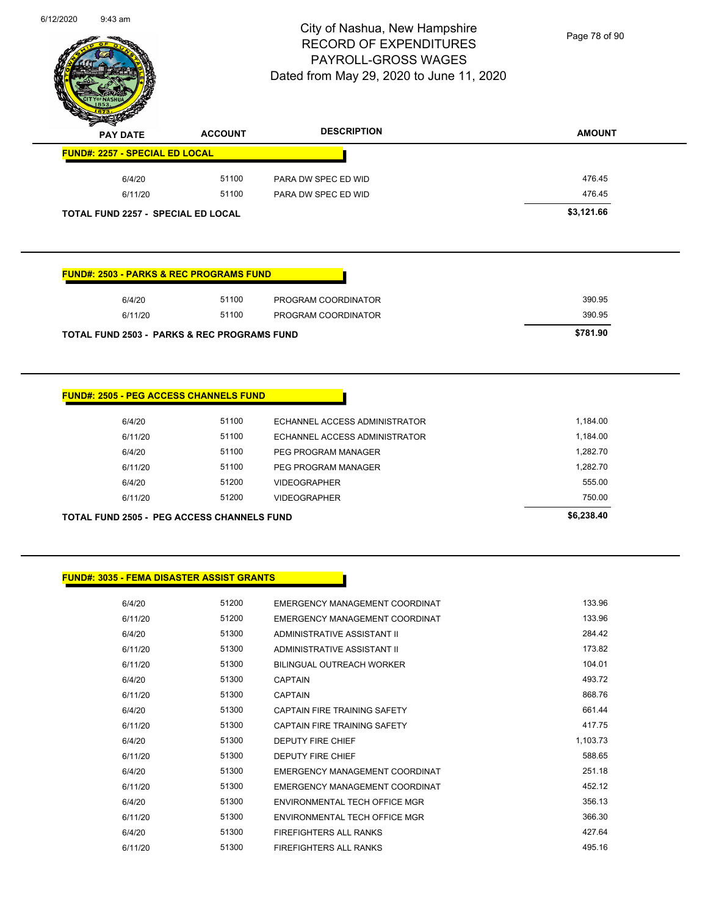

Page 78 of 90

| s<br>$\tilde{\phantom{a}}$<br><b>PAY DATE</b> | <b>ACCOUNT</b> | <b>DESCRIPTION</b>  | <b>AMOUNT</b> |
|-----------------------------------------------|----------------|---------------------|---------------|
| <b>FUND#: 2257 - SPECIAL ED LOCAL</b>         |                |                     |               |
| 6/4/20                                        | 51100          | PARA DW SPEC ED WID | 476.45        |
| 6/11/20                                       | 51100          | PARA DW SPEC ED WID | 476.45        |
| TOTAL FUND 2257 - SPECIAL ED LOCAL            |                |                     | \$3,121.66    |

### **FUND#: 2503 - PARKS & REC PROGRAMS FUND**

| 6/4/20                                                 | 51100    | PROGRAM COORDINATOR | 390.95 |
|--------------------------------------------------------|----------|---------------------|--------|
| 6/11/20                                                | 51100    | PROGRAM COORDINATOR | 390.95 |
| <b>TOTAL FUND 2503 - PARKS &amp; REC PROGRAMS FUND</b> | \$781.90 |                     |        |

## **FUND#: 2505 - PEG ACCESS CHANNELS FUND**

| TOTAL FUND 2505 - PEG ACCESS CHANNELS FUND |         |       |                               | \$6,238,40 |
|--------------------------------------------|---------|-------|-------------------------------|------------|
|                                            | 6/11/20 | 51200 | VIDEOGRAPHER                  | 750.00     |
|                                            | 6/4/20  | 51200 | VIDEOGRAPHER                  | 555.00     |
|                                            | 6/11/20 | 51100 | PEG PROGRAM MANAGER           | 1.282.70   |
|                                            | 6/4/20  | 51100 | PEG PROGRAM MANAGER           | 1,282.70   |
|                                            | 6/11/20 | 51100 | ECHANNEL ACCESS ADMINISTRATOR | 1,184.00   |
|                                            | 6/4/20  | 51100 | ECHANNEL ACCESS ADMINISTRATOR | 1,184.00   |
|                                            |         |       |                               |            |

## **FUND#: 3035 - FEMA DISASTER ASSIST GRANTS**

| 6/4/20  | 51200 | EMERGENCY MANAGEMENT COORDINAT      | 133.96   |
|---------|-------|-------------------------------------|----------|
| 6/11/20 | 51200 | EMERGENCY MANAGEMENT COORDINAT      | 133.96   |
| 6/4/20  | 51300 | ADMINISTRATIVE ASSISTANT II         | 284.42   |
| 6/11/20 | 51300 | ADMINISTRATIVE ASSISTANT II         | 173.82   |
| 6/11/20 | 51300 | BILINGUAL OUTREACH WORKER           | 104.01   |
| 6/4/20  | 51300 | <b>CAPTAIN</b>                      | 493.72   |
| 6/11/20 | 51300 | <b>CAPTAIN</b>                      | 868.76   |
| 6/4/20  | 51300 | CAPTAIN FIRE TRAINING SAFFTY        | 661.44   |
| 6/11/20 | 51300 | <b>CAPTAIN FIRE TRAINING SAFETY</b> | 417.75   |
| 6/4/20  | 51300 | <b>DEPUTY FIRE CHIEF</b>            | 1,103.73 |
| 6/11/20 | 51300 | <b>DEPUTY FIRE CHIEF</b>            | 588.65   |
| 6/4/20  | 51300 | EMERGENCY MANAGEMENT COORDINAT      | 251.18   |
| 6/11/20 | 51300 | EMERGENCY MANAGEMENT COORDINAT      | 452.12   |
| 6/4/20  | 51300 | ENVIRONMENTAL TECH OFFICE MGR       | 356.13   |
| 6/11/20 | 51300 | ENVIRONMENTAL TECH OFFICE MGR       | 366.30   |
| 6/4/20  | 51300 | <b>FIREFIGHTERS ALL RANKS</b>       | 427.64   |
| 6/11/20 | 51300 | <b>FIREFIGHTERS ALL RANKS</b>       | 495.16   |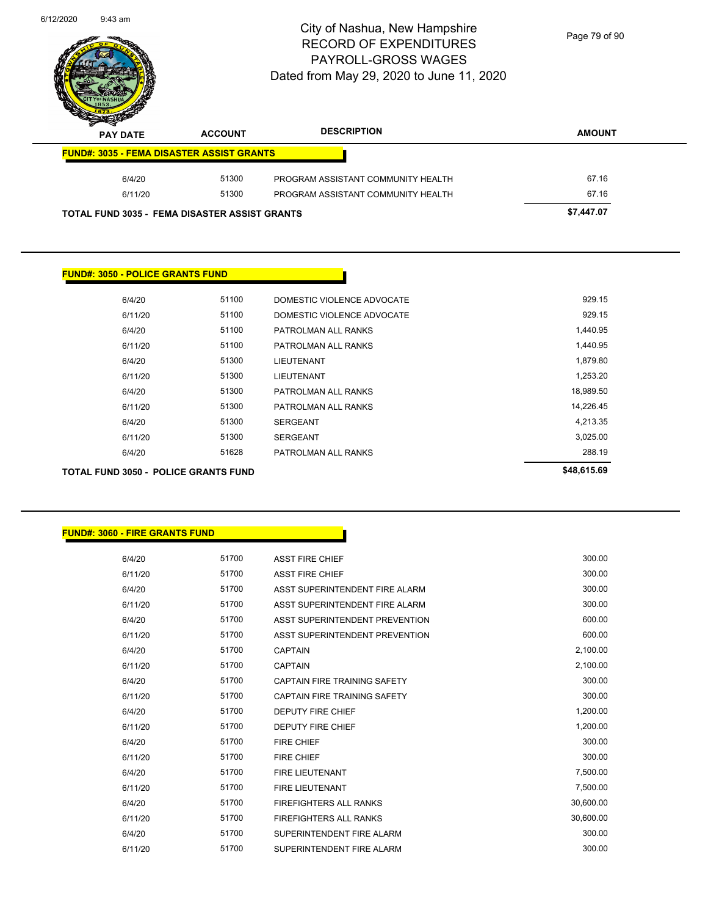

Page 79 of 90

| s<br>$\tilde{\phantom{a}}$<br><b>PAY DATE</b>        | <b>ACCOUNT</b> | <b>DESCRIPTION</b>                 | <b>AMOUNT</b> |
|------------------------------------------------------|----------------|------------------------------------|---------------|
| <b>FUND#: 3035 - FEMA DISASTER ASSIST GRANTS</b>     |                |                                    |               |
| 6/4/20                                               | 51300          | PROGRAM ASSISTANT COMMUNITY HEALTH | 67.16         |
| 6/11/20                                              | 51300          | PROGRAM ASSISTANT COMMUNITY HEALTH | 67.16         |
| <b>TOTAL FUND 3035 - FEMA DISASTER ASSIST GRANTS</b> |                |                                    | \$7,447.07    |

## **FUND#: 3050 - POLICE GRANTS FUND**

| TOTAL FUND 3050 - POLICE GRANTS FUND |       |                            | \$48,615.69 |
|--------------------------------------|-------|----------------------------|-------------|
| 6/4/20                               | 51628 | PATROLMAN ALL RANKS        | 288.19      |
| 6/11/20                              | 51300 | <b>SERGEANT</b>            | 3,025.00    |
| 6/4/20                               | 51300 | <b>SERGEANT</b>            | 4,213.35    |
| 6/11/20                              | 51300 | PATROLMAN ALL RANKS        | 14,226.45   |
| 6/4/20                               | 51300 | PATROLMAN ALL RANKS        | 18,989.50   |
| 6/11/20                              | 51300 | <b>LIEUTENANT</b>          | 1,253.20    |
| 6/4/20                               | 51300 | LIEUTENANT                 | 1,879.80    |
| 6/11/20                              | 51100 | PATROLMAN ALL RANKS        | 1,440.95    |
| 6/4/20                               | 51100 | PATROLMAN ALL RANKS        | 1,440.95    |
| 6/11/20                              | 51100 | DOMESTIC VIOLENCE ADVOCATE | 929.15      |
| 6/4/20                               | 51100 | DOMESTIC VIOLENCE ADVOCATE | 929.15      |
|                                      |       |                            |             |

## **FUND#: 3060 - FIRE GRANTS FUND**

| 6/4/20  | 51700 | <b>ASST FIRE CHIEF</b>              | 300.00    |
|---------|-------|-------------------------------------|-----------|
| 6/11/20 | 51700 | <b>ASST FIRE CHIEF</b>              | 300.00    |
| 6/4/20  | 51700 | ASST SUPERINTENDENT FIRE ALARM      | 300.00    |
| 6/11/20 | 51700 | ASST SUPERINTENDENT FIRE ALARM      | 300.00    |
| 6/4/20  | 51700 | ASST SUPERINTENDENT PREVENTION      | 600.00    |
| 6/11/20 | 51700 | ASST SUPERINTENDENT PREVENTION      | 600.00    |
| 6/4/20  | 51700 | <b>CAPTAIN</b>                      | 2,100.00  |
| 6/11/20 | 51700 | <b>CAPTAIN</b>                      | 2,100.00  |
| 6/4/20  | 51700 | CAPTAIN FIRE TRAINING SAFETY        | 300.00    |
| 6/11/20 | 51700 | <b>CAPTAIN FIRE TRAINING SAFETY</b> | 300.00    |
| 6/4/20  | 51700 | <b>DEPUTY FIRE CHIEF</b>            | 1,200.00  |
| 6/11/20 | 51700 | <b>DEPUTY FIRE CHIEF</b>            | 1,200.00  |
| 6/4/20  | 51700 | <b>FIRE CHIEF</b>                   | 300.00    |
| 6/11/20 | 51700 | <b>FIRE CHIEF</b>                   | 300.00    |
| 6/4/20  | 51700 | <b>FIRE LIEUTENANT</b>              | 7,500.00  |
| 6/11/20 | 51700 | <b>FIRE LIEUTENANT</b>              | 7,500.00  |
| 6/4/20  | 51700 | <b>FIREFIGHTERS ALL RANKS</b>       | 30,600.00 |
| 6/11/20 | 51700 | <b>FIREFIGHTERS ALL RANKS</b>       | 30,600.00 |
| 6/4/20  | 51700 | SUPERINTENDENT FIRE ALARM           | 300.00    |
| 6/11/20 | 51700 | SUPERINTENDENT FIRE ALARM           | 300.00    |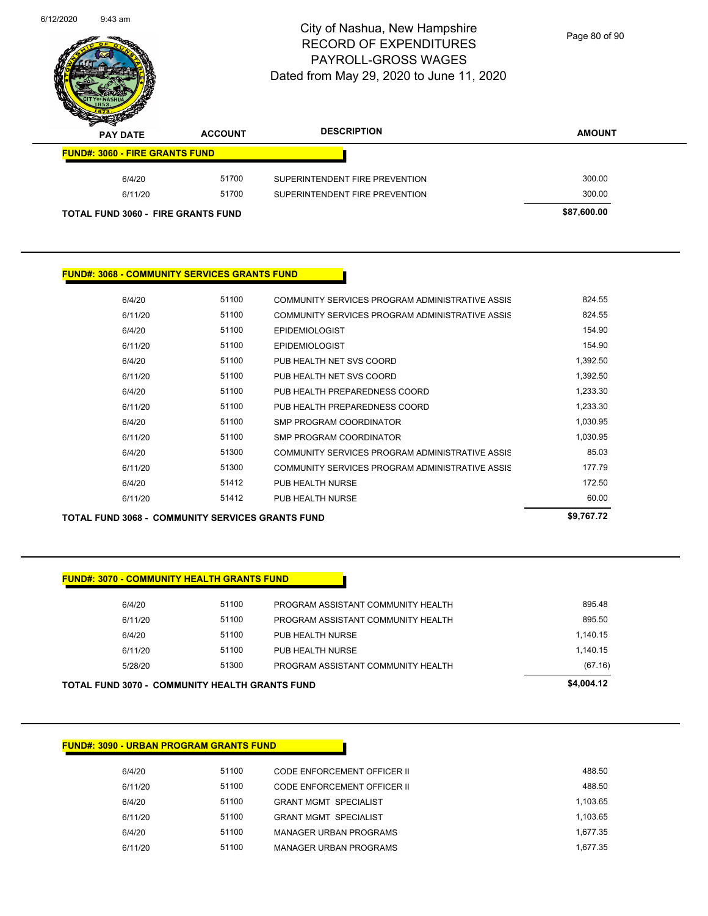

Page 80 of 90

| s<br>$\tilde{\phantom{a}}$<br><b>PAY DATE</b> | <b>ACCOUNT</b> | <b>DESCRIPTION</b>             | <b>AMOUNT</b> |
|-----------------------------------------------|----------------|--------------------------------|---------------|
| <b>FUND#: 3060 - FIRE GRANTS FUND</b>         |                |                                |               |
| 6/4/20                                        | 51700          | SUPERINTENDENT FIRE PREVENTION | 300.00        |
| 6/11/20                                       | 51700          | SUPERINTENDENT FIRE PREVENTION | 300.00        |
| <b>TOTAL FUND 3060 - FIRE GRANTS FUND</b>     |                |                                | \$87,600.00   |

#### **FUND#: 3068 - COMMUNITY SERVICES GRANTS FUND**

|         | <b>TOTAL FUND 3068 - COMMUNITY SERVICES GRANTS FUND</b> |                                                 | \$9,767.72 |
|---------|---------------------------------------------------------|-------------------------------------------------|------------|
| 6/11/20 | 51412                                                   | PUB HEALTH NURSE                                | 60.00      |
| 6/4/20  | 51412                                                   | <b>PUB HEALTH NURSE</b>                         | 172.50     |
| 6/11/20 | 51300                                                   | COMMUNITY SERVICES PROGRAM ADMINISTRATIVE ASSIS | 177.79     |
| 6/4/20  | 51300                                                   | COMMUNITY SERVICES PROGRAM ADMINISTRATIVE ASSIS | 85.03      |
| 6/11/20 | 51100                                                   | SMP PROGRAM COORDINATOR                         | 1,030.95   |
| 6/4/20  | 51100                                                   | SMP PROGRAM COORDINATOR                         | 1,030.95   |
| 6/11/20 | 51100                                                   | PUB HEALTH PREPAREDNESS COORD                   | 1,233.30   |
| 6/4/20  | 51100                                                   | PUB HEALTH PREPAREDNESS COORD                   | 1,233.30   |
| 6/11/20 | 51100                                                   | PUB HEALTH NET SVS COORD                        | 1,392.50   |
| 6/4/20  | 51100                                                   | PUB HEALTH NET SVS COORD                        | 1,392.50   |
| 6/11/20 | 51100                                                   | <b>EPIDEMIOLOGIST</b>                           | 154.90     |
| 6/4/20  | 51100                                                   | <b>EPIDEMIOLOGIST</b>                           | 154.90     |
| 6/11/20 | 51100                                                   | COMMUNITY SERVICES PROGRAM ADMINISTRATIVE ASSIS | 824.55     |
| 6/4/20  | 51100                                                   | COMMUNITY SERVICES PROGRAM ADMINISTRATIVE ASSIS | 824.55     |
|         |                                                         |                                                 |            |

#### **FUND#: 3070 - COMMUNITY HEALTH GRANTS FUND**

6/4/20 51100 PROGRAM ASSISTANT COMMUNITY HEALTH 895.48 6/11/20 61100 PROGRAM ASSISTANT COMMUNITY HEALTH 695.50 6/4/20 51100 PUB HEALTH NURSE 1,140.15 6/11/20 51100 PUB HEALTH NURSE 1,140.15 5/28/20 51300 PROGRAM ASSISTANT COMMUNITY HEALTH (67.16) **TOTAL FUND 3070 - COMMUNITY HEALTH GRANTS FUND \$4,004.12** 

### **FUND#: 3090 - URBAN PROGRAM GRANTS FUND**

| 6/4/20  | 51100 | CODE ENFORCEMENT OFFICER II  | 488.50   |
|---------|-------|------------------------------|----------|
| 6/11/20 | 51100 | CODE ENFORCEMENT OFFICER II  | 488.50   |
| 6/4/20  | 51100 | <b>GRANT MGMT SPECIALIST</b> | 1.103.65 |
| 6/11/20 | 51100 | <b>GRANT MGMT SPECIALIST</b> | 1.103.65 |
| 6/4/20  | 51100 | MANAGER URBAN PROGRAMS       | 1.677.35 |
| 6/11/20 | 51100 | MANAGER URBAN PROGRAMS       | 1.677.35 |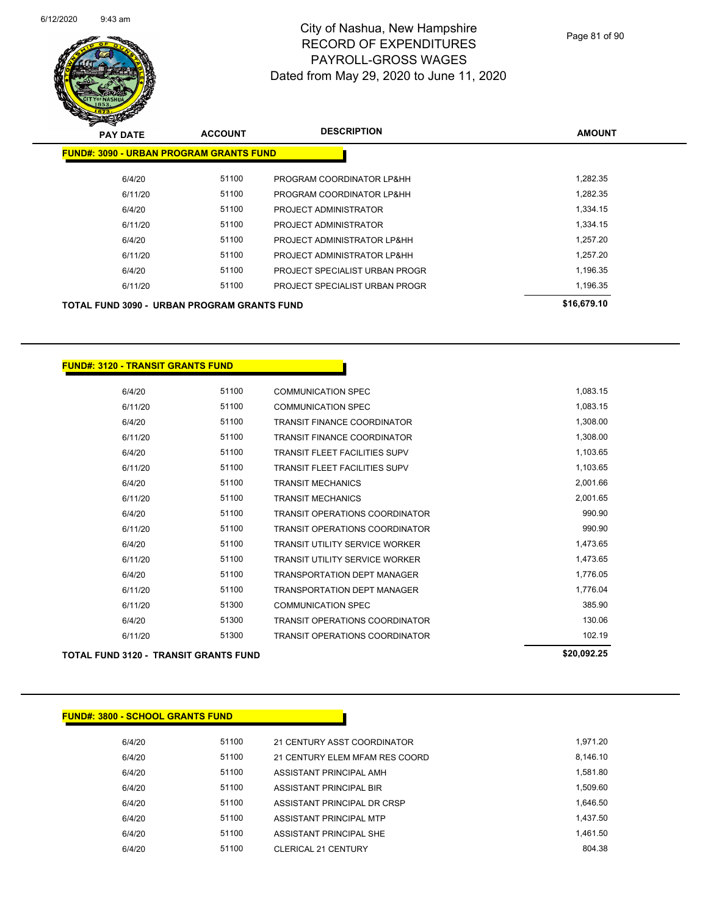

| $\boldsymbol{\nu}$<br><b>PAY DATE</b>              | <b>ACCOUNT</b> | <b>DESCRIPTION</b>             | <b>AMOUNT</b> |
|----------------------------------------------------|----------------|--------------------------------|---------------|
| <b>FUND#: 3090 - URBAN PROGRAM GRANTS FUND</b>     |                |                                |               |
| 6/4/20                                             | 51100          | PROGRAM COORDINATOR LP&HH      | 1,282.35      |
| 6/11/20                                            | 51100          | PROGRAM COORDINATOR LP&HH      | 1,282.35      |
| 6/4/20                                             | 51100          | PROJECT ADMINISTRATOR          | 1,334.15      |
| 6/11/20                                            | 51100          | PROJECT ADMINISTRATOR          | 1,334.15      |
| 6/4/20                                             | 51100          | PROJECT ADMINISTRATOR LP&HH    | 1,257.20      |
| 6/11/20                                            | 51100          | PROJECT ADMINISTRATOR LP&HH    | 1,257.20      |
| 6/4/20                                             | 51100          | PROJECT SPECIALIST URBAN PROGR | 1,196.35      |
| 6/11/20                                            | 51100          | PROJECT SPECIALIST URBAN PROGR | 1,196.35      |
| <b>TOTAL FUND 3090 - URBAN PROGRAM GRANTS FUND</b> |                |                                | \$16,679.10   |

### **FUND#: 3120 - TRANSIT GRANTS FUND**

| 6/4/20  | 51100 | <b>COMMUNICATION SPEC</b>             | 1,083.15 |
|---------|-------|---------------------------------------|----------|
| 6/11/20 | 51100 | <b>COMMUNICATION SPEC</b>             | 1,083.15 |
| 6/4/20  | 51100 | <b>TRANSIT FINANCE COORDINATOR</b>    | 1,308.00 |
| 6/11/20 | 51100 | <b>TRANSIT FINANCE COORDINATOR</b>    | 1,308.00 |
| 6/4/20  | 51100 | <b>TRANSIT FLEET FACILITIES SUPV</b>  | 1,103.65 |
| 6/11/20 | 51100 | <b>TRANSIT FLEET FACILITIES SUPV</b>  | 1,103.65 |
| 6/4/20  | 51100 | <b>TRANSIT MECHANICS</b>              | 2,001.66 |
| 6/11/20 | 51100 | <b>TRANSIT MECHANICS</b>              | 2,001.65 |
| 6/4/20  | 51100 | <b>TRANSIT OPERATIONS COORDINATOR</b> | 990.90   |
| 6/11/20 | 51100 | <b>TRANSIT OPERATIONS COORDINATOR</b> | 990.90   |
| 6/4/20  | 51100 | <b>TRANSIT UTILITY SERVICE WORKER</b> | 1,473.65 |
| 6/11/20 | 51100 | <b>TRANSIT UTILITY SERVICE WORKER</b> | 1,473.65 |
| 6/4/20  | 51100 | <b>TRANSPORTATION DEPT MANAGER</b>    | 1,776.05 |
| 6/11/20 | 51100 | <b>TRANSPORTATION DEPT MANAGER</b>    | 1,776.04 |
| 6/11/20 | 51300 | <b>COMMUNICATION SPEC</b>             | 385.90   |
| 6/4/20  | 51300 | <b>TRANSIT OPERATIONS COORDINATOR</b> | 130.06   |
| 6/11/20 | 51300 | <b>TRANSIT OPERATIONS COORDINATOR</b> | 102.19   |
|         |       |                                       |          |

## **TOTAL FUND 3120 - TRANSIT GRANTS FUND \$20,092.25**

| <b>FUND#: 3800 - SCHOOL GRANTS FUND</b> |       |                                |          |  |  |  |  |
|-----------------------------------------|-------|--------------------------------|----------|--|--|--|--|
|                                         |       |                                |          |  |  |  |  |
| 6/4/20                                  | 51100 | 21 CENTURY ASST COORDINATOR    | 1,971.20 |  |  |  |  |
| 6/4/20                                  | 51100 | 21 CENTURY ELEM MFAM RES COORD | 8,146.10 |  |  |  |  |
| 6/4/20                                  | 51100 | ASSISTANT PRINCIPAL AMH        | 1,581.80 |  |  |  |  |
| 6/4/20                                  | 51100 | ASSISTANT PRINCIPAL BIR        | 1.509.60 |  |  |  |  |

6/4/20 51100 ASSISTANT PRINCIPAL DR CRSP 1,646.50 6/4/20 51100 ASSISTANT PRINCIPAL MTP 6/4/20 51100 ASSISTANT PRINCIPAL SHE 1,461.50 6/4/20 51100 CLERICAL 21 CENTURY 804.38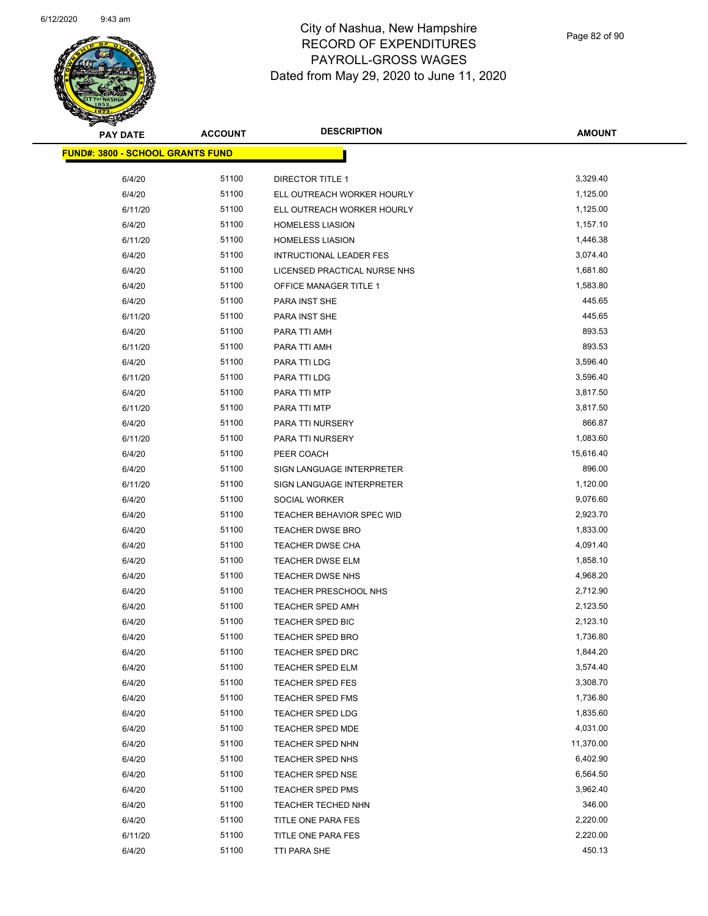

| <b>PAY DATE</b>                         | <b>ACCOUNT</b> | <b>DESCRIPTION</b>             | <b>AMOUNT</b> |
|-----------------------------------------|----------------|--------------------------------|---------------|
| <b>FUND#: 3800 - SCHOOL GRANTS FUND</b> |                |                                |               |
| 6/4/20                                  | 51100          | DIRECTOR TITLE 1               | 3,329.40      |
| 6/4/20                                  | 51100          | ELL OUTREACH WORKER HOURLY     | 1,125.00      |
| 6/11/20                                 | 51100          | ELL OUTREACH WORKER HOURLY     | 1,125.00      |
| 6/4/20                                  | 51100          | <b>HOMELESS LIASION</b>        | 1,157.10      |
| 6/11/20                                 | 51100          | <b>HOMELESS LIASION</b>        | 1,446.38      |
| 6/4/20                                  | 51100          | <b>INTRUCTIONAL LEADER FES</b> | 3,074.40      |
| 6/4/20                                  | 51100          | LICENSED PRACTICAL NURSE NHS   | 1,681.80      |
| 6/4/20                                  | 51100          | OFFICE MANAGER TITLE 1         | 1,583.80      |
| 6/4/20                                  | 51100          | PARA INST SHE                  | 445.65        |
| 6/11/20                                 | 51100          | PARA INST SHE                  | 445.65        |
| 6/4/20                                  | 51100          | PARA TTI AMH                   | 893.53        |
| 6/11/20                                 | 51100          | PARA TTI AMH                   | 893.53        |
| 6/4/20                                  | 51100          | PARA TTI LDG                   | 3,596.40      |
| 6/11/20                                 | 51100          | PARA TTI LDG                   | 3,596.40      |
| 6/4/20                                  | 51100          | PARA TTI MTP                   | 3,817.50      |
| 6/11/20                                 | 51100          | PARA TTI MTP                   | 3,817.50      |
| 6/4/20                                  | 51100          | PARA TTI NURSERY               | 866.87        |
| 6/11/20                                 | 51100          | PARA TTI NURSERY               | 1,083.60      |
| 6/4/20                                  | 51100          | PEER COACH                     | 15,616.40     |
| 6/4/20                                  | 51100          | SIGN LANGUAGE INTERPRETER      | 896.00        |
| 6/11/20                                 | 51100          | SIGN LANGUAGE INTERPRETER      | 1,120.00      |
| 6/4/20                                  | 51100          | <b>SOCIAL WORKER</b>           | 9,076.60      |
| 6/4/20                                  | 51100          | TEACHER BEHAVIOR SPEC WID      | 2,923.70      |
| 6/4/20                                  | 51100          | <b>TEACHER DWSE BRO</b>        | 1,833.00      |
| 6/4/20                                  | 51100          | <b>TEACHER DWSE CHA</b>        | 4,091.40      |
| 6/4/20                                  | 51100          | TEACHER DWSE ELM               | 1,858.10      |
| 6/4/20                                  | 51100          | <b>TEACHER DWSE NHS</b>        | 4,968.20      |
| 6/4/20                                  | 51100          | <b>TEACHER PRESCHOOL NHS</b>   | 2,712.90      |
| 6/4/20                                  | 51100          | <b>TEACHER SPED AMH</b>        | 2,123.50      |
| 6/4/20                                  | 51100          | TEACHER SPED BIC               | 2,123.10      |
| 6/4/20                                  | 51100          | <b>TEACHER SPED BRO</b>        | 1,736.80      |
| 6/4/20                                  | 51100          | TEACHER SPED DRC               | 1,844.20      |
| 6/4/20                                  | 51100          | TEACHER SPED ELM               | 3,574.40      |
| 6/4/20                                  | 51100          | <b>TEACHER SPED FES</b>        | 3,308.70      |
| 6/4/20                                  | 51100          | TEACHER SPED FMS               | 1,736.80      |
| 6/4/20                                  | 51100          | TEACHER SPED LDG               | 1,835.60      |
| 6/4/20                                  | 51100          | TEACHER SPED MDE               | 4,031.00      |
| 6/4/20                                  | 51100          | TEACHER SPED NHN               | 11,370.00     |
| 6/4/20                                  | 51100          | TEACHER SPED NHS               | 6,402.90      |
| 6/4/20                                  | 51100          | TEACHER SPED NSE               | 6,564.50      |
| 6/4/20                                  | 51100          | TEACHER SPED PMS               | 3,962.40      |
| 6/4/20                                  | 51100          | TEACHER TECHED NHN             | 346.00        |
| 6/4/20                                  | 51100          | TITLE ONE PARA FES             | 2,220.00      |
| 6/11/20                                 | 51100          | TITLE ONE PARA FES             | 2,220.00      |
| 6/4/20                                  | 51100          | TTI PARA SHE                   | 450.13        |
|                                         |                |                                |               |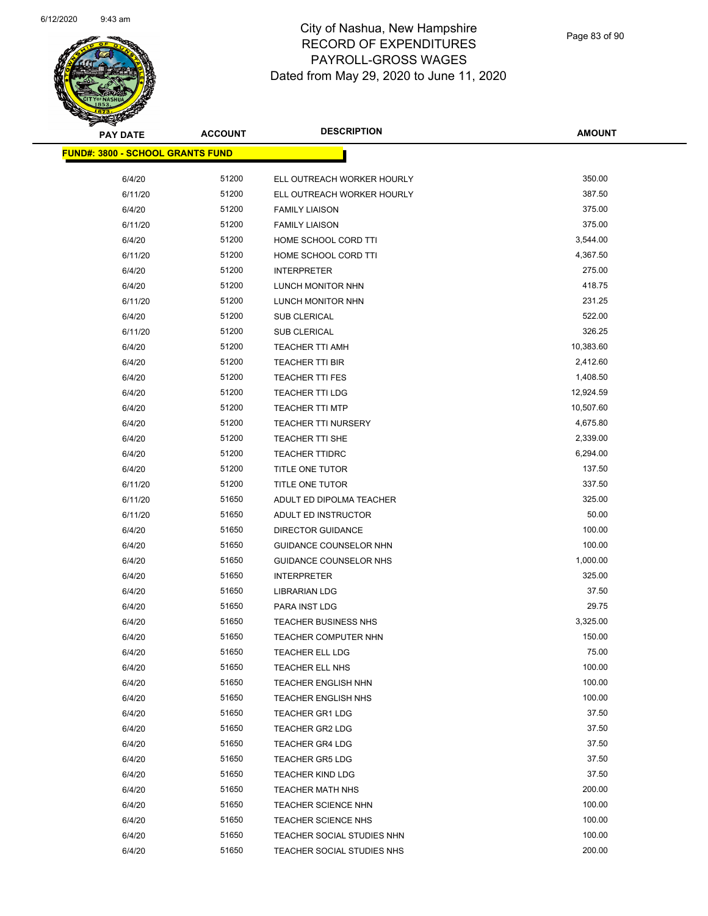

| <b>PAY DATE</b>                          | <b>ACCOUNT</b> | <b>DESCRIPTION</b>          | <b>AMOUNT</b> |
|------------------------------------------|----------------|-----------------------------|---------------|
| <u> FUND#: 3800 - SCHOOL GRANTS FUND</u> |                |                             |               |
|                                          |                |                             |               |
| 6/4/20                                   | 51200          | ELL OUTREACH WORKER HOURLY  | 350.00        |
| 6/11/20                                  | 51200          | ELL OUTREACH WORKER HOURLY  | 387.50        |
| 6/4/20                                   | 51200          | <b>FAMILY LIAISON</b>       | 375.00        |
| 6/11/20                                  | 51200          | <b>FAMILY LIAISON</b>       | 375.00        |
| 6/4/20                                   | 51200          | HOME SCHOOL CORD TTI        | 3,544.00      |
| 6/11/20                                  | 51200          | HOME SCHOOL CORD TTI        | 4,367.50      |
| 6/4/20                                   | 51200          | <b>INTERPRETER</b>          | 275.00        |
| 6/4/20                                   | 51200          | LUNCH MONITOR NHN           | 418.75        |
| 6/11/20                                  | 51200          | LUNCH MONITOR NHN           | 231.25        |
| 6/4/20                                   | 51200          | SUB CLERICAL                | 522.00        |
| 6/11/20                                  | 51200          | SUB CLERICAL                | 326.25        |
| 6/4/20                                   | 51200          | TEACHER TTI AMH             | 10,383.60     |
| 6/4/20                                   | 51200          | <b>TEACHER TTI BIR</b>      | 2,412.60      |
| 6/4/20                                   | 51200          | <b>TEACHER TTI FES</b>      | 1,408.50      |
| 6/4/20                                   | 51200          | <b>TEACHER TTI LDG</b>      | 12,924.59     |
| 6/4/20                                   | 51200          | <b>TEACHER TTI MTP</b>      | 10,507.60     |
| 6/4/20                                   | 51200          | <b>TEACHER TTI NURSERY</b>  | 4,675.80      |
| 6/4/20                                   | 51200          | <b>TEACHER TTI SHE</b>      | 2,339.00      |
| 6/4/20                                   | 51200          | <b>TEACHER TTIDRC</b>       | 6,294.00      |
| 6/4/20                                   | 51200          | TITLE ONE TUTOR             | 137.50        |
| 6/11/20                                  | 51200          | TITLE ONE TUTOR             | 337.50        |
| 6/11/20                                  | 51650          | ADULT ED DIPOLMA TEACHER    | 325.00        |
| 6/11/20                                  | 51650          | ADULT ED INSTRUCTOR         | 50.00         |
| 6/4/20                                   | 51650          | <b>DIRECTOR GUIDANCE</b>    | 100.00        |
| 6/4/20                                   | 51650          | GUIDANCE COUNSELOR NHN      | 100.00        |
| 6/4/20                                   | 51650          | GUIDANCE COUNSELOR NHS      | 1,000.00      |
| 6/4/20                                   | 51650          | <b>INTERPRETER</b>          | 325.00        |
| 6/4/20                                   | 51650          | <b>LIBRARIAN LDG</b>        | 37.50         |
| 6/4/20                                   | 51650          | PARA INST LDG               | 29.75         |
| 6/4/20                                   | 51650          | <b>TEACHER BUSINESS NHS</b> | 3,325.00      |
| 6/4/20                                   | 51650          | <b>TEACHER COMPUTER NHN</b> | 150.00        |
| 6/4/20                                   | 51650          | <b>TEACHER ELL LDG</b>      | 75.00         |
| 6/4/20                                   | 51650          | TEACHER ELL NHS             | 100.00        |
| 6/4/20                                   | 51650          | <b>TEACHER ENGLISH NHN</b>  | 100.00        |
| 6/4/20                                   | 51650          | <b>TEACHER ENGLISH NHS</b>  | 100.00        |
| 6/4/20                                   | 51650          | <b>TEACHER GR1 LDG</b>      | 37.50         |
| 6/4/20                                   | 51650          | <b>TEACHER GR2 LDG</b>      | 37.50         |
| 6/4/20                                   | 51650          | <b>TEACHER GR4 LDG</b>      | 37.50         |
| 6/4/20                                   | 51650          | <b>TEACHER GR5 LDG</b>      | 37.50         |
| 6/4/20                                   | 51650          | <b>TEACHER KIND LDG</b>     | 37.50         |
| 6/4/20                                   | 51650          | <b>TEACHER MATH NHS</b>     | 200.00        |
| 6/4/20                                   | 51650          | TEACHER SCIENCE NHN         | 100.00        |
| 6/4/20                                   | 51650          | <b>TEACHER SCIENCE NHS</b>  | 100.00        |
| 6/4/20                                   | 51650          | TEACHER SOCIAL STUDIES NHN  | 100.00        |
| 6/4/20                                   | 51650          | TEACHER SOCIAL STUDIES NHS  | 200.00        |
|                                          |                |                             |               |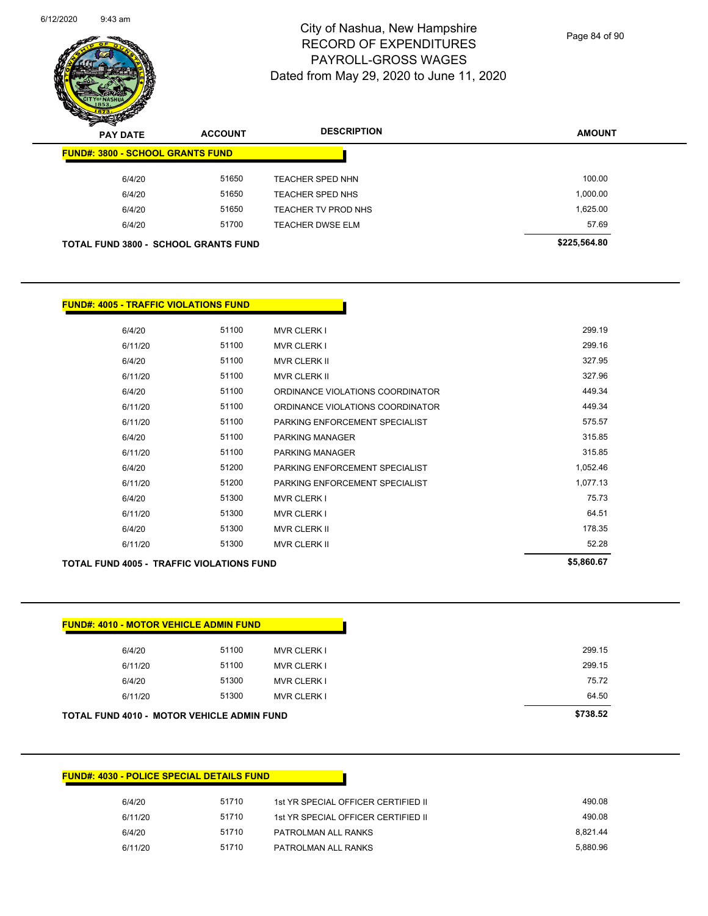

Page 84 of 90

| $\mathscr{D} \rightarrow \mathscr{D}$<br><b>PAY DATE</b> | <b>ACCOUNT</b> | <b>DESCRIPTION</b>         | <b>AMOUNT</b> |
|----------------------------------------------------------|----------------|----------------------------|---------------|
| <b>FUND#: 3800 - SCHOOL GRANTS FUND</b>                  |                |                            |               |
| 6/4/20                                                   | 51650          | <b>TEACHER SPED NHN</b>    | 100.00        |
| 6/4/20                                                   | 51650          | TEACHER SPED NHS           | 1,000.00      |
| 6/4/20                                                   | 51650          | <b>TEACHER TV PROD NHS</b> | 1,625.00      |
| 6/4/20                                                   | 51700          | <b>TEACHER DWSE ELM</b>    | 57.69         |
| <b>TOTAL FUND 3800 - SCHOOL GRANTS FUND</b>              |                |                            | \$225,564.80  |

| <b>FUND#: 4005 - TRAFFIC VIOLATIONS FUND</b>     |            |                                  |          |
|--------------------------------------------------|------------|----------------------------------|----------|
|                                                  |            |                                  |          |
| 6/4/20                                           | 51100      | <b>MVR CLERK I</b>               | 299.19   |
| 6/11/20                                          | 51100      | <b>MVR CLERK I</b>               | 299.16   |
| 6/4/20                                           | 51100      | <b>MVR CLERK II</b>              | 327.95   |
| 6/11/20                                          | 51100      | <b>MVR CLERK II</b>              | 327.96   |
| 6/4/20                                           | 51100      | ORDINANCE VIOLATIONS COORDINATOR | 449.34   |
| 6/11/20                                          | 51100      | ORDINANCE VIOLATIONS COORDINATOR | 449.34   |
| 6/11/20                                          | 51100      | PARKING ENFORCEMENT SPECIALIST   | 575.57   |
| 6/4/20                                           | 51100      | <b>PARKING MANAGER</b>           | 315.85   |
| 6/11/20                                          | 51100      | PARKING MANAGER                  | 315.85   |
| 6/4/20                                           | 51200      | PARKING ENFORCEMENT SPECIALIST   | 1,052.46 |
| 6/11/20                                          | 51200      | PARKING ENFORCEMENT SPECIALIST   | 1,077.13 |
| 6/4/20                                           | 51300      | <b>MVR CLERK I</b>               | 75.73    |
| 6/11/20                                          | 51300      | <b>MVR CLERK I</b>               | 64.51    |
| 6/4/20                                           | 51300      | <b>MVR CLERK II</b>              | 178.35   |
| 6/11/20                                          | 51300      | <b>MVR CLERK II</b>              | 52.28    |
| <b>TOTAL FUND 4005 - TRAFFIC VIOLATIONS FUND</b> | \$5,860.67 |                                  |          |

|                                        | 299.15 |
|----------------------------------------|--------|
| 51100<br>6/11/20<br><b>MVR CLERK I</b> | 299.15 |
| 51300<br>6/4/20<br><b>MVR CLERK I</b>  | 75.72  |
| 51300<br>6/11/20<br><b>MVR CLERK I</b> | 64.50  |

## **FUND#: 4030 - POLICE SPECIAL DETAILS FUND**

| 6/4/20  | 51710 | 1st YR SPECIAL OFFICER CERTIFIED II | 490.08   |
|---------|-------|-------------------------------------|----------|
| 6/11/20 | 51710 | 1st YR SPECIAL OFFICER CERTIFIED II | 490.08   |
| 6/4/20  | 51710 | PATROLMAN ALL RANKS                 | 8.821.44 |
| 6/11/20 | 51710 | PATROLMAN ALL RANKS                 | 5.880.96 |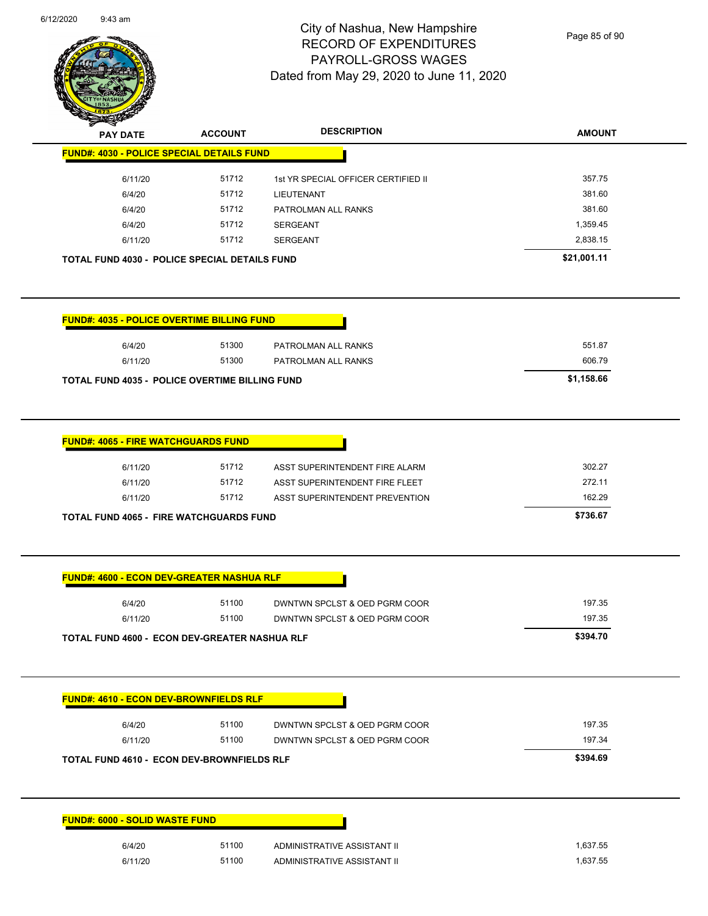

Page 85 of 90

| <b>PAY DATE</b>                                   | <b>ACCOUNT</b> | <b>DESCRIPTION</b>                  | <b>AMOUNT</b> |
|---------------------------------------------------|----------------|-------------------------------------|---------------|
| <b>FUND#: 4030 - POLICE SPECIAL DETAILS FUND</b>  |                |                                     |               |
| 6/11/20                                           | 51712          | 1st YR SPECIAL OFFICER CERTIFIED II | 357.75        |
| 6/4/20                                            | 51712          | <b>LIEUTENANT</b>                   | 381.60        |
| 6/4/20                                            | 51712          | PATROLMAN ALL RANKS                 | 381.60        |
| 6/4/20                                            | 51712          | <b>SERGEANT</b>                     | 1,359.45      |
| 6/11/20                                           | 51712          | <b>SERGEANT</b>                     | 2,838.15      |
| TOTAL FUND 4030 - POLICE SPECIAL DETAILS FUND     |                |                                     | \$21,001.11   |
|                                                   |                |                                     |               |
| <b>FUND#: 4035 - POLICE OVERTIME BILLING FUND</b> |                |                                     |               |
| 6/4/20                                            | 51300          | PATROLMAN ALL RANKS                 | 551.87        |
| 6/11/20                                           | 51300          | PATROLMAN ALL RANKS                 | 606.79        |
| TOTAL FUND 4035 - POLICE OVERTIME BILLING FUND    |                |                                     | \$1,158.66    |
|                                                   |                |                                     |               |
| <b>FUND#: 4065 - FIRE WATCHGUARDS FUND</b>        |                |                                     |               |
| 6/11/20                                           | 51712          | ASST SUPERINTENDENT FIRE ALARM      | 302.27        |
| 6/11/20                                           | 51712          | ASST SUPERINTENDENT FIRE FLEET      | 272.11        |
| 6/11/20                                           | 51712          | ASST SUPERINTENDENT PREVENTION      | 162.29        |
| <b>TOTAL FUND 4065 - FIRE WATCHGUARDS FUND</b>    |                |                                     | \$736.67      |
|                                                   |                |                                     |               |
| <b>FUND#: 4600 - ECON DEV-GREATER NASHUA RLF</b>  |                |                                     |               |
| 6/4/20                                            | 51100          | DWNTWN SPCLST & OED PGRM COOR       | 197.35        |
| 6/11/20                                           | 51100          | DWNTWN SPCLST & OED PGRM COOR       | 197.35        |
| TOTAL FUND 4600 - ECON DEV-GREATER NASHUA RLF     |                |                                     | \$394.70      |
|                                                   |                |                                     |               |
| <u> FUND#: 4610 - ECON DEV-BROWNFIELDS RLF</u>    |                |                                     |               |
| 6/4/20                                            | 51100          | DWNTWN SPCLST & OED PGRM COOR       | 197.35        |
| 6/11/20                                           | 51100          | DWNTWN SPCLST & OED PGRM COOR       | 197.34        |
| <b>TOTAL FUND 4610 - ECON DEV-BROWNFIELDS RLF</b> |                |                                     | \$394.69      |
|                                                   |                |                                     |               |
| <b>FUND#: 6000 - SOLID WASTE FUND</b>             |                |                                     |               |
| 6/4/20                                            | 51100          | ADMINISTRATIVE ASSISTANT II         | 1,637.55      |
| 6/11/20                                           | 51100          | ADMINISTRATIVE ASSISTANT II         | 1,637.55      |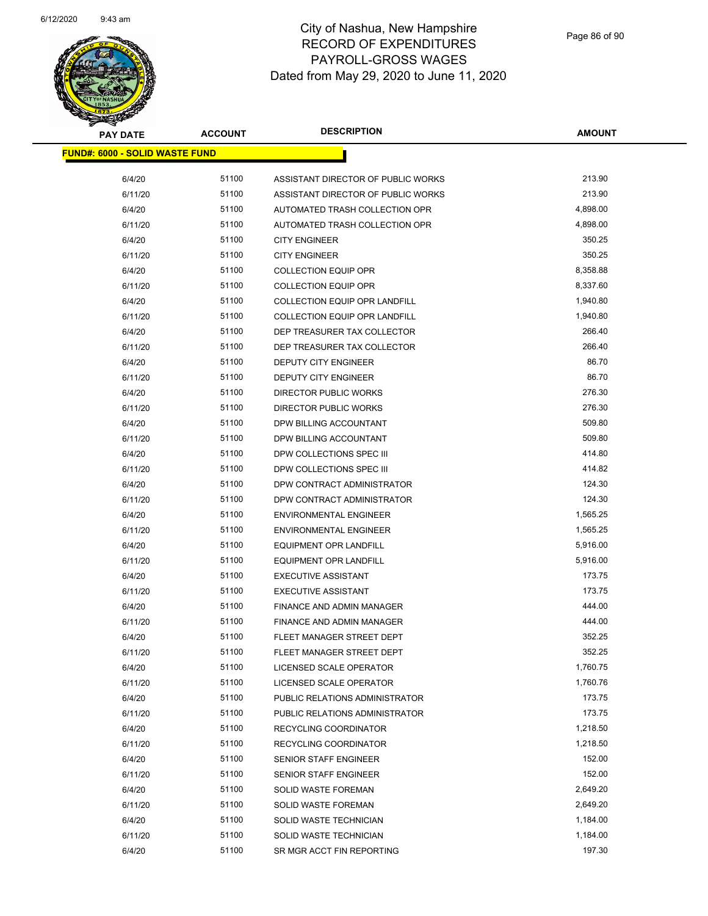

| <b>PAY DATE</b>                       | <b>ACCOUNT</b> | <b>DESCRIPTION</b>                   | <b>AMOUNT</b> |
|---------------------------------------|----------------|--------------------------------------|---------------|
| <b>FUND#: 6000 - SOLID WASTE FUND</b> |                |                                      |               |
| 6/4/20                                | 51100          | ASSISTANT DIRECTOR OF PUBLIC WORKS   | 213.90        |
| 6/11/20                               | 51100          | ASSISTANT DIRECTOR OF PUBLIC WORKS   | 213.90        |
| 6/4/20                                | 51100          | AUTOMATED TRASH COLLECTION OPR       | 4,898.00      |
| 6/11/20                               | 51100          | AUTOMATED TRASH COLLECTION OPR       | 4,898.00      |
| 6/4/20                                | 51100          | <b>CITY ENGINEER</b>                 | 350.25        |
| 6/11/20                               | 51100          | <b>CITY ENGINEER</b>                 | 350.25        |
| 6/4/20                                | 51100          | <b>COLLECTION EQUIP OPR</b>          | 8,358.88      |
| 6/11/20                               | 51100          | <b>COLLECTION EQUIP OPR</b>          | 8,337.60      |
| 6/4/20                                | 51100          | <b>COLLECTION EQUIP OPR LANDFILL</b> | 1,940.80      |
| 6/11/20                               | 51100          | <b>COLLECTION EQUIP OPR LANDFILL</b> | 1,940.80      |
| 6/4/20                                | 51100          | DEP TREASURER TAX COLLECTOR          | 266.40        |
| 6/11/20                               | 51100          | DEP TREASURER TAX COLLECTOR          | 266.40        |
| 6/4/20                                | 51100          | <b>DEPUTY CITY ENGINEER</b>          | 86.70         |
| 6/11/20                               | 51100          | DEPUTY CITY ENGINEER                 | 86.70         |
| 6/4/20                                | 51100          | DIRECTOR PUBLIC WORKS                | 276.30        |
| 6/11/20                               | 51100          | <b>DIRECTOR PUBLIC WORKS</b>         | 276.30        |
| 6/4/20                                | 51100          | DPW BILLING ACCOUNTANT               | 509.80        |
| 6/11/20                               | 51100          | DPW BILLING ACCOUNTANT               | 509.80        |
| 6/4/20                                | 51100          | DPW COLLECTIONS SPEC III             | 414.80        |
| 6/11/20                               | 51100          | DPW COLLECTIONS SPEC III             | 414.82        |
| 6/4/20                                | 51100          | DPW CONTRACT ADMINISTRATOR           | 124.30        |
| 6/11/20                               | 51100          | DPW CONTRACT ADMINISTRATOR           | 124.30        |
| 6/4/20                                | 51100          | <b>ENVIRONMENTAL ENGINEER</b>        | 1,565.25      |
| 6/11/20                               | 51100          | <b>ENVIRONMENTAL ENGINEER</b>        | 1,565.25      |
| 6/4/20                                | 51100          | <b>EQUIPMENT OPR LANDFILL</b>        | 5,916.00      |
| 6/11/20                               | 51100          | <b>EQUIPMENT OPR LANDFILL</b>        | 5,916.00      |
| 6/4/20                                | 51100          | <b>EXECUTIVE ASSISTANT</b>           | 173.75        |
| 6/11/20                               | 51100          | <b>EXECUTIVE ASSISTANT</b>           | 173.75        |
| 6/4/20                                | 51100          | FINANCE AND ADMIN MANAGER            | 444.00        |
| 6/11/20                               | 51100          | <b>FINANCE AND ADMIN MANAGER</b>     | 444.00        |
| 6/4/20                                | 51100          | FLEET MANAGER STREET DEPT            | 352.25        |
| 6/11/20                               | 51100          | FLEET MANAGER STREET DEPT            | 352.25        |
| 6/4/20                                | 51100          | LICENSED SCALE OPERATOR              | 1,760.75      |
| 6/11/20                               | 51100          | LICENSED SCALE OPERATOR              | 1,760.76      |
| 6/4/20                                | 51100          | PUBLIC RELATIONS ADMINISTRATOR       | 173.75        |
| 6/11/20                               | 51100          | PUBLIC RELATIONS ADMINISTRATOR       | 173.75        |
| 6/4/20                                | 51100          | RECYCLING COORDINATOR                | 1,218.50      |
| 6/11/20                               | 51100          | RECYCLING COORDINATOR                | 1,218.50      |
| 6/4/20                                | 51100          | SENIOR STAFF ENGINEER                | 152.00        |
| 6/11/20                               | 51100          | SENIOR STAFF ENGINEER                | 152.00        |
| 6/4/20                                | 51100          | SOLID WASTE FOREMAN                  | 2,649.20      |
| 6/11/20                               | 51100          | <b>SOLID WASTE FOREMAN</b>           | 2,649.20      |
| 6/4/20                                | 51100          | SOLID WASTE TECHNICIAN               | 1,184.00      |
| 6/11/20                               | 51100          | SOLID WASTE TECHNICIAN               | 1,184.00      |
| 6/4/20                                | 51100          | SR MGR ACCT FIN REPORTING            | 197.30        |
|                                       |                |                                      |               |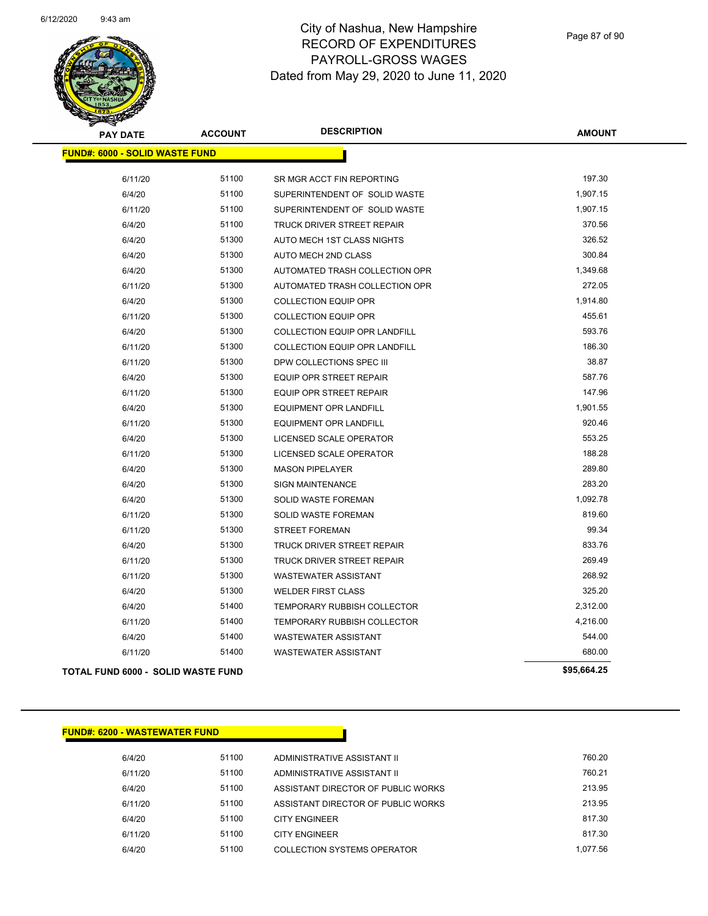

| <b>PAY DATE</b>                       | <b>ACCOUNT</b> | <b>DESCRIPTION</b>                   | <b>AMOUNT</b> |
|---------------------------------------|----------------|--------------------------------------|---------------|
| <b>FUND#: 6000 - SOLID WASTE FUND</b> |                |                                      |               |
| 6/11/20                               | 51100          | SR MGR ACCT FIN REPORTING            | 197.30        |
| 6/4/20                                | 51100          | SUPERINTENDENT OF SOLID WASTE        | 1,907.15      |
| 6/11/20                               | 51100          | SUPERINTENDENT OF SOLID WASTE        | 1,907.15      |
| 6/4/20                                | 51100          | <b>TRUCK DRIVER STREET REPAIR</b>    | 370.56        |
| 6/4/20                                | 51300          | AUTO MECH 1ST CLASS NIGHTS           | 326.52        |
| 6/4/20                                | 51300          | AUTO MECH 2ND CLASS                  | 300.84        |
| 6/4/20                                | 51300          | AUTOMATED TRASH COLLECTION OPR       | 1,349.68      |
| 6/11/20                               | 51300          | AUTOMATED TRASH COLLECTION OPR       | 272.05        |
| 6/4/20                                | 51300          | <b>COLLECTION EQUIP OPR</b>          | 1,914.80      |
| 6/11/20                               | 51300          | <b>COLLECTION EQUIP OPR</b>          | 455.61        |
| 6/4/20                                | 51300          | <b>COLLECTION EQUIP OPR LANDFILL</b> | 593.76        |
| 6/11/20                               | 51300          | <b>COLLECTION EQUIP OPR LANDFILL</b> | 186.30        |
| 6/11/20                               | 51300          | DPW COLLECTIONS SPEC III             | 38.87         |
| 6/4/20                                | 51300          | EQUIP OPR STREET REPAIR              | 587.76        |
| 6/11/20                               | 51300          | <b>EQUIP OPR STREET REPAIR</b>       | 147.96        |
| 6/4/20                                | 51300          | <b>EQUIPMENT OPR LANDFILL</b>        | 1,901.55      |
| 6/11/20                               | 51300          | <b>EQUIPMENT OPR LANDFILL</b>        | 920.46        |
| 6/4/20                                | 51300          | LICENSED SCALE OPERATOR              | 553.25        |
| 6/11/20                               | 51300          | LICENSED SCALE OPERATOR              | 188.28        |
| 6/4/20                                | 51300          | <b>MASON PIPELAYER</b>               | 289.80        |
| 6/4/20                                | 51300          | <b>SIGN MAINTENANCE</b>              | 283.20        |
| 6/4/20                                | 51300          | SOLID WASTE FOREMAN                  | 1,092.78      |
| 6/11/20                               | 51300          | <b>SOLID WASTE FOREMAN</b>           | 819.60        |
| 6/11/20                               | 51300          | <b>STREET FOREMAN</b>                | 99.34         |
| 6/4/20                                | 51300          | <b>TRUCK DRIVER STREET REPAIR</b>    | 833.76        |
| 6/11/20                               | 51300          | TRUCK DRIVER STREET REPAIR           | 269.49        |
| 6/11/20                               | 51300          | <b>WASTEWATER ASSISTANT</b>          | 268.92        |
| 6/4/20                                | 51300          | <b>WELDER FIRST CLASS</b>            | 325.20        |
| 6/4/20                                | 51400          | <b>TEMPORARY RUBBISH COLLECTOR</b>   | 2,312.00      |
| 6/11/20                               | 51400          | TEMPORARY RUBBISH COLLECTOR          | 4,216.00      |
| 6/4/20                                | 51400          | <b>WASTEWATER ASSISTANT</b>          | 544.00        |
| 6/11/20                               | 51400          | <b>WASTEWATER ASSISTANT</b>          | 680.00        |
| TOTAL FUND 6000 - SOLID WASTE FUND    |                |                                      | \$95,664.25   |

#### **FUND#: 6200 - WASTEWATER FUND**

6/4/20 51100 ADMINISTRATIVE ASSISTANT II 760.20 6/11/20 51100 ADMINISTRATIVE ASSISTANT II 760.21 6/4/20 51100 ASSISTANT DIRECTOR OF PUBLIC WORKS 213.95 6/11/20 51100 ASSISTANT DIRECTOR OF PUBLIC WORKS 213.95 6/4/20 51100 CITY ENGINEER 317.30 6/11/20 51100 CITY ENGINEER 817.30 6/4/20 51100 COLLECTION SYSTEMS OPERATOR 1,077.56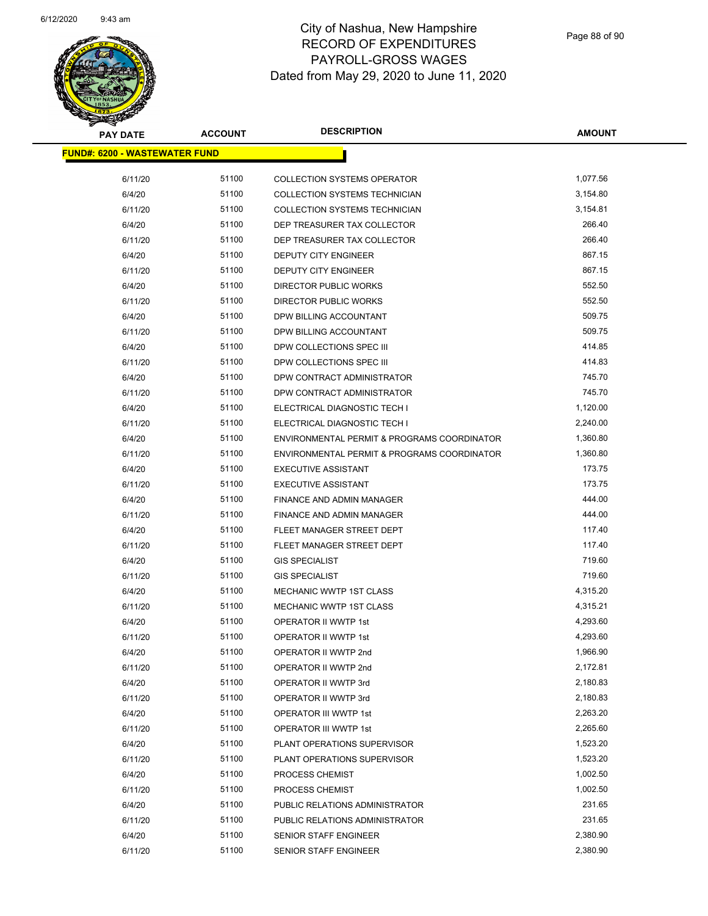

| <b>PAY DATE</b>                      | <b>ACCOUNT</b> | <b>DESCRIPTION</b>                          | <b>AMOUNT</b> |
|--------------------------------------|----------------|---------------------------------------------|---------------|
| <b>FUND#: 6200 - WASTEWATER FUND</b> |                |                                             |               |
|                                      |                |                                             |               |
| 6/11/20                              | 51100          | <b>COLLECTION SYSTEMS OPERATOR</b>          | 1,077.56      |
| 6/4/20                               | 51100          | COLLECTION SYSTEMS TECHNICIAN               | 3,154.80      |
| 6/11/20                              | 51100          | <b>COLLECTION SYSTEMS TECHNICIAN</b>        | 3,154.81      |
| 6/4/20                               | 51100          | DEP TREASURER TAX COLLECTOR                 | 266.40        |
| 6/11/20                              | 51100          | DEP TREASURER TAX COLLECTOR                 | 266.40        |
| 6/4/20                               | 51100          | <b>DEPUTY CITY ENGINEER</b>                 | 867.15        |
| 6/11/20                              | 51100          | DEPUTY CITY ENGINEER                        | 867.15        |
| 6/4/20                               | 51100          | <b>DIRECTOR PUBLIC WORKS</b>                | 552.50        |
| 6/11/20                              | 51100          | <b>DIRECTOR PUBLIC WORKS</b>                | 552.50        |
| 6/4/20                               | 51100          | DPW BILLING ACCOUNTANT                      | 509.75        |
| 6/11/20                              | 51100          | DPW BILLING ACCOUNTANT                      | 509.75        |
| 6/4/20                               | 51100          | DPW COLLECTIONS SPEC III                    | 414.85        |
| 6/11/20                              | 51100          | DPW COLLECTIONS SPEC III                    | 414.83        |
| 6/4/20                               | 51100          | DPW CONTRACT ADMINISTRATOR                  | 745.70        |
| 6/11/20                              | 51100          | DPW CONTRACT ADMINISTRATOR                  | 745.70        |
| 6/4/20                               | 51100          | ELECTRICAL DIAGNOSTIC TECH I                | 1,120.00      |
| 6/11/20                              | 51100          | ELECTRICAL DIAGNOSTIC TECH I                | 2,240.00      |
| 6/4/20                               | 51100          | ENVIRONMENTAL PERMIT & PROGRAMS COORDINATOR | 1,360.80      |
| 6/11/20                              | 51100          | ENVIRONMENTAL PERMIT & PROGRAMS COORDINATOR | 1,360.80      |
| 6/4/20                               | 51100          | <b>EXECUTIVE ASSISTANT</b>                  | 173.75        |
| 6/11/20                              | 51100          | <b>EXECUTIVE ASSISTANT</b>                  | 173.75        |
| 6/4/20                               | 51100          | FINANCE AND ADMIN MANAGER                   | 444.00        |
| 6/11/20                              | 51100          | FINANCE AND ADMIN MANAGER                   | 444.00        |
| 6/4/20                               | 51100          | FLEET MANAGER STREET DEPT                   | 117.40        |
| 6/11/20                              | 51100          | FLEET MANAGER STREET DEPT                   | 117.40        |
| 6/4/20                               | 51100          | <b>GIS SPECIALIST</b>                       | 719.60        |
| 6/11/20                              | 51100          | <b>GIS SPECIALIST</b>                       | 719.60        |
| 6/4/20                               | 51100          | <b>MECHANIC WWTP 1ST CLASS</b>              | 4,315.20      |
| 6/11/20                              | 51100          | MECHANIC WWTP 1ST CLASS                     | 4,315.21      |
| 6/4/20                               | 51100          | OPERATOR II WWTP 1st                        | 4,293.60      |
| 6/11/20                              | 51100          | <b>OPERATOR II WWTP 1st</b>                 | 4,293.60      |
| 6/4/20                               | 51100          | OPERATOR II WWTP 2nd                        | 1,966.90      |
| 6/11/20                              | 51100          | OPERATOR II WWTP 2nd                        | 2,172.81      |
| 6/4/20                               | 51100          | OPERATOR II WWTP 3rd                        | 2,180.83      |
| 6/11/20                              | 51100          | OPERATOR II WWTP 3rd                        | 2,180.83      |
| 6/4/20                               | 51100          | OPERATOR III WWTP 1st                       | 2,263.20      |
| 6/11/20                              | 51100          | OPERATOR III WWTP 1st                       | 2,265.60      |
| 6/4/20                               | 51100          | PLANT OPERATIONS SUPERVISOR                 | 1,523.20      |
| 6/11/20                              | 51100          | PLANT OPERATIONS SUPERVISOR                 | 1,523.20      |
| 6/4/20                               | 51100          | PROCESS CHEMIST                             | 1,002.50      |
| 6/11/20                              | 51100          | <b>PROCESS CHEMIST</b>                      | 1,002.50      |
| 6/4/20                               | 51100          | PUBLIC RELATIONS ADMINISTRATOR              | 231.65        |
| 6/11/20                              | 51100          | PUBLIC RELATIONS ADMINISTRATOR              | 231.65        |
| 6/4/20                               | 51100          | <b>SENIOR STAFF ENGINEER</b>                | 2,380.90      |
| 6/11/20                              | 51100          | SENIOR STAFF ENGINEER                       | 2,380.90      |
|                                      |                |                                             |               |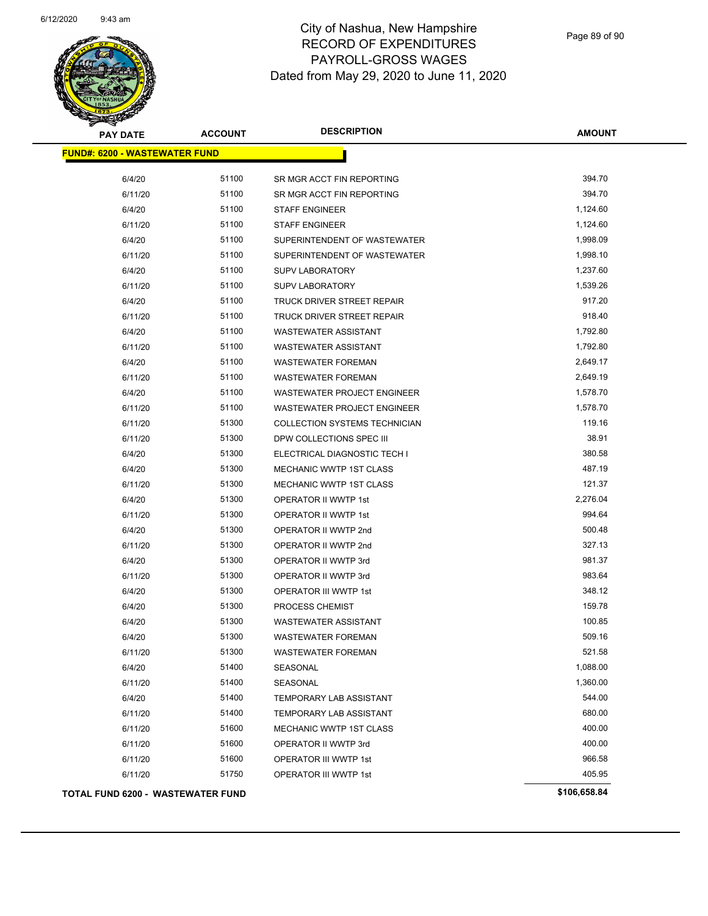

| <b>PAY DATE</b>                      | <b>ACCOUNT</b> | <b>DESCRIPTION</b>                   | <b>AMOUNT</b> |
|--------------------------------------|----------------|--------------------------------------|---------------|
| <b>FUND#: 6200 - WASTEWATER FUND</b> |                |                                      |               |
| 6/4/20                               | 51100          | SR MGR ACCT FIN REPORTING            | 394.70        |
| 6/11/20                              | 51100          | SR MGR ACCT FIN REPORTING            | 394.70        |
| 6/4/20                               | 51100          | <b>STAFF ENGINEER</b>                | 1,124.60      |
| 6/11/20                              | 51100          | <b>STAFF ENGINEER</b>                | 1,124.60      |
| 6/4/20                               | 51100          | SUPERINTENDENT OF WASTEWATER         | 1,998.09      |
| 6/11/20                              | 51100          | SUPERINTENDENT OF WASTEWATER         | 1,998.10      |
| 6/4/20                               | 51100          | <b>SUPV LABORATORY</b>               | 1,237.60      |
| 6/11/20                              | 51100          | <b>SUPV LABORATORY</b>               | 1,539.26      |
| 6/4/20                               | 51100          | TRUCK DRIVER STREET REPAIR           | 917.20        |
| 6/11/20                              | 51100          | TRUCK DRIVER STREET REPAIR           | 918.40        |
| 6/4/20                               | 51100          | <b>WASTEWATER ASSISTANT</b>          | 1,792.80      |
| 6/11/20                              | 51100          | <b>WASTEWATER ASSISTANT</b>          | 1,792.80      |
| 6/4/20                               | 51100          | <b>WASTEWATER FOREMAN</b>            | 2,649.17      |
| 6/11/20                              | 51100          | <b>WASTEWATER FOREMAN</b>            | 2,649.19      |
| 6/4/20                               | 51100          | <b>WASTEWATER PROJECT ENGINEER</b>   | 1,578.70      |
| 6/11/20                              | 51100          | WASTEWATER PROJECT ENGINEER          | 1,578.70      |
| 6/11/20                              | 51300          | <b>COLLECTION SYSTEMS TECHNICIAN</b> | 119.16        |
| 6/11/20                              | 51300          | DPW COLLECTIONS SPEC III             | 38.91         |
| 6/4/20                               | 51300          | ELECTRICAL DIAGNOSTIC TECH I         | 380.58        |
| 6/4/20                               | 51300          | <b>MECHANIC WWTP 1ST CLASS</b>       | 487.19        |
| 6/11/20                              | 51300          | <b>MECHANIC WWTP 1ST CLASS</b>       | 121.37        |
| 6/4/20                               | 51300          | OPERATOR II WWTP 1st                 | 2,276.04      |
| 6/11/20                              | 51300          | OPERATOR II WWTP 1st                 | 994.64        |
| 6/4/20                               | 51300          | OPERATOR II WWTP 2nd                 | 500.48        |
| 6/11/20                              | 51300          | OPERATOR II WWTP 2nd                 | 327.13        |
| 6/4/20                               | 51300          | OPERATOR II WWTP 3rd                 | 981.37        |
| 6/11/20                              | 51300          | OPERATOR II WWTP 3rd                 | 983.64        |
| 6/4/20                               | 51300          | OPERATOR III WWTP 1st                | 348.12        |
| 6/4/20                               | 51300          | PROCESS CHEMIST                      | 159.78        |
| 6/4/20                               | 51300          | WASTEWATER ASSISTANT                 | 100.85        |
| 6/4/20                               | 51300          | <b>WASTEWATER FOREMAN</b>            | 509.16        |
| 6/11/20                              | 51300          | <b>WASTEWATER FOREMAN</b>            | 521.58        |
| 6/4/20                               | 51400          | SEASONAL                             | 1,088.00      |
| 6/11/20                              | 51400          | SEASONAL                             | 1,360.00      |
| 6/4/20                               | 51400          | <b>TEMPORARY LAB ASSISTANT</b>       | 544.00        |
| 6/11/20                              | 51400          | TEMPORARY LAB ASSISTANT              | 680.00        |
| 6/11/20                              | 51600          | MECHANIC WWTP 1ST CLASS              | 400.00        |
| 6/11/20                              | 51600          | OPERATOR II WWTP 3rd                 | 400.00        |
| 6/11/20                              | 51600          | <b>OPERATOR III WWTP 1st</b>         | 966.58        |
| 6/11/20                              | 51750          | <b>OPERATOR III WWTP 1st</b>         | 405.95        |
| TOTAL FUND 6200 - WASTEWATER FUND    |                |                                      | \$106,658.84  |